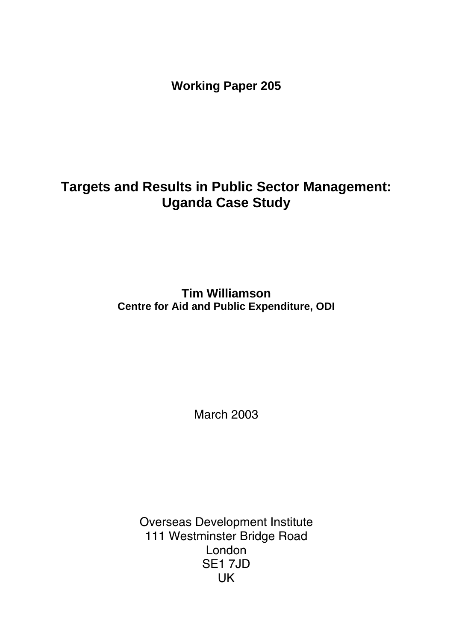**Working Paper 205** 

# **Targets and Results in Public Sector Management: Uganda Case Study**

**Tim Williamson Centre for Aid and Public Expenditure, ODI** 

March 2003

Overseas Development Institute 111 Westminster Bridge Road London SE1 7JD UK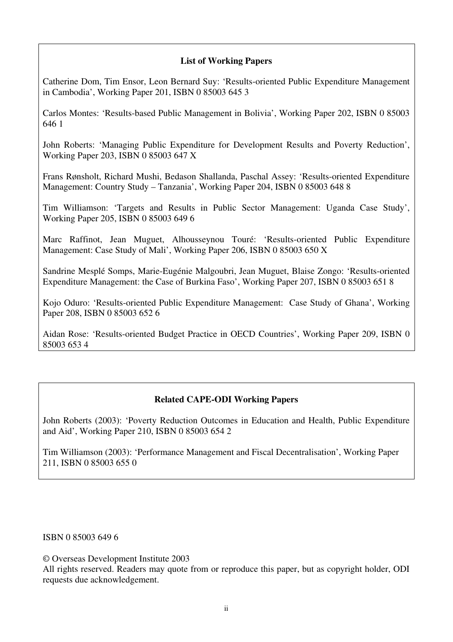### **List of Working Papers**

Catherine Dom, Tim Ensor, Leon Bernard Suy: 'Results-oriented Public Expenditure Management in Cambodia', Working Paper 201, ISBN 0 85003 645 3

Carlos Montes: 'Results-based Public Management in Bolivia', Working Paper 202, ISBN 0 85003 646 1

John Roberts: 'Managing Public Expenditure for Development Results and Poverty Reduction', Working Paper 203, ISBN 0 85003 647 X

Frans Rønsholt, Richard Mushi, Bedason Shallanda, Paschal Assey: 'Results-oriented Expenditure Management: Country Study – Tanzania', Working Paper 204, ISBN 0 85003 648 8

Tim Williamson: 'Targets and Results in Public Sector Management: Uganda Case Study', Working Paper 205, ISBN 0 85003 649 6

Marc Raffinot, Jean Muguet, Alhousseynou Touré: 'Results-oriented Public Expenditure Management: Case Study of Mali', Working Paper 206, ISBN 0 85003 650 X

Sandrine Mesplé Somps, Marie-Eugénie Malgoubri, Jean Muguet, Blaise Zongo: 'Results-oriented Expenditure Management: the Case of Burkina Faso', Working Paper 207, ISBN 0 85003 651 8

Kojo Oduro: 'Results-oriented Public Expenditure Management: Case Study of Ghana', Working Paper 208, ISBN 0 85003 652 6

Aidan Rose: 'Results-oriented Budget Practice in OECD Countries', Working Paper 209, ISBN 0 85003 653 4

### **Related CAPE-ODI Working Papers**

John Roberts (2003): 'Poverty Reduction Outcomes in Education and Health, Public Expenditure and Aid', Working Paper 210, ISBN 0 85003 654 2

Tim Williamson (2003): 'Performance Management and Fiscal Decentralisation', Working Paper 211, ISBN 0 85003 655 0

ISBN 0 85003 649 6

© Overseas Development Institute 2003

All rights reserved. Readers may quote from or reproduce this paper, but as copyright holder, ODI requests due acknowledgement.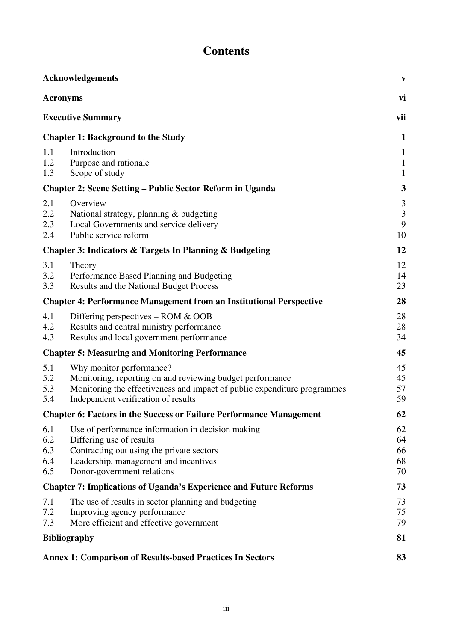# **Contents**

|                                 | <b>Acknowledgements</b>                                                                                                                                                                                  | $\boldsymbol{\mathrm{V}}$                            |
|---------------------------------|----------------------------------------------------------------------------------------------------------------------------------------------------------------------------------------------------------|------------------------------------------------------|
| <b>Acronyms</b>                 |                                                                                                                                                                                                          | vi                                                   |
|                                 | <b>Executive Summary</b>                                                                                                                                                                                 | vii                                                  |
|                                 | <b>Chapter 1: Background to the Study</b>                                                                                                                                                                | $\mathbf{1}$                                         |
| 1.1<br>1.2<br>1.3               | Introduction<br>Purpose and rationale<br>Scope of study                                                                                                                                                  | $\mathbf{1}$<br>$\mathbf{1}$<br>$\mathbf{1}$         |
|                                 | <b>Chapter 2: Scene Setting – Public Sector Reform in Uganda</b>                                                                                                                                         | 3                                                    |
| 2.1<br>2.2<br>2.3<br>2.4        | Overview<br>National strategy, planning & budgeting<br>Local Governments and service delivery<br>Public service reform                                                                                   | $\mathfrak{Z}$<br>$\overline{\mathbf{3}}$<br>9<br>10 |
|                                 | Chapter 3: Indicators & Targets In Planning & Budgeting                                                                                                                                                  | 12                                                   |
| 3.1<br>3.2<br>3.3               | Theory<br>Performance Based Planning and Budgeting<br><b>Results and the National Budget Process</b>                                                                                                     | 12<br>14<br>23                                       |
|                                 | <b>Chapter 4: Performance Management from an Institutional Perspective</b>                                                                                                                               | 28                                                   |
| 4.1<br>4.2<br>4.3               | Differing perspectives - ROM & OOB<br>Results and central ministry performance<br>Results and local government performance                                                                               | 28<br>28<br>34                                       |
|                                 | <b>Chapter 5: Measuring and Monitoring Performance</b>                                                                                                                                                   | 45                                                   |
| 5.1<br>5.2<br>5.3<br>5.4        | Why monitor performance?<br>Monitoring, reporting on and reviewing budget performance<br>Monitoring the effectiveness and impact of public expenditure programmes<br>Independent verification of results | 45<br>45<br>57<br>59                                 |
|                                 | <b>Chapter 6: Factors in the Success or Failure Performance Management</b>                                                                                                                               | 62                                                   |
| 6.1<br>6.2<br>6.3<br>6.4<br>6.5 | Use of performance information in decision making<br>Differing use of results<br>Contracting out using the private sectors<br>Leadership, management and incentives<br>Donor-government relations        | 62<br>64<br>66<br>68<br>70                           |
|                                 | <b>Chapter 7: Implications of Uganda's Experience and Future Reforms</b>                                                                                                                                 | 73                                                   |
| 7.1<br>7.2<br>7.3               | The use of results in sector planning and budgeting<br>Improving agency performance<br>More efficient and effective government                                                                           | 73<br>75<br>79                                       |
|                                 | <b>Bibliography</b>                                                                                                                                                                                      | 81                                                   |
|                                 | <b>Annex 1: Comparison of Results-based Practices In Sectors</b>                                                                                                                                         | 83                                                   |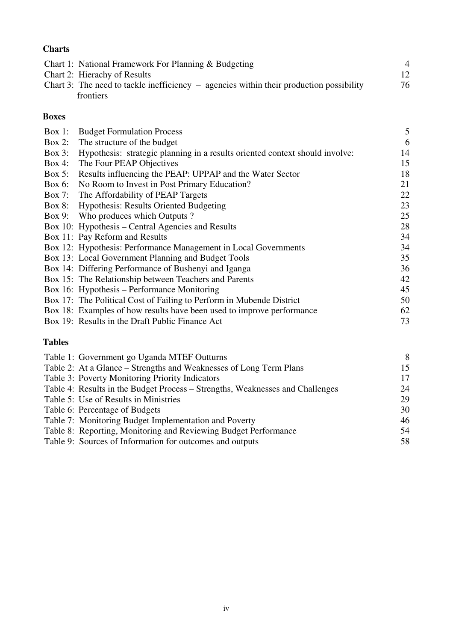### **Charts**

| Chart 1: National Framework For Planning & Budgeting                                      |    |
|-------------------------------------------------------------------------------------------|----|
| Chart 2: Hierachy of Results                                                              | 12 |
| Chart 3: The need to tackle inefficiency $-$ agencies within their production possibility | 76 |
| frontiers                                                                                 |    |

### **Boxes**

| Box 1:    | <b>Budget Formulation Process</b>                                            | 5  |
|-----------|------------------------------------------------------------------------------|----|
|           | Box 2: The structure of the budget                                           | 6  |
| Box $3$ : | Hypothesis: strategic planning in a results oriented context should involve: | 14 |
| $Box 4$ : | The Four PEAP Objectives                                                     | 15 |
| Box 5:    | Results influencing the PEAP: UPPAP and the Water Sector                     | 18 |
| Box 6:    | No Room to Invest in Post Primary Education?                                 | 21 |
| $Box 7$ : | The Affordability of PEAP Targets                                            | 22 |
|           | Box 8: Hypothesis: Results Oriented Budgeting                                | 23 |
|           | Box 9: Who produces which Outputs ?                                          | 25 |
|           | Box 10: Hypothesis – Central Agencies and Results                            | 28 |
|           | Box 11: Pay Reform and Results                                               | 34 |
|           | Box 12: Hypothesis: Performance Management in Local Governments              | 34 |
|           | Box 13: Local Government Planning and Budget Tools                           | 35 |
|           | Box 14: Differing Performance of Bushenyi and Iganga                         | 36 |
|           | Box 15: The Relationship between Teachers and Parents                        | 42 |
|           | Box 16: Hypothesis – Performance Monitoring                                  | 45 |
|           | Box 17: The Political Cost of Failing to Perform in Mubende District         | 50 |
|           | Box 18: Examples of how results have been used to improve performance        | 62 |
|           | Box 19: Results in the Draft Public Finance Act                              | 73 |

### **Tables**

| Table 1: Government go Uganda MTEF Outturns                                   | 8   |
|-------------------------------------------------------------------------------|-----|
| Table 2: At a Glance – Strengths and Weaknesses of Long Term Plans            | 15. |
| Table 3: Poverty Monitoring Priority Indicators                               | 17  |
| Table 4: Results in the Budget Process – Strengths, Weaknesses and Challenges | 24  |
| Table 5: Use of Results in Ministries                                         | 29  |
| Table 6: Percentage of Budgets                                                | 30  |
| Table 7: Monitoring Budget Implementation and Poverty                         | 46  |
| Table 8: Reporting, Monitoring and Reviewing Budget Performance               | 54  |
| Table 9: Sources of Information for outcomes and outputs                      | 58  |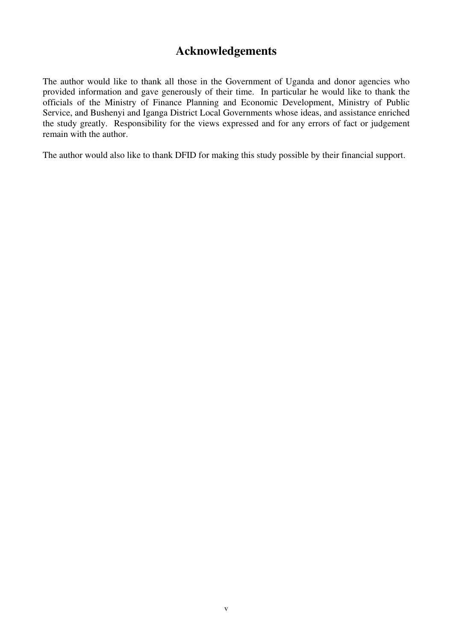# **Acknowledgements**

The author would like to thank all those in the Government of Uganda and donor agencies who provided information and gave generously of their time. In particular he would like to thank the officials of the Ministry of Finance Planning and Economic Development, Ministry of Public Service, and Bushenyi and Iganga District Local Governments whose ideas, and assistance enriched the study greatly. Responsibility for the views expressed and for any errors of fact or judgement remain with the author.

The author would also like to thank DFID for making this study possible by their financial support.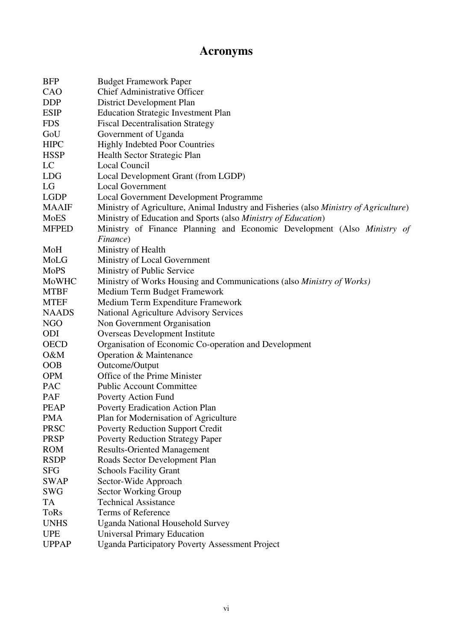# **Acronyms**

| <b>BFP</b>   | <b>Budget Framework Paper</b>                                                         |
|--------------|---------------------------------------------------------------------------------------|
| CAO          | <b>Chief Administrative Officer</b>                                                   |
| <b>DDP</b>   | District Development Plan                                                             |
| <b>ESIP</b>  | <b>Education Strategic Investment Plan</b>                                            |
| <b>FDS</b>   | <b>Fiscal Decentralisation Strategy</b>                                               |
| GoU          | Government of Uganda                                                                  |
| <b>HIPC</b>  | <b>Highly Indebted Poor Countries</b>                                                 |
| <b>HSSP</b>  | Health Sector Strategic Plan                                                          |
| LC           | Local Council                                                                         |
| <b>LDG</b>   | Local Development Grant (from LGDP)                                                   |
| LG           | <b>Local Government</b>                                                               |
| <b>LGDP</b>  | <b>Local Government Development Programme</b>                                         |
| <b>MAAIF</b> | Ministry of Agriculture, Animal Industry and Fisheries (also Ministry of Agriculture) |
| <b>MoES</b>  | Ministry of Education and Sports (also Ministry of Education)                         |
| <b>MFPED</b> | Ministry of Finance Planning and Economic Development (Also Ministry of               |
|              | Finance)                                                                              |
| MoH          | Ministry of Health                                                                    |
| MoLG         | Ministry of Local Government                                                          |
| MoPS         | Ministry of Public Service                                                            |
| MoWHC        | Ministry of Works Housing and Communications (also <i>Ministry of Works</i> )         |
| <b>MTBF</b>  | Medium Term Budget Framework                                                          |
| <b>MTEF</b>  | Medium Term Expenditure Framework                                                     |
| <b>NAADS</b> | <b>National Agriculture Advisory Services</b>                                         |
| <b>NGO</b>   | Non Government Organisation                                                           |
| ODI          | Overseas Development Institute                                                        |
| <b>OECD</b>  | Organisation of Economic Co-operation and Development                                 |
| O&M          | Operation & Maintenance                                                               |
| <b>OOB</b>   | Outcome/Output                                                                        |
| <b>OPM</b>   | Office of the Prime Minister                                                          |
| <b>PAC</b>   | <b>Public Account Committee</b>                                                       |
| PAF          | Poverty Action Fund                                                                   |
| <b>PEAP</b>  | Poverty Eradication Action Plan                                                       |
| <b>PMA</b>   | Plan for Modernisation of Agriculture                                                 |
| <b>PRSC</b>  | <b>Poverty Reduction Support Credit</b>                                               |
| <b>PRSP</b>  | <b>Poverty Reduction Strategy Paper</b>                                               |
| <b>ROM</b>   | <b>Results-Oriented Management</b>                                                    |
| <b>RSDP</b>  | Roads Sector Development Plan                                                         |
| <b>SFG</b>   | <b>Schools Facility Grant</b>                                                         |
| <b>SWAP</b>  | Sector-Wide Approach                                                                  |
| <b>SWG</b>   | Sector Working Group                                                                  |
| TA           | <b>Technical Assistance</b>                                                           |
| <b>ToRs</b>  | Terms of Reference                                                                    |
| <b>UNHS</b>  | <b>Uganda National Household Survey</b>                                               |
| <b>UPE</b>   | <b>Universal Primary Education</b>                                                    |
| <b>UPPAP</b> | <b>Uganda Participatory Poverty Assessment Project</b>                                |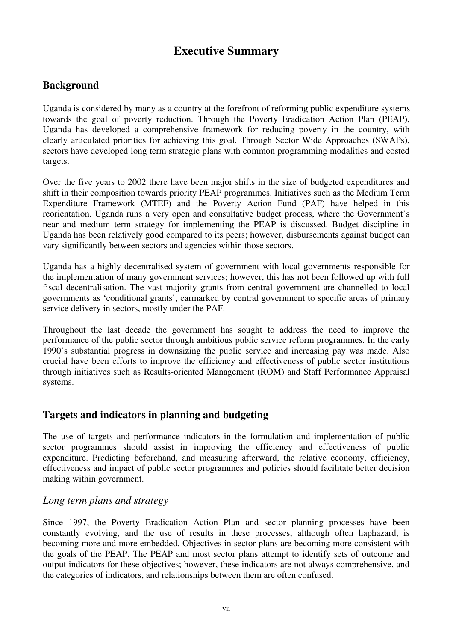# **Executive Summary**

### **Background**

Uganda is considered by many as a country at the forefront of reforming public expenditure systems towards the goal of poverty reduction. Through the Poverty Eradication Action Plan (PEAP), Uganda has developed a comprehensive framework for reducing poverty in the country, with clearly articulated priorities for achieving this goal. Through Sector Wide Approaches (SWAPs), sectors have developed long term strategic plans with common programming modalities and costed targets.

Over the five years to 2002 there have been major shifts in the size of budgeted expenditures and shift in their composition towards priority PEAP programmes. Initiatives such as the Medium Term Expenditure Framework (MTEF) and the Poverty Action Fund (PAF) have helped in this reorientation. Uganda runs a very open and consultative budget process, where the Government's near and medium term strategy for implementing the PEAP is discussed. Budget discipline in Uganda has been relatively good compared to its peers; however, disbursements against budget can vary significantly between sectors and agencies within those sectors.

Uganda has a highly decentralised system of government with local governments responsible for the implementation of many government services; however, this has not been followed up with full fiscal decentralisation. The vast majority grants from central government are channelled to local governments as 'conditional grants', earmarked by central government to specific areas of primary service delivery in sectors, mostly under the PAF.

Throughout the last decade the government has sought to address the need to improve the performance of the public sector through ambitious public service reform programmes. In the early 1990's substantial progress in downsizing the public service and increasing pay was made. Also crucial have been efforts to improve the efficiency and effectiveness of public sector institutions through initiatives such as Results-oriented Management (ROM) and Staff Performance Appraisal systems.

### **Targets and indicators in planning and budgeting**

The use of targets and performance indicators in the formulation and implementation of public sector programmes should assist in improving the efficiency and effectiveness of public expenditure. Predicting beforehand, and measuring afterward, the relative economy, efficiency, effectiveness and impact of public sector programmes and policies should facilitate better decision making within government.

### *Long term plans and strategy*

Since 1997, the Poverty Eradication Action Plan and sector planning processes have been constantly evolving, and the use of results in these processes, although often haphazard, is becoming more and more embedded. Objectives in sector plans are becoming more consistent with the goals of the PEAP. The PEAP and most sector plans attempt to identify sets of outcome and output indicators for these objectives; however, these indicators are not always comprehensive, and the categories of indicators, and relationships between them are often confused.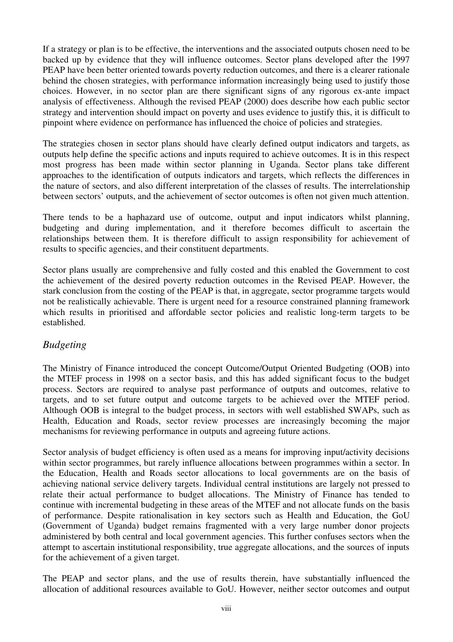If a strategy or plan is to be effective, the interventions and the associated outputs chosen need to be backed up by evidence that they will influence outcomes. Sector plans developed after the 1997 PEAP have been better oriented towards poverty reduction outcomes, and there is a clearer rationale behind the chosen strategies, with performance information increasingly being used to justify those choices. However, in no sector plan are there significant signs of any rigorous ex-ante impact analysis of effectiveness. Although the revised PEAP (2000) does describe how each public sector strategy and intervention should impact on poverty and uses evidence to justify this, it is difficult to pinpoint where evidence on performance has influenced the choice of policies and strategies.

The strategies chosen in sector plans should have clearly defined output indicators and targets, as outputs help define the specific actions and inputs required to achieve outcomes. It is in this respect most progress has been made within sector planning in Uganda. Sector plans take different approaches to the identification of outputs indicators and targets, which reflects the differences in the nature of sectors, and also different interpretation of the classes of results. The interrelationship between sectors' outputs, and the achievement of sector outcomes is often not given much attention.

There tends to be a haphazard use of outcome, output and input indicators whilst planning, budgeting and during implementation, and it therefore becomes difficult to ascertain the relationships between them. It is therefore difficult to assign responsibility for achievement of results to specific agencies, and their constituent departments.

Sector plans usually are comprehensive and fully costed and this enabled the Government to cost the achievement of the desired poverty reduction outcomes in the Revised PEAP. However, the stark conclusion from the costing of the PEAP is that, in aggregate, sector programme targets would not be realistically achievable. There is urgent need for a resource constrained planning framework which results in prioritised and affordable sector policies and realistic long-term targets to be established.

### *Budgeting*

The Ministry of Finance introduced the concept Outcome/Output Oriented Budgeting (OOB) into the MTEF process in 1998 on a sector basis, and this has added significant focus to the budget process. Sectors are required to analyse past performance of outputs and outcomes, relative to targets, and to set future output and outcome targets to be achieved over the MTEF period. Although OOB is integral to the budget process, in sectors with well established SWAPs, such as Health, Education and Roads, sector review processes are increasingly becoming the major mechanisms for reviewing performance in outputs and agreeing future actions.

Sector analysis of budget efficiency is often used as a means for improving input/activity decisions within sector programmes, but rarely influence allocations between programmes within a sector. In the Education, Health and Roads sector allocations to local governments are on the basis of achieving national service delivery targets. Individual central institutions are largely not pressed to relate their actual performance to budget allocations. The Ministry of Finance has tended to continue with incremental budgeting in these areas of the MTEF and not allocate funds on the basis of performance. Despite rationalisation in key sectors such as Health and Education, the GoU (Government of Uganda) budget remains fragmented with a very large number donor projects administered by both central and local government agencies. This further confuses sectors when the attempt to ascertain institutional responsibility, true aggregate allocations, and the sources of inputs for the achievement of a given target.

The PEAP and sector plans, and the use of results therein, have substantially influenced the allocation of additional resources available to GoU. However, neither sector outcomes and output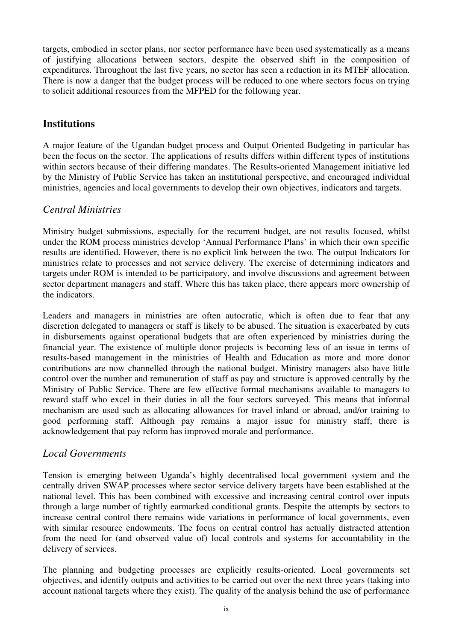targets, embodied in sector plans, nor sector performance have been used systematically as a means of justifying allocations between sectors, despite the observed shift in the composition of expenditures. Throughout the last five years, no sector has seen a reduction in its MTEF allocation. There is now a danger that the budget process will be reduced to one where sectors focus on trying to solicit additional resources from the MFPED for the following year.

### **Institutions**

A major feature of the Ugandan budget process and Output Oriented Budgeting in particular has been the focus on the sector. The applications of results differs within different types of institutions within sectors because of their differing mandates. The Results-oriented Management initiative led by the Ministry of Public Service has taken an institutional perspective, and encouraged individual ministries, agencies and local governments to develop their own objectives, indicators and targets.

### *Central Ministries*

Ministry budget submissions, especially for the recurrent budget, are not results focused, whilst under the ROM process ministries develop 'Annual Performance Plans' in which their own specific results are identified. However, there is no explicit link between the two. The output Indicators for ministries relate to processes and not service delivery. The exercise of determining indicators and targets under ROM is intended to be participatory, and involve discussions and agreement between sector department managers and staff. Where this has taken place, there appears more ownership of the indicators.

Leaders and managers in ministries are often autocratic, which is often due to fear that any discretion delegated to managers or staff is likely to be abused. The situation is exacerbated by cuts in disbursements against operational budgets that are often experienced by ministries during the financial year. The existence of multiple donor projects is becoming less of an issue in terms of results-based management in the ministries of Health and Education as more and more donor contributions are now channelled through the national budget. Ministry managers also have little control over the number and remuneration of staff as pay and structure is approved centrally by the Ministry of Public Service. There are few effective formal mechanisms available to managers to reward staff who excel in their duties in all the four sectors surveyed. This means that informal mechanism are used such as allocating allowances for travel inland or abroad, and/or training to good performing staff. Although pay remains a major issue for ministry staff, there is acknowledgement that pay reform has improved morale and performance.

### *Local Governments*

Tension is emerging between Uganda's highly decentralised local government system and the centrally driven SWAP processes where sector service delivery targets have been established at the national level. This has been combined with excessive and increasing central control over inputs through a large number of tightly earmarked conditional grants. Despite the attempts by sectors to increase central control there remains wide variations in performance of local governments, even with similar resource endowments. The focus on central control has actually distracted attention from the need for (and observed value of) local controls and systems for accountability in the delivery of services.

The planning and budgeting processes are explicitly results-oriented. Local governments set objectives, and identify outputs and activities to be carried out over the next three years (taking into account national targets where they exist). The quality of the analysis behind the use of performance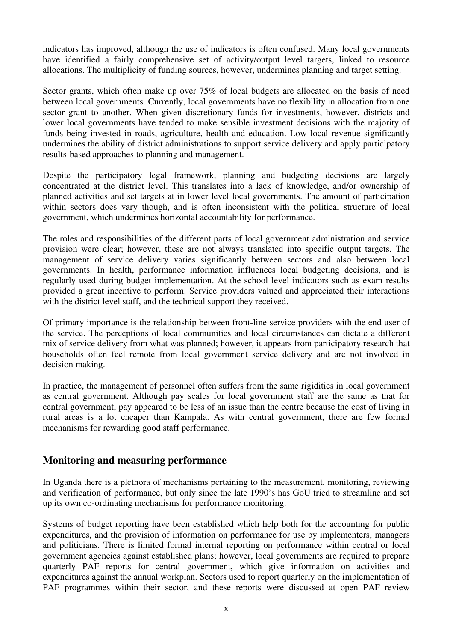indicators has improved, although the use of indicators is often confused. Many local governments have identified a fairly comprehensive set of activity/output level targets, linked to resource allocations. The multiplicity of funding sources, however, undermines planning and target setting.

Sector grants, which often make up over 75% of local budgets are allocated on the basis of need between local governments. Currently, local governments have no flexibility in allocation from one sector grant to another. When given discretionary funds for investments, however, districts and lower local governments have tended to make sensible investment decisions with the majority of funds being invested in roads, agriculture, health and education. Low local revenue significantly undermines the ability of district administrations to support service delivery and apply participatory results-based approaches to planning and management.

Despite the participatory legal framework, planning and budgeting decisions are largely concentrated at the district level. This translates into a lack of knowledge, and/or ownership of planned activities and set targets at in lower level local governments. The amount of participation within sectors does vary though, and is often inconsistent with the political structure of local government, which undermines horizontal accountability for performance.

The roles and responsibilities of the different parts of local government administration and service provision were clear; however, these are not always translated into specific output targets. The management of service delivery varies significantly between sectors and also between local governments. In health, performance information influences local budgeting decisions, and is regularly used during budget implementation. At the school level indicators such as exam results provided a great incentive to perform. Service providers valued and appreciated their interactions with the district level staff, and the technical support they received.

Of primary importance is the relationship between front-line service providers with the end user of the service. The perceptions of local communities and local circumstances can dictate a different mix of service delivery from what was planned; however, it appears from participatory research that households often feel remote from local government service delivery and are not involved in decision making.

In practice, the management of personnel often suffers from the same rigidities in local government as central government. Although pay scales for local government staff are the same as that for central government, pay appeared to be less of an issue than the centre because the cost of living in rural areas is a lot cheaper than Kampala. As with central government, there are few formal mechanisms for rewarding good staff performance.

### **Monitoring and measuring performance**

In Uganda there is a plethora of mechanisms pertaining to the measurement, monitoring, reviewing and verification of performance, but only since the late 1990's has GoU tried to streamline and set up its own co-ordinating mechanisms for performance monitoring.

Systems of budget reporting have been established which help both for the accounting for public expenditures, and the provision of information on performance for use by implementers, managers and politicians. There is limited formal internal reporting on performance within central or local government agencies against established plans; however, local governments are required to prepare quarterly PAF reports for central government, which give information on activities and expenditures against the annual workplan. Sectors used to report quarterly on the implementation of PAF programmes within their sector, and these reports were discussed at open PAF review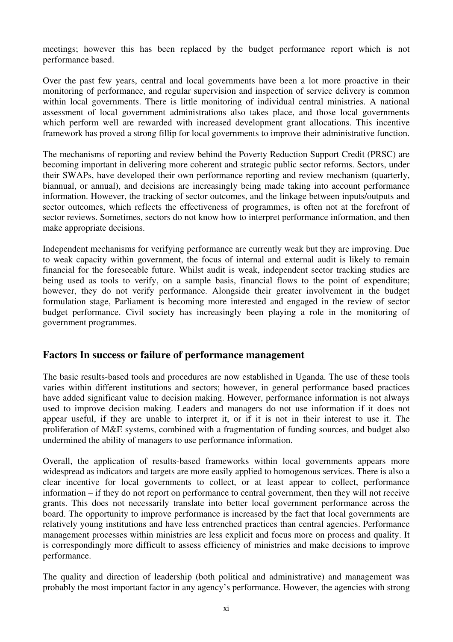meetings; however this has been replaced by the budget performance report which is not performance based.

Over the past few years, central and local governments have been a lot more proactive in their monitoring of performance, and regular supervision and inspection of service delivery is common within local governments. There is little monitoring of individual central ministries. A national assessment of local government administrations also takes place, and those local governments which perform well are rewarded with increased development grant allocations. This incentive framework has proved a strong fillip for local governments to improve their administrative function.

The mechanisms of reporting and review behind the Poverty Reduction Support Credit (PRSC) are becoming important in delivering more coherent and strategic public sector reforms. Sectors, under their SWAPs, have developed their own performance reporting and review mechanism (quarterly, biannual, or annual), and decisions are increasingly being made taking into account performance information. However, the tracking of sector outcomes, and the linkage between inputs/outputs and sector outcomes, which reflects the effectiveness of programmes, is often not at the forefront of sector reviews. Sometimes, sectors do not know how to interpret performance information, and then make appropriate decisions.

Independent mechanisms for verifying performance are currently weak but they are improving. Due to weak capacity within government, the focus of internal and external audit is likely to remain financial for the foreseeable future. Whilst audit is weak, independent sector tracking studies are being used as tools to verify, on a sample basis, financial flows to the point of expenditure; however, they do not verify performance. Alongside their greater involvement in the budget formulation stage, Parliament is becoming more interested and engaged in the review of sector budget performance. Civil society has increasingly been playing a role in the monitoring of government programmes.

### **Factors In success or failure of performance management**

The basic results-based tools and procedures are now established in Uganda. The use of these tools varies within different institutions and sectors; however, in general performance based practices have added significant value to decision making. However, performance information is not always used to improve decision making. Leaders and managers do not use information if it does not appear useful, if they are unable to interpret it, or if it is not in their interest to use it. The proliferation of M&E systems, combined with a fragmentation of funding sources, and budget also undermined the ability of managers to use performance information.

Overall, the application of results-based frameworks within local governments appears more widespread as indicators and targets are more easily applied to homogenous services. There is also a clear incentive for local governments to collect, or at least appear to collect, performance information – if they do not report on performance to central government, then they will not receive grants. This does not necessarily translate into better local government performance across the board. The opportunity to improve performance is increased by the fact that local governments are relatively young institutions and have less entrenched practices than central agencies. Performance management processes within ministries are less explicit and focus more on process and quality. It is correspondingly more difficult to assess efficiency of ministries and make decisions to improve performance.

The quality and direction of leadership (both political and administrative) and management was probably the most important factor in any agency's performance. However, the agencies with strong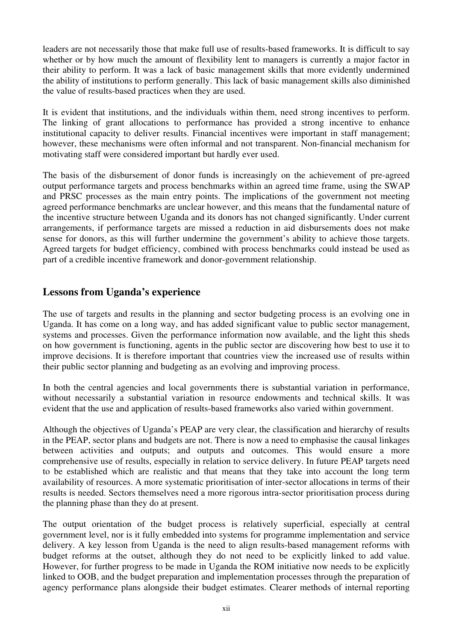leaders are not necessarily those that make full use of results-based frameworks. It is difficult to say whether or by how much the amount of flexibility lent to managers is currently a major factor in their ability to perform. It was a lack of basic management skills that more evidently undermined the ability of institutions to perform generally. This lack of basic management skills also diminished the value of results-based practices when they are used.

It is evident that institutions, and the individuals within them, need strong incentives to perform. The linking of grant allocations to performance has provided a strong incentive to enhance institutional capacity to deliver results. Financial incentives were important in staff management; however, these mechanisms were often informal and not transparent. Non-financial mechanism for motivating staff were considered important but hardly ever used.

The basis of the disbursement of donor funds is increasingly on the achievement of pre-agreed output performance targets and process benchmarks within an agreed time frame, using the SWAP and PRSC processes as the main entry points. The implications of the government not meeting agreed performance benchmarks are unclear however, and this means that the fundamental nature of the incentive structure between Uganda and its donors has not changed significantly. Under current arrangements, if performance targets are missed a reduction in aid disbursements does not make sense for donors, as this will further undermine the government's ability to achieve those targets. Agreed targets for budget efficiency, combined with process benchmarks could instead be used as part of a credible incentive framework and donor-government relationship.

### **Lessons from Uganda's experience**

The use of targets and results in the planning and sector budgeting process is an evolving one in Uganda. It has come on a long way, and has added significant value to public sector management, systems and processes. Given the performance information now available, and the light this sheds on how government is functioning, agents in the public sector are discovering how best to use it to improve decisions. It is therefore important that countries view the increased use of results within their public sector planning and budgeting as an evolving and improving process.

In both the central agencies and local governments there is substantial variation in performance, without necessarily a substantial variation in resource endowments and technical skills. It was evident that the use and application of results-based frameworks also varied within government.

Although the objectives of Uganda's PEAP are very clear, the classification and hierarchy of results in the PEAP, sector plans and budgets are not. There is now a need to emphasise the causal linkages between activities and outputs; and outputs and outcomes. This would ensure a more comprehensive use of results, especially in relation to service delivery. In future PEAP targets need to be established which are realistic and that means that they take into account the long term availability of resources. A more systematic prioritisation of inter-sector allocations in terms of their results is needed. Sectors themselves need a more rigorous intra-sector prioritisation process during the planning phase than they do at present.

The output orientation of the budget process is relatively superficial, especially at central government level, nor is it fully embedded into systems for programme implementation and service delivery. A key lesson from Uganda is the need to align results-based management reforms with budget reforms at the outset, although they do not need to be explicitly linked to add value. However, for further progress to be made in Uganda the ROM initiative now needs to be explicitly linked to OOB, and the budget preparation and implementation processes through the preparation of agency performance plans alongside their budget estimates. Clearer methods of internal reporting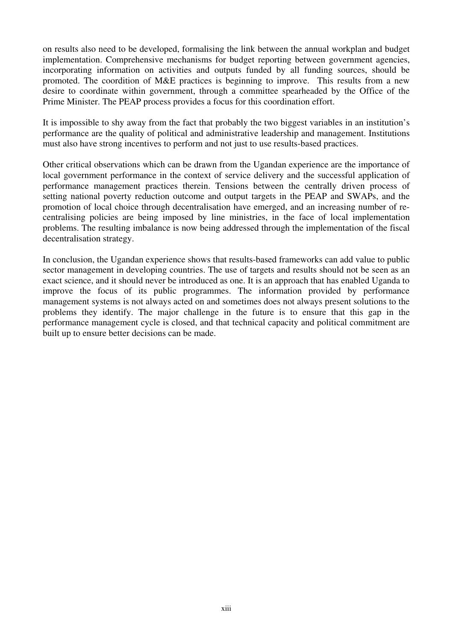on results also need to be developed, formalising the link between the annual workplan and budget implementation. Comprehensive mechanisms for budget reporting between government agencies, incorporating information on activities and outputs funded by all funding sources, should be promoted. The coordition of M&E practices is beginning to improve. This results from a new desire to coordinate within government, through a committee spearheaded by the Office of the Prime Minister. The PEAP process provides a focus for this coordination effort.

It is impossible to shy away from the fact that probably the two biggest variables in an institution's performance are the quality of political and administrative leadership and management. Institutions must also have strong incentives to perform and not just to use results-based practices.

Other critical observations which can be drawn from the Ugandan experience are the importance of local government performance in the context of service delivery and the successful application of performance management practices therein. Tensions between the centrally driven process of setting national poverty reduction outcome and output targets in the PEAP and SWAPs, and the promotion of local choice through decentralisation have emerged, and an increasing number of recentralising policies are being imposed by line ministries, in the face of local implementation problems. The resulting imbalance is now being addressed through the implementation of the fiscal decentralisation strategy.

In conclusion, the Ugandan experience shows that results-based frameworks can add value to public sector management in developing countries. The use of targets and results should not be seen as an exact science, and it should never be introduced as one. It is an approach that has enabled Uganda to improve the focus of its public programmes. The information provided by performance management systems is not always acted on and sometimes does not always present solutions to the problems they identify. The major challenge in the future is to ensure that this gap in the performance management cycle is closed, and that technical capacity and political commitment are built up to ensure better decisions can be made.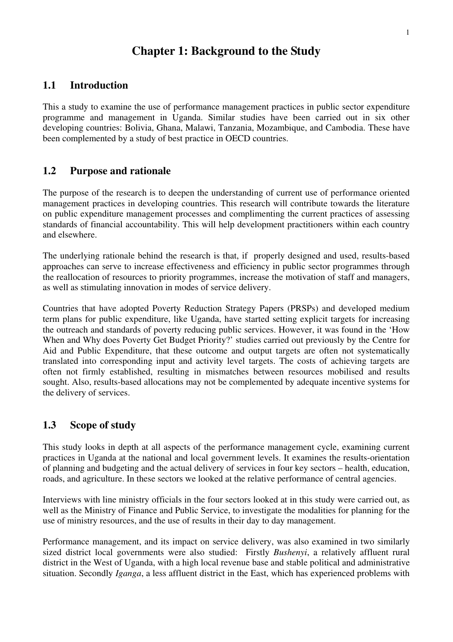## **Chapter 1: Background to the Study**

### **1.1 Introduction**

This a study to examine the use of performance management practices in public sector expenditure programme and management in Uganda. Similar studies have been carried out in six other developing countries: Bolivia, Ghana, Malawi, Tanzania, Mozambique, and Cambodia. These have been complemented by a study of best practice in OECD countries.

### **1.2 Purpose and rationale**

The purpose of the research is to deepen the understanding of current use of performance oriented management practices in developing countries. This research will contribute towards the literature on public expenditure management processes and complimenting the current practices of assessing standards of financial accountability. This will help development practitioners within each country and elsewhere.

The underlying rationale behind the research is that, if properly designed and used, results-based approaches can serve to increase effectiveness and efficiency in public sector programmes through the reallocation of resources to priority programmes, increase the motivation of staff and managers, as well as stimulating innovation in modes of service delivery.

Countries that have adopted Poverty Reduction Strategy Papers (PRSPs) and developed medium term plans for public expenditure, like Uganda, have started setting explicit targets for increasing the outreach and standards of poverty reducing public services. However, it was found in the 'How When and Why does Poverty Get Budget Priority?' studies carried out previously by the Centre for Aid and Public Expenditure, that these outcome and output targets are often not systematically translated into corresponding input and activity level targets. The costs of achieving targets are often not firmly established, resulting in mismatches between resources mobilised and results sought. Also, results-based allocations may not be complemented by adequate incentive systems for the delivery of services.

### **1.3 Scope of study**

This study looks in depth at all aspects of the performance management cycle, examining current practices in Uganda at the national and local government levels. It examines the results-orientation of planning and budgeting and the actual delivery of services in four key sectors – health, education, roads, and agriculture. In these sectors we looked at the relative performance of central agencies.

Interviews with line ministry officials in the four sectors looked at in this study were carried out, as well as the Ministry of Finance and Public Service, to investigate the modalities for planning for the use of ministry resources, and the use of results in their day to day management.

Performance management, and its impact on service delivery, was also examined in two similarly sized district local governments were also studied: Firstly *Bushenyi*, a relatively affluent rural district in the West of Uganda, with a high local revenue base and stable political and administrative situation. Secondly *Iganga*, a less affluent district in the East, which has experienced problems with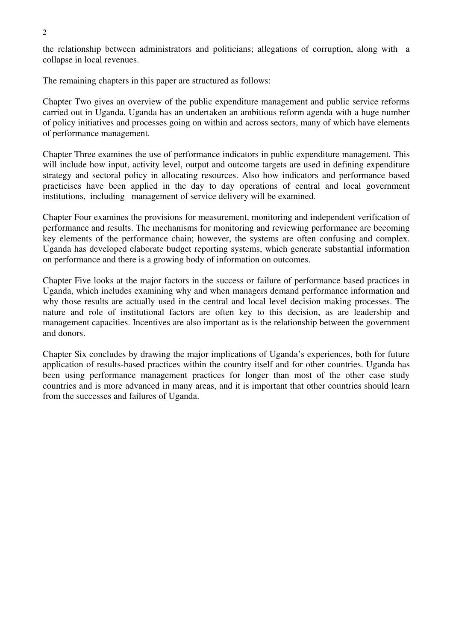2

the relationship between administrators and politicians; allegations of corruption, along with a collapse in local revenues.

The remaining chapters in this paper are structured as follows:

Chapter Two gives an overview of the public expenditure management and public service reforms carried out in Uganda. Uganda has an undertaken an ambitious reform agenda with a huge number of policy initiatives and processes going on within and across sectors, many of which have elements of performance management.

Chapter Three examines the use of performance indicators in public expenditure management. This will include how input, activity level, output and outcome targets are used in defining expenditure strategy and sectoral policy in allocating resources. Also how indicators and performance based practicises have been applied in the day to day operations of central and local government institutions, including management of service delivery will be examined.

Chapter Four examines the provisions for measurement, monitoring and independent verification of performance and results. The mechanisms for monitoring and reviewing performance are becoming key elements of the performance chain; however, the systems are often confusing and complex. Uganda has developed elaborate budget reporting systems, which generate substantial information on performance and there is a growing body of information on outcomes.

Chapter Five looks at the major factors in the success or failure of performance based practices in Uganda, which includes examining why and when managers demand performance information and why those results are actually used in the central and local level decision making processes. The nature and role of institutional factors are often key to this decision, as are leadership and management capacities. Incentives are also important as is the relationship between the government and donors.

Chapter Six concludes by drawing the major implications of Uganda's experiences, both for future application of results-based practices within the country itself and for other countries. Uganda has been using performance management practices for longer than most of the other case study countries and is more advanced in many areas, and it is important that other countries should learn from the successes and failures of Uganda.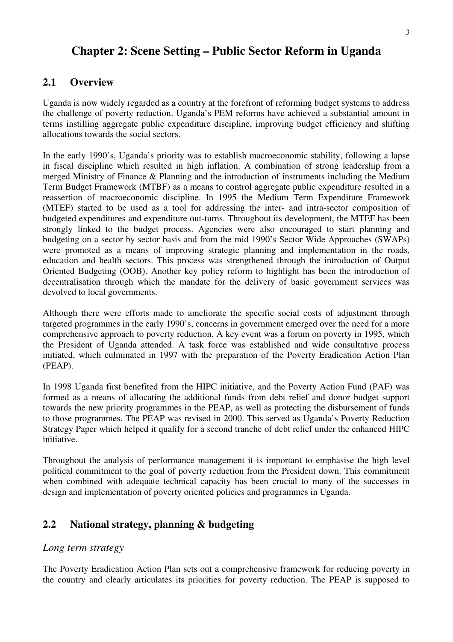# **Chapter 2: Scene Setting – Public Sector Reform in Uganda**

### **2.1 Overview**

Uganda is now widely regarded as a country at the forefront of reforming budget systems to address the challenge of poverty reduction. Uganda's PEM reforms have achieved a substantial amount in terms instilling aggregate public expenditure discipline, improving budget efficiency and shifting allocations towards the social sectors.

In the early 1990's, Uganda's priority was to establish macroeconomic stability, following a lapse in fiscal discipline which resulted in high inflation. A combination of strong leadership from a merged Ministry of Finance & Planning and the introduction of instruments including the Medium Term Budget Framework (MTBF) as a means to control aggregate public expenditure resulted in a reassertion of macroeconomic discipline. In 1995 the Medium Term Expenditure Framework (MTEF) started to be used as a tool for addressing the inter- and intra-sector composition of budgeted expenditures and expenditure out-turns. Throughout its development, the MTEF has been strongly linked to the budget process. Agencies were also encouraged to start planning and budgeting on a sector by sector basis and from the mid 1990's Sector Wide Approaches (SWAPs) were promoted as a means of improving strategic planning and implementation in the roads, education and health sectors. This process was strengthened through the introduction of Output Oriented Budgeting (OOB). Another key policy reform to highlight has been the introduction of decentralisation through which the mandate for the delivery of basic government services was devolved to local governments.

Although there were efforts made to ameliorate the specific social costs of adjustment through targeted programmes in the early 1990's, concerns in government emerged over the need for a more comprehensive approach to poverty reduction. A key event was a forum on poverty in 1995, which the President of Uganda attended. A task force was established and wide consultative process initiated, which culminated in 1997 with the preparation of the Poverty Eradication Action Plan (PEAP).

In 1998 Uganda first benefited from the HIPC initiative, and the Poverty Action Fund (PAF) was formed as a means of allocating the additional funds from debt relief and donor budget support towards the new priority programmes in the PEAP, as well as protecting the disbursement of funds to those programmes. The PEAP was revised in 2000. This served as Uganda's Poverty Reduction Strategy Paper which helped it qualify for a second tranche of debt relief under the enhanced HIPC initiative.

Throughout the analysis of performance management it is important to emphasise the high level political commitment to the goal of poverty reduction from the President down. This commitment when combined with adequate technical capacity has been crucial to many of the successes in design and implementation of poverty oriented policies and programmes in Uganda.

### **2.2 National strategy, planning & budgeting**

#### *Long term strategy*

The Poverty Eradication Action Plan sets out a comprehensive framework for reducing poverty in the country and clearly articulates its priorities for poverty reduction. The PEAP is supposed to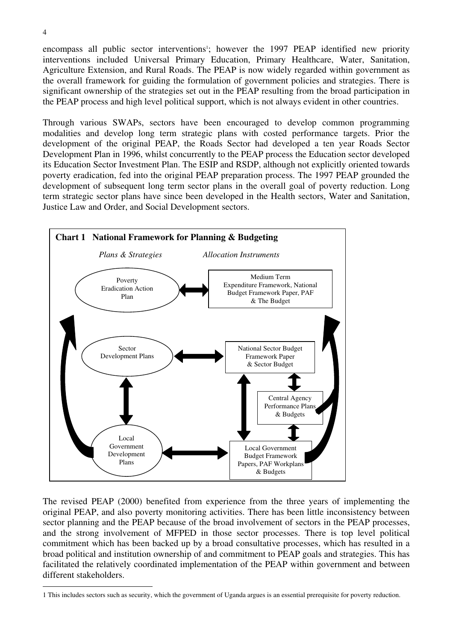encompass all public sector interventions<sup>1</sup>; however the 1997 PEAP identified new priority interventions included Universal Primary Education, Primary Healthcare, Water, Sanitation, Agriculture Extension, and Rural Roads. The PEAP is now widely regarded within government as the overall framework for guiding the formulation of government policies and strategies. There is significant ownership of the strategies set out in the PEAP resulting from the broad participation in the PEAP process and high level political support, which is not always evident in other countries.

Through various SWAPs, sectors have been encouraged to develop common programming modalities and develop long term strategic plans with costed performance targets. Prior the development of the original PEAP, the Roads Sector had developed a ten year Roads Sector Development Plan in 1996, whilst concurrently to the PEAP process the Education sector developed its Education Sector Investment Plan. The ESIP and RSDP, although not explicitly oriented towards poverty eradication, fed into the original PEAP preparation process. The 1997 PEAP grounded the development of subsequent long term sector plans in the overall goal of poverty reduction. Long term strategic sector plans have since been developed in the Health sectors, Water and Sanitation, Justice Law and Order, and Social Development sectors.



The revised PEAP (2000) benefited from experience from the three years of implementing the original PEAP, and also poverty monitoring activities. There has been little inconsistency between sector planning and the PEAP because of the broad involvement of sectors in the PEAP processes, and the strong involvement of MFPED in those sector processes. There is top level political commitment which has been backed up by a broad consultative processes, which has resulted in a broad political and institution ownership of and commitment to PEAP goals and strategies. This has facilitated the relatively coordinated implementation of the PEAP within government and between different stakeholders.

<sup>1</sup> This includes sectors such as security, which the government of Uganda argues is an essential prerequisite for poverty reduction.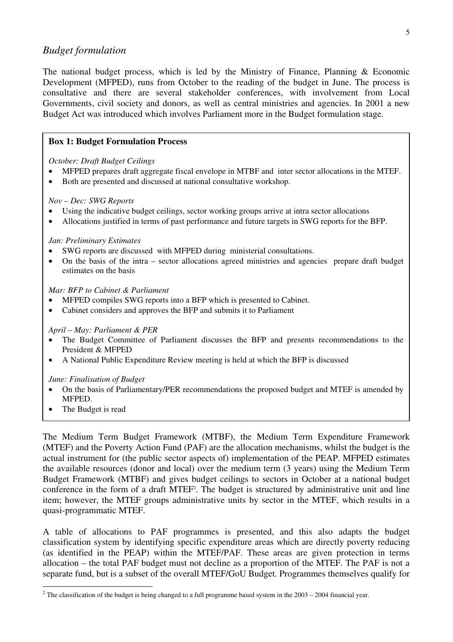#### *Budget formulation*

The national budget process, which is led by the Ministry of Finance, Planning & Economic Development (MFPED), runs from October to the reading of the budget in June. The process is consultative and there are several stakeholder conferences, with involvement from Local Governments, civil society and donors, as well as central ministries and agencies. In 2001 a new Budget Act was introduced which involves Parliament more in the Budget formulation stage.

#### **Box 1: Budget Formulation Process**

*October: Draft Budget Ceilings* 

- MFPED prepares draft aggregate fiscal envelope in MTBF and inter sector allocations in the MTEF.
- Both are presented and discussed at national consultative workshop.

#### *Nov – Dec: SWG Reports*

- Using the indicative budget ceilings, sector working groups arrive at intra sector allocations
- Allocations justified in terms of past performance and future targets in SWG reports for the BFP.

#### *Jan: Preliminary Estimates*

- SWG reports are discussed with MFPED during ministerial consultations.
- On the basis of the intra sector allocations agreed ministries and agencies prepare draft budget estimates on the basis

#### *Mar: BFP to Cabinet & Parliament*

- MFPED compiles SWG reports into a BFP which is presented to Cabinet.
- Cabinet considers and approves the BFP and submits it to Parliament

#### *April – May: Parliament & PER*

- The Budget Committee of Parliament discusses the BFP and presents recommendations to the President & MFPED
- A National Public Expenditure Review meeting is held at which the BFP is discussed

#### *June: Finalisation of Budget*

- On the basis of Parliamentary/PER recommendations the proposed budget and MTEF is amended by MFPED.
- The Budget is read

The Medium Term Budget Framework (MTBF), the Medium Term Expenditure Framework (MTEF) and the Poverty Action Fund (PAF) are the allocation mechanisms, whilst the budget is the actual instrument for (the public sector aspects of) implementation of the PEAP. MFPED estimates the available resources (donor and local) over the medium term (3 years) using the Medium Term Budget Framework (MTBF) and gives budget ceilings to sectors in October at a national budget conference in the form of a draft MTEF2 . The budget is structured by administrative unit and line item; however, the MTEF groups administrative units by sector in the MTEF, which results in a quasi-programmatic MTEF.

A table of allocations to PAF programmes is presented, and this also adapts the budget classification system by identifying specific expenditure areas which are directly poverty reducing (as identified in the PEAP) within the MTEF/PAF. These areas are given protection in terms allocation – the total PAF budget must not decline as a proportion of the MTEF. The PAF is not a separate fund, but is a subset of the overall MTEF/GoU Budget. Programmes themselves qualify for

<sup>&</sup>lt;sup>2</sup> The classification of the budget is being changed to a full programme based system in the  $2003 - 2004$  financial year.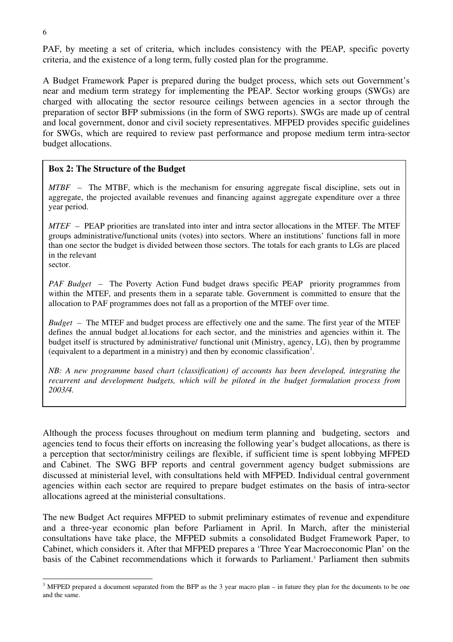PAF, by meeting a set of criteria, which includes consistency with the PEAP, specific poverty criteria, and the existence of a long term, fully costed plan for the programme.

A Budget Framework Paper is prepared during the budget process, which sets out Government's near and medium term strategy for implementing the PEAP. Sector working groups (SWGs) are charged with allocating the sector resource ceilings between agencies in a sector through the preparation of sector BFP submissions (in the form of SWG reports). SWGs are made up of central and local government, donor and civil society representatives. MFPED provides specific guidelines for SWGs, which are required to review past performance and propose medium term intra-sector budget allocations.

#### **Box 2: The Structure of the Budget**

*MTBF –* The MTBF, which is the mechanism for ensuring aggregate fiscal discipline, sets out in aggregate, the projected available revenues and financing against aggregate expenditure over a three year period.

*MTEF –* PEAP priorities are translated into inter and intra sector allocations in the MTEF. The MTEF groups administrative/functional units (votes) into sectors. Where an institutions' functions fall in more than one sector the budget is divided between those sectors. The totals for each grants to LGs are placed in the relevant

sector.

*PAF Budget –* The Poverty Action Fund budget draws specific PEAP priority programmes from within the MTEF, and presents them in a separate table. Government is committed to ensure that the allocation to PAF programmes does not fall as a proportion of the MTEF over time.

*Budget –* The MTEF and budget process are effectively one and the same. The first year of the MTEF defines the annual budget al.locations for each sector, and the ministries and agencies within it. The budget itself is structured by administrative/ functional unit (Ministry, agency, LG), then by programme (equivalent to a department in a ministry) and then by economic classification<sup>1</sup>.

*NB*: A new programme based chart (classification) of accounts has been developed, integrating the *recurrent and development budgets, which will be piloted in the budget formulation process from 2003/4.*

Although the process focuses throughout on medium term planning and budgeting, sectors and agencies tend to focus their efforts on increasing the following year's budget allocations, as there is a perception that sector/ministry ceilings are flexible, if sufficient time is spent lobbying MFPED and Cabinet. The SWG BFP reports and central government agency budget submissions are discussed at ministerial level, with consultations held with MFPED. Individual central government agencies within each sector are required to prepare budget estimates on the basis of intra-sector allocations agreed at the ministerial consultations.

The new Budget Act requires MFPED to submit preliminary estimates of revenue and expenditure and a three-year economic plan before Parliament in April. In March, after the ministerial consultations have take place, the MFPED submits a consolidated Budget Framework Paper, to Cabinet, which considers it. After that MFPED prepares a 'Three Year Macroeconomic Plan' on the basis of the Cabinet recommendations which it forwards to Parliament.<sup>3</sup> Parliament then submits

 $3$  MFPED prepared a document separated from the BFP as the 3 year macro plan – in future they plan for the documents to be one and the same.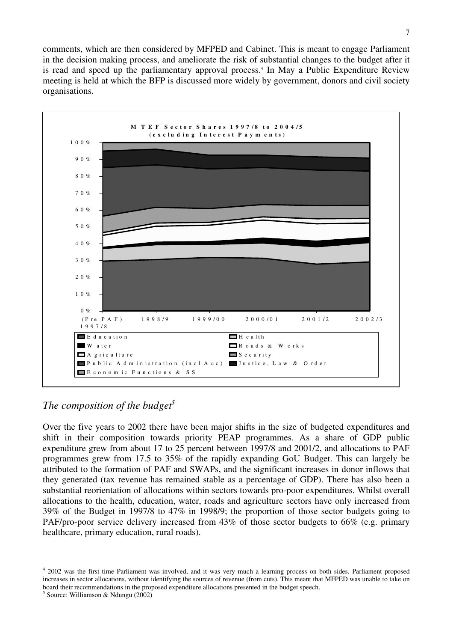comments, which are then considered by MFPED and Cabinet. This is meant to engage Parliament in the decision making process, and ameliorate the risk of substantial changes to the budget after it is read and speed up the parliamentary approval process.<sup>4</sup> In May a Public Expenditure Review meeting is held at which the BFP is discussed more widely by government, donors and civil society organisations.



## *The composition of the budget<sup>5</sup>*

Over the five years to 2002 there have been major shifts in the size of budgeted expenditures and shift in their composition towards priority PEAP programmes. As a share of GDP public expenditure grew from about 17 to 25 percent between 1997/8 and 2001/2, and allocations to PAF programmes grew from 17.5 to 35% of the rapidly expanding GoU Budget. This can largely be attributed to the formation of PAF and SWAPs, and the significant increases in donor inflows that they generated (tax revenue has remained stable as a percentage of GDP). There has also been a substantial reorientation of allocations within sectors towards pro-poor expenditures. Whilst overall allocations to the health, education, water, roads and agriculture sectors have only increased from 39% of the Budget in 1997/8 to 47% in 1998/9; the proportion of those sector budgets going to PAF/pro-poor service delivery increased from 43% of those sector budgets to 66% (e.g. primary healthcare, primary education, rural roads).

<sup>&</sup>lt;sup>4</sup> 2002 was the first time Parliament was involved, and it was very much a learning process on both sides. Parliament proposed increases in sector allocations, without identifying the sources of revenue (from cuts). This meant that MFPED was unable to take on board their recommendations in the proposed expenditure allocations presented in the budget speech. 5 Source: Williamson & Ndungu (2002)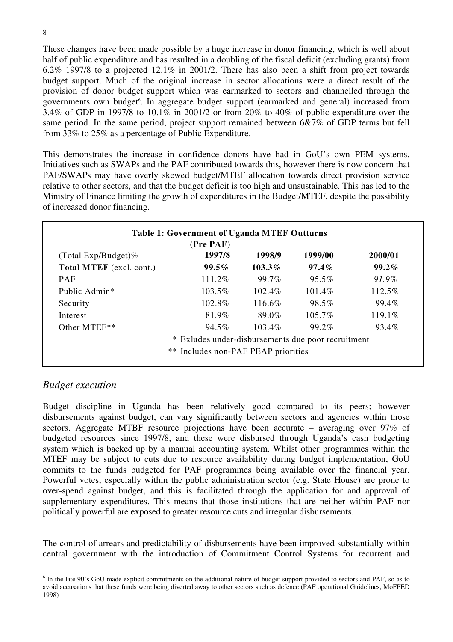These changes have been made possible by a huge increase in donor financing, which is well about half of public expenditure and has resulted in a doubling of the fiscal deficit (excluding grants) from 6.2% 1997/8 to a projected 12.1% in 2001/2. There has also been a shift from project towards budget support. Much of the original increase in sector allocations were a direct result of the provision of donor budget support which was earmarked to sectors and channelled through the governments own budget<sup>6</sup>. In aggregate budget support (earmarked and general) increased from 3.4% of GDP in 1997/8 to 10.1% in 2001/2 or from 20% to 40% of public expenditure over the same period. In the same period, project support remained between 6&7% of GDP terms but fell from 33% to 25% as a percentage of Public Expenditure.

This demonstrates the increase in confidence donors have had in GoU's own PEM systems. Initiatives such as SWAPs and the PAF contributed towards this, however there is now concern that PAF/SWAPs may have overly skewed budget/MTEF allocation towards direct provision service relative to other sectors, and that the budget deficit is too high and unsustainable. This has led to the Ministry of Finance limiting the growth of expenditures in the Budget/MTEF, despite the possibility of increased donor financing.

|                           | (Pre PAF)                                          |           |           |         |
|---------------------------|----------------------------------------------------|-----------|-----------|---------|
| (Total Exp/Budget)%       | 1997/8                                             | 1998/9    | 1999/00   | 2000/01 |
| Total MTEF (excl. cont.)  | 99.5%                                              | $103.3\%$ | $97.4\%$  | 99.2%   |
| <b>PAF</b>                | 111.2%                                             | $99.7\%$  | 95.5%     | 91.9%   |
| Public Admin <sup>*</sup> | 103.5%                                             | $102.4\%$ | 101.4%    | 112.5%  |
| Security                  | 102.8%                                             | 116.6%    | 98.5%     | 99.4%   |
| <b>Interest</b>           | 81.9%                                              | 89.0%     | $105.7\%$ | 119.1%  |
| Other MTEF**              | 94.5%                                              | $103.4\%$ | 99.2%     | 93.4%   |
|                           | * Exludes under-disbursements due poor recruitment |           |           |         |

### *Budget execution*

Budget discipline in Uganda has been relatively good compared to its peers; however disbursements against budget, can vary significantly between sectors and agencies within those sectors. Aggregate MTBF resource projections have been accurate – averaging over 97% of budgeted resources since 1997/8, and these were disbursed through Uganda's cash budgeting system which is backed up by a manual accounting system. Whilst other programmes within the MTEF may be subject to cuts due to resource availability during budget implementation, GoU commits to the funds budgeted for PAF programmes being available over the financial year. Powerful votes, especially within the public administration sector (e.g. State House) are prone to over-spend against budget, and this is facilitated through the application for and approval of supplementary expenditures. This means that those institutions that are neither within PAF nor politically powerful are exposed to greater resource cuts and irregular disbursements.

The control of arrears and predictability of disbursements have been improved substantially within central government with the introduction of Commitment Control Systems for recurrent and

<sup>&</sup>lt;sup>6</sup> In the late 90's GoU made explicit commitments on the additional nature of budget support provided to sectors and PAF, so as to avoid accusations that these funds were being diverted away to other sectors such as defence (PAF operational Guidelines, MoFPED 1998)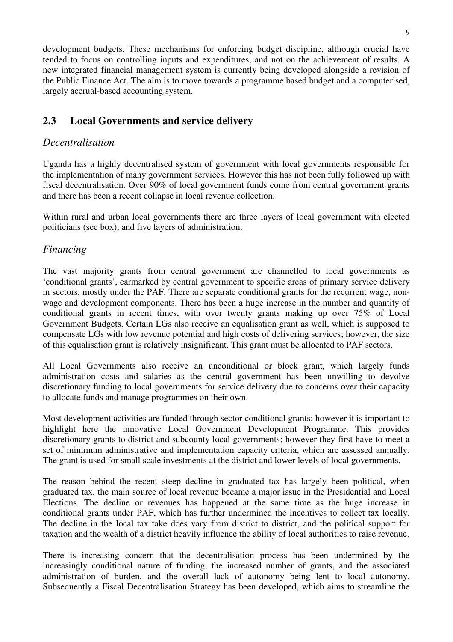development budgets. These mechanisms for enforcing budget discipline, although crucial have tended to focus on controlling inputs and expenditures, and not on the achievement of results. A new integrated financial management system is currently being developed alongside a revision of the Public Finance Act. The aim is to move towards a programme based budget and a computerised, largely accrual-based accounting system.

### **2.3 Local Governments and service delivery**

### *Decentralisation*

Uganda has a highly decentralised system of government with local governments responsible for the implementation of many government services. However this has not been fully followed up with fiscal decentralisation. Over 90% of local government funds come from central government grants and there has been a recent collapse in local revenue collection.

Within rural and urban local governments there are three layers of local government with elected politicians (see box), and five layers of administration.

### *Financing*

The vast majority grants from central government are channelled to local governments as 'conditional grants', earmarked by central government to specific areas of primary service delivery in sectors, mostly under the PAF. There are separate conditional grants for the recurrent wage, nonwage and development components. There has been a huge increase in the number and quantity of conditional grants in recent times, with over twenty grants making up over 75% of Local Government Budgets. Certain LGs also receive an equalisation grant as well, which is supposed to compensate LGs with low revenue potential and high costs of delivering services; however, the size of this equalisation grant is relatively insignificant. This grant must be allocated to PAF sectors.

All Local Governments also receive an unconditional or block grant, which largely funds administration costs and salaries as the central government has been unwilling to devolve discretionary funding to local governments for service delivery due to concerns over their capacity to allocate funds and manage programmes on their own.

Most development activities are funded through sector conditional grants; however it is important to highlight here the innovative Local Government Development Programme. This provides discretionary grants to district and subcounty local governments; however they first have to meet a set of minimum administrative and implementation capacity criteria, which are assessed annually. The grant is used for small scale investments at the district and lower levels of local governments.

The reason behind the recent steep decline in graduated tax has largely been political, when graduated tax, the main source of local revenue became a major issue in the Presidential and Local Elections. The decline or revenues has happened at the same time as the huge increase in conditional grants under PAF, which has further undermined the incentives to collect tax locally. The decline in the local tax take does vary from district to district, and the political support for taxation and the wealth of a district heavily influence the ability of local authorities to raise revenue.

There is increasing concern that the decentralisation process has been undermined by the increasingly conditional nature of funding, the increased number of grants, and the associated administration of burden, and the overall lack of autonomy being lent to local autonomy. Subsequently a Fiscal Decentralisation Strategy has been developed, which aims to streamline the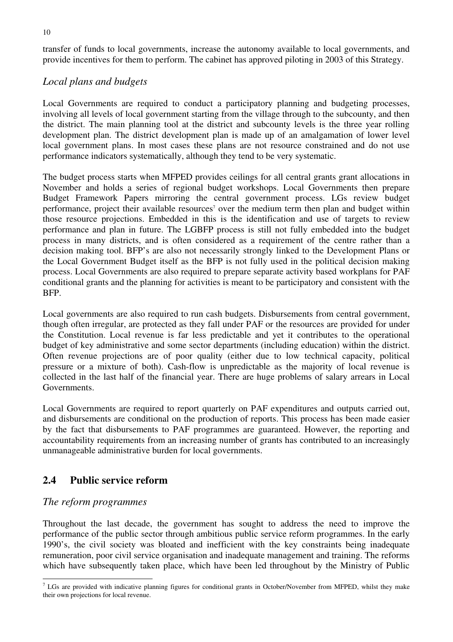transfer of funds to local governments, increase the autonomy available to local governments, and provide incentives for them to perform. The cabinet has approved piloting in 2003 of this Strategy.

### *Local plans and budgets*

Local Governments are required to conduct a participatory planning and budgeting processes, involving all levels of local government starting from the village through to the subcounty, and then the district. The main planning tool at the district and subcounty levels is the three year rolling development plan. The district development plan is made up of an amalgamation of lower level local government plans. In most cases these plans are not resource constrained and do not use performance indicators systematically, although they tend to be very systematic.

The budget process starts when MFPED provides ceilings for all central grants grant allocations in November and holds a series of regional budget workshops. Local Governments then prepare Budget Framework Papers mirroring the central government process. LGs review budget performance, project their available resources<sup>7</sup> over the medium term then plan and budget within those resource projections. Embedded in this is the identification and use of targets to review performance and plan in future. The LGBFP process is still not fully embedded into the budget process in many districts, and is often considered as a requirement of the centre rather than a decision making tool. BFP's are also not necessarily strongly linked to the Development Plans or the Local Government Budget itself as the BFP is not fully used in the political decision making process. Local Governments are also required to prepare separate activity based workplans for PAF conditional grants and the planning for activities is meant to be participatory and consistent with the BFP.

Local governments are also required to run cash budgets. Disbursements from central government, though often irregular, are protected as they fall under PAF or the resources are provided for under the Constitution. Local revenue is far less predictable and yet it contributes to the operational budget of key administrative and some sector departments (including education) within the district. Often revenue projections are of poor quality (either due to low technical capacity, political pressure or a mixture of both). Cash-flow is unpredictable as the majority of local revenue is collected in the last half of the financial year. There are huge problems of salary arrears in Local Governments.

Local Governments are required to report quarterly on PAF expenditures and outputs carried out, and disbursements are conditional on the production of reports. This process has been made easier by the fact that disbursements to PAF programmes are guaranteed. However, the reporting and accountability requirements from an increasing number of grants has contributed to an increasingly unmanageable administrative burden for local governments.

### **2.4 Public service reform**

### *The reform programmes*

Throughout the last decade, the government has sought to address the need to improve the performance of the public sector through ambitious public service reform programmes. In the early 1990's, the civil society was bloated and inefficient with the key constraints being inadequate remuneration, poor civil service organisation and inadequate management and training. The reforms which have subsequently taken place, which have been led throughout by the Ministry of Public

 $<sup>7</sup>$  LGs are provided with indicative planning figures for conditional grants in October/November from MFPED, whilst they make</sup> their own projections for local revenue.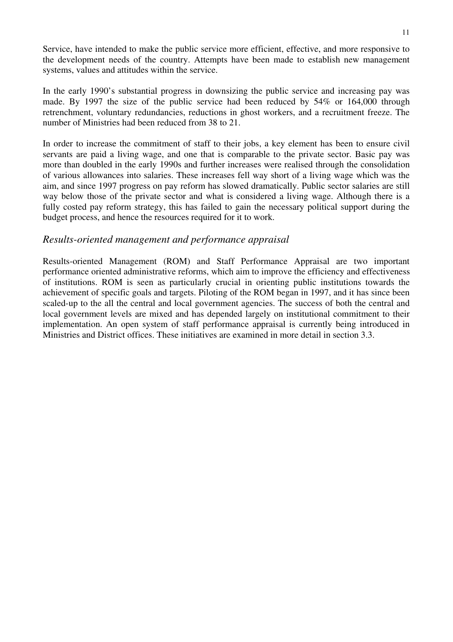Service, have intended to make the public service more efficient, effective, and more responsive to the development needs of the country. Attempts have been made to establish new management systems, values and attitudes within the service.

In the early 1990's substantial progress in downsizing the public service and increasing pay was made. By 1997 the size of the public service had been reduced by 54% or 164,000 through retrenchment, voluntary redundancies, reductions in ghost workers, and a recruitment freeze. The number of Ministries had been reduced from 38 to 21.

In order to increase the commitment of staff to their jobs, a key element has been to ensure civil servants are paid a living wage, and one that is comparable to the private sector. Basic pay was more than doubled in the early 1990s and further increases were realised through the consolidation of various allowances into salaries. These increases fell way short of a living wage which was the aim, and since 1997 progress on pay reform has slowed dramatically. Public sector salaries are still way below those of the private sector and what is considered a living wage. Although there is a fully costed pay reform strategy, this has failed to gain the necessary political support during the budget process, and hence the resources required for it to work.

### *Results-oriented management and performance appraisal*

Results-oriented Management (ROM) and Staff Performance Appraisal are two important performance oriented administrative reforms, which aim to improve the efficiency and effectiveness of institutions. ROM is seen as particularly crucial in orienting public institutions towards the achievement of specific goals and targets. Piloting of the ROM began in 1997, and it has since been scaled-up to the all the central and local government agencies. The success of both the central and local government levels are mixed and has depended largely on institutional commitment to their implementation. An open system of staff performance appraisal is currently being introduced in Ministries and District offices. These initiatives are examined in more detail in section 3.3.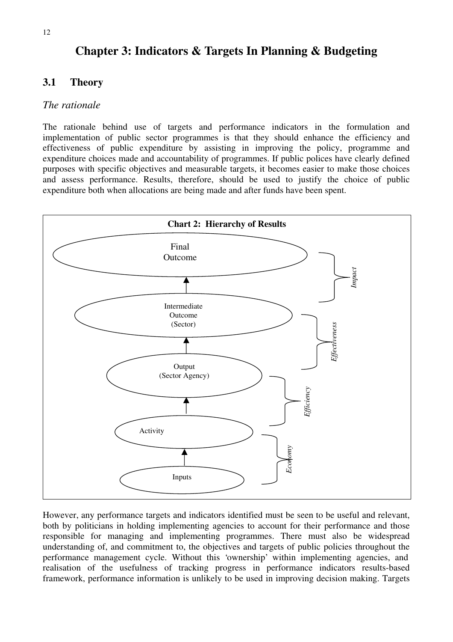## **Chapter 3: Indicators & Targets In Planning & Budgeting**

### **3.1 Theory**

### *The rationale*

The rationale behind use of targets and performance indicators in the formulation and implementation of public sector programmes is that they should enhance the efficiency and effectiveness of public expenditure by assisting in improving the policy, programme and expenditure choices made and accountability of programmes. If public polices have clearly defined purposes with specific objectives and measurable targets, it becomes easier to make those choices and assess performance. Results, therefore, should be used to justify the choice of public expenditure both when allocations are being made and after funds have been spent.



However, any performance targets and indicators identified must be seen to be useful and relevant, both by politicians in holding implementing agencies to account for their performance and those responsible for managing and implementing programmes. There must also be widespread understanding of, and commitment to, the objectives and targets of public policies throughout the performance management cycle. Without this 'ownership' within implementing agencies, and realisation of the usefulness of tracking progress in performance indicators results-based framework, performance information is unlikely to be used in improving decision making. Targets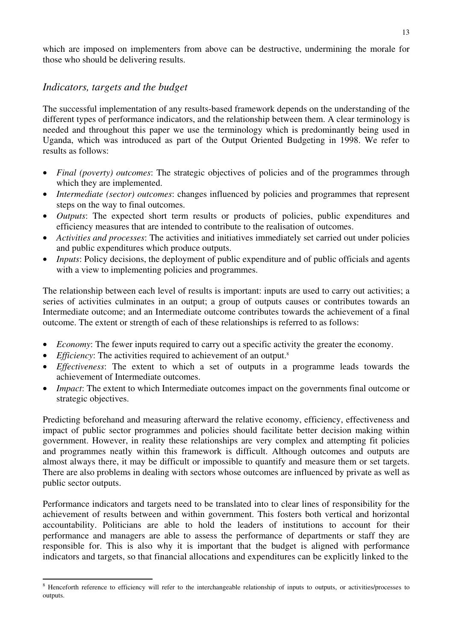which are imposed on implementers from above can be destructive, undermining the morale for those who should be delivering results.

### *Indicators, targets and the budget*

The successful implementation of any results-based framework depends on the understanding of the different types of performance indicators, and the relationship between them. A clear terminology is needed and throughout this paper we use the terminology which is predominantly being used in Uganda, which was introduced as part of the Output Oriented Budgeting in 1998. We refer to results as follows:

- *Final (poverty) outcomes*: The strategic objectives of policies and of the programmes through which they are implemented.
- *Intermediate (sector) outcomes*: changes influenced by policies and programmes that represent steps on the way to final outcomes.
- *Outputs*: The expected short term results or products of policies, public expenditures and efficiency measures that are intended to contribute to the realisation of outcomes.
- *Activities and processes*: The activities and initiatives immediately set carried out under policies and public expenditures which produce outputs.
- *Inputs*: Policy decisions, the deployment of public expenditure and of public officials and agents with a view to implementing policies and programmes.

The relationship between each level of results is important: inputs are used to carry out activities; a series of activities culminates in an output; a group of outputs causes or contributes towards an Intermediate outcome; and an Intermediate outcome contributes towards the achievement of a final outcome. The extent or strength of each of these relationships is referred to as follows:

- *Economy*: The fewer inputs required to carry out a specific activity the greater the economy.
- *Efficiency*: The activities required to achievement of an output.<sup>8</sup>
- *Effectiveness*: The extent to which a set of outputs in a programme leads towards the achievement of Intermediate outcomes.
- *Impact*: The extent to which Intermediate outcomes impact on the governments final outcome or strategic objectives.

Predicting beforehand and measuring afterward the relative economy, efficiency, effectiveness and impact of public sector programmes and policies should facilitate better decision making within government. However, in reality these relationships are very complex and attempting fit policies and programmes neatly within this framework is difficult. Although outcomes and outputs are almost always there, it may be difficult or impossible to quantify and measure them or set targets. There are also problems in dealing with sectors whose outcomes are influenced by private as well as public sector outputs.

Performance indicators and targets need to be translated into to clear lines of responsibility for the achievement of results between and within government. This fosters both vertical and horizontal accountability. Politicians are able to hold the leaders of institutions to account for their performance and managers are able to assess the performance of departments or staff they are responsible for. This is also why it is important that the budget is aligned with performance indicators and targets, so that financial allocations and expenditures can be explicitly linked to the

<sup>&</sup>lt;sup>8</sup> Henceforth reference to efficiency will refer to the interchangeable relationship of inputs to outputs, or activities/processes to outputs.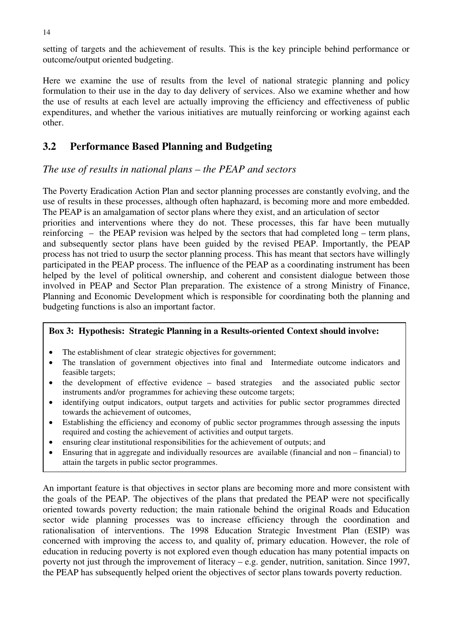setting of targets and the achievement of results. This is the key principle behind performance or outcome/output oriented budgeting.

Here we examine the use of results from the level of national strategic planning and policy formulation to their use in the day to day delivery of services. Also we examine whether and how the use of results at each level are actually improving the efficiency and effectiveness of public expenditures, and whether the various initiatives are mutually reinforcing or working against each other.

### **3.2 Performance Based Planning and Budgeting**

### *The use of results in national plans – the PEAP and sectors*

The Poverty Eradication Action Plan and sector planning processes are constantly evolving, and the use of results in these processes, although often haphazard, is becoming more and more embedded. The PEAP is an amalgamation of sector plans where they exist, and an articulation of sector

priorities and interventions where they do not. These processes, this far have been mutually reinforcing – the PEAP revision was helped by the sectors that had completed long – term plans, and subsequently sector plans have been guided by the revised PEAP. Importantly, the PEAP process has not tried to usurp the sector planning process. This has meant that sectors have willingly participated in the PEAP process. The influence of the PEAP as a coordinating instrument has been helped by the level of political ownership, and coherent and consistent dialogue between those involved in PEAP and Sector Plan preparation. The existence of a strong Ministry of Finance, Planning and Economic Development which is responsible for coordinating both the planning and budgeting functions is also an important factor.

#### **Box 3: Hypothesis: Strategic Planning in a Results-oriented Context should involve:**

- The establishment of clear strategic objectives for government;
- The translation of government objectives into final and Intermediate outcome indicators and feasible targets;
- the development of effective evidence based strategies and the associated public sector instruments and/or programmes for achieving these outcome targets;
- identifying output indicators, output targets and activities for public sector programmes directed towards the achievement of outcomes,
- Establishing the efficiency and economy of public sector programmes through assessing the inputs required and costing the achievement of activities and output targets.
- ensuring clear institutional responsibilities for the achievement of outputs; and
- Ensuring that in aggregate and individually resources are available (financial and non financial) to attain the targets in public sector programmes.

An important feature is that objectives in sector plans are becoming more and more consistent with the goals of the PEAP. The objectives of the plans that predated the PEAP were not specifically oriented towards poverty reduction; the main rationale behind the original Roads and Education sector wide planning processes was to increase efficiency through the coordination and rationalisation of interventions. The 1998 Education Strategic Investment Plan (ESIP) was concerned with improving the access to, and quality of, primary education. However, the role of education in reducing poverty is not explored even though education has many potential impacts on poverty not just through the improvement of literacy – e.g. gender, nutrition, sanitation. Since 1997, the PEAP has subsequently helped orient the objectives of sector plans towards poverty reduction.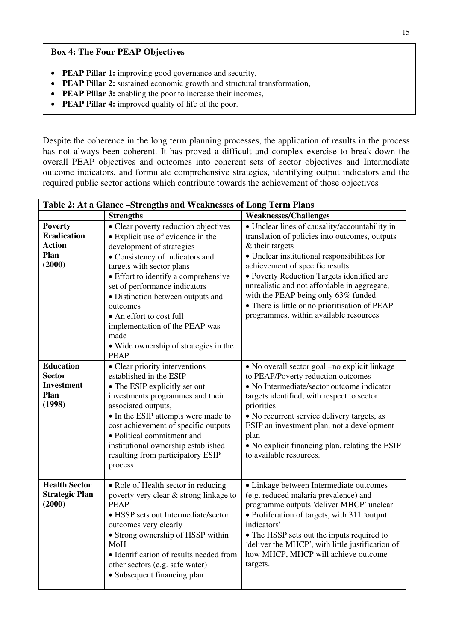#### **Box 4: The Four PEAP Objectives**

- **PEAP Pillar 1:** improving good governance and security,
- **PEAP Pillar 2:** sustained economic growth and structural transformation,
- **PEAP Pillar 3:** enabling the poor to increase their incomes,
- **PEAP Pillar 4:** improved quality of life of the poor.

Despite the coherence in the long term planning processes, the application of results in the process has not always been coherent. It has proved a difficult and complex exercise to break down the overall PEAP objectives and outcomes into coherent sets of sector objectives and Intermediate outcome indicators, and formulate comprehensive strategies, identifying output indicators and the required public sector actions which contribute towards the achievement of those objectives

| Table 2: At a Glance -Strengths and Weaknesses of Long Term Plans       |                                                                                                                                                                                                                                                                                                                                                                                                                                |                                                                                                                                                                                                                                                                                                                                                                                                                                          |  |  |
|-------------------------------------------------------------------------|--------------------------------------------------------------------------------------------------------------------------------------------------------------------------------------------------------------------------------------------------------------------------------------------------------------------------------------------------------------------------------------------------------------------------------|------------------------------------------------------------------------------------------------------------------------------------------------------------------------------------------------------------------------------------------------------------------------------------------------------------------------------------------------------------------------------------------------------------------------------------------|--|--|
|                                                                         | <b>Strengths</b>                                                                                                                                                                                                                                                                                                                                                                                                               | <b>Weaknesses/Challenges</b>                                                                                                                                                                                                                                                                                                                                                                                                             |  |  |
| <b>Poverty</b><br><b>Eradication</b><br><b>Action</b><br>Plan<br>(2000) | • Clear poverty reduction objectives<br>• Explicit use of evidence in the<br>development of strategies<br>• Consistency of indicators and<br>targets with sector plans<br>• Effort to identify a comprehensive<br>set of performance indicators<br>• Distinction between outputs and<br>outcomes<br>• An effort to cost full<br>implementation of the PEAP was<br>made<br>• Wide ownership of strategies in the<br><b>PEAP</b> | • Unclear lines of causality/accountability in<br>translation of policies into outcomes, outputs<br>& their targets<br>• Unclear institutional responsibilities for<br>achievement of specific results<br>• Poverty Reduction Targets identified are<br>unrealistic and not affordable in aggregate,<br>with the PEAP being only 63% funded.<br>• There is little or no prioritisation of PEAP<br>programmes, within available resources |  |  |
| <b>Education</b><br>Sector<br><b>Investment</b><br>Plan<br>(1998)       | • Clear priority interventions<br>established in the ESIP<br>• The ESIP explicitly set out<br>investments programmes and their<br>associated outputs,<br>• In the ESIP attempts were made to<br>cost achievement of specific outputs<br>• Political commitment and<br>institutional ownership established<br>resulting from participatory ESIP<br>process                                                                      | • No overall sector goal -no explicit linkage<br>to PEAP/Poverty reduction outcomes<br>• No Intermediate/sector outcome indicator<br>targets identified, with respect to sector<br>priorities<br>• No recurrent service delivery targets, as<br>ESIP an investment plan, not a development<br>plan<br>• No explicit financing plan, relating the ESIP<br>to available resources.                                                         |  |  |
| <b>Health Sector</b><br><b>Strategic Plan</b><br>(2000)                 | • Role of Health sector in reducing<br>poverty very clear & strong linkage to<br><b>PEAP</b><br>• HSSP sets out Intermediate/sector<br>outcomes very clearly<br>• Strong ownership of HSSP within<br>MoH<br>• Identification of results needed from<br>other sectors (e.g. safe water)<br>• Subsequent financing plan                                                                                                          | • Linkage between Intermediate outcomes<br>(e.g. reduced malaria prevalence) and<br>programme outputs 'deliver MHCP' unclear<br>• Proliferation of targets, with 311 'output<br>indicators'<br>• The HSSP sets out the inputs required to<br>'deliver the MHCP', with little justification of<br>how MHCP, MHCP will achieve outcome<br>targets.                                                                                         |  |  |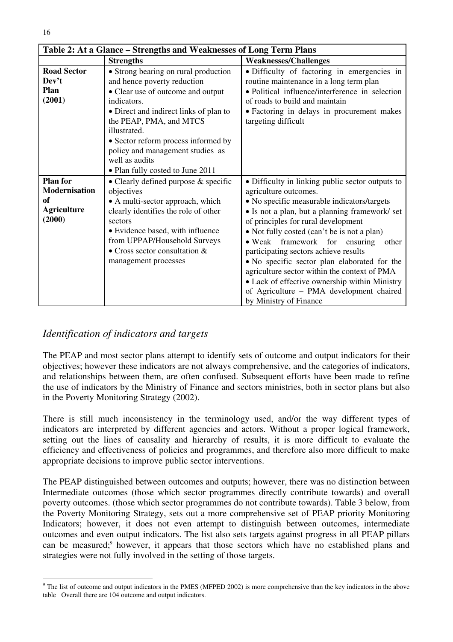|                                                                               | Table 2: At a Glance – Strengths and Weaknesses of Long Term Plans                                                                                                                                                                                                                                                                            |                                                                                                                                                                                                                                                                                                                                                                                                                                                                                                                                                                            |  |
|-------------------------------------------------------------------------------|-----------------------------------------------------------------------------------------------------------------------------------------------------------------------------------------------------------------------------------------------------------------------------------------------------------------------------------------------|----------------------------------------------------------------------------------------------------------------------------------------------------------------------------------------------------------------------------------------------------------------------------------------------------------------------------------------------------------------------------------------------------------------------------------------------------------------------------------------------------------------------------------------------------------------------------|--|
|                                                                               | <b>Strengths</b>                                                                                                                                                                                                                                                                                                                              | <b>Weaknesses/Challenges</b>                                                                                                                                                                                                                                                                                                                                                                                                                                                                                                                                               |  |
| <b>Road Sector</b><br>Dev't<br>Plan<br>(2001)                                 | • Strong bearing on rural production<br>and hence poverty reduction<br>• Clear use of outcome and output<br>indicators.<br>• Direct and indirect links of plan to<br>the PEAP, PMA, and MTCS<br>illustrated.<br>• Sector reform process informed by<br>policy and management studies as<br>well as audits<br>• Plan fully costed to June 2011 | · Difficulty of factoring in emergencies in<br>routine maintenance in a long term plan<br>• Political influence/interference in selection<br>of roads to build and maintain<br>• Factoring in delays in procurement makes<br>targeting difficult                                                                                                                                                                                                                                                                                                                           |  |
| <b>Plan for</b><br><b>Modernisation</b><br>of<br><b>Agriculture</b><br>(2000) | • Clearly defined purpose & specific<br>objectives<br>• A multi-sector approach, which<br>clearly identifies the role of other<br>sectors<br>• Evidence based, with influence<br>from UPPAP/Household Surveys<br>• Cross sector consultation $&$<br>management processes                                                                      | • Difficulty in linking public sector outputs to<br>agriculture outcomes.<br>• No specific measurable indicators/targets<br>• Is not a plan, but a planning framework/ set<br>of principles for rural development<br>• Not fully costed (can't be is not a plan)<br>• Weak framework for ensuring<br>other<br>participating sectors achieve results<br>• No specific sector plan elaborated for the<br>agriculture sector within the context of PMA<br>• Lack of effective ownership within Ministry<br>of Agriculture - PMA development chaired<br>by Ministry of Finance |  |

### *Identification of indicators and targets*

The PEAP and most sector plans attempt to identify sets of outcome and output indicators for their objectives; however these indicators are not always comprehensive, and the categories of indicators, and relationships between them, are often confused. Subsequent efforts have been made to refine the use of indicators by the Ministry of Finance and sectors ministries, both in sector plans but also in the Poverty Monitoring Strategy (2002).

There is still much inconsistency in the terminology used, and/or the way different types of indicators are interpreted by different agencies and actors. Without a proper logical framework, setting out the lines of causality and hierarchy of results, it is more difficult to evaluate the efficiency and effectiveness of policies and programmes, and therefore also more difficult to make appropriate decisions to improve public sector interventions.

The PEAP distinguished between outcomes and outputs; however, there was no distinction between Intermediate outcomes (those which sector programmes directly contribute towards) and overall poverty outcomes. (those which sector programmes do not contribute towards). Table 3 below, from the Poverty Monitoring Strategy, sets out a more comprehensive set of PEAP priority Monitoring Indicators; however, it does not even attempt to distinguish between outcomes, intermediate outcomes and even output indicators. The list also sets targets against progress in all PEAP pillars can be measured;<sup>9</sup> however, it appears that those sectors which have no established plans and strategies were not fully involved in the setting of those targets.

 $9$  The list of outcome and output indicators in the PMES (MFPED 2002) is more comprehensive than the key indicators in the above table Overall there are 104 outcome and output indicators.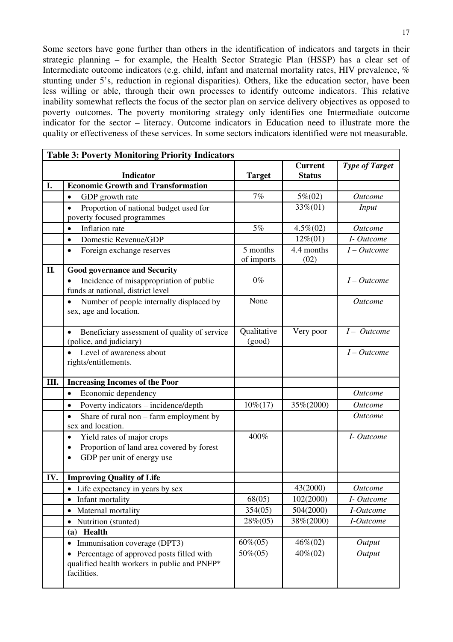Some sectors have gone further than others in the identification of indicators and targets in their strategic planning – for example, the Health Sector Strategic Plan (HSSP) has a clear set of Intermediate outcome indicators (e.g. child, infant and maternal mortality rates, HIV prevalence, % stunting under 5's, reduction in regional disparities). Others, like the education sector, have been less willing or able, through their own processes to identify outcome indicators. This relative inability somewhat reflects the focus of the sector plan on service delivery objectives as opposed to poverty outcomes. The poverty monitoring strategy only identifies one Intermediate outcome indicator for the sector – literacy. Outcome indicators in Education need to illustrate more the quality or effectiveness of these services. In some sectors indicators identified were not measurable.

|     | <b>Table 3: Poverty Monitoring Priority Indicators</b>                                                                                       |                        |                                 |                       |  |
|-----|----------------------------------------------------------------------------------------------------------------------------------------------|------------------------|---------------------------------|-----------------------|--|
|     | <b>Indicator</b>                                                                                                                             | <b>Target</b>          | <b>Current</b><br><b>Status</b> | <b>Type of Target</b> |  |
| I.  | <b>Economic Growth and Transformation</b>                                                                                                    |                        |                                 |                       |  |
|     | $\bullet$<br>GDP growth rate                                                                                                                 | 7%                     | $5\% (02)$                      | <b>Outcome</b>        |  |
|     | Proportion of national budget used for<br>$\bullet$<br>poverty focused programmes                                                            |                        | 33%(01)                         | <i>Input</i>          |  |
|     | Inflation rate<br>$\bullet$                                                                                                                  | 5%                     | $4.5\%(02)$                     | <b>Outcome</b>        |  |
|     | Domestic Revenue/GDP<br>$\bullet$                                                                                                            |                        | $12\% (01)$                     | I-Outcome             |  |
|     | Foreign exchange reserves<br>$\bullet$                                                                                                       | 5 months<br>of imports | 4.4 months<br>(02)              | $I-Outcome$           |  |
| II. | <b>Good governance and Security</b>                                                                                                          |                        |                                 |                       |  |
|     | Incidence of misappropriation of public<br>$\bullet$<br>funds at national, district level                                                    | $0\%$                  |                                 | $I-Outcome$           |  |
|     | Number of people internally displaced by<br>$\bullet$<br>sex, age and location.                                                              | None                   |                                 | <b>Outcome</b>        |  |
|     | Beneficiary assessment of quality of service<br>(police, and judiciary)                                                                      | Qualitative<br>(good)  | Very poor                       | $I - Outcome$         |  |
|     | Level of awareness about<br>rights/entitlements.                                                                                             |                        |                                 | $I-Outcome$           |  |
| Ш.  | <b>Increasing Incomes of the Poor</b>                                                                                                        |                        |                                 |                       |  |
|     | Economic dependency<br>$\bullet$                                                                                                             |                        |                                 | <b>Outcome</b>        |  |
|     | Poverty indicators - incidence/depth<br>$\bullet$                                                                                            | $10\% (17)$            | 35%(2000)                       | <b>Outcome</b>        |  |
|     | $\bullet$<br>Share of rural non – farm employment by<br>sex and location.                                                                    |                        |                                 | <b>Outcome</b>        |  |
|     | Yield rates of major crops<br>$\bullet$<br>Proportion of land area covered by forest<br>$\bullet$<br>GDP per unit of energy use<br>$\bullet$ | 400%                   |                                 | I- Outcome            |  |
| IV. | <b>Improving Quality of Life</b>                                                                                                             |                        |                                 |                       |  |
|     | • Life expectancy in years by sex                                                                                                            |                        | 43(2000)                        | <b>Outcome</b>        |  |
|     | Infant mortality                                                                                                                             | 68(05)                 | 102(2000)                       | I-Outcome             |  |
|     | Maternal mortality                                                                                                                           | 354(05)                | 504(2000)                       | I-Outcome             |  |
|     | Nutrition (stunted)                                                                                                                          | $28\%(05)$             | 38%(2000)                       | I-Outcome             |  |
|     | Health<br>(a)                                                                                                                                |                        |                                 |                       |  |
|     | Immunisation coverage (DPT3)<br>$\bullet$                                                                                                    | $60\% (05)$            | 46%(02)                         | Output                |  |
|     | Percentage of approved posts filled with<br>qualified health workers in public and PNFP*<br>facilities.                                      | 50%(05)                | 40%(02)                         | Output                |  |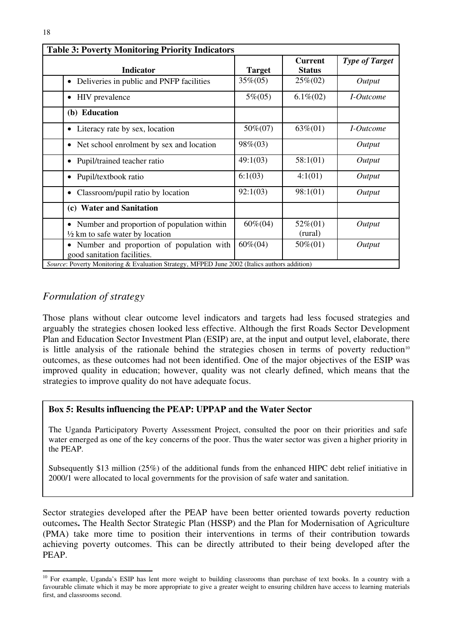| <b>Indicator</b>                                                                              | <b>Target</b> | <b>Current</b><br><b>Status</b> | <b>Type of Target</b>     |
|-----------------------------------------------------------------------------------------------|---------------|---------------------------------|---------------------------|
| Deliveries in public and PNFP facilities<br>$\bullet$                                         | $35\%(05)$    | $25\%(02)$                      | Output                    |
| <b>HIV</b> prevalence                                                                         | $5\% (05)$    | $6.1\%$ (02)                    | <i>I</i> - <i>Outcome</i> |
| (b) Education                                                                                 |               |                                 |                           |
| Literacy rate by sex, location<br>٠                                                           | 50%(07)       | $63\%(01)$                      | <i>I</i> -Outcome         |
| Net school enrolment by sex and location                                                      | 98%(03)       |                                 | Output                    |
| Pupil/trained teacher ratio                                                                   | 49:1(03)      | 58:1(01)                        | Output                    |
| Pupil/textbook ratio<br>٠                                                                     | 6:1(03)       | 4:1(01)                         | Output                    |
| Classroom/pupil ratio by location                                                             | 92:1(03)      | 98:1(01)                        | Output                    |
| <b>Water and Sanitation</b><br>(c)                                                            |               |                                 |                           |
| Number and proportion of population within<br>٠<br>$\frac{1}{2}$ km to safe water by location | $60\% (04)$   | $52\% (01)$<br>(rural)          | Output                    |
| Number and proportion of population with<br>٠<br>good sanitation facilities.                  | $60\% (04)$   | $50\% (01)$                     | Output                    |

### *Formulation of strategy*

Those plans without clear outcome level indicators and targets had less focused strategies and arguably the strategies chosen looked less effective. Although the first Roads Sector Development Plan and Education Sector Investment Plan (ESIP) are, at the input and output level, elaborate, there is little analysis of the rationale behind the strategies chosen in terms of poverty reduction<sup>10</sup> outcomes, as these outcomes had not been identified. One of the major objectives of the ESIP was improved quality in education; however, quality was not clearly defined, which means that the strategies to improve quality do not have adequate focus.

#### **Box 5: Results influencing the PEAP: UPPAP and the Water Sector**

The Uganda Participatory Poverty Assessment Project, consulted the poor on their priorities and safe water emerged as one of the key concerns of the poor. Thus the water sector was given a higher priority in the PEAP.

Subsequently \$13 million (25%) of the additional funds from the enhanced HIPC debt relief initiative in 2000/1 were allocated to local governments for the provision of safe water and sanitation.

Sector strategies developed after the PEAP have been better oriented towards poverty reduction outcomes**.** The Health Sector Strategic Plan (HSSP) and the Plan for Modernisation of Agriculture (PMA) take more time to position their interventions in terms of their contribution towards achieving poverty outcomes. This can be directly attributed to their being developed after the PEAP.

<sup>&</sup>lt;sup>10</sup> For example, Uganda's ESIP has lent more weight to building classrooms than purchase of text books. In a country with a favourable climate which it may be more appropriate to give a greater weight to ensuring children have access to learning materials first, and classrooms second.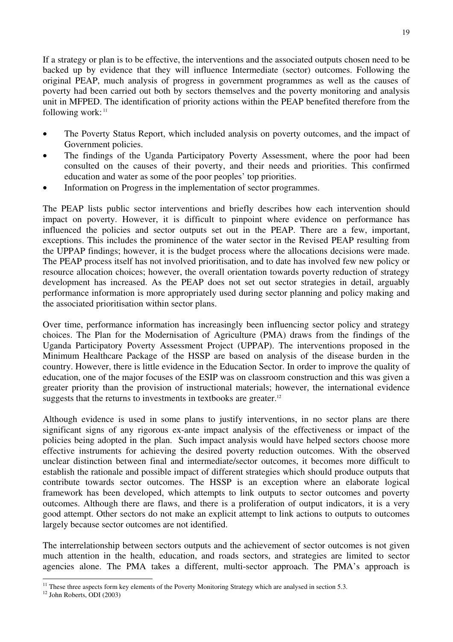If a strategy or plan is to be effective, the interventions and the associated outputs chosen need to be backed up by evidence that they will influence Intermediate (sector) outcomes. Following the original PEAP, much analysis of progress in government programmes as well as the causes of poverty had been carried out both by sectors themselves and the poverty monitoring and analysis unit in MFPED. The identification of priority actions within the PEAP benefited therefore from the following work: <sup>11</sup>

- The Poverty Status Report, which included analysis on poverty outcomes, and the impact of Government policies.
- The findings of the Uganda Participatory Poverty Assessment, where the poor had been consulted on the causes of their poverty, and their needs and priorities. This confirmed education and water as some of the poor peoples' top priorities.
- Information on Progress in the implementation of sector programmes.

The PEAP lists public sector interventions and briefly describes how each intervention should impact on poverty. However, it is difficult to pinpoint where evidence on performance has influenced the policies and sector outputs set out in the PEAP. There are a few, important, exceptions. This includes the prominence of the water sector in the Revised PEAP resulting from the UPPAP findings; however, it is the budget process where the allocations decisions were made. The PEAP process itself has not involved prioritisation, and to date has involved few new policy or resource allocation choices; however, the overall orientation towards poverty reduction of strategy development has increased. As the PEAP does not set out sector strategies in detail, arguably performance information is more appropriately used during sector planning and policy making and the associated prioritisation within sector plans.

Over time, performance information has increasingly been influencing sector policy and strategy choices. The Plan for the Modernisation of Agriculture (PMA) draws from the findings of the Uganda Participatory Poverty Assessment Project (UPPAP). The interventions proposed in the Minimum Healthcare Package of the HSSP are based on analysis of the disease burden in the country. However, there is little evidence in the Education Sector. In order to improve the quality of education, one of the major focuses of the ESIP was on classroom construction and this was given a greater priority than the provision of instructional materials; however, the international evidence suggests that the returns to investments in textbooks are greater.<sup>12</sup>

Although evidence is used in some plans to justify interventions, in no sector plans are there significant signs of any rigorous ex-ante impact analysis of the effectiveness or impact of the policies being adopted in the plan. Such impact analysis would have helped sectors choose more effective instruments for achieving the desired poverty reduction outcomes. With the observed unclear distinction between final and intermediate/sector outcomes, it becomes more difficult to establish the rationale and possible impact of different strategies which should produce outputs that contribute towards sector outcomes. The HSSP is an exception where an elaborate logical framework has been developed, which attempts to link outputs to sector outcomes and poverty outcomes. Although there are flaws, and there is a proliferation of output indicators, it is a very good attempt. Other sectors do not make an explicit attempt to link actions to outputs to outcomes largely because sector outcomes are not identified.

The interrelationship between sectors outputs and the achievement of sector outcomes is not given much attention in the health, education, and roads sectors, and strategies are limited to sector agencies alone. The PMA takes a different, multi-sector approach. The PMA's approach is

<sup>&</sup>lt;sup>11</sup> These three aspects form key elements of the Poverty Monitoring Strategy which are analysed in section 5.3.

<sup>12</sup> John Roberts, ODI (2003)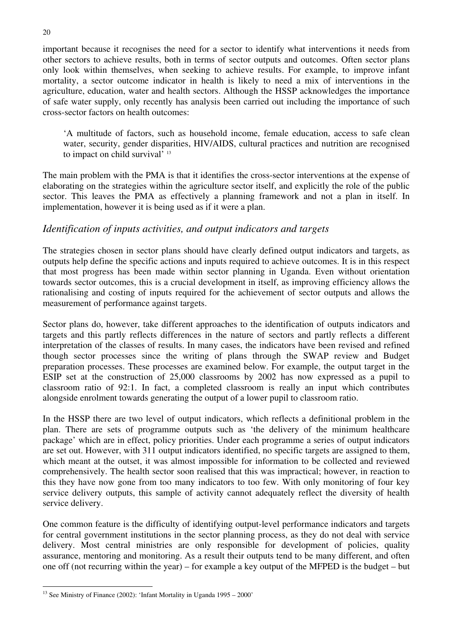important because it recognises the need for a sector to identify what interventions it needs from other sectors to achieve results, both in terms of sector outputs and outcomes. Often sector plans only look within themselves, when seeking to achieve results. For example, to improve infant mortality, a sector outcome indicator in health is likely to need a mix of interventions in the agriculture, education, water and health sectors. Although the HSSP acknowledges the importance of safe water supply, only recently has analysis been carried out including the importance of such cross-sector factors on health outcomes:

'A multitude of factors, such as household income, female education, access to safe clean water, security, gender disparities, HIV/AIDS, cultural practices and nutrition are recognised to impact on child survival' 13

The main problem with the PMA is that it identifies the cross-sector interventions at the expense of elaborating on the strategies within the agriculture sector itself, and explicitly the role of the public sector. This leaves the PMA as effectively a planning framework and not a plan in itself. In implementation, however it is being used as if it were a plan.

### *Identification of inputs activities, and output indicators and targets*

The strategies chosen in sector plans should have clearly defined output indicators and targets, as outputs help define the specific actions and inputs required to achieve outcomes. It is in this respect that most progress has been made within sector planning in Uganda. Even without orientation towards sector outcomes, this is a crucial development in itself, as improving efficiency allows the rationalising and costing of inputs required for the achievement of sector outputs and allows the measurement of performance against targets.

Sector plans do, however, take different approaches to the identification of outputs indicators and targets and this partly reflects differences in the nature of sectors and partly reflects a different interpretation of the classes of results. In many cases, the indicators have been revised and refined though sector processes since the writing of plans through the SWAP review and Budget preparation processes. These processes are examined below. For example, the output target in the ESIP set at the construction of 25,000 classrooms by 2002 has now expressed as a pupil to classroom ratio of 92:1. In fact, a completed classroom is really an input which contributes alongside enrolment towards generating the output of a lower pupil to classroom ratio.

In the HSSP there are two level of output indicators, which reflects a definitional problem in the plan. There are sets of programme outputs such as 'the delivery of the minimum healthcare package' which are in effect, policy priorities. Under each programme a series of output indicators are set out. However, with 311 output indicators identified, no specific targets are assigned to them, which meant at the outset, it was almost impossible for information to be collected and reviewed comprehensively. The health sector soon realised that this was impractical; however, in reaction to this they have now gone from too many indicators to too few. With only monitoring of four key service delivery outputs, this sample of activity cannot adequately reflect the diversity of health service delivery.

One common feature is the difficulty of identifying output-level performance indicators and targets for central government institutions in the sector planning process, as they do not deal with service delivery. Most central ministries are only responsible for development of policies, quality assurance, mentoring and monitoring. As a result their outputs tend to be many different, and often one off (not recurring within the year) – for example a key output of the MFPED is the budget – but

<sup>&</sup>lt;sup>13</sup> See Ministry of Finance (2002): 'Infant Mortality in Uganda 1995 – 2000'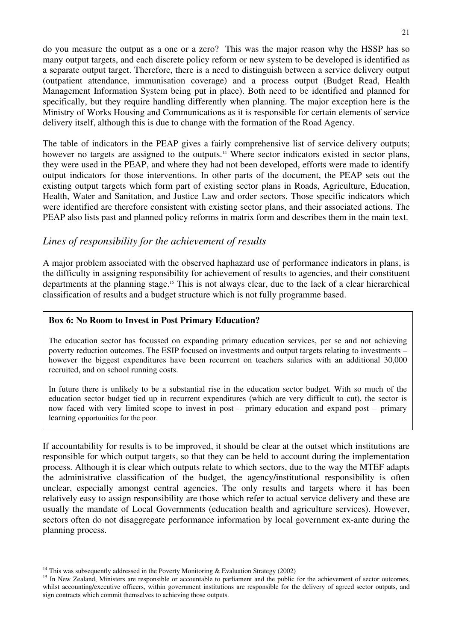do you measure the output as a one or a zero? This was the major reason why the HSSP has so many output targets, and each discrete policy reform or new system to be developed is identified as a separate output target. Therefore, there is a need to distinguish between a service delivery output (outpatient attendance, immunisation coverage) and a process output (Budget Read, Health Management Information System being put in place). Both need to be identified and planned for specifically, but they require handling differently when planning. The major exception here is the Ministry of Works Housing and Communications as it is responsible for certain elements of service delivery itself, although this is due to change with the formation of the Road Agency.

The table of indicators in the PEAP gives a fairly comprehensive list of service delivery outputs; however no targets are assigned to the outputs.<sup>14</sup> Where sector indicators existed in sector plans, they were used in the PEAP, and where they had not been developed, efforts were made to identify output indicators for those interventions. In other parts of the document, the PEAP sets out the existing output targets which form part of existing sector plans in Roads, Agriculture, Education, Health, Water and Sanitation, and Justice Law and order sectors. Those specific indicators which were identified are therefore consistent with existing sector plans, and their associated actions. The PEAP also lists past and planned policy reforms in matrix form and describes them in the main text.

### *Lines of responsibility for the achievement of results*

A major problem associated with the observed haphazard use of performance indicators in plans, is the difficulty in assigning responsibility for achievement of results to agencies, and their constituent departments at the planning stage.<sup>15</sup> This is not always clear, due to the lack of a clear hierarchical classification of results and a budget structure which is not fully programme based.

#### **Box 6: No Room to Invest in Post Primary Education?**

The education sector has focussed on expanding primary education services, per se and not achieving poverty reduction outcomes. The ESIP focused on investments and output targets relating to investments – however the biggest expenditures have been recurrent on teachers salaries with an additional 30,000 recruited, and on school running costs.

In future there is unlikely to be a substantial rise in the education sector budget. With so much of the education sector budget tied up in recurrent expenditures (which are very difficult to cut), the sector is now faced with very limited scope to invest in post – primary education and expand post – primary learning opportunities for the poor.

If accountability for results is to be improved, it should be clear at the outset which institutions are responsible for which output targets, so that they can be held to account during the implementation process. Although it is clear which outputs relate to which sectors, due to the way the MTEF adapts the administrative classification of the budget, the agency/institutional responsibility is often unclear, especially amongst central agencies. The only results and targets where it has been relatively easy to assign responsibility are those which refer to actual service delivery and these are usually the mandate of Local Governments (education health and agriculture services). However, sectors often do not disaggregate performance information by local government ex-ante during the planning process.

<sup>&</sup>lt;sup>14</sup> This was subsequently addressed in the Poverty Monitoring & Evaluation Strategy (2002)

<sup>&</sup>lt;sup>15</sup> In New Zealand, Ministers are responsible or accountable to parliament and the public for the achievement of sector outcomes, whilst accounting/executive officers, within government institutions are responsible for the delivery of agreed sector outputs, and sign contracts which commit themselves to achieving those outputs.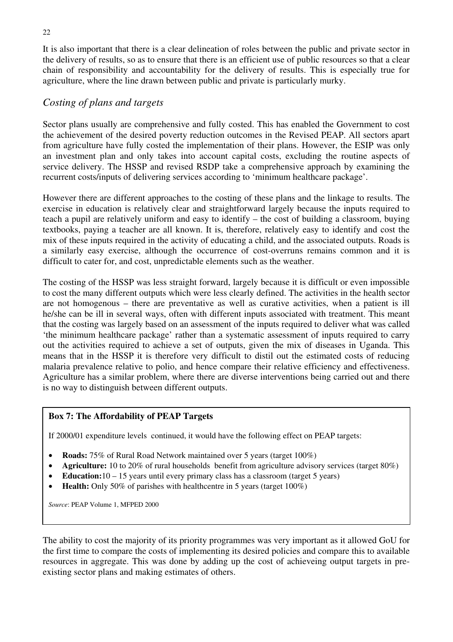It is also important that there is a clear delineation of roles between the public and private sector in the delivery of results, so as to ensure that there is an efficient use of public resources so that a clear chain of responsibility and accountability for the delivery of results. This is especially true for agriculture, where the line drawn between public and private is particularly murky.

### *Costing of plans and targets*

Sector plans usually are comprehensive and fully costed. This has enabled the Government to cost the achievement of the desired poverty reduction outcomes in the Revised PEAP. All sectors apart from agriculture have fully costed the implementation of their plans. However, the ESIP was only an investment plan and only takes into account capital costs, excluding the routine aspects of service delivery. The HSSP and revised RSDP take a comprehensive approach by examining the recurrent costs/inputs of delivering services according to 'minimum healthcare package'.

However there are different approaches to the costing of these plans and the linkage to results. The exercise in education is relatively clear and straightforward largely because the inputs required to teach a pupil are relatively uniform and easy to identify – the cost of building a classroom, buying textbooks, paying a teacher are all known. It is, therefore, relatively easy to identify and cost the mix of these inputs required in the activity of educating a child, and the associated outputs. Roads is a similarly easy exercise, although the occurrence of cost-overruns remains common and it is difficult to cater for, and cost, unpredictable elements such as the weather.

The costing of the HSSP was less straight forward, largely because it is difficult or even impossible to cost the many different outputs which were less clearly defined. The activities in the health sector are not homogenous – there are preventative as well as curative activities, when a patient is ill he/she can be ill in several ways, often with different inputs associated with treatment. This meant that the costing was largely based on an assessment of the inputs required to deliver what was called 'the minimum healthcare package' rather than a systematic assessment of inputs required to carry out the activities required to achieve a set of outputs, given the mix of diseases in Uganda. This means that in the HSSP it is therefore very difficult to distil out the estimated costs of reducing malaria prevalence relative to polio, and hence compare their relative efficiency and effectiveness. Agriculture has a similar problem, where there are diverse interventions being carried out and there is no way to distinguish between different outputs.

### **Box 7: The Affordability of PEAP Targets**

If 2000/01 expenditure levels continued, it would have the following effect on PEAP targets:

- **Roads:** 75% of Rural Road Network maintained over 5 years (target 100%)
- **Agriculture:** 10 to 20% of rural households benefit from agriculture advisory services (target 80%)
- **Education:** 10 15 years until every primary class has a classroom (target 5 years)
- **Health:** Only 50% of parishes with healthcentre in 5 years (target 100%)

*Source*: PEAP Volume 1, MFPED 2000

The ability to cost the majority of its priority programmes was very important as it allowed GoU for the first time to compare the costs of implementing its desired policies and compare this to available resources in aggregate. This was done by adding up the cost of achieveing output targets in preexisting sector plans and making estimates of others.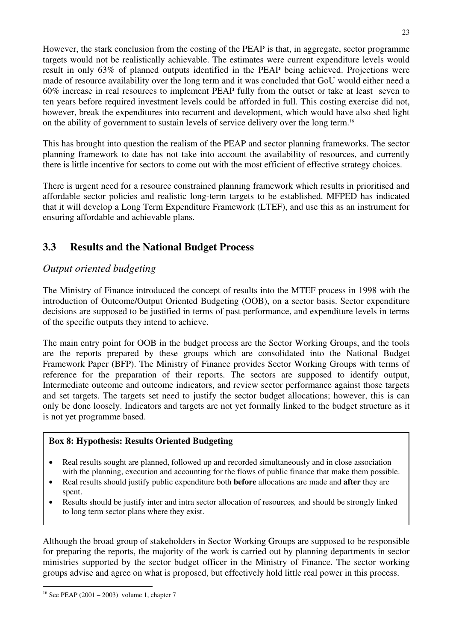However, the stark conclusion from the costing of the PEAP is that, in aggregate, sector programme targets would not be realistically achievable. The estimates were current expenditure levels would result in only 63% of planned outputs identified in the PEAP being achieved. Projections were made of resource availability over the long term and it was concluded that GoU would either need a 60% increase in real resources to implement PEAP fully from the outset or take at least seven to ten years before required investment levels could be afforded in full. This costing exercise did not, however, break the expenditures into recurrent and development, which would have also shed light on the ability of government to sustain levels of service delivery over the long term.16

This has brought into question the realism of the PEAP and sector planning frameworks. The sector planning framework to date has not take into account the availability of resources, and currently there is little incentive for sectors to come out with the most efficient of effective strategy choices.

There is urgent need for a resource constrained planning framework which results in prioritised and affordable sector policies and realistic long-term targets to be established. MFPED has indicated that it will develop a Long Term Expenditure Framework (LTEF), and use this as an instrument for ensuring affordable and achievable plans.

# **3.3 Results and the National Budget Process**

# *Output oriented budgeting*

The Ministry of Finance introduced the concept of results into the MTEF process in 1998 with the introduction of Outcome/Output Oriented Budgeting (OOB), on a sector basis. Sector expenditure decisions are supposed to be justified in terms of past performance, and expenditure levels in terms of the specific outputs they intend to achieve.

The main entry point for OOB in the budget process are the Sector Working Groups, and the tools are the reports prepared by these groups which are consolidated into the National Budget Framework Paper (BFP). The Ministry of Finance provides Sector Working Groups with terms of reference for the preparation of their reports. The sectors are supposed to identify output, Intermediate outcome and outcome indicators, and review sector performance against those targets and set targets. The targets set need to justify the sector budget allocations; however, this is can only be done loosely. Indicators and targets are not yet formally linked to the budget structure as it is not yet programme based.

### **Box 8: Hypothesis: Results Oriented Budgeting**

- Real results sought are planned, followed up and recorded simultaneously and in close association with the planning, execution and accounting for the flows of public finance that make them possible.
- Real results should justify public expenditure both **before** allocations are made and **after** they are spent.
- Results should be justify inter and intra sector allocation of resources*,* and should be strongly linked to long term sector plans where they exist.

Although the broad group of stakeholders in Sector Working Groups are supposed to be responsible for preparing the reports, the majority of the work is carried out by planning departments in sector ministries supported by the sector budget officer in the Ministry of Finance. The sector working groups advise and agree on what is proposed, but effectively hold little real power in this process.

<sup>16</sup> See PEAP (2001 – 2003) volume 1, chapter 7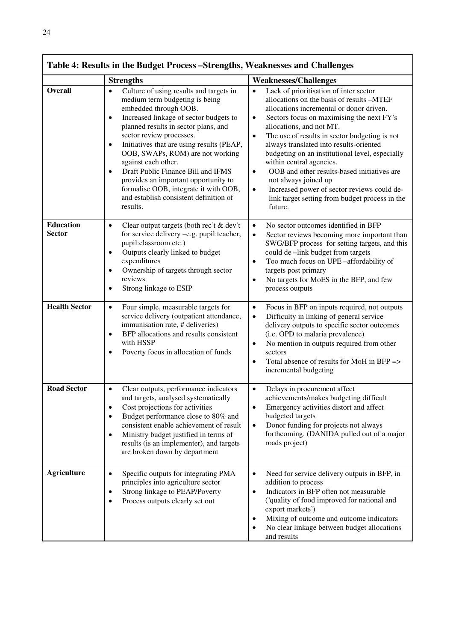|                                   | Table 4: Results in the Budget Process – Strengths, Weaknesses and Challenges                                                                                                                                                                                                                                                                                                                                                                                                                                                                |                                                                                                                                                                                                                                                                                                                                                                                                                                                                                                                                                                                                                                         |
|-----------------------------------|----------------------------------------------------------------------------------------------------------------------------------------------------------------------------------------------------------------------------------------------------------------------------------------------------------------------------------------------------------------------------------------------------------------------------------------------------------------------------------------------------------------------------------------------|-----------------------------------------------------------------------------------------------------------------------------------------------------------------------------------------------------------------------------------------------------------------------------------------------------------------------------------------------------------------------------------------------------------------------------------------------------------------------------------------------------------------------------------------------------------------------------------------------------------------------------------------|
|                                   | <b>Strengths</b>                                                                                                                                                                                                                                                                                                                                                                                                                                                                                                                             | <b>Weaknesses/Challenges</b>                                                                                                                                                                                                                                                                                                                                                                                                                                                                                                                                                                                                            |
| <b>Overall</b>                    | Culture of using results and targets in<br>$\bullet$<br>medium term budgeting is being<br>embedded through OOB.<br>Increased linkage of sector budgets to<br>$\bullet$<br>planned results in sector plans, and<br>sector review processes.<br>Initiatives that are using results (PEAP,<br>$\bullet$<br>OOB, SWAPs, ROM) are not working<br>against each other.<br>Draft Public Finance Bill and IFMS<br>provides an important opportunity to<br>formalise OOB, integrate it with OOB,<br>and establish consistent definition of<br>results. | Lack of prioritisation of inter sector<br>$\bullet$<br>allocations on the basis of results -MTEF<br>allocations incremental or donor driven.<br>Sectors focus on maximising the next FY's<br>$\bullet$<br>allocations, and not MT.<br>The use of results in sector budgeting is not<br>$\bullet$<br>always translated into results-oriented<br>budgeting on an institutional level, especially<br>within central agencies.<br>OOB and other results-based initiatives are<br>$\bullet$<br>not always joined up<br>Increased power of sector reviews could de-<br>$\bullet$<br>link target setting from budget process in the<br>future. |
| <b>Education</b><br><b>Sector</b> | Clear output targets (both rec't & dev't<br>$\bullet$<br>for service delivery -e.g. pupil:teacher,<br>pupil:classroom etc.)<br>Outputs clearly linked to budget<br>$\bullet$<br>expenditures<br>Ownership of targets through sector<br>$\bullet$<br>reviews<br>Strong linkage to ESIP                                                                                                                                                                                                                                                        | No sector outcomes identified in BFP<br>$\bullet$<br>Sector reviews becoming more important than<br>$\bullet$<br>SWG/BFP process for setting targets, and this<br>could de -link budget from targets<br>Too much focus on UPE -affordability of<br>$\bullet$<br>targets post primary<br>No targets for MoES in the BFP, and few<br>$\bullet$<br>process outputs                                                                                                                                                                                                                                                                         |
| <b>Health Sector</b>              | Four simple, measurable targets for<br>$\bullet$<br>service delivery (outpatient attendance,<br>immunisation rate, # deliveries)<br>BFP allocations and results consistent<br>$\bullet$<br>with HSSP<br>Poverty focus in allocation of funds                                                                                                                                                                                                                                                                                                 | Focus in BFP on inputs required, not outputs<br>$\bullet$<br>Difficulty in linking of general service<br>$\bullet$<br>delivery outputs to specific sector outcomes<br>(i.e. OPD to malaria prevalence)<br>No mention in outputs required from other<br>$\bullet$<br>sectors<br>Total absence of results for MoH in BFP =><br>$\bullet$<br>incremental budgeting                                                                                                                                                                                                                                                                         |
| <b>Road Sector</b>                | Clear outputs, performance indicators<br>$\bullet$<br>and targets, analysed systematically<br>Cost projections for activities<br>Budget performance close to 80% and<br>consistent enable achievement of result<br>Ministry budget justified in terms of<br>$\bullet$<br>results (is an implementer), and targets<br>are broken down by department                                                                                                                                                                                           | Delays in procurement affect<br>$\bullet$<br>achievements/makes budgeting difficult<br>Emergency activities distort and affect<br>budgeted targets<br>Donor funding for projects not always<br>$\bullet$<br>forthcoming. (DANIDA pulled out of a major<br>roads project)                                                                                                                                                                                                                                                                                                                                                                |
| <b>Agriculture</b>                | Specific outputs for integrating PMA<br>$\bullet$<br>principles into agriculture sector<br>Strong linkage to PEAP/Poverty<br>Process outputs clearly set out                                                                                                                                                                                                                                                                                                                                                                                 | Need for service delivery outputs in BFP, in<br>$\bullet$<br>addition to process<br>Indicators in BFP often not measurable<br>$\bullet$<br>('quality of food improved for national and<br>export markets')<br>Mixing of outcome and outcome indicators<br>٠<br>No clear linkage between budget allocations<br>$\bullet$<br>and results                                                                                                                                                                                                                                                                                                  |

24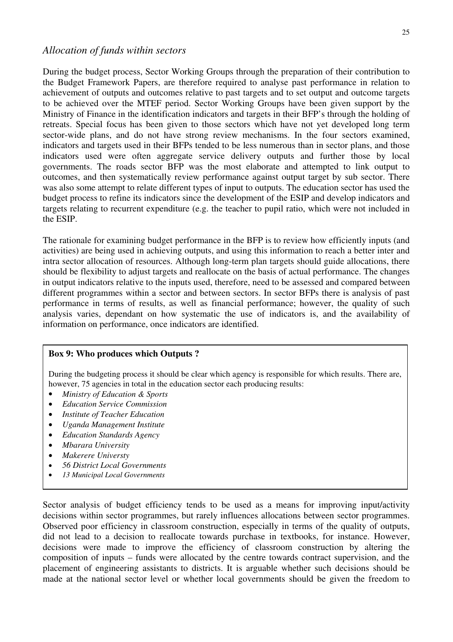During the budget process, Sector Working Groups through the preparation of their contribution to the Budget Framework Papers, are therefore required to analyse past performance in relation to achievement of outputs and outcomes relative to past targets and to set output and outcome targets to be achieved over the MTEF period. Sector Working Groups have been given support by the Ministry of Finance in the identification indicators and targets in their BFP's through the holding of retreats. Special focus has been given to those sectors which have not yet developed long term sector-wide plans, and do not have strong review mechanisms. In the four sectors examined, indicators and targets used in their BFPs tended to be less numerous than in sector plans, and those indicators used were often aggregate service delivery outputs and further those by local governments. The roads sector BFP was the most elaborate and attempted to link output to outcomes, and then systematically review performance against output target by sub sector. There was also some attempt to relate different types of input to outputs. The education sector has used the budget process to refine its indicators since the development of the ESIP and develop indicators and targets relating to recurrent expenditure (e.g. the teacher to pupil ratio, which were not included in the ESIP.

The rationale for examining budget performance in the BFP is to review how efficiently inputs (and activities) are being used in achieving outputs, and using this information to reach a better inter and intra sector allocation of resources. Although long-term plan targets should guide allocations, there should be flexibility to adjust targets and reallocate on the basis of actual performance. The changes in output indicators relative to the inputs used, therefore, need to be assessed and compared between different programmes within a sector and between sectors. In sector BFPs there is analysis of past performance in terms of results, as well as financial performance; however, the quality of such analysis varies, dependant on how systematic the use of indicators is, and the availability of information on performance, once indicators are identified.

#### **Box 9: Who produces which Outputs ?**

During the budgeting process it should be clear which agency is responsible for which results. There are, however, 75 agencies in total in the education sector each producing results:

- *Ministry of Education & Sports*
- *Education Service Commission*
- *Institute of Teacher Education*
- *Uganda Management Institute*
- *Education Standards Agency*
- *Mbarara University*
- *Makerere Universty*
- *56 District Local Governments*
- *13 Municipal Local Governments*

Sector analysis of budget efficiency tends to be used as a means for improving input/activity decisions within sector programmes, but rarely influences allocations between sector programmes. Observed poor efficiency in classroom construction, especially in terms of the quality of outputs, did not lead to a decision to reallocate towards purchase in textbooks, for instance. However, decisions were made to improve the efficiency of classroom construction by altering the composition of inputs – funds were allocated by the centre towards contract supervision, and the placement of engineering assistants to districts. It is arguable whether such decisions should be made at the national sector level or whether local governments should be given the freedom to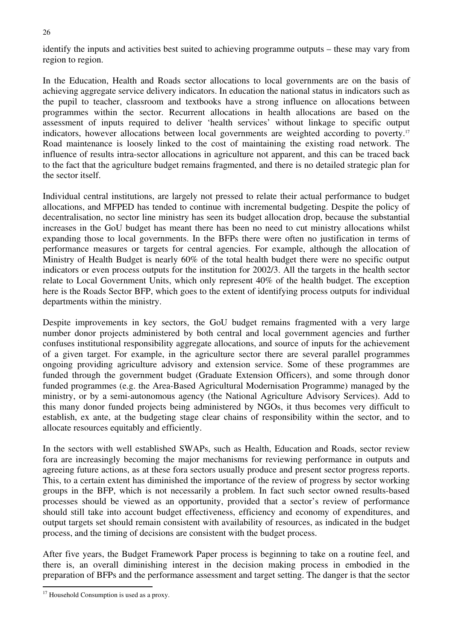identify the inputs and activities best suited to achieving programme outputs – these may vary from region to region.

In the Education, Health and Roads sector allocations to local governments are on the basis of achieving aggregate service delivery indicators. In education the national status in indicators such as the pupil to teacher, classroom and textbooks have a strong influence on allocations between programmes within the sector. Recurrent allocations in health allocations are based on the assessment of inputs required to deliver 'health services' without linkage to specific output indicators, however allocations between local governments are weighted according to poverty.<sup>17</sup> Road maintenance is loosely linked to the cost of maintaining the existing road network. The influence of results intra-sector allocations in agriculture not apparent, and this can be traced back to the fact that the agriculture budget remains fragmented, and there is no detailed strategic plan for the sector itself.

Individual central institutions, are largely not pressed to relate their actual performance to budget allocations, and MFPED has tended to continue with incremental budgeting. Despite the policy of decentralisation, no sector line ministry has seen its budget allocation drop, because the substantial increases in the GoU budget has meant there has been no need to cut ministry allocations whilst expanding those to local governments. In the BFPs there were often no justification in terms of performance measures or targets for central agencies. For example, although the allocation of Ministry of Health Budget is nearly 60% of the total health budget there were no specific output indicators or even process outputs for the institution for 2002/3. All the targets in the health sector relate to Local Government Units, which only represent 40% of the health budget. The exception here is the Roads Sector BFP, which goes to the extent of identifying process outputs for individual departments within the ministry.

Despite improvements in key sectors, the GoU budget remains fragmented with a very large number donor projects administered by both central and local government agencies and further confuses institutional responsibility aggregate allocations, and source of inputs for the achievement of a given target. For example, in the agriculture sector there are several parallel programmes ongoing providing agriculture advisory and extension service. Some of these programmes are funded through the government budget (Graduate Extension Officers), and some through donor funded programmes (e.g. the Area-Based Agricultural Modernisation Programme) managed by the ministry, or by a semi-autonomous agency (the National Agriculture Advisory Services). Add to this many donor funded projects being administered by NGOs, it thus becomes very difficult to establish, ex ante, at the budgeting stage clear chains of responsibility within the sector, and to allocate resources equitably and efficiently.

In the sectors with well established SWAPs, such as Health, Education and Roads, sector review fora are increasingly becoming the major mechanisms for reviewing performance in outputs and agreeing future actions, as at these fora sectors usually produce and present sector progress reports. This, to a certain extent has diminished the importance of the review of progress by sector working groups in the BFP, which is not necessarily a problem. In fact such sector owned results-based processes should be viewed as an opportunity, provided that a sector's review of performance should still take into account budget effectiveness, efficiency and economy of expenditures, and output targets set should remain consistent with availability of resources, as indicated in the budget process, and the timing of decisions are consistent with the budget process.

After five years, the Budget Framework Paper process is beginning to take on a routine feel, and there is, an overall diminishing interest in the decision making process in embodied in the preparation of BFPs and the performance assessment and target setting. The danger is that the sector

<sup>&</sup>lt;sup>17</sup> Household Consumption is used as a proxy.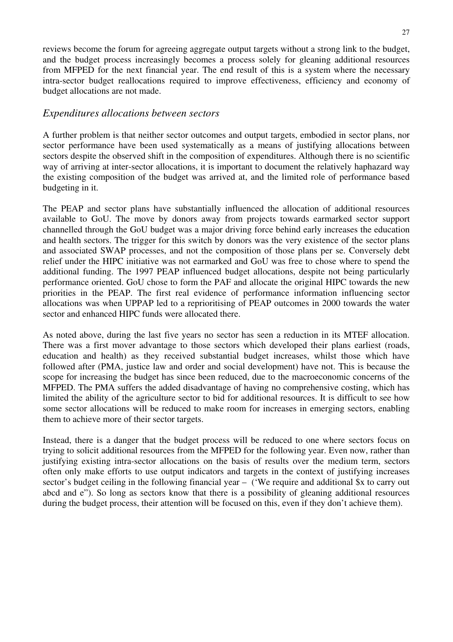reviews become the forum for agreeing aggregate output targets without a strong link to the budget, and the budget process increasingly becomes a process solely for gleaning additional resources from MFPED for the next financial year. The end result of this is a system where the necessary intra-sector budget reallocations required to improve effectiveness, efficiency and economy of budget allocations are not made.

### *Expenditures allocations between sectors*

A further problem is that neither sector outcomes and output targets, embodied in sector plans, nor sector performance have been used systematically as a means of justifying allocations between sectors despite the observed shift in the composition of expenditures. Although there is no scientific way of arriving at inter-sector allocations, it is important to document the relatively haphazard way the existing composition of the budget was arrived at, and the limited role of performance based budgeting in it.

The PEAP and sector plans have substantially influenced the allocation of additional resources available to GoU. The move by donors away from projects towards earmarked sector support channelled through the GoU budget was a major driving force behind early increases the education and health sectors. The trigger for this switch by donors was the very existence of the sector plans and associated SWAP processes, and not the composition of those plans per se. Conversely debt relief under the HIPC initiative was not earmarked and GoU was free to chose where to spend the additional funding. The 1997 PEAP influenced budget allocations, despite not being particularly performance oriented. GoU chose to form the PAF and allocate the original HIPC towards the new priorities in the PEAP. The first real evidence of performance information influencing sector allocations was when UPPAP led to a reprioritising of PEAP outcomes in 2000 towards the water sector and enhanced HIPC funds were allocated there.

As noted above, during the last five years no sector has seen a reduction in its MTEF allocation. There was a first mover advantage to those sectors which developed their plans earliest (roads, education and health) as they received substantial budget increases, whilst those which have followed after (PMA, justice law and order and social development) have not. This is because the scope for increasing the budget has since been reduced, due to the macroeconomic concerns of the MFPED. The PMA suffers the added disadvantage of having no comprehensive costing, which has limited the ability of the agriculture sector to bid for additional resources. It is difficult to see how some sector allocations will be reduced to make room for increases in emerging sectors, enabling them to achieve more of their sector targets.

Instead, there is a danger that the budget process will be reduced to one where sectors focus on trying to solicit additional resources from the MFPED for the following year. Even now, rather than justifying existing intra-sector allocations on the basis of results over the medium term, sectors often only make efforts to use output indicators and targets in the context of justifying increases sector's budget ceiling in the following financial year – ('We require and additional \$x to carry out abcd and e"). So long as sectors know that there is a possibility of gleaning additional resources during the budget process, their attention will be focused on this, even if they don't achieve them).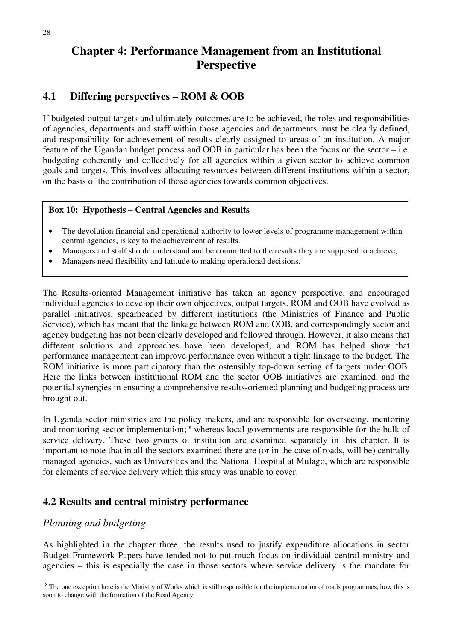# **Chapter 4: Performance Management from an Institutional Perspective**

# **4.1 Differing perspectives – ROM & OOB**

If budgeted output targets and ultimately outcomes are to be achieved, the roles and responsibilities of agencies, departments and staff within those agencies and departments must be clearly defined, and responsibility for achievement of results clearly assigned to areas of an institution. A major feature of the Ugandan budget process and OOB in particular has been the focus on the sector – i.e. budgeting coherently and collectively for all agencies within a given sector to achieve common goals and targets. This involves allocating resources between different institutions within a sector, on the basis of the contribution of those agencies towards common objectives.

#### **Box 10: Hypothesis – Central Agencies and Results**

- The devolution financial and operational authority to lower levels of programme management within central agencies, is key to the achievement of results.
- Managers and staff should understand and be committed to the results they are supposed to achieve,
- Managers need flexibility and latitude to making operational decisions.

The Results-oriented Management initiative has taken an agency perspective, and encouraged individual agencies to develop their own objectives, output targets. ROM and OOB have evolved as parallel initiatives, spearheaded by different institutions (the Ministries of Finance and Public Service), which has meant that the linkage between ROM and OOB, and correspondingly sector and agency budgeting has not been clearly developed and followed through. However, it also means that different solutions and approaches have been developed, and ROM has helped show that performance management can improve performance even without a tight linkage to the budget. The ROM initiative is more participatory than the ostensibly top-down setting of targets under OOB. Here the links between institutional ROM and the sector OOB initiatives are examined, and the potential synergies in ensuring a comprehensive results-oriented planning and budgeting process are brought out.

In Uganda sector ministries are the policy makers, and are responsible for overseeing, mentoring and monitoring sector implementation;<sup>18</sup> whereas local governments are responsible for the bulk of service delivery. These two groups of institution are examined separately in this chapter. It is important to note that in all the sectors examined there are (or in the case of roads, will be) centrally managed agencies, such as Universities and the National Hospital at Mulago, which are responsible for elements of service delivery which this study was unable to cover.

# **4.2 Results and central ministry performance**

# *Planning and budgeting*

As highlighted in the chapter three, the results used to justify expenditure allocations in sector Budget Framework Papers have tended not to put much focus on individual central ministry and agencies – this is especially the case in those sectors where service delivery is the mandate for

 $18$  The one exception here is the Ministry of Works which is still responsible for the implementation of roads programmes, how this is soon to change with the formation of the Road Agency.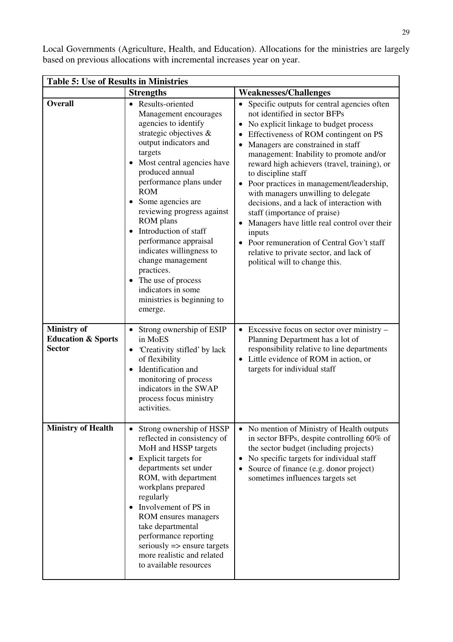| Local Governments (Agriculture, Health, and Education). Allocations for the ministries are largely |  |  |  |  |
|----------------------------------------------------------------------------------------------------|--|--|--|--|
| based on previous allocations with incremental increases year on year.                             |  |  |  |  |

| <b>Table 5: Use of Results in Ministries</b>                         |                                                                                                                                                                                                                                                                                                                                                                                                                                                                                                     |                                                                                                                                                                                                                                                                                                                                                                                                                                                                                                                                                                                                                                                                            |  |  |  |  |
|----------------------------------------------------------------------|-----------------------------------------------------------------------------------------------------------------------------------------------------------------------------------------------------------------------------------------------------------------------------------------------------------------------------------------------------------------------------------------------------------------------------------------------------------------------------------------------------|----------------------------------------------------------------------------------------------------------------------------------------------------------------------------------------------------------------------------------------------------------------------------------------------------------------------------------------------------------------------------------------------------------------------------------------------------------------------------------------------------------------------------------------------------------------------------------------------------------------------------------------------------------------------------|--|--|--|--|
|                                                                      | <b>Strengths</b>                                                                                                                                                                                                                                                                                                                                                                                                                                                                                    | <b>Weaknesses/Challenges</b>                                                                                                                                                                                                                                                                                                                                                                                                                                                                                                                                                                                                                                               |  |  |  |  |
| <b>Overall</b>                                                       | • Results-oriented<br>Management encourages<br>agencies to identify<br>strategic objectives &<br>output indicators and<br>targets<br>Most central agencies have<br>produced annual<br>performance plans under<br><b>ROM</b><br>Some agencies are<br>reviewing progress against<br>ROM plans<br>Introduction of staff<br>performance appraisal<br>indicates willingness to<br>change management<br>practices.<br>• The use of process<br>indicators in some<br>ministries is beginning to<br>emerge. | Specific outputs for central agencies often<br>not identified in sector BFPs<br>No explicit linkage to budget process<br>Effectiveness of ROM contingent on PS<br>Managers are constrained in staff<br>management: Inability to promote and/or<br>reward high achievers (travel, training), or<br>to discipline staff<br>Poor practices in management/leadership,<br>with managers unwilling to delegate<br>decisions, and a lack of interaction with<br>staff (importance of praise)<br>Managers have little real control over their<br>inputs<br>• Poor remuneration of Central Gov't staff<br>relative to private sector, and lack of<br>political will to change this. |  |  |  |  |
| <b>Ministry of</b><br><b>Education &amp; Sports</b><br><b>Sector</b> | Strong ownership of ESIP<br>$\bullet$<br>in MoES<br>Creativity stifled' by lack<br>$\bullet$<br>of flexibility<br>Identification and<br>monitoring of process<br>indicators in the SWAP<br>process focus ministry<br>activities.                                                                                                                                                                                                                                                                    | $\bullet$ Excessive focus on sector over ministry –<br>Planning Department has a lot of<br>responsibility relative to line departments<br>Little evidence of ROM in action, or<br>targets for individual staff                                                                                                                                                                                                                                                                                                                                                                                                                                                             |  |  |  |  |
| <b>Ministry of Health</b>                                            | Strong ownership of HSSP<br>$\bullet$<br>reflected in consistency of<br>MoH and HSSP targets<br>Explicit targets for<br>٠<br>departments set under<br>ROM, with department<br>workplans prepared<br>regularly<br>Involvement of PS in<br>ROM ensures managers<br>take departmental<br>performance reporting<br>seriously $\Rightarrow$ ensure targets<br>more realistic and related<br>to available resources                                                                                       | No mention of Ministry of Health outputs<br>$\bullet$<br>in sector BFPs, despite controlling 60% of<br>the sector budget (including projects)<br>No specific targets for individual staff<br>Source of finance (e.g. donor project)<br>sometimes influences targets set                                                                                                                                                                                                                                                                                                                                                                                                    |  |  |  |  |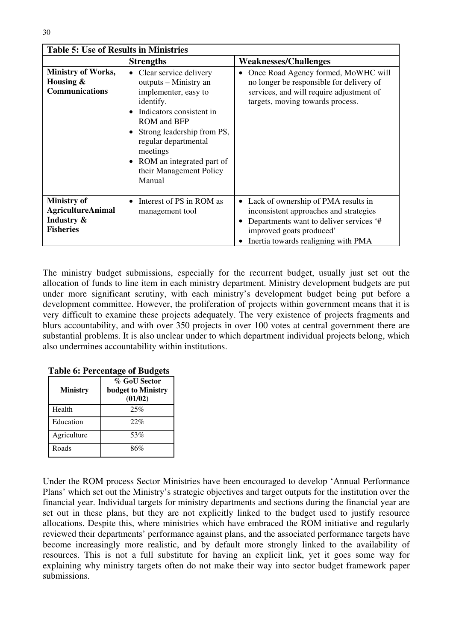| <b>Table 5: Use of Results in Ministries</b>                                     |                                                                                                                                                                                                                                                                                                      |                                                                                                                                                                                               |  |  |  |  |
|----------------------------------------------------------------------------------|------------------------------------------------------------------------------------------------------------------------------------------------------------------------------------------------------------------------------------------------------------------------------------------------------|-----------------------------------------------------------------------------------------------------------------------------------------------------------------------------------------------|--|--|--|--|
|                                                                                  | <b>Strengths</b>                                                                                                                                                                                                                                                                                     | <b>Weaknesses/Challenges</b>                                                                                                                                                                  |  |  |  |  |
| <b>Ministry of Works,</b><br>Housing $\&$<br><b>Communications</b>               | • Clear service delivery<br>outputs – Ministry an<br>implementer, easy to<br>identify.<br>Indicators consistent in<br>$\bullet$<br>ROM and BFP<br>Strong leadership from PS,<br>٠<br>regular departmental<br>meetings<br>ROM an integrated part of<br>$\bullet$<br>their Management Policy<br>Manual | Once Road Agency formed, MoWHC will<br>٠<br>no longer be responsible for delivery of<br>services, and will require adjustment of<br>targets, moving towards process.                          |  |  |  |  |
| <b>Ministry of</b><br><b>AgricultureAnimal</b><br>Industry &<br><b>Fisheries</b> | Interest of PS in ROM as<br>$\bullet$<br>management tool                                                                                                                                                                                                                                             | • Lack of ownership of PMA results in<br>inconsistent approaches and strategies<br>Departments want to deliver services '#<br>improved goats produced'<br>Inertia towards realigning with PMA |  |  |  |  |

The ministry budget submissions, especially for the recurrent budget, usually just set out the allocation of funds to line item in each ministry department. Ministry development budgets are put under more significant scrutiny, with each ministry's development budget being put before a development committee. However, the proliferation of projects within government means that it is very difficult to examine these projects adequately. The very existence of projects fragments and blurs accountability, and with over 350 projects in over 100 votes at central government there are substantial problems. It is also unclear under to which department individual projects belong, which also undermines accountability within institutions.

| <b>Ministry</b> | % GoU Sector<br><b>budget to Ministry</b><br>(01/02) |
|-----------------|------------------------------------------------------|
| Health          | 25%                                                  |
| Education       | 22%                                                  |
| Agriculture     | 53%                                                  |
| Roads           | 86%                                                  |

**Table 6: Percentage of Budgets**

Under the ROM process Sector Ministries have been encouraged to develop 'Annual Performance Plans' which set out the Ministry's strategic objectives and target outputs for the institution over the financial year. Individual targets for ministry departments and sections during the financial year are set out in these plans, but they are not explicitly linked to the budget used to justify resource allocations. Despite this, where ministries which have embraced the ROM initiative and regularly reviewed their departments' performance against plans, and the associated performance targets have become increasingly more realistic, and by default more strongly linked to the availability of resources. This is not a full substitute for having an explicit link, yet it goes some way for explaining why ministry targets often do not make their way into sector budget framework paper submissions.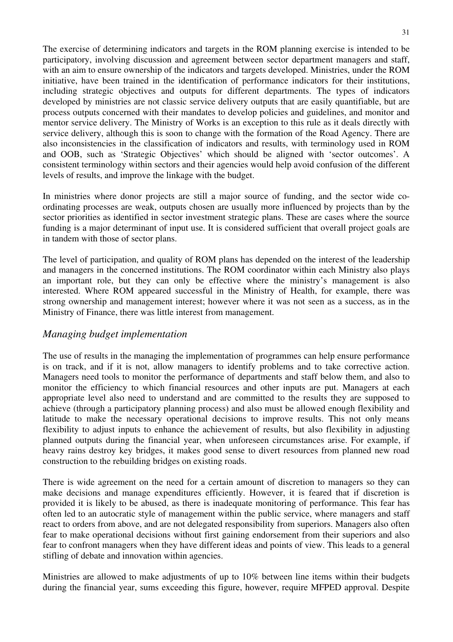The exercise of determining indicators and targets in the ROM planning exercise is intended to be participatory, involving discussion and agreement between sector department managers and staff, with an aim to ensure ownership of the indicators and targets developed. Ministries, under the ROM initiative, have been trained in the identification of performance indicators for their institutions, including strategic objectives and outputs for different departments. The types of indicators developed by ministries are not classic service delivery outputs that are easily quantifiable, but are process outputs concerned with their mandates to develop policies and guidelines, and monitor and mentor service delivery. The Ministry of Works is an exception to this rule as it deals directly with service delivery, although this is soon to change with the formation of the Road Agency. There are also inconsistencies in the classification of indicators and results, with terminology used in ROM and OOB, such as 'Strategic Objectives' which should be aligned with 'sector outcomes'. A consistent terminology within sectors and their agencies would help avoid confusion of the different levels of results, and improve the linkage with the budget.

In ministries where donor projects are still a major source of funding, and the sector wide coordinating processes are weak, outputs chosen are usually more influenced by projects than by the sector priorities as identified in sector investment strategic plans. These are cases where the source funding is a major determinant of input use. It is considered sufficient that overall project goals are in tandem with those of sector plans.

The level of participation, and quality of ROM plans has depended on the interest of the leadership and managers in the concerned institutions. The ROM coordinator within each Ministry also plays an important role, but they can only be effective where the ministry's management is also interested. Where ROM appeared successful in the Ministry of Health, for example, there was strong ownership and management interest; however where it was not seen as a success, as in the Ministry of Finance, there was little interest from management.

### *Managing budget implementation*

The use of results in the managing the implementation of programmes can help ensure performance is on track, and if it is not, allow managers to identify problems and to take corrective action. Managers need tools to monitor the performance of departments and staff below them, and also to monitor the efficiency to which financial resources and other inputs are put. Managers at each appropriate level also need to understand and are committed to the results they are supposed to achieve (through a participatory planning process) and also must be allowed enough flexibility and latitude to make the necessary operational decisions to improve results. This not only means flexibility to adjust inputs to enhance the achievement of results, but also flexibility in adjusting planned outputs during the financial year, when unforeseen circumstances arise. For example, if heavy rains destroy key bridges, it makes good sense to divert resources from planned new road construction to the rebuilding bridges on existing roads.

There is wide agreement on the need for a certain amount of discretion to managers so they can make decisions and manage expenditures efficiently. However, it is feared that if discretion is provided it is likely to be abused, as there is inadequate monitoring of performance. This fear has often led to an autocratic style of management within the public service, where managers and staff react to orders from above, and are not delegated responsibility from superiors. Managers also often fear to make operational decisions without first gaining endorsement from their superiors and also fear to confront managers when they have different ideas and points of view. This leads to a general stifling of debate and innovation within agencies.

Ministries are allowed to make adjustments of up to 10% between line items within their budgets during the financial year, sums exceeding this figure, however, require MFPED approval. Despite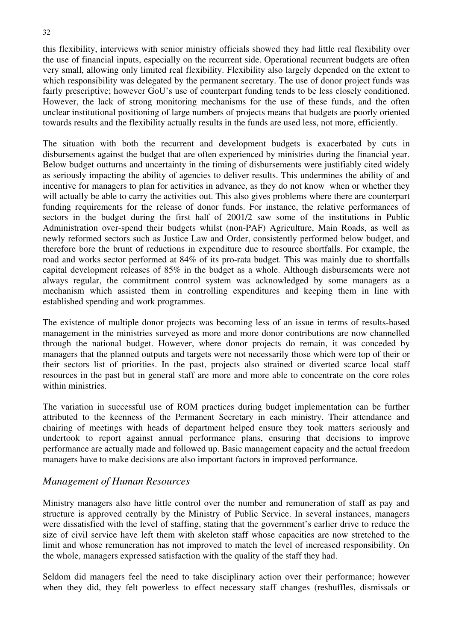this flexibility, interviews with senior ministry officials showed they had little real flexibility over the use of financial inputs, especially on the recurrent side. Operational recurrent budgets are often very small, allowing only limited real flexibility. Flexibility also largely depended on the extent to which responsibility was delegated by the permanent secretary. The use of donor project funds was fairly prescriptive; however GoU's use of counterpart funding tends to be less closely conditioned. However, the lack of strong monitoring mechanisms for the use of these funds, and the often unclear institutional positioning of large numbers of projects means that budgets are poorly oriented towards results and the flexibility actually results in the funds are used less, not more, efficiently.

The situation with both the recurrent and development budgets is exacerbated by cuts in disbursements against the budget that are often experienced by ministries during the financial year. Below budget outturns and uncertainty in the timing of disbursements were justifiably cited widely as seriously impacting the ability of agencies to deliver results. This undermines the ability of and incentive for managers to plan for activities in advance, as they do not know when or whether they will actually be able to carry the activities out. This also gives problems where there are counterpart funding requirements for the release of donor funds. For instance, the relative performances of sectors in the budget during the first half of 2001/2 saw some of the institutions in Public Administration over-spend their budgets whilst (non-PAF) Agriculture, Main Roads, as well as newly reformed sectors such as Justice Law and Order, consistently performed below budget, and therefore bore the brunt of reductions in expenditure due to resource shortfalls. For example, the road and works sector performed at 84% of its pro-rata budget. This was mainly due to shortfalls capital development releases of 85% in the budget as a whole. Although disbursements were not always regular, the commitment control system was acknowledged by some managers as a mechanism which assisted them in controlling expenditures and keeping them in line with established spending and work programmes.

The existence of multiple donor projects was becoming less of an issue in terms of results-based management in the ministries surveyed as more and more donor contributions are now channelled through the national budget. However, where donor projects do remain, it was conceded by managers that the planned outputs and targets were not necessarily those which were top of their or their sectors list of priorities. In the past, projects also strained or diverted scarce local staff resources in the past but in general staff are more and more able to concentrate on the core roles within ministries.

The variation in successful use of ROM practices during budget implementation can be further attributed to the keenness of the Permanent Secretary in each ministry. Their attendance and chairing of meetings with heads of department helped ensure they took matters seriously and undertook to report against annual performance plans, ensuring that decisions to improve performance are actually made and followed up. Basic management capacity and the actual freedom managers have to make decisions are also important factors in improved performance.

### *Management of Human Resources*

Ministry managers also have little control over the number and remuneration of staff as pay and structure is approved centrally by the Ministry of Public Service. In several instances, managers were dissatisfied with the level of staffing, stating that the government's earlier drive to reduce the size of civil service have left them with skeleton staff whose capacities are now stretched to the limit and whose remuneration has not improved to match the level of increased responsibility. On the whole, managers expressed satisfaction with the quality of the staff they had.

Seldom did managers feel the need to take disciplinary action over their performance; however when they did, they felt powerless to effect necessary staff changes (reshuffles, dismissals or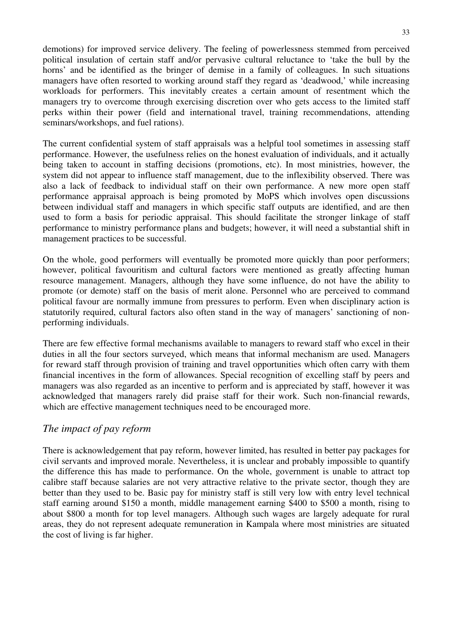demotions) for improved service delivery. The feeling of powerlessness stemmed from perceived political insulation of certain staff and/or pervasive cultural reluctance to 'take the bull by the horns' and be identified as the bringer of demise in a family of colleagues. In such situations managers have often resorted to working around staff they regard as 'deadwood,' while increasing workloads for performers. This inevitably creates a certain amount of resentment which the managers try to overcome through exercising discretion over who gets access to the limited staff perks within their power (field and international travel, training recommendations, attending seminars/workshops, and fuel rations).

The current confidential system of staff appraisals was a helpful tool sometimes in assessing staff performance. However, the usefulness relies on the honest evaluation of individuals, and it actually being taken to account in staffing decisions (promotions, etc). In most ministries, however, the system did not appear to influence staff management, due to the inflexibility observed. There was also a lack of feedback to individual staff on their own performance. A new more open staff performance appraisal approach is being promoted by MoPS which involves open discussions between individual staff and managers in which specific staff outputs are identified, and are then used to form a basis for periodic appraisal. This should facilitate the stronger linkage of staff performance to ministry performance plans and budgets; however, it will need a substantial shift in management practices to be successful.

On the whole, good performers will eventually be promoted more quickly than poor performers; however, political favouritism and cultural factors were mentioned as greatly affecting human resource management. Managers, although they have some influence, do not have the ability to promote (or demote) staff on the basis of merit alone. Personnel who are perceived to command political favour are normally immune from pressures to perform. Even when disciplinary action is statutorily required, cultural factors also often stand in the way of managers' sanctioning of nonperforming individuals.

There are few effective formal mechanisms available to managers to reward staff who excel in their duties in all the four sectors surveyed, which means that informal mechanism are used. Managers for reward staff through provision of training and travel opportunities which often carry with them financial incentives in the form of allowances. Special recognition of excelling staff by peers and managers was also regarded as an incentive to perform and is appreciated by staff, however it was acknowledged that managers rarely did praise staff for their work. Such non-financial rewards, which are effective management techniques need to be encouraged more.

# *The impact of pay reform*

There is acknowledgement that pay reform, however limited, has resulted in better pay packages for civil servants and improved morale. Nevertheless, it is unclear and probably impossible to quantify the difference this has made to performance. On the whole, government is unable to attract top calibre staff because salaries are not very attractive relative to the private sector, though they are better than they used to be. Basic pay for ministry staff is still very low with entry level technical staff earning around \$150 a month, middle management earning \$400 to \$500 a month, rising to about \$800 a month for top level managers. Although such wages are largely adequate for rural areas, they do not represent adequate remuneration in Kampala where most ministries are situated the cost of living is far higher.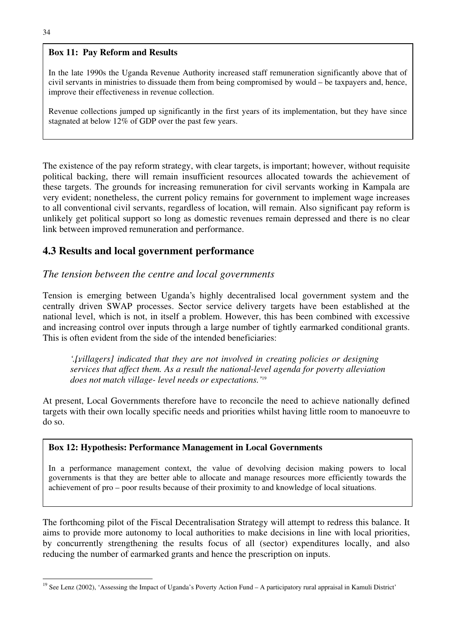#### **Box 11: Pay Reform and Results**

In the late 1990s the Uganda Revenue Authority increased staff remuneration significantly above that of civil servants in ministries to dissuade them from being compromised by would – be taxpayers and, hence, improve their effectiveness in revenue collection.

Revenue collections jumped up significantly in the first years of its implementation, but they have since stagnated at below 12% of GDP over the past few years.

The existence of the pay reform strategy, with clear targets, is important; however, without requisite political backing, there will remain insufficient resources allocated towards the achievement of these targets. The grounds for increasing remuneration for civil servants working in Kampala are very evident; nonetheless, the current policy remains for government to implement wage increases to all conventional civil servants, regardless of location, will remain. Also significant pay reform is unlikely get political support so long as domestic revenues remain depressed and there is no clear link between improved remuneration and performance.

# **4.3 Results and local government performance**

# *The tension between the centre and local governments*

Tension is emerging between Uganda's highly decentralised local government system and the centrally driven SWAP processes. Sector service delivery targets have been established at the national level, which is not, in itself a problem. However, this has been combined with excessive and increasing control over inputs through a large number of tightly earmarked conditional grants. This is often evident from the side of the intended beneficiaries:

*'…[villagers] indicated that they are not involved in creating policies or designing services that affect them. As a result the national-level agenda for poverty alleviation does not match village- level needs or expectations.'*<sup>19</sup>

At present, Local Governments therefore have to reconcile the need to achieve nationally defined targets with their own locally specific needs and priorities whilst having little room to manoeuvre to do so.

### **Box 12: Hypothesis: Performance Management in Local Governments**

In a performance management context, the value of devolving decision making powers to local governments is that they are better able to allocate and manage resources more efficiently towards the achievement of pro – poor results because of their proximity to and knowledge of local situations.

The forthcoming pilot of the Fiscal Decentralisation Strategy will attempt to redress this balance. It aims to provide more autonomy to local authorities to make decisions in line with local priorities, by concurrently strengthening the results focus of all (sector) expenditures locally, and also reducing the number of earmarked grants and hence the prescription on inputs.

<sup>&</sup>lt;sup>19</sup> See Lenz (2002), 'Assessing the Impact of Uganda's Poverty Action Fund – A participatory rural appraisal in Kamuli District'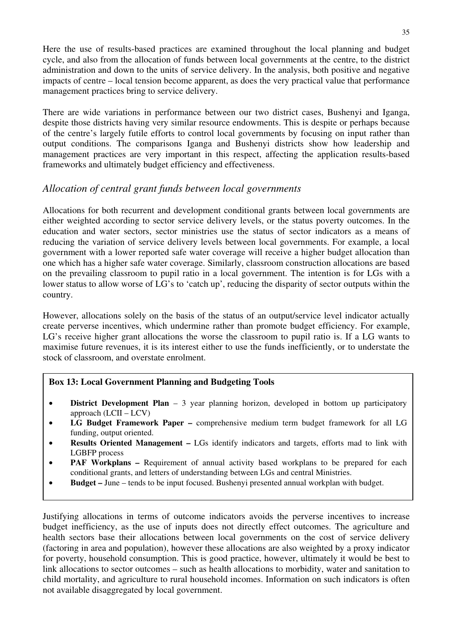Here the use of results-based practices are examined throughout the local planning and budget cycle, and also from the allocation of funds between local governments at the centre, to the district administration and down to the units of service delivery. In the analysis, both positive and negative impacts of centre – local tension become apparent, as does the very practical value that performance management practices bring to service delivery.

There are wide variations in performance between our two district cases, Bushenyi and Iganga, despite those districts having very similar resource endowments. This is despite or perhaps because of the centre's largely futile efforts to control local governments by focusing on input rather than output conditions. The comparisons Iganga and Bushenyi districts show how leadership and management practices are very important in this respect, affecting the application results-based frameworks and ultimately budget efficiency and effectiveness.

# *Allocation of central grant funds between local governments*

Allocations for both recurrent and development conditional grants between local governments are either weighted according to sector service delivery levels, or the status poverty outcomes. In the education and water sectors, sector ministries use the status of sector indicators as a means of reducing the variation of service delivery levels between local governments. For example, a local government with a lower reported safe water coverage will receive a higher budget allocation than one which has a higher safe water coverage. Similarly, classroom construction allocations are based on the prevailing classroom to pupil ratio in a local government. The intention is for LGs with a lower status to allow worse of LG's to 'catch up', reducing the disparity of sector outputs within the country.

However, allocations solely on the basis of the status of an output/service level indicator actually create perverse incentives, which undermine rather than promote budget efficiency. For example, LG's receive higher grant allocations the worse the classroom to pupil ratio is. If a LG wants to maximise future revenues, it is its interest either to use the funds inefficiently, or to understate the stock of classroom, and overstate enrolment.

### **Box 13: Local Government Planning and Budgeting Tools**

- **District Development Plan** 3 year planning horizon, developed in bottom up participatory approach (LCII – LCV)
- **LG Budget Framework Paper** comprehensive medium term budget framework for all LG funding, output oriented.
- **Results Oriented Management** LGs identify indicators and targets, efforts mad to link with LGBFP process
- **PAF Workplans –** Requirement of annual activity based workplans to be prepared for each conditional grants, and letters of understanding between LGs and central Ministries.
- **Budget** June tends to be input focused. Bushenyi presented annual workplan with budget.

Justifying allocations in terms of outcome indicators avoids the perverse incentives to increase budget inefficiency, as the use of inputs does not directly effect outcomes. The agriculture and health sectors base their allocations between local governments on the cost of service delivery (factoring in area and population), however these allocations are also weighted by a proxy indicator for poverty, household consumption. This is good practice, however, ultimately it would be best to link allocations to sector outcomes – such as health allocations to morbidity, water and sanitation to child mortality, and agriculture to rural household incomes. Information on such indicators is often not available disaggregated by local government.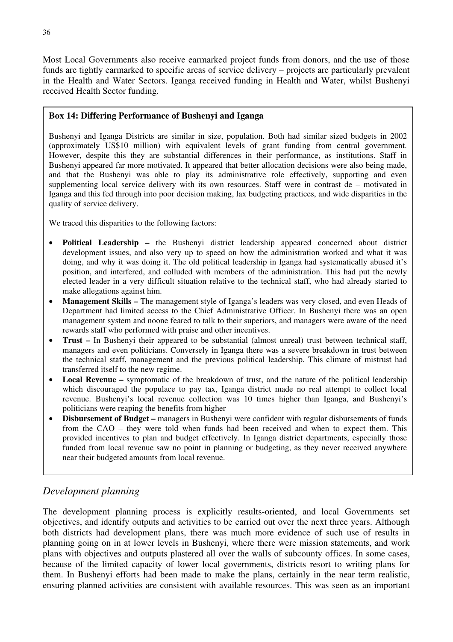Most Local Governments also receive earmarked project funds from donors, and the use of those funds are tightly earmarked to specific areas of service delivery – projects are particularly prevalent in the Health and Water Sectors. Iganga received funding in Health and Water, whilst Bushenyi received Health Sector funding.

### **Box 14: Differing Performance of Bushenyi and Iganga**

Bushenyi and Iganga Districts are similar in size, population. Both had similar sized budgets in 2002 (approximately US\$10 million) with equivalent levels of grant funding from central government. However, despite this they are substantial differences in their performance, as institutions. Staff in Bushenyi appeared far more motivated. It appeared that better allocation decisions were also being made, and that the Bushenyi was able to play its administrative role effectively, supporting and even supplementing local service delivery with its own resources. Staff were in contrast de – motivated in Iganga and this fed through into poor decision making, lax budgeting practices, and wide disparities in the quality of service delivery.

We traced this disparities to the following factors:

- **Political Leadership** the Bushenyi district leadership appeared concerned about district development issues, and also very up to speed on how the administration worked and what it was doing, and why it was doing it. The old political leadership in Iganga had systematically abused it's position, and interfered, and colluded with members of the administration. This had put the newly elected leader in a very difficult situation relative to the technical staff, who had already started to make allegations against him.
- **Management Skills** The management style of Iganga's leaders was very closed, and even Heads of Department had limited access to the Chief Administrative Officer. In Bushenyi there was an open management system and noone feared to talk to their superiors, and managers were aware of the need rewards staff who performed with praise and other incentives.
- **Trust** In Bushenyi their appeared to be substantial (almost unreal) trust between technical staff, managers and even politicians. Conversely in Iganga there was a severe breakdown in trust between the technical staff, management and the previous political leadership. This climate of mistrust had transferred itself to the new regime.
- **Local Revenue** symptomatic of the breakdown of trust, and the nature of the political leadership which discouraged the populace to pay tax, Iganga district made no real attempt to collect local revenue. Bushenyi's local revenue collection was 10 times higher than Iganga, and Bushenyi's politicians were reaping the benefits from higher
- **Disbursement of Budget –** managers in Bushenyi were confident with regular disbursements of funds from the CAO – they were told when funds had been received and when to expect them. This provided incentives to plan and budget effectively. In Iganga district departments, especially those funded from local revenue saw no point in planning or budgeting, as they never received anywhere near their budgeted amounts from local revenue.

# *Development planning*

The development planning process is explicitly results-oriented, and local Governments set objectives, and identify outputs and activities to be carried out over the next three years. Although both districts had development plans, there was much more evidence of such use of results in planning going on in at lower levels in Bushenyi, where there were mission statements, and work plans with objectives and outputs plastered all over the walls of subcounty offices. In some cases, because of the limited capacity of lower local governments, districts resort to writing plans for them. In Bushenyi efforts had been made to make the plans, certainly in the near term realistic, ensuring planned activities are consistent with available resources. This was seen as an important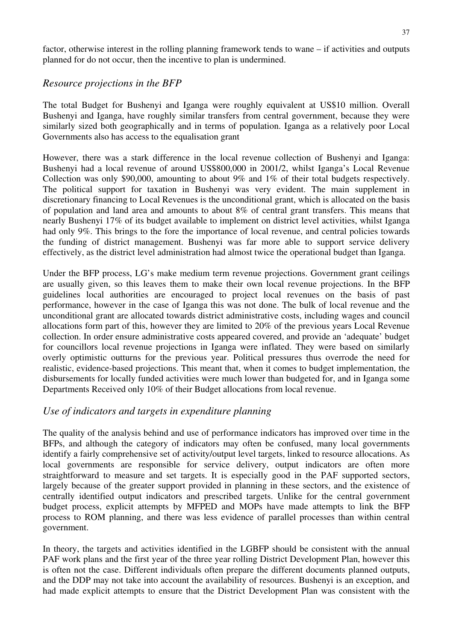factor, otherwise interest in the rolling planning framework tends to wane – if activities and outputs planned for do not occur, then the incentive to plan is undermined.

### *Resource projections in the BFP*

The total Budget for Bushenyi and Iganga were roughly equivalent at US\$10 million. Overall Bushenyi and Iganga, have roughly similar transfers from central government, because they were similarly sized both geographically and in terms of population. Iganga as a relatively poor Local Governments also has access to the equalisation grant

However, there was a stark difference in the local revenue collection of Bushenyi and Iganga: Bushenyi had a local revenue of around US\$800,000 in 2001/2, whilst Iganga's Local Revenue Collection was only \$90,000, amounting to about 9% and 1% of their total budgets respectively. The political support for taxation in Bushenyi was very evident. The main supplement in discretionary financing to Local Revenues is the unconditional grant, which is allocated on the basis of population and land area and amounts to about 8% of central grant transfers. This means that nearly Bushenyi 17% of its budget available to implement on district level activities, whilst Iganga had only 9%. This brings to the fore the importance of local revenue, and central policies towards the funding of district management. Bushenyi was far more able to support service delivery effectively, as the district level administration had almost twice the operational budget than Iganga.

Under the BFP process, LG's make medium term revenue projections. Government grant ceilings are usually given, so this leaves them to make their own local revenue projections. In the BFP guidelines local authorities are encouraged to project local revenues on the basis of past performance, however in the case of Iganga this was not done. The bulk of local revenue and the unconditional grant are allocated towards district administrative costs, including wages and council allocations form part of this, however they are limited to 20% of the previous years Local Revenue collection. In order ensure administrative costs appeared covered, and provide an 'adequate' budget for councillors local revenue projections in Iganga were inflated. They were based on similarly overly optimistic outturns for the previous year. Political pressures thus overrode the need for realistic, evidence-based projections. This meant that, when it comes to budget implementation, the disbursements for locally funded activities were much lower than budgeted for, and in Iganga some Departments Received only 10% of their Budget allocations from local revenue.

### *Use of indicators and targets in expenditure planning*

The quality of the analysis behind and use of performance indicators has improved over time in the BFPs, and although the category of indicators may often be confused, many local governments identify a fairly comprehensive set of activity/output level targets, linked to resource allocations. As local governments are responsible for service delivery, output indicators are often more straightforward to measure and set targets. It is especially good in the PAF supported sectors, largely because of the greater support provided in planning in these sectors, and the existence of centrally identified output indicators and prescribed targets. Unlike for the central government budget process, explicit attempts by MFPED and MOPs have made attempts to link the BFP process to ROM planning, and there was less evidence of parallel processes than within central government.

In theory, the targets and activities identified in the LGBFP should be consistent with the annual PAF work plans and the first year of the three year rolling District Development Plan, however this is often not the case. Different individuals often prepare the different documents planned outputs, and the DDP may not take into account the availability of resources. Bushenyi is an exception, and had made explicit attempts to ensure that the District Development Plan was consistent with the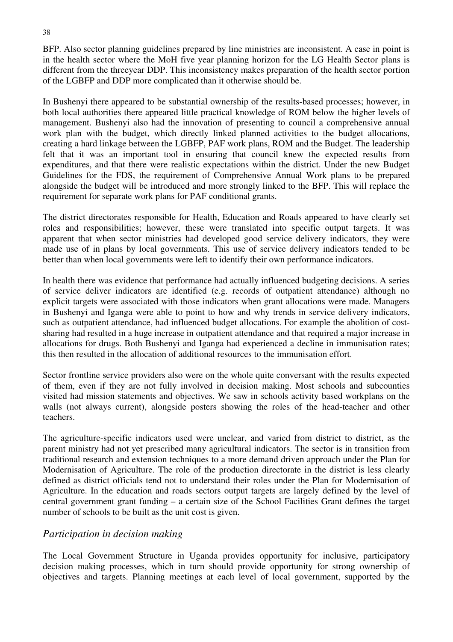BFP. Also sector planning guidelines prepared by line ministries are inconsistent. A case in point is in the health sector where the MoH five year planning horizon for the LG Health Sector plans is different from the threeyear DDP. This inconsistency makes preparation of the health sector portion of the LGBFP and DDP more complicated than it otherwise should be.

In Bushenyi there appeared to be substantial ownership of the results-based processes; however, in both local authorities there appeared little practical knowledge of ROM below the higher levels of management. Bushenyi also had the innovation of presenting to council a comprehensive annual work plan with the budget, which directly linked planned activities to the budget allocations, creating a hard linkage between the LGBFP, PAF work plans, ROM and the Budget. The leadership felt that it was an important tool in ensuring that council knew the expected results from expenditures, and that there were realistic expectations within the district. Under the new Budget Guidelines for the FDS, the requirement of Comprehensive Annual Work plans to be prepared alongside the budget will be introduced and more strongly linked to the BFP. This will replace the requirement for separate work plans for PAF conditional grants.

The district directorates responsible for Health, Education and Roads appeared to have clearly set roles and responsibilities; however, these were translated into specific output targets. It was apparent that when sector ministries had developed good service delivery indicators, they were made use of in plans by local governments. This use of service delivery indicators tended to be better than when local governments were left to identify their own performance indicators.

In health there was evidence that performance had actually influenced budgeting decisions. A series of service deliver indicators are identified (e.g. records of outpatient attendance) although no explicit targets were associated with those indicators when grant allocations were made. Managers in Bushenyi and Iganga were able to point to how and why trends in service delivery indicators, such as outpatient attendance, had influenced budget allocations. For example the abolition of costsharing had resulted in a huge increase in outpatient attendance and that required a major increase in allocations for drugs. Both Bushenyi and Iganga had experienced a decline in immunisation rates; this then resulted in the allocation of additional resources to the immunisation effort.

Sector frontline service providers also were on the whole quite conversant with the results expected of them, even if they are not fully involved in decision making. Most schools and subcounties visited had mission statements and objectives. We saw in schools activity based workplans on the walls (not always current), alongside posters showing the roles of the head-teacher and other teachers.

The agriculture-specific indicators used were unclear, and varied from district to district, as the parent ministry had not yet prescribed many agricultural indicators. The sector is in transition from traditional research and extension techniques to a more demand driven approach under the Plan for Modernisation of Agriculture. The role of the production directorate in the district is less clearly defined as district officials tend not to understand their roles under the Plan for Modernisation of Agriculture. In the education and roads sectors output targets are largely defined by the level of central government grant funding – a certain size of the School Facilities Grant defines the target number of schools to be built as the unit cost is given.

# *Participation in decision making*

The Local Government Structure in Uganda provides opportunity for inclusive, participatory decision making processes, which in turn should provide opportunity for strong ownership of objectives and targets. Planning meetings at each level of local government, supported by the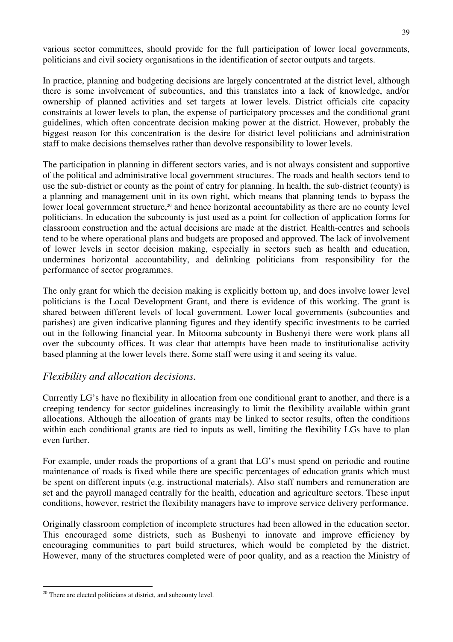various sector committees, should provide for the full participation of lower local governments, politicians and civil society organisations in the identification of sector outputs and targets.

In practice, planning and budgeting decisions are largely concentrated at the district level, although there is some involvement of subcounties, and this translates into a lack of knowledge, and/or ownership of planned activities and set targets at lower levels. District officials cite capacity constraints at lower levels to plan, the expense of participatory processes and the conditional grant guidelines, which often concentrate decision making power at the district. However, probably the biggest reason for this concentration is the desire for district level politicians and administration staff to make decisions themselves rather than devolve responsibility to lower levels.

The participation in planning in different sectors varies, and is not always consistent and supportive of the political and administrative local government structures. The roads and health sectors tend to use the sub-district or county as the point of entry for planning. In health, the sub-district (county) is a planning and management unit in its own right, which means that planning tends to bypass the lower local government structure,<sup>20</sup> and hence horizontal accountability as there are no county level politicians. In education the subcounty is just used as a point for collection of application forms for classroom construction and the actual decisions are made at the district. Health-centres and schools tend to be where operational plans and budgets are proposed and approved. The lack of involvement of lower levels in sector decision making, especially in sectors such as health and education, undermines horizontal accountability, and delinking politicians from responsibility for the performance of sector programmes.

The only grant for which the decision making is explicitly bottom up, and does involve lower level politicians is the Local Development Grant, and there is evidence of this working. The grant is shared between different levels of local government. Lower local governments (subcounties and parishes) are given indicative planning figures and they identify specific investments to be carried out in the following financial year. In Mitooma subcounty in Bushenyi there were work plans all over the subcounty offices. It was clear that attempts have been made to institutionalise activity based planning at the lower levels there. Some staff were using it and seeing its value.

# *Flexibility and allocation decisions.*

Currently LG's have no flexibility in allocation from one conditional grant to another, and there is a creeping tendency for sector guidelines increasingly to limit the flexibility available within grant allocations. Although the allocation of grants may be linked to sector results, often the conditions within each conditional grants are tied to inputs as well, limiting the flexibility LGs have to plan even further.

For example, under roads the proportions of a grant that LG's must spend on periodic and routine maintenance of roads is fixed while there are specific percentages of education grants which must be spent on different inputs (e.g. instructional materials). Also staff numbers and remuneration are set and the payroll managed centrally for the health, education and agriculture sectors. These input conditions, however, restrict the flexibility managers have to improve service delivery performance.

Originally classroom completion of incomplete structures had been allowed in the education sector. This encouraged some districts, such as Bushenyi to innovate and improve efficiency by encouraging communities to part build structures, which would be completed by the district. However, many of the structures completed were of poor quality, and as a reaction the Ministry of

<sup>&</sup>lt;sup>20</sup> There are elected politicians at district, and subcounty level.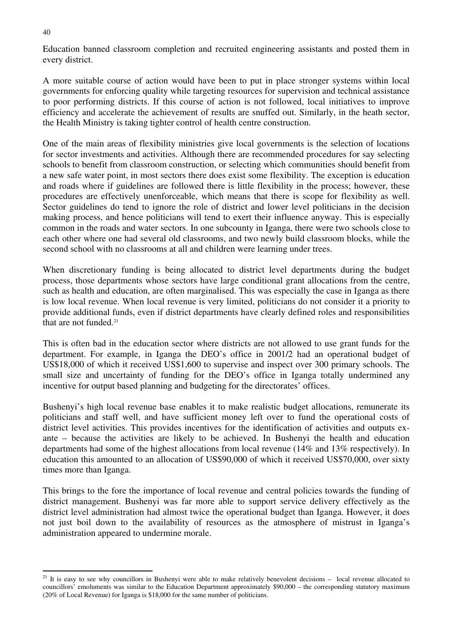Education banned classroom completion and recruited engineering assistants and posted them in every district.

A more suitable course of action would have been to put in place stronger systems within local governments for enforcing quality while targeting resources for supervision and technical assistance to poor performing districts. If this course of action is not followed, local initiatives to improve efficiency and accelerate the achievement of results are snuffed out. Similarly, in the heath sector, the Health Ministry is taking tighter control of health centre construction.

One of the main areas of flexibility ministries give local governments is the selection of locations for sector investments and activities. Although there are recommended procedures for say selecting schools to benefit from classroom construction, or selecting which communities should benefit from a new safe water point, in most sectors there does exist some flexibility. The exception is education and roads where if guidelines are followed there is little flexibility in the process; however, these procedures are effectively unenforceable, which means that there is scope for flexibility as well. Sector guidelines do tend to ignore the role of district and lower level politicians in the decision making process, and hence politicians will tend to exert their influence anyway. This is especially common in the roads and water sectors. In one subcounty in Iganga, there were two schools close to each other where one had several old classrooms, and two newly build classroom blocks, while the second school with no classrooms at all and children were learning under trees.

When discretionary funding is being allocated to district level departments during the budget process, those departments whose sectors have large conditional grant allocations from the centre, such as health and education, are often marginalised. This was especially the case in Iganga as there is low local revenue. When local revenue is very limited, politicians do not consider it a priority to provide additional funds, even if district departments have clearly defined roles and responsibilities that are not funded.<sup>21</sup>

This is often bad in the education sector where districts are not allowed to use grant funds for the department. For example, in Iganga the DEO's office in 2001/2 had an operational budget of US\$18,000 of which it received US\$1,600 to supervise and inspect over 300 primary schools. The small size and uncertainty of funding for the DEO's office in Iganga totally undermined any incentive for output based planning and budgeting for the directorates' offices.

Bushenyi's high local revenue base enables it to make realistic budget allocations, remunerate its politicians and staff well, and have sufficient money left over to fund the operational costs of district level activities. This provides incentives for the identification of activities and outputs exante – because the activities are likely to be achieved. In Bushenyi the health and education departments had some of the highest allocations from local revenue (14% and 13% respectively). In education this amounted to an allocation of US\$90,000 of which it received US\$70,000, over sixty times more than Iganga.

This brings to the fore the importance of local revenue and central policies towards the funding of district management. Bushenyi was far more able to support service delivery effectively as the district level administration had almost twice the operational budget than Iganga. However, it does not just boil down to the availability of resources as the atmosphere of mistrust in Iganga's administration appeared to undermine morale.

 $21$  It is easy to see why councillors in Bushenyi were able to make relatively benevolent decisions – local revenue allocated to councillors' emoluments was similar to the Education Department approximately \$90,000 – the corresponding statutory maximum (20% of Local Revenue) for Iganga is \$18,000 for the same number of politicians.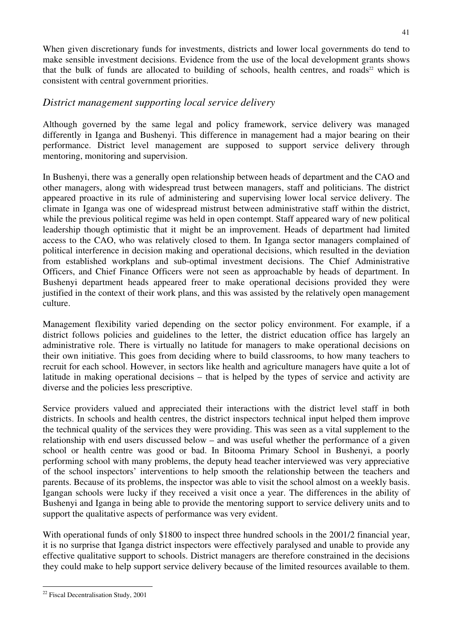When given discretionary funds for investments, districts and lower local governments do tend to make sensible investment decisions. Evidence from the use of the local development grants shows that the bulk of funds are allocated to building of schools, health centres, and roads<sup>22</sup> which is consistent with central government priorities.

# *District management supporting local service delivery*

Although governed by the same legal and policy framework, service delivery was managed differently in Iganga and Bushenyi. This difference in management had a major bearing on their performance. District level management are supposed to support service delivery through mentoring, monitoring and supervision.

In Bushenyi, there was a generally open relationship between heads of department and the CAO and other managers, along with widespread trust between managers, staff and politicians. The district appeared proactive in its rule of administering and supervising lower local service delivery. The climate in Iganga was one of widespread mistrust between administrative staff within the district, while the previous political regime was held in open contempt. Staff appeared wary of new political leadership though optimistic that it might be an improvement. Heads of department had limited access to the CAO, who was relatively closed to them. In Iganga sector managers complained of political interference in decision making and operational decisions, which resulted in the deviation from established workplans and sub-optimal investment decisions. The Chief Administrative Officers, and Chief Finance Officers were not seen as approachable by heads of department. In Bushenyi department heads appeared freer to make operational decisions provided they were justified in the context of their work plans, and this was assisted by the relatively open management culture.

Management flexibility varied depending on the sector policy environment. For example, if a district follows policies and guidelines to the letter, the district education office has largely an administrative role. There is virtually no latitude for managers to make operational decisions on their own initiative. This goes from deciding where to build classrooms, to how many teachers to recruit for each school. However, in sectors like health and agriculture managers have quite a lot of latitude in making operational decisions – that is helped by the types of service and activity are diverse and the policies less prescriptive.

Service providers valued and appreciated their interactions with the district level staff in both districts. In schools and health centres, the district inspectors technical input helped them improve the technical quality of the services they were providing. This was seen as a vital supplement to the relationship with end users discussed below – and was useful whether the performance of a given school or health centre was good or bad. In Bitooma Primary School in Bushenyi, a poorly performing school with many problems, the deputy head teacher interviewed was very appreciative of the school inspectors' interventions to help smooth the relationship between the teachers and parents. Because of its problems, the inspector was able to visit the school almost on a weekly basis. Igangan schools were lucky if they received a visit once a year. The differences in the ability of Bushenyi and Iganga in being able to provide the mentoring support to service delivery units and to support the qualitative aspects of performance was very evident.

With operational funds of only \$1800 to inspect three hundred schools in the 2001/2 financial year, it is no surprise that Iganga district inspectors were effectively paralysed and unable to provide any effective qualitative support to schools. District managers are therefore constrained in the decisions they could make to help support service delivery because of the limited resources available to them.

<sup>22</sup> Fiscal Decentralisation Study, 2001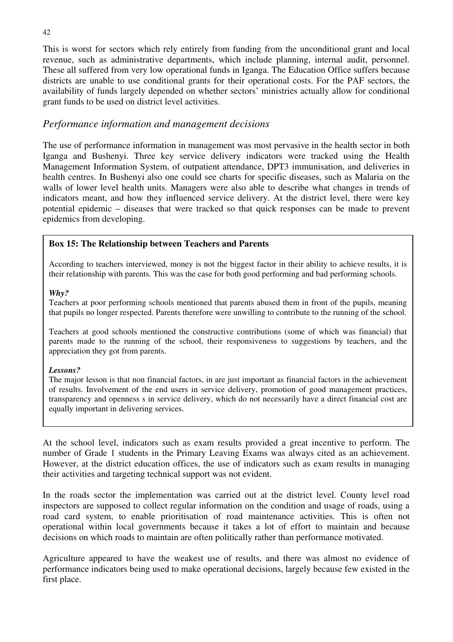This is worst for sectors which rely entirely from funding from the unconditional grant and local revenue, such as administrative departments, which include planning, internal audit, personnel. These all suffered from very low operational funds in Iganga. The Education Office suffers because districts are unable to use conditional grants for their operational costs. For the PAF sectors, the availability of funds largely depended on whether sectors' ministries actually allow for conditional grant funds to be used on district level activities.

## *Performance information and management decisions*

The use of performance information in management was most pervasive in the health sector in both Iganga and Bushenyi. Three key service delivery indicators were tracked using the Health Management Information System, of outpatient attendance, DPT3 immunisation, and deliveries in health centres. In Bushenyi also one could see charts for specific diseases, such as Malaria on the walls of lower level health units. Managers were also able to describe what changes in trends of indicators meant, and how they influenced service delivery. At the district level, there were key potential epidemic – diseases that were tracked so that quick responses can be made to prevent epidemics from developing.

### **Box 15: The Relationship between Teachers and Parents**

According to teachers interviewed, money is not the biggest factor in their ability to achieve results, it is their relationship with parents. This was the case for both good performing and bad performing schools.

#### *Why?*

Teachers at poor performing schools mentioned that parents abused them in front of the pupils, meaning that pupils no longer respected. Parents therefore were unwilling to contribute to the running of the school.

Teachers at good schools mentioned the constructive contributions (some of which was financial) that parents made to the running of the school, their responsiveness to suggestions by teachers, and the appreciation they got from parents.

#### *Lessons?*

The major lesson is that non financial factors, in are just important as financial factors in the achievement of results. Involvement of the end users in service delivery, promotion of good management practices, transparency and openness s in service delivery, which do not necessarily have a direct financial cost are equally important in delivering services.

At the school level, indicators such as exam results provided a great incentive to perform. The number of Grade 1 students in the Primary Leaving Exams was always cited as an achievement. However, at the district education offices, the use of indicators such as exam results in managing their activities and targeting technical support was not evident.

In the roads sector the implementation was carried out at the district level. County level road inspectors are supposed to collect regular information on the condition and usage of roads, using a road card system, to enable prioritisation of road maintenance activities. This is often not operational within local governments because it takes a lot of effort to maintain and because decisions on which roads to maintain are often politically rather than performance motivated.

Agriculture appeared to have the weakest use of results, and there was almost no evidence of performance indicators being used to make operational decisions, largely because few existed in the first place.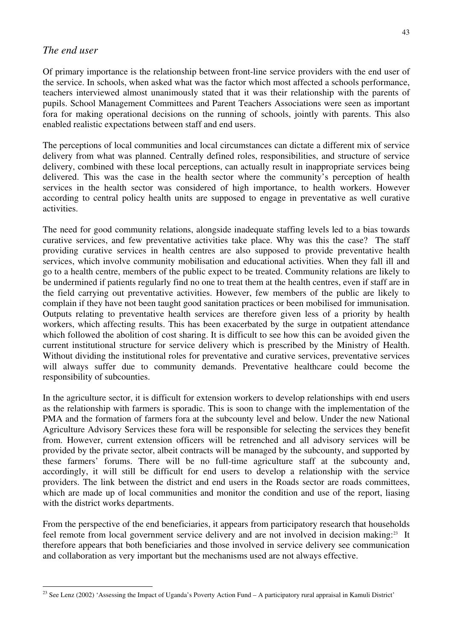#### *The end user*

Of primary importance is the relationship between front-line service providers with the end user of the service. In schools, when asked what was the factor which most affected a schools performance, teachers interviewed almost unanimously stated that it was their relationship with the parents of pupils. School Management Committees and Parent Teachers Associations were seen as important fora for making operational decisions on the running of schools, jointly with parents. This also enabled realistic expectations between staff and end users.

The perceptions of local communities and local circumstances can dictate a different mix of service delivery from what was planned. Centrally defined roles, responsibilities, and structure of service delivery, combined with these local perceptions, can actually result in inappropriate services being delivered. This was the case in the health sector where the community's perception of health services in the health sector was considered of high importance, to health workers. However according to central policy health units are supposed to engage in preventative as well curative activities.

The need for good community relations, alongside inadequate staffing levels led to a bias towards curative services, and few preventative activities take place. Why was this the case? The staff providing curative services in health centres are also supposed to provide preventative health services, which involve community mobilisation and educational activities. When they fall ill and go to a health centre, members of the public expect to be treated. Community relations are likely to be undermined if patients regularly find no one to treat them at the health centres, even if staff are in the field carrying out preventative activities. However, few members of the public are likely to complain if they have not been taught good sanitation practices or been mobilised for immunisation. Outputs relating to preventative health services are therefore given less of a priority by health workers, which affecting results. This has been exacerbated by the surge in outpatient attendance which followed the abolition of cost sharing. It is difficult to see how this can be avoided given the current institutional structure for service delivery which is prescribed by the Ministry of Health. Without dividing the institutional roles for preventative and curative services, preventative services will always suffer due to community demands. Preventative healthcare could become the responsibility of subcounties.

In the agriculture sector, it is difficult for extension workers to develop relationships with end users as the relationship with farmers is sporadic. This is soon to change with the implementation of the PMA and the formation of farmers fora at the subcounty level and below. Under the new National Agriculture Advisory Services these fora will be responsible for selecting the services they benefit from. However, current extension officers will be retrenched and all advisory services will be provided by the private sector, albeit contracts will be managed by the subcounty, and supported by these farmers' forums. There will be no full-time agriculture staff at the subcounty and, accordingly, it will still be difficult for end users to develop a relationship with the service providers. The link between the district and end users in the Roads sector are roads committees, which are made up of local communities and monitor the condition and use of the report, liasing with the district works departments.

From the perspective of the end beneficiaries, it appears from participatory research that households feel remote from local government service delivery and are not involved in decision making:<sup>23</sup> It therefore appears that both beneficiaries and those involved in service delivery see communication and collaboration as very important but the mechanisms used are not always effective.

<sup>&</sup>lt;sup>23</sup> See Lenz (2002) 'Assessing the Impact of Uganda's Poverty Action Fund – A participatory rural appraisal in Kamuli District'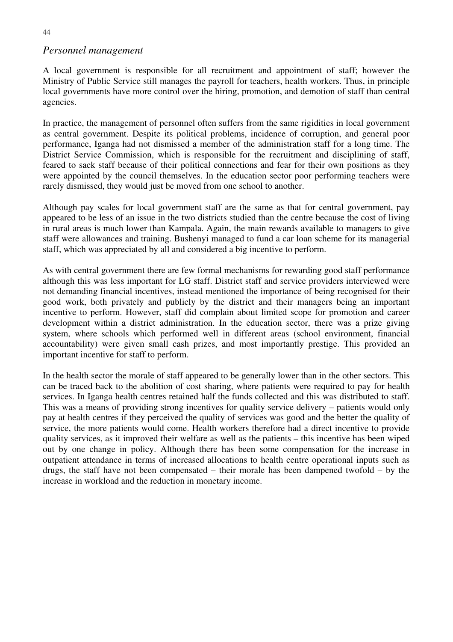# *Personnel management*

A local government is responsible for all recruitment and appointment of staff; however the Ministry of Public Service still manages the payroll for teachers, health workers. Thus, in principle local governments have more control over the hiring, promotion, and demotion of staff than central agencies.

In practice, the management of personnel often suffers from the same rigidities in local government as central government. Despite its political problems, incidence of corruption, and general poor performance, Iganga had not dismissed a member of the administration staff for a long time. The District Service Commission, which is responsible for the recruitment and disciplining of staff, feared to sack staff because of their political connections and fear for their own positions as they were appointed by the council themselves. In the education sector poor performing teachers were rarely dismissed, they would just be moved from one school to another.

Although pay scales for local government staff are the same as that for central government, pay appeared to be less of an issue in the two districts studied than the centre because the cost of living in rural areas is much lower than Kampala. Again, the main rewards available to managers to give staff were allowances and training. Bushenyi managed to fund a car loan scheme for its managerial staff, which was appreciated by all and considered a big incentive to perform.

As with central government there are few formal mechanisms for rewarding good staff performance although this was less important for LG staff. District staff and service providers interviewed were not demanding financial incentives, instead mentioned the importance of being recognised for their good work, both privately and publicly by the district and their managers being an important incentive to perform. However, staff did complain about limited scope for promotion and career development within a district administration. In the education sector, there was a prize giving system, where schools which performed well in different areas (school environment, financial accountability) were given small cash prizes, and most importantly prestige. This provided an important incentive for staff to perform.

In the health sector the morale of staff appeared to be generally lower than in the other sectors. This can be traced back to the abolition of cost sharing, where patients were required to pay for health services. In Iganga health centres retained half the funds collected and this was distributed to staff. This was a means of providing strong incentives for quality service delivery – patients would only pay at health centres if they perceived the quality of services was good and the better the quality of service, the more patients would come. Health workers therefore had a direct incentive to provide quality services, as it improved their welfare as well as the patients – this incentive has been wiped out by one change in policy. Although there has been some compensation for the increase in outpatient attendance in terms of increased allocations to health centre operational inputs such as drugs, the staff have not been compensated – their morale has been dampened twofold – by the increase in workload and the reduction in monetary income.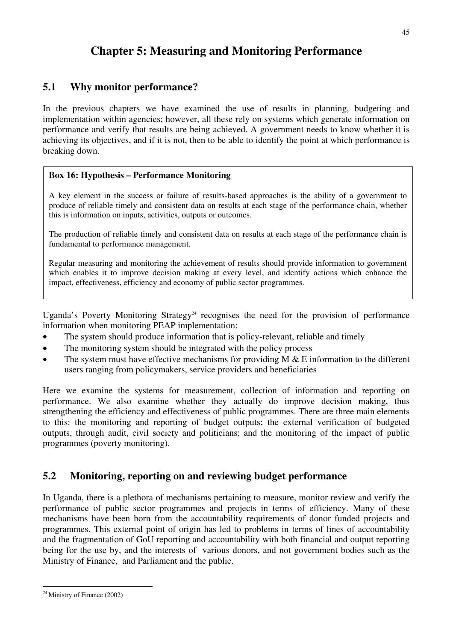# **Chapter 5: Measuring and Monitoring Performance**

# **5.1 Why monitor performance?**

In the previous chapters we have examined the use of results in planning, budgeting and implementation within agencies; however, all these rely on systems which generate information on performance and verify that results are being achieved. A government needs to know whether it is achieving its objectives, and if it is not, then to be able to identify the point at which performance is breaking down.

### **Box 16: Hypothesis – Performance Monitoring**

A key element in the success or failure of results-based approaches is the ability of a government to produce of reliable timely and consistent data on results at each stage of the performance chain, whether this is information on inputs, activities, outputs or outcomes.

The production of reliable timely and consistent data on results at each stage of the performance chain is fundamental to performance management.

Regular measuring and monitoring the achievement of results should provide information to government which enables it to improve decision making at every level, and identify actions which enhance the impact, effectiveness, efficiency and economy of public sector programmes.

Uganda's Poverty Monitoring Strategy<sup>24</sup> recognises the need for the provision of performance information when monitoring PEAP implementation:

- The system should produce information that is policy-relevant, reliable and timely
- The monitoring system should be integrated with the policy process
- The system must have effective mechanisms for providing M  $\&$  E information to the different users ranging from policymakers, service providers and beneficiaries

Here we examine the systems for measurement, collection of information and reporting on performance. We also examine whether they actually do improve decision making, thus strengthening the efficiency and effectiveness of public programmes. There are three main elements to this: the monitoring and reporting of budget outputs; the external verification of budgeted outputs, through audit, civil society and politicians; and the monitoring of the impact of public programmes (poverty monitoring).

# **5.2 Monitoring, reporting on and reviewing budget performance**

In Uganda, there is a plethora of mechanisms pertaining to measure, monitor review and verify the performance of public sector programmes and projects in terms of efficiency. Many of these mechanisms have been born from the accountability requirements of donor funded projects and programmes. This external point of origin has led to problems in terms of lines of accountability and the fragmentation of GoU reporting and accountability with both financial and output reporting being for the use by, and the interests of various donors, and not government bodies such as the Ministry of Finance, and Parliament and the public.

<sup>24</sup> Ministry of Finance (2002)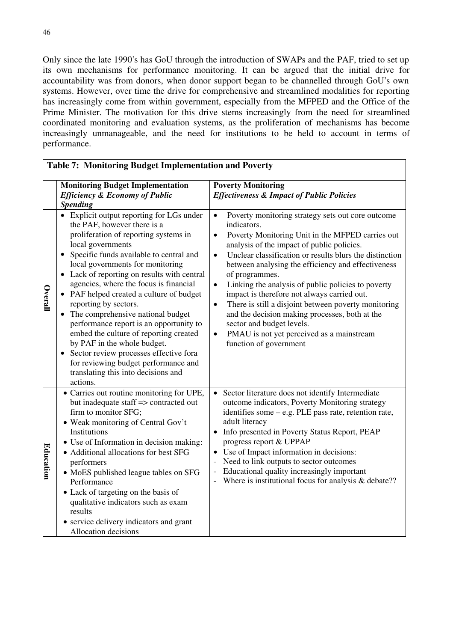Only since the late 1990's has GoU through the introduction of SWAPs and the PAF, tried to set up its own mechanisms for performance monitoring. It can be argued that the initial drive for accountability was from donors, when donor support began to be channelled through GoU's own systems. However, over time the drive for comprehensive and streamlined modalities for reporting has increasingly come from within government, especially from the MFPED and the Office of the Prime Minister. The motivation for this drive stems increasingly from the need for streamlined coordinated monitoring and evaluation systems, as the proliferation of mechanisms has become increasingly unmanageable, and the need for institutions to be held to account in terms of performance.

٦

|                  | Table 7: Monitoring Budget Implementation and Foverty                                                                                                                                                                                                                                                                                                                                                                                                                                                                                                                                                                                                                                                                  |                                                                                                                                                                                                                                                                                                                                                                                                                                                                                                                                                                                                                                                                                                        |  |  |  |
|------------------|------------------------------------------------------------------------------------------------------------------------------------------------------------------------------------------------------------------------------------------------------------------------------------------------------------------------------------------------------------------------------------------------------------------------------------------------------------------------------------------------------------------------------------------------------------------------------------------------------------------------------------------------------------------------------------------------------------------------|--------------------------------------------------------------------------------------------------------------------------------------------------------------------------------------------------------------------------------------------------------------------------------------------------------------------------------------------------------------------------------------------------------------------------------------------------------------------------------------------------------------------------------------------------------------------------------------------------------------------------------------------------------------------------------------------------------|--|--|--|
|                  | <b>Monitoring Budget Implementation</b><br><b>Efficiency &amp; Economy of Public</b><br><b>Spending</b>                                                                                                                                                                                                                                                                                                                                                                                                                                                                                                                                                                                                                | <b>Poverty Monitoring</b><br><b>Effectiveness &amp; Impact of Public Policies</b>                                                                                                                                                                                                                                                                                                                                                                                                                                                                                                                                                                                                                      |  |  |  |
| <b>Overall</b>   | • Explicit output reporting for LGs under<br>the PAF, however there is a<br>proliferation of reporting systems in<br>local governments<br>Specific funds available to central and<br>$\bullet$<br>local governments for monitoring<br>• Lack of reporting on results with central<br>agencies, where the focus is financial<br>PAF helped created a culture of budget<br>$\bullet$<br>reporting by sectors.<br>The comprehensive national budget<br>$\bullet$<br>performance report is an opportunity to<br>embed the culture of reporting created<br>by PAF in the whole budget.<br>Sector review processes effective fora<br>for reviewing budget performance and<br>translating this into decisions and<br>actions. | Poverty monitoring strategy sets out core outcome<br>$\bullet$<br>indicators.<br>Poverty Monitoring Unit in the MFPED carries out<br>$\bullet$<br>analysis of the impact of public policies.<br>Unclear classification or results blurs the distinction<br>$\bullet$<br>between analysing the efficiency and effectiveness<br>of programmes.<br>Linking the analysis of public policies to poverty<br>$\bullet$<br>impact is therefore not always carried out.<br>There is still a disjoint between poverty monitoring<br>$\bullet$<br>and the decision making processes, both at the<br>sector and budget levels.<br>PMAU is not yet perceived as a mainstream<br>$\bullet$<br>function of government |  |  |  |
| <u>Education</u> | • Carries out routine monitoring for UPE,<br>but inadequate staff => contracted out<br>firm to monitor SFG;<br>• Weak monitoring of Central Gov't<br>Institutions<br>• Use of Information in decision making:<br>• Additional allocations for best SFG<br>performers<br>• MoES published league tables on SFG<br>Performance<br>• Lack of targeting on the basis of<br>qualitative indicators such as exam<br>results<br>• service delivery indicators and grant<br>Allocation decisions                                                                                                                                                                                                                               | • Sector literature does not identify Intermediate<br>outcome indicators, Poverty Monitoring strategy<br>identifies some - e.g. PLE pass rate, retention rate,<br>adult literacy<br>• Info presented in Poverty Status Report, PEAP<br>progress report & UPPAP<br>• Use of Impact information in decisions:<br>Need to link outputs to sector outcomes<br>Educational quality increasingly important<br>Where is institutional focus for analysis & debate??                                                                                                                                                                                                                                           |  |  |  |

# **Table 7: Monitoring Budget Implementation and Poverty**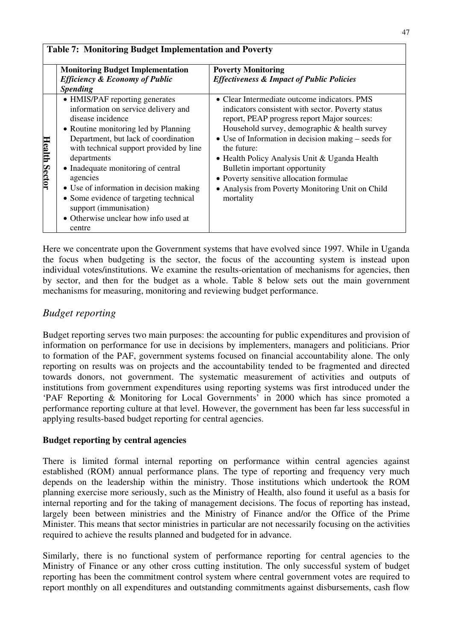|                      | <b>Monitoring Budget Implementation</b><br><b>Efficiency &amp; Economy of Public</b><br><b>Spending</b>                                                                                                                                                                                                                                                                                                                                                 | <b>Poverty Monitoring</b><br><b>Effectiveness &amp; Impact of Public Policies</b>                                                                                                                                                                                                                                                                                                                                                                                              |
|----------------------|---------------------------------------------------------------------------------------------------------------------------------------------------------------------------------------------------------------------------------------------------------------------------------------------------------------------------------------------------------------------------------------------------------------------------------------------------------|--------------------------------------------------------------------------------------------------------------------------------------------------------------------------------------------------------------------------------------------------------------------------------------------------------------------------------------------------------------------------------------------------------------------------------------------------------------------------------|
| <b>Health Sector</b> | • HMIS/PAF reporting generates<br>information on service delivery and<br>disease incidence<br>• Routine monitoring led by Planning<br>Department, but lack of coordination<br>with technical support provided by line<br>departments<br>• Inadequate monitoring of central<br>agencies<br>• Use of information in decision making<br>• Some evidence of targeting technical<br>support (immunisation)<br>• Otherwise unclear how info used at<br>centre | • Clear Intermediate outcome indicators. PMS<br>indicators consistent with sector. Poverty status<br>report, PEAP progress report Major sources:<br>Household survey, demographic & health survey<br>$\bullet$ Use of Information in decision making – seeds for<br>the future:<br>• Health Policy Analysis Unit & Uganda Health<br>Bulletin important opportunity<br>• Poverty sensitive allocation formulae<br>• Analysis from Poverty Monitoring Unit on Child<br>mortality |

Here we concentrate upon the Government systems that have evolved since 1997. While in Uganda the focus when budgeting is the sector, the focus of the accounting system is instead upon individual votes/institutions. We examine the results-orientation of mechanisms for agencies, then by sector, and then for the budget as a whole. Table 8 below sets out the main government mechanisms for measuring, monitoring and reviewing budget performance.

# *Budget reporting*

Budget reporting serves two main purposes: the accounting for public expenditures and provision of information on performance for use in decisions by implementers, managers and politicians. Prior to formation of the PAF, government systems focused on financial accountability alone. The only reporting on results was on projects and the accountability tended to be fragmented and directed towards donors, not government. The systematic measurement of activities and outputs of institutions from government expenditures using reporting systems was first introduced under the 'PAF Reporting & Monitoring for Local Governments' in 2000 which has since promoted a performance reporting culture at that level. However, the government has been far less successful in applying results-based budget reporting for central agencies.

### **Budget reporting by central agencies**

There is limited formal internal reporting on performance within central agencies against established (ROM) annual performance plans. The type of reporting and frequency very much depends on the leadership within the ministry. Those institutions which undertook the ROM planning exercise more seriously, such as the Ministry of Health, also found it useful as a basis for internal reporting and for the taking of management decisions. The focus of reporting has instead, largely been between ministries and the Ministry of Finance and/or the Office of the Prime Minister. This means that sector ministries in particular are not necessarily focusing on the activities required to achieve the results planned and budgeted for in advance.

Similarly, there is no functional system of performance reporting for central agencies to the Ministry of Finance or any other cross cutting institution. The only successful system of budget reporting has been the commitment control system where central government votes are required to report monthly on all expenditures and outstanding commitments against disbursements, cash flow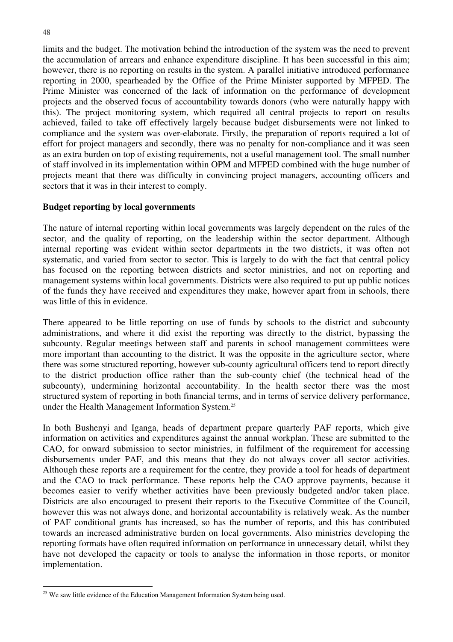limits and the budget. The motivation behind the introduction of the system was the need to prevent the accumulation of arrears and enhance expenditure discipline. It has been successful in this aim; however, there is no reporting on results in the system. A parallel initiative introduced performance reporting in 2000, spearheaded by the Office of the Prime Minister supported by MFPED. The Prime Minister was concerned of the lack of information on the performance of development projects and the observed focus of accountability towards donors (who were naturally happy with this). The project monitoring system, which required all central projects to report on results achieved, failed to take off effectively largely because budget disbursements were not linked to compliance and the system was over-elaborate. Firstly, the preparation of reports required a lot of effort for project managers and secondly, there was no penalty for non-compliance and it was seen as an extra burden on top of existing requirements, not a useful management tool. The small number of staff involved in its implementation within OPM and MFPED combined with the huge number of projects meant that there was difficulty in convincing project managers, accounting officers and sectors that it was in their interest to comply.

#### **Budget reporting by local governments**

The nature of internal reporting within local governments was largely dependent on the rules of the sector, and the quality of reporting, on the leadership within the sector department. Although internal reporting was evident within sector departments in the two districts, it was often not systematic, and varied from sector to sector. This is largely to do with the fact that central policy has focused on the reporting between districts and sector ministries, and not on reporting and management systems within local governments. Districts were also required to put up public notices of the funds they have received and expenditures they make, however apart from in schools, there was little of this in evidence.

There appeared to be little reporting on use of funds by schools to the district and subcounty administrations, and where it did exist the reporting was directly to the district, bypassing the subcounty. Regular meetings between staff and parents in school management committees were more important than accounting to the district. It was the opposite in the agriculture sector, where there was some structured reporting, however sub-county agricultural officers tend to report directly to the district production office rather than the sub-county chief (the technical head of the subcounty), undermining horizontal accountability. In the health sector there was the most structured system of reporting in both financial terms, and in terms of service delivery performance, under the Health Management Information System.25

In both Bushenyi and Iganga, heads of department prepare quarterly PAF reports, which give information on activities and expenditures against the annual workplan. These are submitted to the CAO, for onward submission to sector ministries, in fulfilment of the requirement for accessing disbursements under PAF, and this means that they do not always cover all sector activities. Although these reports are a requirement for the centre, they provide a tool for heads of department and the CAO to track performance. These reports help the CAO approve payments, because it becomes easier to verify whether activities have been previously budgeted and/or taken place. Districts are also encouraged to present their reports to the Executive Committee of the Council, however this was not always done, and horizontal accountability is relatively weak. As the number of PAF conditional grants has increased, so has the number of reports, and this has contributed towards an increased administrative burden on local governments. Also ministries developing the reporting formats have often required information on performance in unnecessary detail, whilst they have not developed the capacity or tools to analyse the information in those reports, or monitor implementation.

<sup>&</sup>lt;sup>25</sup> We saw little evidence of the Education Management Information System being used.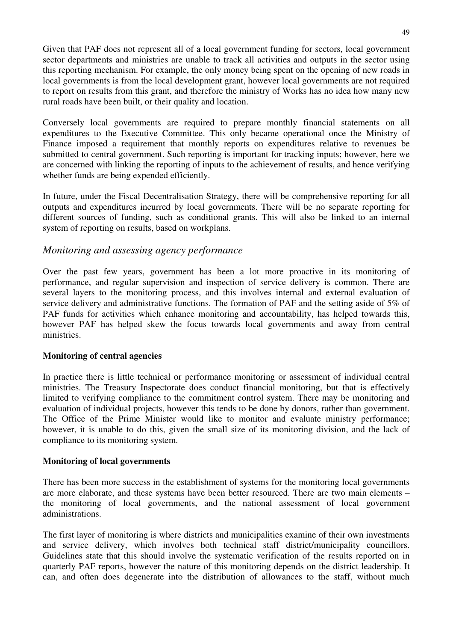Given that PAF does not represent all of a local government funding for sectors, local government sector departments and ministries are unable to track all activities and outputs in the sector using this reporting mechanism. For example, the only money being spent on the opening of new roads in local governments is from the local development grant, however local governments are not required to report on results from this grant, and therefore the ministry of Works has no idea how many new rural roads have been built, or their quality and location.

Conversely local governments are required to prepare monthly financial statements on all expenditures to the Executive Committee. This only became operational once the Ministry of Finance imposed a requirement that monthly reports on expenditures relative to revenues be submitted to central government. Such reporting is important for tracking inputs; however, here we are concerned with linking the reporting of inputs to the achievement of results, and hence verifying whether funds are being expended efficiently.

In future, under the Fiscal Decentralisation Strategy, there will be comprehensive reporting for all outputs and expenditures incurred by local governments. There will be no separate reporting for different sources of funding, such as conditional grants. This will also be linked to an internal system of reporting on results, based on workplans.

# *Monitoring and assessing agency performance*

Over the past few years, government has been a lot more proactive in its monitoring of performance, and regular supervision and inspection of service delivery is common. There are several layers to the monitoring process, and this involves internal and external evaluation of service delivery and administrative functions. The formation of PAF and the setting aside of 5% of PAF funds for activities which enhance monitoring and accountability, has helped towards this, however PAF has helped skew the focus towards local governments and away from central ministries.

#### **Monitoring of central agencies**

In practice there is little technical or performance monitoring or assessment of individual central ministries. The Treasury Inspectorate does conduct financial monitoring, but that is effectively limited to verifying compliance to the commitment control system. There may be monitoring and evaluation of individual projects, however this tends to be done by donors, rather than government. The Office of the Prime Minister would like to monitor and evaluate ministry performance; however, it is unable to do this, given the small size of its monitoring division, and the lack of compliance to its monitoring system.

#### **Monitoring of local governments**

There has been more success in the establishment of systems for the monitoring local governments are more elaborate, and these systems have been better resourced. There are two main elements – the monitoring of local governments, and the national assessment of local government administrations.

The first layer of monitoring is where districts and municipalities examine of their own investments and service delivery, which involves both technical staff district/municipality councillors. Guidelines state that this should involve the systematic verification of the results reported on in quarterly PAF reports, however the nature of this monitoring depends on the district leadership. It can, and often does degenerate into the distribution of allowances to the staff, without much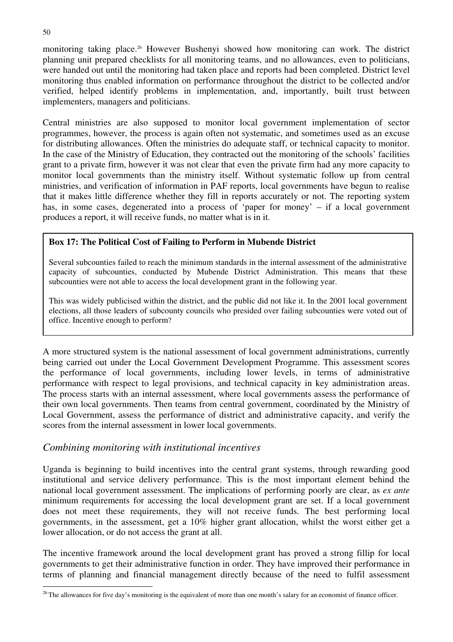monitoring taking place.<sup>26</sup> However Bushenyi showed how monitoring can work. The district planning unit prepared checklists for all monitoring teams, and no allowances, even to politicians, were handed out until the monitoring had taken place and reports had been completed. District level monitoring thus enabled information on performance throughout the district to be collected and/or verified, helped identify problems in implementation, and, importantly, built trust between implementers, managers and politicians.

Central ministries are also supposed to monitor local government implementation of sector programmes, however, the process is again often not systematic, and sometimes used as an excuse for distributing allowances. Often the ministries do adequate staff, or technical capacity to monitor. In the case of the Ministry of Education, they contracted out the monitoring of the schools' facilities grant to a private firm, however it was not clear that even the private firm had any more capacity to monitor local governments than the ministry itself. Without systematic follow up from central ministries, and verification of information in PAF reports, local governments have begun to realise that it makes little difference whether they fill in reports accurately or not. The reporting system has, in some cases, degenerated into a process of 'paper for money' – if a local government produces a report, it will receive funds, no matter what is in it.

### **Box 17: The Political Cost of Failing to Perform in Mubende District**

Several subcounties failed to reach the minimum standards in the internal assessment of the administrative capacity of subcounties, conducted by Mubende District Administration. This means that these subcounties were not able to access the local development grant in the following year.

This was widely publicised within the district, and the public did not like it. In the 2001 local government elections, all those leaders of subcounty councils who presided over failing subcounties were voted out of office. Incentive enough to perform?

A more structured system is the national assessment of local government administrations, currently being carried out under the Local Government Development Programme. This assessment scores the performance of local governments, including lower levels, in terms of administrative performance with respect to legal provisions, and technical capacity in key administration areas. The process starts with an internal assessment, where local governments assess the performance of their own local governments. Then teams from central government, coordinated by the Ministry of Local Government, assess the performance of district and administrative capacity, and verify the scores from the internal assessment in lower local governments.

### *Combining monitoring with institutional incentives*

Uganda is beginning to build incentives into the central grant systems, through rewarding good institutional and service delivery performance. This is the most important element behind the national local government assessment. The implications of performing poorly are clear, as *ex ante* minimum requirements for accessing the local development grant are set. If a local government does not meet these requirements, they will not receive funds. The best performing local governments, in the assessment, get a 10% higher grant allocation, whilst the worst either get a lower allocation, or do not access the grant at all.

The incentive framework around the local development grant has proved a strong fillip for local governments to get their administrative function in order. They have improved their performance in terms of planning and financial management directly because of the need to fulfil assessment

<sup>&</sup>lt;sup>26</sup> The allowances for five day's monitoring is the equivalent of more than one month's salary for an economist of finance officer.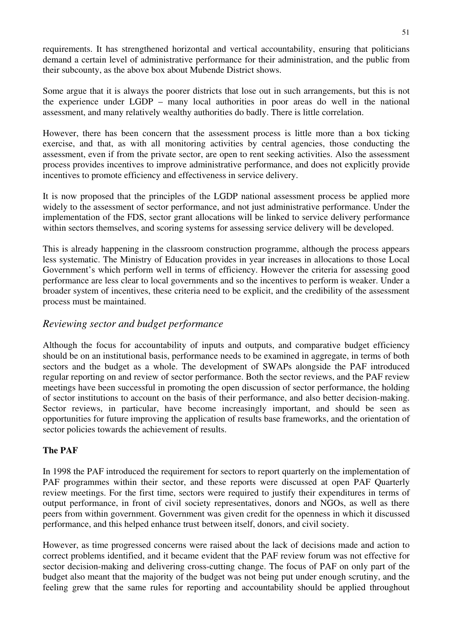requirements. It has strengthened horizontal and vertical accountability, ensuring that politicians demand a certain level of administrative performance for their administration, and the public from their subcounty, as the above box about Mubende District shows.

Some argue that it is always the poorer districts that lose out in such arrangements, but this is not the experience under LGDP – many local authorities in poor areas do well in the national assessment, and many relatively wealthy authorities do badly. There is little correlation.

However, there has been concern that the assessment process is little more than a box ticking exercise, and that, as with all monitoring activities by central agencies, those conducting the assessment, even if from the private sector, are open to rent seeking activities. Also the assessment process provides incentives to improve administrative performance, and does not explicitly provide incentives to promote efficiency and effectiveness in service delivery.

It is now proposed that the principles of the LGDP national assessment process be applied more widely to the assessment of sector performance, and not just administrative performance. Under the implementation of the FDS, sector grant allocations will be linked to service delivery performance within sectors themselves, and scoring systems for assessing service delivery will be developed.

This is already happening in the classroom construction programme, although the process appears less systematic. The Ministry of Education provides in year increases in allocations to those Local Government's which perform well in terms of efficiency. However the criteria for assessing good performance are less clear to local governments and so the incentives to perform is weaker. Under a broader system of incentives, these criteria need to be explicit, and the credibility of the assessment process must be maintained.

## *Reviewing sector and budget performance*

Although the focus for accountability of inputs and outputs, and comparative budget efficiency should be on an institutional basis, performance needs to be examined in aggregate, in terms of both sectors and the budget as a whole. The development of SWAPs alongside the PAF introduced regular reporting on and review of sector performance. Both the sector reviews, and the PAF review meetings have been successful in promoting the open discussion of sector performance, the holding of sector institutions to account on the basis of their performance, and also better decision-making. Sector reviews, in particular, have become increasingly important, and should be seen as opportunities for future improving the application of results base frameworks, and the orientation of sector policies towards the achievement of results.

### **The PAF**

In 1998 the PAF introduced the requirement for sectors to report quarterly on the implementation of PAF programmes within their sector, and these reports were discussed at open PAF Quarterly review meetings. For the first time, sectors were required to justify their expenditures in terms of output performance, in front of civil society representatives, donors and NGOs, as well as there peers from within government. Government was given credit for the openness in which it discussed performance, and this helped enhance trust between itself, donors, and civil society.

However, as time progressed concerns were raised about the lack of decisions made and action to correct problems identified, and it became evident that the PAF review forum was not effective for sector decision-making and delivering cross-cutting change. The focus of PAF on only part of the budget also meant that the majority of the budget was not being put under enough scrutiny, and the feeling grew that the same rules for reporting and accountability should be applied throughout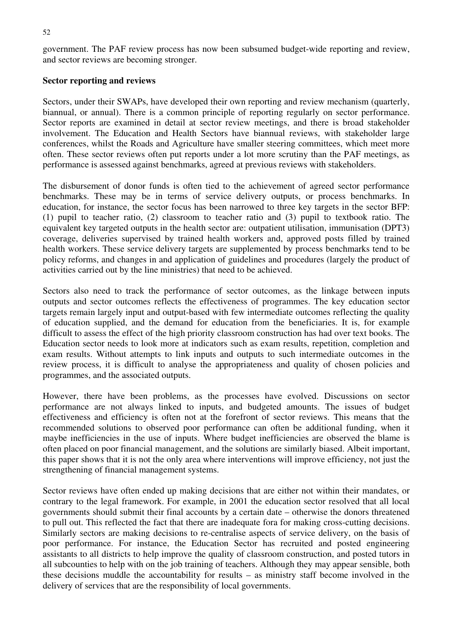government. The PAF review process has now been subsumed budget-wide reporting and review, and sector reviews are becoming stronger.

#### **Sector reporting and reviews**

Sectors, under their SWAPs, have developed their own reporting and review mechanism (quarterly, biannual, or annual). There is a common principle of reporting regularly on sector performance. Sector reports are examined in detail at sector review meetings, and there is broad stakeholder involvement. The Education and Health Sectors have biannual reviews, with stakeholder large conferences, whilst the Roads and Agriculture have smaller steering committees, which meet more often. These sector reviews often put reports under a lot more scrutiny than the PAF meetings, as performance is assessed against benchmarks, agreed at previous reviews with stakeholders.

The disbursement of donor funds is often tied to the achievement of agreed sector performance benchmarks. These may be in terms of service delivery outputs, or process benchmarks. In education, for instance, the sector focus has been narrowed to three key targets in the sector BFP: (1) pupil to teacher ratio, (2) classroom to teacher ratio and (3) pupil to textbook ratio. The equivalent key targeted outputs in the health sector are: outpatient utilisation, immunisation (DPT3) coverage, deliveries supervised by trained health workers and, approved posts filled by trained health workers. These service delivery targets are supplemented by process benchmarks tend to be policy reforms, and changes in and application of guidelines and procedures (largely the product of activities carried out by the line ministries) that need to be achieved.

Sectors also need to track the performance of sector outcomes, as the linkage between inputs outputs and sector outcomes reflects the effectiveness of programmes. The key education sector targets remain largely input and output-based with few intermediate outcomes reflecting the quality of education supplied, and the demand for education from the beneficiaries. It is, for example difficult to assess the effect of the high priority classroom construction has had over text books. The Education sector needs to look more at indicators such as exam results, repetition, completion and exam results. Without attempts to link inputs and outputs to such intermediate outcomes in the review process, it is difficult to analyse the appropriateness and quality of chosen policies and programmes, and the associated outputs.

However, there have been problems, as the processes have evolved. Discussions on sector performance are not always linked to inputs, and budgeted amounts. The issues of budget effectiveness and efficiency is often not at the forefront of sector reviews. This means that the recommended solutions to observed poor performance can often be additional funding, when it maybe inefficiencies in the use of inputs. Where budget inefficiencies are observed the blame is often placed on poor financial management, and the solutions are similarly biased. Albeit important, this paper shows that it is not the only area where interventions will improve efficiency, not just the strengthening of financial management systems.

Sector reviews have often ended up making decisions that are either not within their mandates, or contrary to the legal framework. For example, in 2001 the education sector resolved that all local governments should submit their final accounts by a certain date – otherwise the donors threatened to pull out. This reflected the fact that there are inadequate fora for making cross-cutting decisions. Similarly sectors are making decisions to re-centralise aspects of service delivery, on the basis of poor performance. For instance, the Education Sector has recruited and posted engineering assistants to all districts to help improve the quality of classroom construction, and posted tutors in all subcounties to help with on the job training of teachers. Although they may appear sensible, both these decisions muddle the accountability for results – as ministry staff become involved in the delivery of services that are the responsibility of local governments.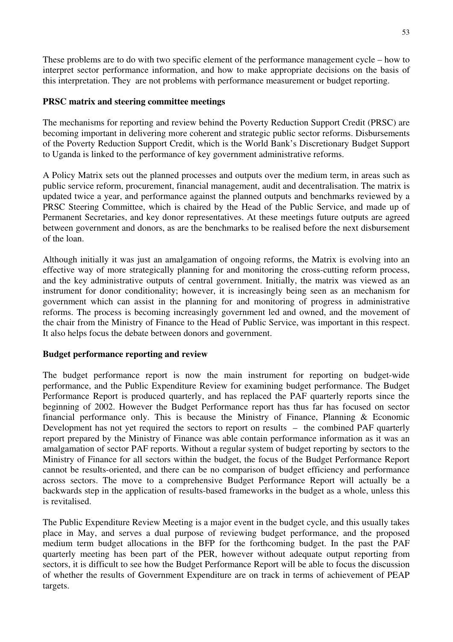These problems are to do with two specific element of the performance management cycle – how to interpret sector performance information, and how to make appropriate decisions on the basis of this interpretation. They are not problems with performance measurement or budget reporting.

#### **PRSC matrix and steering committee meetings**

The mechanisms for reporting and review behind the Poverty Reduction Support Credit (PRSC) are becoming important in delivering more coherent and strategic public sector reforms. Disbursements of the Poverty Reduction Support Credit, which is the World Bank's Discretionary Budget Support to Uganda is linked to the performance of key government administrative reforms.

A Policy Matrix sets out the planned processes and outputs over the medium term, in areas such as public service reform, procurement, financial management, audit and decentralisation. The matrix is updated twice a year, and performance against the planned outputs and benchmarks reviewed by a PRSC Steering Committee, which is chaired by the Head of the Public Service, and made up of Permanent Secretaries, and key donor representatives. At these meetings future outputs are agreed between government and donors, as are the benchmarks to be realised before the next disbursement of the loan.

Although initially it was just an amalgamation of ongoing reforms, the Matrix is evolving into an effective way of more strategically planning for and monitoring the cross-cutting reform process, and the key administrative outputs of central government. Initially, the matrix was viewed as an instrument for donor conditionality; however, it is increasingly being seen as an mechanism for government which can assist in the planning for and monitoring of progress in administrative reforms. The process is becoming increasingly government led and owned, and the movement of the chair from the Ministry of Finance to the Head of Public Service, was important in this respect. It also helps focus the debate between donors and government.

#### **Budget performance reporting and review**

The budget performance report is now the main instrument for reporting on budget-wide performance, and the Public Expenditure Review for examining budget performance. The Budget Performance Report is produced quarterly, and has replaced the PAF quarterly reports since the beginning of 2002. However the Budget Performance report has thus far has focused on sector financial performance only. This is because the Ministry of Finance, Planning & Economic Development has not yet required the sectors to report on results – the combined PAF quarterly report prepared by the Ministry of Finance was able contain performance information as it was an amalgamation of sector PAF reports. Without a regular system of budget reporting by sectors to the Ministry of Finance for all sectors within the budget, the focus of the Budget Performance Report cannot be results-oriented, and there can be no comparison of budget efficiency and performance across sectors. The move to a comprehensive Budget Performance Report will actually be a backwards step in the application of results-based frameworks in the budget as a whole, unless this is revitalised.

The Public Expenditure Review Meeting is a major event in the budget cycle, and this usually takes place in May, and serves a dual purpose of reviewing budget performance, and the proposed medium term budget allocations in the BFP for the forthcoming budget. In the past the PAF quarterly meeting has been part of the PER, however without adequate output reporting from sectors, it is difficult to see how the Budget Performance Report will be able to focus the discussion of whether the results of Government Expenditure are on track in terms of achievement of PEAP targets.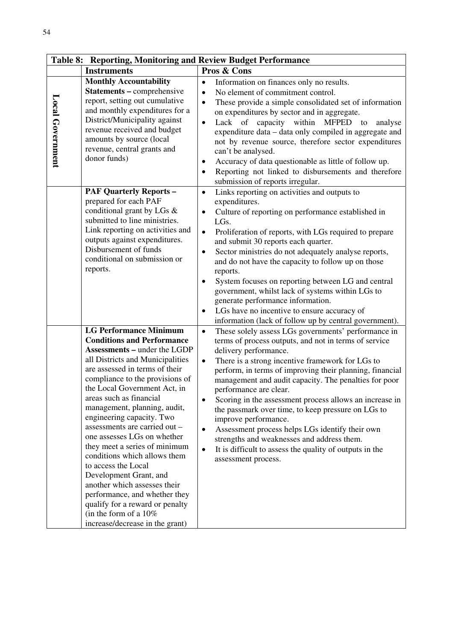| Table 8: Reporting, Monitoring and Review Budget Performance |                                                                                                                                                                                                                                                                                                                                                                                                                                                                                                                                                                                                                                                                                                 |                                                                            |                                                                                                                                                                                                                                                                                                                                                                                                                                                                                                                                                                                                                                                                      |
|--------------------------------------------------------------|-------------------------------------------------------------------------------------------------------------------------------------------------------------------------------------------------------------------------------------------------------------------------------------------------------------------------------------------------------------------------------------------------------------------------------------------------------------------------------------------------------------------------------------------------------------------------------------------------------------------------------------------------------------------------------------------------|----------------------------------------------------------------------------|----------------------------------------------------------------------------------------------------------------------------------------------------------------------------------------------------------------------------------------------------------------------------------------------------------------------------------------------------------------------------------------------------------------------------------------------------------------------------------------------------------------------------------------------------------------------------------------------------------------------------------------------------------------------|
|                                                              | <b>Instruments</b>                                                                                                                                                                                                                                                                                                                                                                                                                                                                                                                                                                                                                                                                              |                                                                            | Pros & Cons                                                                                                                                                                                                                                                                                                                                                                                                                                                                                                                                                                                                                                                          |
| Local Government                                             | <b>Monthly Accountability</b><br><b>Statements - comprehensive</b><br>report, setting out cumulative<br>and monthly expenditures for a<br>District/Municipality against<br>revenue received and budget<br>amounts by source (local<br>revenue, central grants and<br>donor funds)                                                                                                                                                                                                                                                                                                                                                                                                               | $\bullet$<br>$\bullet$<br>$\bullet$<br>$\bullet$<br>$\bullet$<br>$\bullet$ | Information on finances only no results.<br>No element of commitment control.<br>These provide a simple consolidated set of information<br>on expenditures by sector and in aggregate.<br>Lack of capacity within MFPED<br>to<br>analyse<br>expenditure data - data only compiled in aggregate and<br>not by revenue source, therefore sector expenditures<br>can't be analysed.<br>Accuracy of data questionable as little of follow up.<br>Reporting not linked to disbursements and therefore<br>submission of reports irregular.                                                                                                                                 |
|                                                              | <b>PAF Quarterly Reports -</b><br>prepared for each PAF<br>conditional grant by LGs &<br>submitted to line ministries.<br>Link reporting on activities and<br>outputs against expenditures.<br>Disbursement of funds<br>conditional on submission or<br>reports.                                                                                                                                                                                                                                                                                                                                                                                                                                | $\bullet$<br>$\bullet$<br>$\bullet$<br>$\bullet$<br>$\bullet$<br>$\bullet$ | Links reporting on activities and outputs to<br>expenditures.<br>Culture of reporting on performance established in<br>LGs.<br>Proliferation of reports, with LGs required to prepare<br>and submit 30 reports each quarter.<br>Sector ministries do not adequately analyse reports,<br>and do not have the capacity to follow up on those<br>reports.<br>System focuses on reporting between LG and central<br>government, whilst lack of systems within LGs to<br>generate performance information.<br>LGs have no incentive to ensure accuracy of<br>information (lack of follow up by central government).                                                       |
|                                                              | <b>LG Performance Minimum</b><br><b>Conditions and Performance</b><br><b>Assessments - under the LGDP</b><br>all Districts and Municipalities<br>are assessed in terms of their<br>compliance to the provisions of<br>the Local Government Act, in<br>areas such as financial<br>management, planning, audit,<br>engineering capacity. Two<br>assessments are carried out -<br>one assesses LGs on whether<br>they meet a series of minimum<br>conditions which allows them<br>to access the Local<br>Development Grant, and<br>another which assesses their<br>performance, and whether they<br>qualify for a reward or penalty<br>(in the form of a $10\%$<br>increase/decrease in the grant) | $\bullet$<br>$\bullet$<br>$\bullet$<br>$\bullet$<br>$\bullet$              | These solely assess LGs governments' performance in<br>terms of process outputs, and not in terms of service<br>delivery performance.<br>There is a strong incentive framework for LGs to<br>perform, in terms of improving their planning, financial<br>management and audit capacity. The penalties for poor<br>performance are clear.<br>Scoring in the assessment process allows an increase in<br>the passmark over time, to keep pressure on LGs to<br>improve performance.<br>Assessment process helps LGs identify their own<br>strengths and weaknesses and address them.<br>It is difficult to assess the quality of outputs in the<br>assessment process. |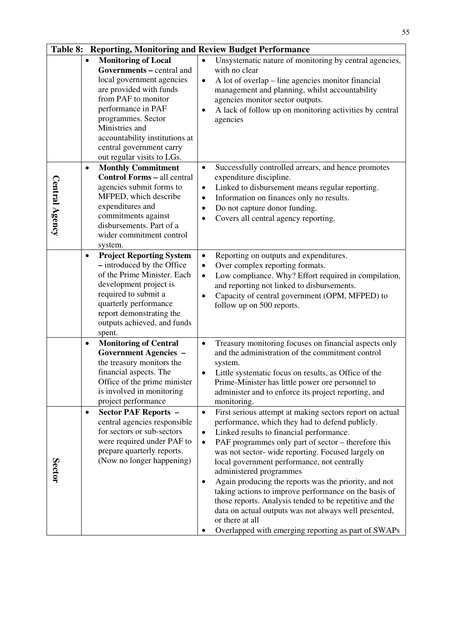|                |                                                                                                                                                                                                                  |                                                                                                                                     | 55                                                                                                                                                                                                                                                                                                                                                                                                                                                                                                                                                                                                                                                            |
|----------------|------------------------------------------------------------------------------------------------------------------------------------------------------------------------------------------------------------------|-------------------------------------------------------------------------------------------------------------------------------------|---------------------------------------------------------------------------------------------------------------------------------------------------------------------------------------------------------------------------------------------------------------------------------------------------------------------------------------------------------------------------------------------------------------------------------------------------------------------------------------------------------------------------------------------------------------------------------------------------------------------------------------------------------------|
|                | <b>Monitoring of Local</b><br>$\bullet$<br>local government agencies<br>are provided with funds<br>from PAF to monitor<br>performance in PAF<br>programmes. Sector<br>Ministries and<br>central government carry | $\bullet$<br>Governments - central and<br>$\bullet$<br>accountability institutions at                                               | Table 8: Reporting, Monitoring and Review Budget Performance<br>Unsystematic nature of monitoring by central agencies,<br>with no clear<br>A lot of overlap – line agencies monitor financial<br>management and planning, whilst accountability<br>agencies monitor sector outputs.<br>A lack of follow up on monitoring activities by central<br>agencies                                                                                                                                                                                                                                                                                                    |
| Central Agency | out regular visits to LGs.<br><b>Monthly Commitment</b><br>$\bullet$<br>agencies submit forms to<br>MFPED, which describe<br>expenditures and<br>commitments against<br>disbursements. Part of a                 | $\bullet$<br><b>Control Forms - all central</b><br>$\bullet$<br>$\bullet$<br>$\bullet$<br>٠<br>wider commitment control             | Successfully controlled arrears, and hence promotes<br>expenditure discipline.<br>Linked to disbursement means regular reporting.<br>Information on finances only no results.<br>Do not capture donor funding.<br>Covers all central agency reporting.                                                                                                                                                                                                                                                                                                                                                                                                        |
|                | system.<br>$\bullet$<br>- introduced by the Office<br>development project is<br>required to submit a<br>quarterly performance<br>report demonstrating the<br>spent.                                              | <b>Project Reporting System</b><br>$\bullet$<br>٠<br>of the Prime Minister. Each<br>$\bullet$<br>٠<br>outputs achieved, and funds   | Reporting on outputs and expenditures.<br>Over complex reporting formats.<br>Low compliance. Why? Effort required in compilation,<br>and reporting not linked to disbursements.<br>Capacity of central government (OPM, MFPED) to<br>follow up on 500 reports.                                                                                                                                                                                                                                                                                                                                                                                                |
|                | <b>Monitoring of Central</b><br>٠<br><b>Government Agencies -</b><br>the treasury monitors the<br>financial aspects. The<br>is involved in monitoring<br>project performance                                     | $\bullet$<br>Office of the prime minister                                                                                           | Treasury monitoring focuses on financial aspects only<br>and the administration of the commitment control<br>system.<br>Little systematic focus on results, as Office of the<br>Prime-Minister has little power ore personnel to<br>administer and to enforce its project reporting, and<br>monitoring.                                                                                                                                                                                                                                                                                                                                                       |
| Sector         | <b>Sector PAF Reports -</b><br>$\bullet$<br>for sectors or sub-sectors<br>prepare quarterly reports.                                                                                                             | $\bullet$<br>central agencies responsible<br>$\bullet$<br>were required under PAF to<br>$\bullet$<br>(Now no longer happening)<br>٠ | First serious attempt at making sectors report on actual<br>performance, which they had to defend publicly.<br>Linked results to financial performance.<br>PAF programmes only part of sector – therefore this<br>was not sector-wide reporting. Focused largely on<br>local government performance, not centrally<br>administered programmes<br>Again producing the reports was the priority, and not<br>taking actions to improve performance on the basis of<br>those reports. Analysis tended to be repetitive and the<br>data on actual outputs was not always well presented,<br>or there at all<br>Overlapped with emerging reporting as part of SWAPs |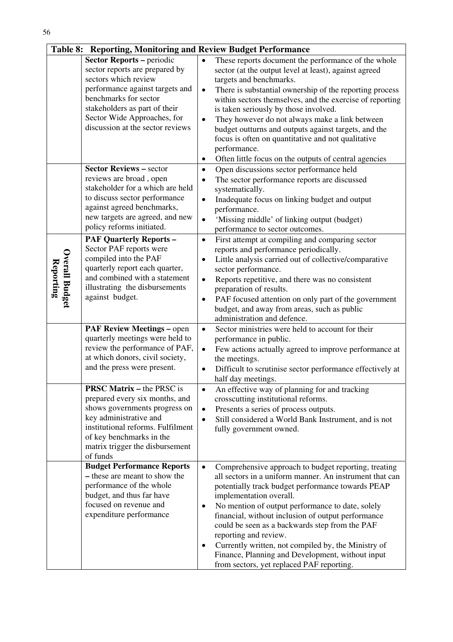|                                    | Table 8: Reporting, Monitoring and Review Budget Performance                                                                                                                                                                                               |                                                  |                                                                                                                                                                                                                                                                                                                                                                                                                                                                                                                                              |
|------------------------------------|------------------------------------------------------------------------------------------------------------------------------------------------------------------------------------------------------------------------------------------------------------|--------------------------------------------------|----------------------------------------------------------------------------------------------------------------------------------------------------------------------------------------------------------------------------------------------------------------------------------------------------------------------------------------------------------------------------------------------------------------------------------------------------------------------------------------------------------------------------------------------|
|                                    | <b>Sector Reports - periodic</b><br>sector reports are prepared by<br>sectors which review<br>performance against targets and<br>benchmarks for sector<br>stakeholders as part of their<br>Sector Wide Approaches, for<br>discussion at the sector reviews | $\bullet$<br>$\bullet$<br>$\bullet$              | These reports document the performance of the whole<br>sector (at the output level at least), against agreed<br>targets and benchmarks.<br>There is substantial ownership of the reporting process<br>within sectors themselves, and the exercise of reporting<br>is taken seriously by those involved.<br>They however do not always make a link between<br>budget outturns and outputs against targets, and the                                                                                                                            |
|                                    | <b>Sector Reviews - sector</b>                                                                                                                                                                                                                             | ٠                                                | focus is often on quantitative and not qualitative<br>performance.<br>Often little focus on the outputs of central agencies                                                                                                                                                                                                                                                                                                                                                                                                                  |
|                                    | reviews are broad, open<br>stakeholder for a which are held<br>to discuss sector performance<br>against agreed benchmarks,<br>new targets are agreed, and new<br>policy reforms initiated.                                                                 | $\bullet$<br>$\bullet$<br>$\bullet$<br>$\bullet$ | Open discussions sector performance held<br>The sector performance reports are discussed<br>systematically.<br>Inadequate focus on linking budget and output<br>performance.<br>'Missing middle' of linking output (budget)<br>performance to sector outcomes.                                                                                                                                                                                                                                                                               |
| <b>Overall Budget</b><br>Reporting | <b>PAF Quarterly Reports -</b><br>Sector PAF reports were<br>compiled into the PAF<br>quarterly report each quarter,<br>and combined with a statement<br>illustrating the disbursements<br>against budget.                                                 | $\bullet$<br>$\bullet$<br>$\bullet$<br>$\bullet$ | First attempt at compiling and comparing sector<br>reports and performance periodically.<br>Little analysis carried out of collective/comparative<br>sector performance.<br>Reports repetitive, and there was no consistent<br>preparation of results.<br>PAF focused attention on only part of the government<br>budget, and away from areas, such as public<br>administration and defence.                                                                                                                                                 |
|                                    | <b>PAF Review Meetings - open</b><br>quarterly meetings were held to<br>review the performance of PAF,<br>at which donors, civil society,<br>and the press were present.                                                                                   | $\bullet$<br>$\bullet$<br>$\bullet$              | Sector ministries were held to account for their<br>performance in public.<br>Few actions actually agreed to improve performance at<br>the meetings.<br>Difficult to scrutinise sector performance effectively at<br>half day meetings.                                                                                                                                                                                                                                                                                                      |
|                                    | <b>PRSC Matrix – the PRSC is</b><br>prepared every six months, and<br>shows governments progress on<br>key administrative and<br>institutional reforms. Fulfilment<br>of key benchmarks in the<br>matrix trigger the disbursement<br>of funds              | $\bullet$<br>$\bullet$<br>$\bullet$              | An effective way of planning for and tracking<br>crosscutting institutional reforms.<br>Presents a series of process outputs.<br>Still considered a World Bank Instrument, and is not<br>fully government owned.                                                                                                                                                                                                                                                                                                                             |
|                                    | <b>Budget Performance Reports</b><br>- these are meant to show the<br>performance of the whole<br>budget, and thus far have<br>focused on revenue and<br>expenditure performance                                                                           | $\bullet$<br>$\bullet$<br>$\bullet$              | Comprehensive approach to budget reporting, treating<br>all sectors in a uniform manner. An instrument that can<br>potentially track budget performance towards PEAP<br>implementation overall.<br>No mention of output performance to date, solely<br>financial, without inclusion of output performance<br>could be seen as a backwards step from the PAF<br>reporting and review.<br>Currently written, not compiled by, the Ministry of<br>Finance, Planning and Development, without input<br>from sectors, yet replaced PAF reporting. |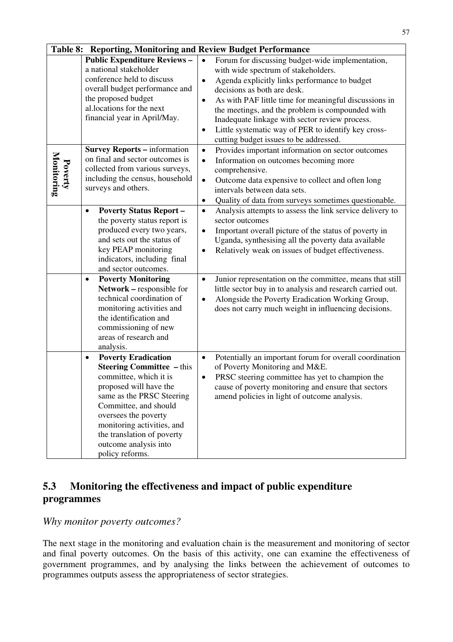|                       | Table 8: Reporting, Monitoring and Review Budget Performance                                                                                                                                                                                                                                                                                                                    |                                                                                                                                                                                                                                                                                                                                                                                                                                                                                                                                                  |  |  |
|-----------------------|---------------------------------------------------------------------------------------------------------------------------------------------------------------------------------------------------------------------------------------------------------------------------------------------------------------------------------------------------------------------------------|--------------------------------------------------------------------------------------------------------------------------------------------------------------------------------------------------------------------------------------------------------------------------------------------------------------------------------------------------------------------------------------------------------------------------------------------------------------------------------------------------------------------------------------------------|--|--|
|                       | <b>Public Expenditure Reviews -</b><br>a national stakeholder<br>conference held to discuss<br>overall budget performance and<br>the proposed budget<br>al.locations for the next<br>financial year in April/May.                                                                                                                                                               | Forum for discussing budget-wide implementation,<br>$\bullet$<br>with wide spectrum of stakeholders.<br>Agenda explicitly links performance to budget<br>$\bullet$<br>decisions as both are desk.<br>As with PAF little time for meaningful discussions in<br>$\bullet$<br>the meetings, and the problem is compounded with<br>Inadequate linkage with sector review process.<br>Little systematic way of PER to identify key cross-<br>٠<br>cutting budget issues to be addressed.                                                              |  |  |
| Monitoring<br>Poverty | <b>Survey Reports - information</b><br>on final and sector outcomes is<br>collected from various surveys,<br>including the census, household<br>surveys and others.                                                                                                                                                                                                             | Provides important information on sector outcomes<br>$\bullet$<br>Information on outcomes becoming more<br>$\bullet$<br>comprehensive.<br>Outcome data expensive to collect and often long<br>$\bullet$<br>intervals between data sets.<br>Quality of data from surveys sometimes questionable.<br>٠                                                                                                                                                                                                                                             |  |  |
|                       | <b>Poverty Status Report -</b><br>$\bullet$<br>the poverty status report is<br>produced every two years,<br>and sets out the status of<br>key PEAP monitoring<br>indicators, including final<br>and sector outcomes.<br><b>Poverty Monitoring</b><br>$\bullet$<br>Network - responsible for<br>technical coordination of<br>monitoring activities and<br>the identification and | Analysis attempts to assess the link service delivery to<br>$\bullet$<br>sector outcomes<br>Important overall picture of the status of poverty in<br>٠<br>Uganda, synthesising all the poverty data available<br>Relatively weak on issues of budget effectiveness.<br>$\bullet$<br>Junior representation on the committee, means that still<br>$\bullet$<br>little sector buy in to analysis and research carried out.<br>Alongside the Poverty Eradication Working Group,<br>$\bullet$<br>does not carry much weight in influencing decisions. |  |  |
|                       | commissioning of new<br>areas of research and<br>analysis.<br><b>Poverty Eradication</b><br>$\bullet$                                                                                                                                                                                                                                                                           | Potentially an important forum for overall coordination<br>$\bullet$                                                                                                                                                                                                                                                                                                                                                                                                                                                                             |  |  |
|                       | <b>Steering Committee - this</b><br>committee, which it is<br>proposed will have the<br>same as the PRSC Steering<br>Committee, and should<br>oversees the poverty<br>monitoring activities, and<br>the translation of poverty<br>outcome analysis into<br>policy reforms.                                                                                                      | of Poverty Monitoring and M&E.<br>PRSC steering committee has yet to champion the<br>٠<br>cause of poverty monitoring and ensure that sectors<br>amend policies in light of outcome analysis.                                                                                                                                                                                                                                                                                                                                                    |  |  |

# **5.3 Monitoring the effectiveness and impact of public expenditure programmes**

*Why monitor poverty outcomes?* 

The next stage in the monitoring and evaluation chain is the measurement and monitoring of sector and final poverty outcomes. On the basis of this activity, one can examine the effectiveness of government programmes, and by analysing the links between the achievement of outcomes to programmes outputs assess the appropriateness of sector strategies.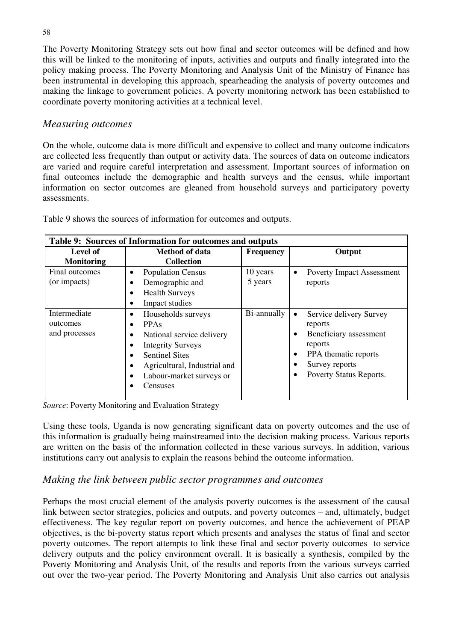The Poverty Monitoring Strategy sets out how final and sector outcomes will be defined and how this will be linked to the monitoring of inputs, activities and outputs and finally integrated into the policy making process. The Poverty Monitoring and Analysis Unit of the Ministry of Finance has been instrumental in developing this approach, spearheading the analysis of poverty outcomes and making the linkage to government policies. A poverty monitoring network has been established to coordinate poverty monitoring activities at a technical level.

# *Measuring outcomes*

On the whole, outcome data is more difficult and expensive to collect and many outcome indicators are collected less frequently than output or activity data. The sources of data on outcome indicators are varied and require careful interpretation and assessment. Important sources of information on final outcomes include the demographic and health surveys and the census, while important information on sector outcomes are gleaned from household surveys and participatory poverty assessments.

| Table 9: Sources of Information for outcomes and outputs             |                                                                                                                                                                                                                                    |                     |                                                                                                                                                                                                       |  |  |
|----------------------------------------------------------------------|------------------------------------------------------------------------------------------------------------------------------------------------------------------------------------------------------------------------------------|---------------------|-------------------------------------------------------------------------------------------------------------------------------------------------------------------------------------------------------|--|--|
| Level of<br>Method of data<br><b>Collection</b><br><b>Monitoring</b> |                                                                                                                                                                                                                                    | <b>Frequency</b>    | Output                                                                                                                                                                                                |  |  |
| Final outcomes<br>(or impacts)                                       | <b>Population Census</b><br>Demographic and<br>٠<br><b>Health Surveys</b><br>Impact studies<br>٠                                                                                                                                   | 10 years<br>5 years | <b>Poverty Impact Assessment</b><br>$\bullet$<br>reports                                                                                                                                              |  |  |
| Intermediate<br>outcomes<br>and processes                            | Households surveys<br>$\bullet$<br><b>PPAs</b><br>$\bullet$<br>National service delivery<br>$\bullet$<br><b>Integrity Surveys</b><br><b>Sentinel Sites</b><br>Agricultural, Industrial and<br>Labour-market surveys or<br>Censuses | Bi-annually         | Service delivery Survey<br>$\bullet$<br>reports<br>Beneficiary assessment<br>٠<br>reports<br>PPA thematic reports<br>$\bullet$<br>Survey reports<br>$\bullet$<br>Poverty Status Reports.<br>$\bullet$ |  |  |

Table 9 shows the sources of information for outcomes and outputs.

*Source*: Poverty Monitoring and Evaluation Strategy

Using these tools, Uganda is now generating significant data on poverty outcomes and the use of this information is gradually being mainstreamed into the decision making process. Various reports are written on the basis of the information collected in these various surveys. In addition, various institutions carry out analysis to explain the reasons behind the outcome information.

# *Making the link between public sector programmes and outcomes*

Perhaps the most crucial element of the analysis poverty outcomes is the assessment of the causal link between sector strategies, policies and outputs, and poverty outcomes – and, ultimately, budget effectiveness. The key regular report on poverty outcomes, and hence the achievement of PEAP objectives, is the bi-poverty status report which presents and analyses the status of final and sector poverty outcomes. The report attempts to link these final and sector poverty outcomes to service delivery outputs and the policy environment overall. It is basically a synthesis, compiled by the Poverty Monitoring and Analysis Unit, of the results and reports from the various surveys carried out over the two-year period. The Poverty Monitoring and Analysis Unit also carries out analysis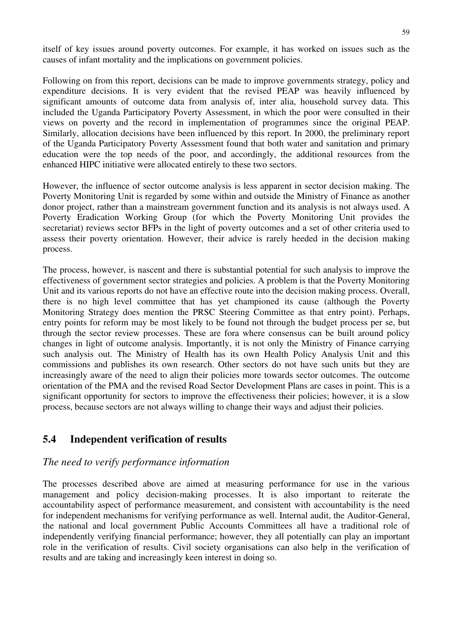itself of key issues around poverty outcomes. For example, it has worked on issues such as the causes of infant mortality and the implications on government policies.

Following on from this report, decisions can be made to improve governments strategy, policy and expenditure decisions. It is very evident that the revised PEAP was heavily influenced by significant amounts of outcome data from analysis of, inter alia, household survey data. This included the Uganda Participatory Poverty Assessment, in which the poor were consulted in their views on poverty and the record in implementation of programmes since the original PEAP. Similarly, allocation decisions have been influenced by this report. In 2000, the preliminary report of the Uganda Participatory Poverty Assessment found that both water and sanitation and primary education were the top needs of the poor, and accordingly, the additional resources from the enhanced HIPC initiative were allocated entirely to these two sectors.

However, the influence of sector outcome analysis is less apparent in sector decision making. The Poverty Monitoring Unit is regarded by some within and outside the Ministry of Finance as another donor project, rather than a mainstream government function and its analysis is not always used. A Poverty Eradication Working Group (for which the Poverty Monitoring Unit provides the secretariat) reviews sector BFPs in the light of poverty outcomes and a set of other criteria used to assess their poverty orientation. However, their advice is rarely heeded in the decision making process.

The process, however, is nascent and there is substantial potential for such analysis to improve the effectiveness of government sector strategies and policies. A problem is that the Poverty Monitoring Unit and its various reports do not have an effective route into the decision making process. Overall, there is no high level committee that has yet championed its cause (although the Poverty Monitoring Strategy does mention the PRSC Steering Committee as that entry point). Perhaps, entry points for reform may be most likely to be found not through the budget process per se, but through the sector review processes. These are fora where consensus can be built around policy changes in light of outcome analysis. Importantly, it is not only the Ministry of Finance carrying such analysis out. The Ministry of Health has its own Health Policy Analysis Unit and this commissions and publishes its own research. Other sectors do not have such units but they are increasingly aware of the need to align their policies more towards sector outcomes. The outcome orientation of the PMA and the revised Road Sector Development Plans are cases in point. This is a significant opportunity for sectors to improve the effectiveness their policies; however, it is a slow process, because sectors are not always willing to change their ways and adjust their policies.

# **5.4 Independent verification of results**

#### *The need to verify performance information*

The processes described above are aimed at measuring performance for use in the various management and policy decision-making processes. It is also important to reiterate the accountability aspect of performance measurement, and consistent with accountability is the need for independent mechanisms for verifying performance as well. Internal audit, the Auditor-General, the national and local government Public Accounts Committees all have a traditional role of independently verifying financial performance; however, they all potentially can play an important role in the verification of results. Civil society organisations can also help in the verification of results and are taking and increasingly keen interest in doing so.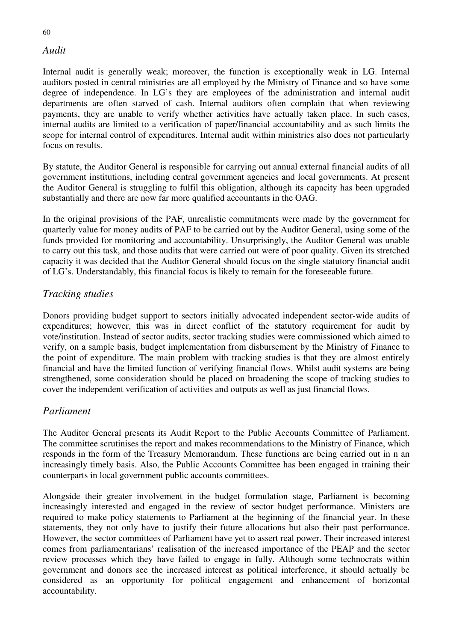#### *Audit*

Internal audit is generally weak; moreover, the function is exceptionally weak in LG. Internal auditors posted in central ministries are all employed by the Ministry of Finance and so have some degree of independence. In LG's they are employees of the administration and internal audit departments are often starved of cash. Internal auditors often complain that when reviewing payments, they are unable to verify whether activities have actually taken place. In such cases, internal audits are limited to a verification of paper/financial accountability and as such limits the scope for internal control of expenditures. Internal audit within ministries also does not particularly focus on results.

By statute, the Auditor General is responsible for carrying out annual external financial audits of all government institutions, including central government agencies and local governments. At present the Auditor General is struggling to fulfil this obligation, although its capacity has been upgraded substantially and there are now far more qualified accountants in the OAG.

In the original provisions of the PAF, unrealistic commitments were made by the government for quarterly value for money audits of PAF to be carried out by the Auditor General, using some of the funds provided for monitoring and accountability. Unsurprisingly, the Auditor General was unable to carry out this task, and those audits that were carried out were of poor quality. Given its stretched capacity it was decided that the Auditor General should focus on the single statutory financial audit of LG's. Understandably, this financial focus is likely to remain for the foreseeable future.

# *Tracking studies*

Donors providing budget support to sectors initially advocated independent sector-wide audits of expenditures; however, this was in direct conflict of the statutory requirement for audit by vote/institution. Instead of sector audits, sector tracking studies were commissioned which aimed to verify, on a sample basis, budget implementation from disbursement by the Ministry of Finance to the point of expenditure. The main problem with tracking studies is that they are almost entirely financial and have the limited function of verifying financial flows. Whilst audit systems are being strengthened, some consideration should be placed on broadening the scope of tracking studies to cover the independent verification of activities and outputs as well as just financial flows.

#### *Parliament*

The Auditor General presents its Audit Report to the Public Accounts Committee of Parliament. The committee scrutinises the report and makes recommendations to the Ministry of Finance, which responds in the form of the Treasury Memorandum. These functions are being carried out in n an increasingly timely basis. Also, the Public Accounts Committee has been engaged in training their counterparts in local government public accounts committees.

Alongside their greater involvement in the budget formulation stage, Parliament is becoming increasingly interested and engaged in the review of sector budget performance. Ministers are required to make policy statements to Parliament at the beginning of the financial year. In these statements, they not only have to justify their future allocations but also their past performance. However, the sector committees of Parliament have yet to assert real power. Their increased interest comes from parliamentarians' realisation of the increased importance of the PEAP and the sector review processes which they have failed to engage in fully. Although some technocrats within government and donors see the increased interest as political interference, it should actually be considered as an opportunity for political engagement and enhancement of horizontal accountability.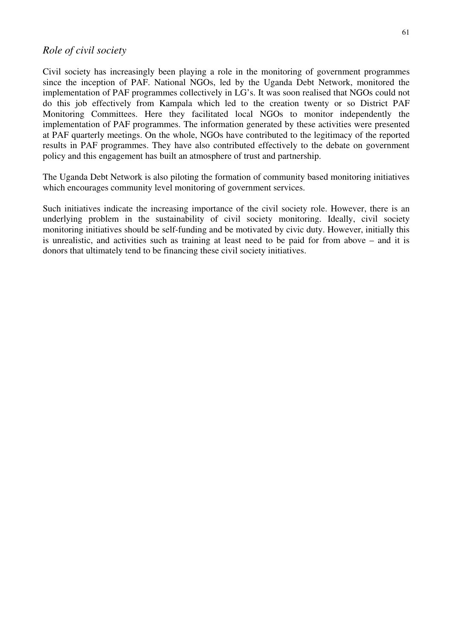#### *Role of civil society*

Civil society has increasingly been playing a role in the monitoring of government programmes since the inception of PAF. National NGOs, led by the Uganda Debt Network, monitored the implementation of PAF programmes collectively in LG's. It was soon realised that NGOs could not do this job effectively from Kampala which led to the creation twenty or so District PAF Monitoring Committees. Here they facilitated local NGOs to monitor independently the implementation of PAF programmes. The information generated by these activities were presented at PAF quarterly meetings. On the whole, NGOs have contributed to the legitimacy of the reported results in PAF programmes. They have also contributed effectively to the debate on government policy and this engagement has built an atmosphere of trust and partnership.

The Uganda Debt Network is also piloting the formation of community based monitoring initiatives which encourages community level monitoring of government services.

Such initiatives indicate the increasing importance of the civil society role. However, there is an underlying problem in the sustainability of civil society monitoring. Ideally, civil society monitoring initiatives should be self-funding and be motivated by civic duty. However, initially this is unrealistic, and activities such as training at least need to be paid for from above – and it is donors that ultimately tend to be financing these civil society initiatives.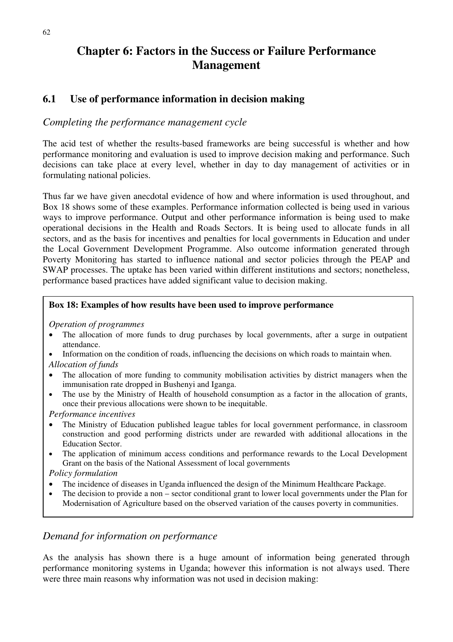# **Chapter 6: Factors in the Success or Failure Performance Management**

# **6.1 Use of performance information in decision making**

#### *Completing the performance management cycle*

The acid test of whether the results-based frameworks are being successful is whether and how performance monitoring and evaluation is used to improve decision making and performance. Such decisions can take place at every level, whether in day to day management of activities or in formulating national policies.

Thus far we have given anecdotal evidence of how and where information is used throughout, and Box 18 shows some of these examples. Performance information collected is being used in various ways to improve performance. Output and other performance information is being used to make operational decisions in the Health and Roads Sectors. It is being used to allocate funds in all sectors, and as the basis for incentives and penalties for local governments in Education and under the Local Government Development Programme. Also outcome information generated through Poverty Monitoring has started to influence national and sector policies through the PEAP and SWAP processes. The uptake has been varied within different institutions and sectors; nonetheless, performance based practices have added significant value to decision making.

#### **Box 18: Examples of how results have been used to improve performance**

*Operation of programmes* 

- The allocation of more funds to drug purchases by local governments, after a surge in outpatient attendance.
- Information on the condition of roads, influencing the decisions on which roads to maintain when. *Allocation of funds*
- The allocation of more funding to community mobilisation activities by district managers when the immunisation rate dropped in Bushenyi and Iganga.
- The use by the Ministry of Health of household consumption as a factor in the allocation of grants, once their previous allocations were shown to be inequitable.

*Performance incentives* 

- The Ministry of Education published league tables for local government performance, in classroom construction and good performing districts under are rewarded with additional allocations in the Education Sector.
- The application of minimum access conditions and performance rewards to the Local Development Grant on the basis of the National Assessment of local governments

*Policy formulation* 

- The incidence of diseases in Uganda influenced the design of the Minimum Healthcare Package.
- The decision to provide a non sector conditional grant to lower local governments under the Plan for Modernisation of Agriculture based on the observed variation of the causes poverty in communities.

# *Demand for information on performance*

As the analysis has shown there is a huge amount of information being generated through performance monitoring systems in Uganda; however this information is not always used. There were three main reasons why information was not used in decision making: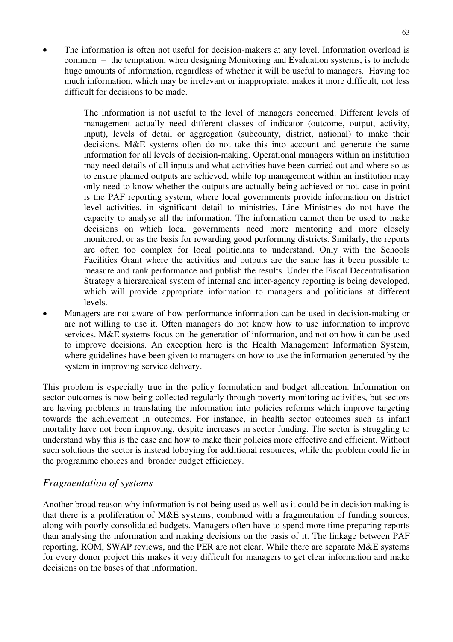- The information is often not useful for decision-makers at any level. Information overload is common – the temptation, when designing Monitoring and Evaluation systems, is to include huge amounts of information, regardless of whether it will be useful to managers. Having too much information, which may be irrelevant or inappropriate, makes it more difficult, not less difficult for decisions to be made.
	- The information is not useful to the level of managers concerned. Different levels of management actually need different classes of indicator (outcome, output, activity, input), levels of detail or aggregation (subcounty, district, national) to make their decisions. M&E systems often do not take this into account and generate the same information for all levels of decision-making. Operational managers within an institution may need details of all inputs and what activities have been carried out and where so as to ensure planned outputs are achieved, while top management within an institution may only need to know whether the outputs are actually being achieved or not. case in point is the PAF reporting system, where local governments provide information on district level activities, in significant detail to ministries. Line Ministries do not have the capacity to analyse all the information. The information cannot then be used to make decisions on which local governments need more mentoring and more closely monitored, or as the basis for rewarding good performing districts. Similarly, the reports are often too complex for local politicians to understand. Only with the Schools Facilities Grant where the activities and outputs are the same has it been possible to measure and rank performance and publish the results. Under the Fiscal Decentralisation Strategy a hierarchical system of internal and inter-agency reporting is being developed, which will provide appropriate information to managers and politicians at different levels.
- Managers are not aware of how performance information can be used in decision-making or are not willing to use it. Often managers do not know how to use information to improve services. M&E systems focus on the generation of information, and not on how it can be used to improve decisions. An exception here is the Health Management Information System, where guidelines have been given to managers on how to use the information generated by the system in improving service delivery.

This problem is especially true in the policy formulation and budget allocation. Information on sector outcomes is now being collected regularly through poverty monitoring activities, but sectors are having problems in translating the information into policies reforms which improve targeting towards the achievement in outcomes. For instance, in health sector outcomes such as infant mortality have not been improving, despite increases in sector funding. The sector is struggling to understand why this is the case and how to make their policies more effective and efficient. Without such solutions the sector is instead lobbying for additional resources, while the problem could lie in the programme choices and broader budget efficiency.

#### *Fragmentation of systems*

Another broad reason why information is not being used as well as it could be in decision making is that there is a proliferation of M&E systems, combined with a fragmentation of funding sources, along with poorly consolidated budgets. Managers often have to spend more time preparing reports than analysing the information and making decisions on the basis of it. The linkage between PAF reporting, ROM, SWAP reviews, and the PER are not clear. While there are separate M&E systems for every donor project this makes it very difficult for managers to get clear information and make decisions on the bases of that information.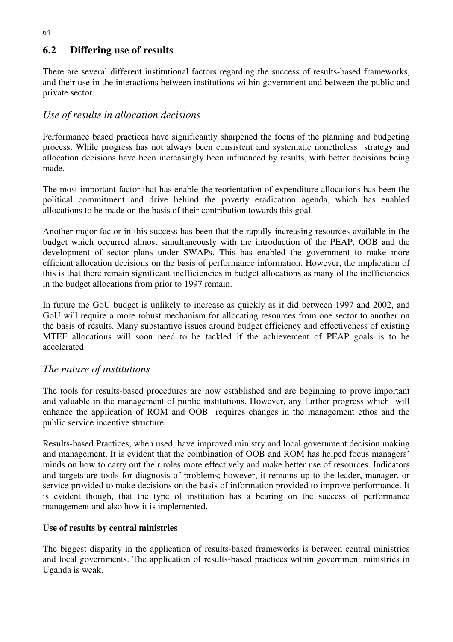# **6.2 Differing use of results**

There are several different institutional factors regarding the success of results-based frameworks, and their use in the interactions between institutions within government and between the public and private sector.

# *Use of results in allocation decisions*

Performance based practices have significantly sharpened the focus of the planning and budgeting process. While progress has not always been consistent and systematic nonetheless strategy and allocation decisions have been increasingly been influenced by results, with better decisions being made.

The most important factor that has enable the reorientation of expenditure allocations has been the political commitment and drive behind the poverty eradication agenda, which has enabled allocations to be made on the basis of their contribution towards this goal.

Another major factor in this success has been that the rapidly increasing resources available in the budget which occurred almost simultaneously with the introduction of the PEAP, OOB and the development of sector plans under SWAPs. This has enabled the government to make more efficient allocation decisions on the basis of performance information. However, the implication of this is that there remain significant inefficiencies in budget allocations as many of the inefficiencies in the budget allocations from prior to 1997 remain.

In future the GoU budget is unlikely to increase as quickly as it did between 1997 and 2002, and GoU will require a more robust mechanism for allocating resources from one sector to another on the basis of results. Many substantive issues around budget efficiency and effectiveness of existing MTEF allocations will soon need to be tackled if the achievement of PEAP goals is to be accelerated.

# *The nature of institutions*

The tools for results-based procedures are now established and are beginning to prove important and valuable in the management of public institutions. However, any further progress which will enhance the application of ROM and OOB requires changes in the management ethos and the public service incentive structure.

Results-based Practices, when used, have improved ministry and local government decision making and management. It is evident that the combination of OOB and ROM has helped focus managers' minds on how to carry out their roles more effectively and make better use of resources. Indicators and targets are tools for diagnosis of problems; however, it remains up to the leader, manager, or service provided to make decisions on the basis of information provided to improve performance. It is evident though, that the type of institution has a bearing on the success of performance management and also how it is implemented.

#### **Use of results by central ministries**

The biggest disparity in the application of results-based frameworks is between central ministries and local governments. The application of results-based practices within government ministries in Uganda is weak.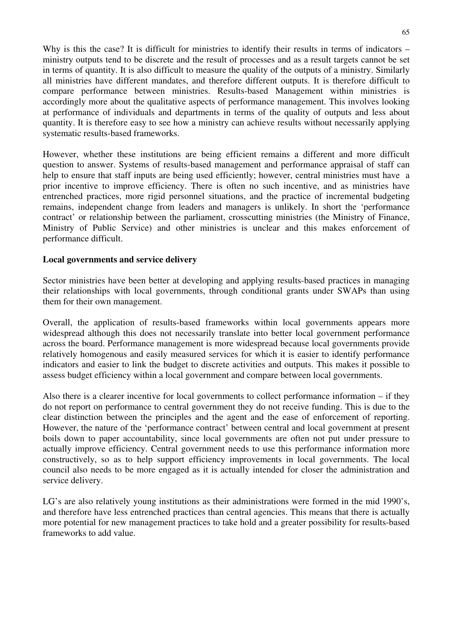Why is this the case? It is difficult for ministries to identify their results in terms of indicators – ministry outputs tend to be discrete and the result of processes and as a result targets cannot be set in terms of quantity. It is also difficult to measure the quality of the outputs of a ministry. Similarly all ministries have different mandates, and therefore different outputs. It is therefore difficult to compare performance between ministries. Results-based Management within ministries is accordingly more about the qualitative aspects of performance management. This involves looking at performance of individuals and departments in terms of the quality of outputs and less about quantity. It is therefore easy to see how a ministry can achieve results without necessarily applying systematic results-based frameworks.

However, whether these institutions are being efficient remains a different and more difficult question to answer. Systems of results-based management and performance appraisal of staff can help to ensure that staff inputs are being used efficiently; however, central ministries must have a prior incentive to improve efficiency. There is often no such incentive, and as ministries have entrenched practices, more rigid personnel situations, and the practice of incremental budgeting remains, independent change from leaders and managers is unlikely. In short the 'performance contract' or relationship between the parliament, crosscutting ministries (the Ministry of Finance, Ministry of Public Service) and other ministries is unclear and this makes enforcement of performance difficult.

#### **Local governments and service delivery**

Sector ministries have been better at developing and applying results-based practices in managing their relationships with local governments, through conditional grants under SWAPs than using them for their own management.

Overall, the application of results-based frameworks within local governments appears more widespread although this does not necessarily translate into better local government performance across the board. Performance management is more widespread because local governments provide relatively homogenous and easily measured services for which it is easier to identify performance indicators and easier to link the budget to discrete activities and outputs. This makes it possible to assess budget efficiency within a local government and compare between local governments.

Also there is a clearer incentive for local governments to collect performance information – if they do not report on performance to central government they do not receive funding. This is due to the clear distinction between the principles and the agent and the ease of enforcement of reporting. However, the nature of the 'performance contract' between central and local government at present boils down to paper accountability, since local governments are often not put under pressure to actually improve efficiency. Central government needs to use this performance information more constructively, so as to help support efficiency improvements in local governments. The local council also needs to be more engaged as it is actually intended for closer the administration and service delivery.

LG's are also relatively young institutions as their administrations were formed in the mid 1990's, and therefore have less entrenched practices than central agencies. This means that there is actually more potential for new management practices to take hold and a greater possibility for results-based frameworks to add value.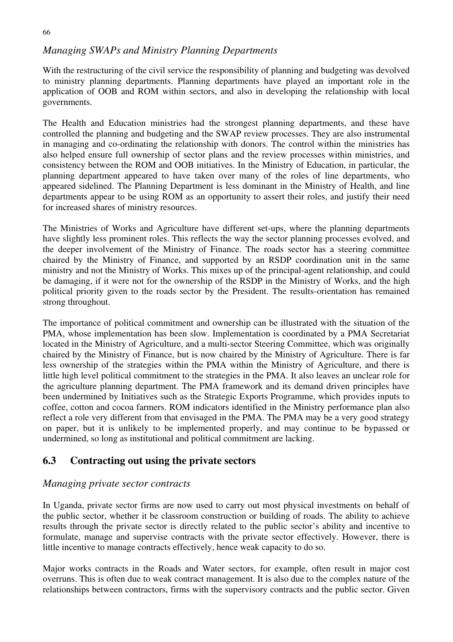#### 66

# *Managing SWAPs and Ministry Planning Departments*

With the restructuring of the civil service the responsibility of planning and budgeting was devolved to ministry planning departments. Planning departments have played an important role in the application of OOB and ROM within sectors, and also in developing the relationship with local governments.

The Health and Education ministries had the strongest planning departments, and these have controlled the planning and budgeting and the SWAP review processes. They are also instrumental in managing and co-ordinating the relationship with donors. The control within the ministries has also helped ensure full ownership of sector plans and the review processes within ministries, and consistency between the ROM and OOB initiatives. In the Ministry of Education, in particular, the planning department appeared to have taken over many of the roles of line departments, who appeared sidelined. The Planning Department is less dominant in the Ministry of Health, and line departments appear to be using ROM as an opportunity to assert their roles, and justify their need for increased shares of ministry resources.

The Ministries of Works and Agriculture have different set-ups, where the planning departments have slightly less prominent roles. This reflects the way the sector planning processes evolved, and the deeper involvement of the Ministry of Finance. The roads sector has a steering committee chaired by the Ministry of Finance, and supported by an RSDP coordination unit in the same ministry and not the Ministry of Works. This mixes up of the principal-agent relationship, and could be damaging, if it were not for the ownership of the RSDP in the Ministry of Works, and the high political priority given to the roads sector by the President. The results-orientation has remained strong throughout.

The importance of political commitment and ownership can be illustrated with the situation of the PMA, whose implementation has been slow. Implementation is coordinated by a PMA Secretariat located in the Ministry of Agriculture, and a multi-sector Steering Committee, which was originally chaired by the Ministry of Finance, but is now chaired by the Ministry of Agriculture. There is far less ownership of the strategies within the PMA within the Ministry of Agriculture, and there is little high level political commitment to the strategies in the PMA. It also leaves an unclear role for the agriculture planning department. The PMA framework and its demand driven principles have been undermined by Initiatives such as the Strategic Exports Programme, which provides inputs to coffee, cotton and cocoa farmers. ROM indicators identified in the Ministry performance plan also reflect a role very different from that envisaged in the PMA. The PMA may be a very good strategy on paper, but it is unlikely to be implemented properly, and may continue to be bypassed or undermined, so long as institutional and political commitment are lacking.

# **6.3 Contracting out using the private sectors**

# *Managing private sector contracts*

In Uganda, private sector firms are now used to carry out most physical investments on behalf of the public sector, whether it be classroom construction or building of roads. The ability to achieve results through the private sector is directly related to the public sector's ability and incentive to formulate, manage and supervise contracts with the private sector effectively. However, there is little incentive to manage contracts effectively, hence weak capacity to do so.

Major works contracts in the Roads and Water sectors, for example, often result in major cost overruns. This is often due to weak contract management. It is also due to the complex nature of the relationships between contractors, firms with the supervisory contracts and the public sector. Given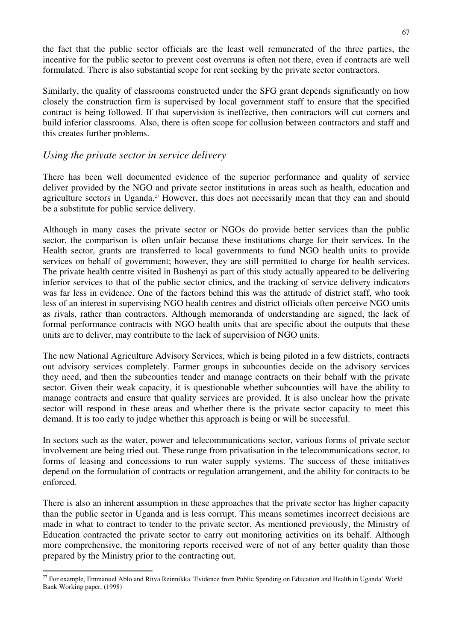the fact that the public sector officials are the least well remunerated of the three parties, the incentive for the public sector to prevent cost overruns is often not there, even if contracts are well formulated. There is also substantial scope for rent seeking by the private sector contractors.

Similarly, the quality of classrooms constructed under the SFG grant depends significantly on how closely the construction firm is supervised by local government staff to ensure that the specified contract is being followed. If that supervision is ineffective, then contractors will cut corners and build inferior classrooms. Also, there is often scope for collusion between contractors and staff and this creates further problems.

#### *Using the private sector in service delivery*

There has been well documented evidence of the superior performance and quality of service deliver provided by the NGO and private sector institutions in areas such as health, education and agriculture sectors in Uganda.<sup>27</sup> However, this does not necessarily mean that they can and should be a substitute for public service delivery.

Although in many cases the private sector or NGOs do provide better services than the public sector, the comparison is often unfair because these institutions charge for their services. In the Health sector, grants are transferred to local governments to fund NGO health units to provide services on behalf of government; however, they are still permitted to charge for health services. The private health centre visited in Bushenyi as part of this study actually appeared to be delivering inferior services to that of the public sector clinics, and the tracking of service delivery indicators was far less in evidence. One of the factors behind this was the attitude of district staff, who took less of an interest in supervising NGO health centres and district officials often perceive NGO units as rivals, rather than contractors. Although memoranda of understanding are signed, the lack of formal performance contracts with NGO health units that are specific about the outputs that these units are to deliver, may contribute to the lack of supervision of NGO units.

The new National Agriculture Advisory Services, which is being piloted in a few districts, contracts out advisory services completely. Farmer groups in subcounties decide on the advisory services they need, and then the subcounties tender and manage contracts on their behalf with the private sector. Given their weak capacity, it is questionable whether subcounties will have the ability to manage contracts and ensure that quality services are provided. It is also unclear how the private sector will respond in these areas and whether there is the private sector capacity to meet this demand. It is too early to judge whether this approach is being or will be successful.

In sectors such as the water, power and telecommunications sector, various forms of private sector involvement are being tried out. These range from privatisation in the telecommunications sector, to forms of leasing and concessions to run water supply systems. The success of these initiatives depend on the formulation of contracts or regulation arrangement, and the ability for contracts to be enforced.

There is also an inherent assumption in these approaches that the private sector has higher capacity than the public sector in Uganda and is less corrupt. This means sometimes incorrect decisions are made in what to contract to tender to the private sector. As mentioned previously, the Ministry of Education contracted the private sector to carry out monitoring activities on its behalf. Although more comprehensive, the monitoring reports received were of not of any better quality than those prepared by the Ministry prior to the contracting out.

<sup>&</sup>lt;sup>27</sup> For example, Emmanuel Ablo and Ritva Reinnikka 'Evidence from Public Spending on Education and Health in Uganda' World Bank Working paper, (1998)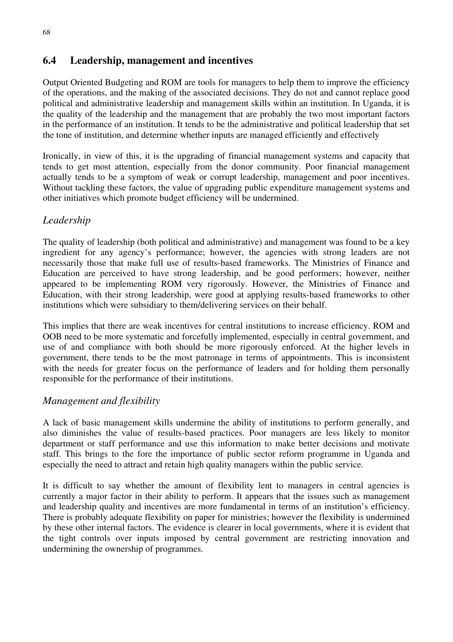# **6.4 Leadership, management and incentives**

Output Oriented Budgeting and ROM are tools for managers to help them to improve the efficiency of the operations, and the making of the associated decisions. They do not and cannot replace good political and administrative leadership and management skills within an institution. In Uganda, it is the quality of the leadership and the management that are probably the two most important factors in the performance of an institution. It tends to be the administrative and political leadership that set the tone of institution, and determine whether inputs are managed efficiently and effectively

Ironically, in view of this, it is the upgrading of financial management systems and capacity that tends to get most attention, especially from the donor community. Poor financial management actually tends to be a symptom of weak or corrupt leadership, management and poor incentives. Without tackling these factors, the value of upgrading public expenditure management systems and other initiatives which promote budget efficiency will be undermined.

# *Leadership*

The quality of leadership (both political and administrative) and management was found to be a key ingredient for any agency's performance; however, the agencies with strong leaders are not necessarily those that make full use of results-based frameworks. The Ministries of Finance and Education are perceived to have strong leadership, and be good performers; however, neither appeared to be implementing ROM very rigorously. However, the Ministries of Finance and Education, with their strong leadership, were good at applying results-based frameworks to other institutions which were subsidiary to them/delivering services on their behalf.

This implies that there are weak incentives for central institutions to increase efficiency. ROM and OOB need to be more systematic and forcefully implemented, especially in central government, and use of and compliance with both should be more rigorously enforced. At the higher levels in government, there tends to be the most patronage in terms of appointments. This is inconsistent with the needs for greater focus on the performance of leaders and for holding them personally responsible for the performance of their institutions.

# *Management and flexibility*

A lack of basic management skills undermine the ability of institutions to perform generally, and also diminishes the value of results-based practices. Poor managers are less likely to monitor department or staff performance and use this information to make better decisions and motivate staff. This brings to the fore the importance of public sector reform programme in Uganda and especially the need to attract and retain high quality managers within the public service.

It is difficult to say whether the amount of flexibility lent to managers in central agencies is currently a major factor in their ability to perform. It appears that the issues such as management and leadership quality and incentives are more fundamental in terms of an institution's efficiency. There is probably adequate flexibility on paper for ministries; however the flexibility is undermined by these other internal factors. The evidence is clearer in local governments, where it is evident that the tight controls over inputs imposed by central government are restricting innovation and undermining the ownership of programmes.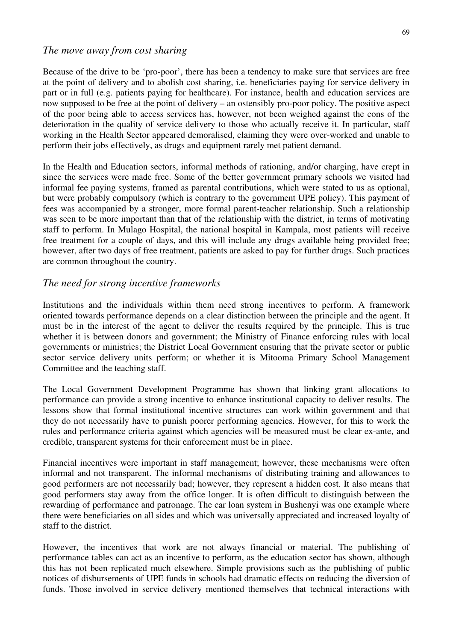#### *The move away from cost sharing*

Because of the drive to be 'pro-poor', there has been a tendency to make sure that services are free at the point of delivery and to abolish cost sharing, i.e. beneficiaries paying for service delivery in part or in full (e.g. patients paying for healthcare). For instance, health and education services are now supposed to be free at the point of delivery – an ostensibly pro-poor policy. The positive aspect of the poor being able to access services has, however, not been weighed against the cons of the deterioration in the quality of service delivery to those who actually receive it. In particular, staff working in the Health Sector appeared demoralised, claiming they were over-worked and unable to perform their jobs effectively, as drugs and equipment rarely met patient demand.

In the Health and Education sectors, informal methods of rationing, and/or charging, have crept in since the services were made free. Some of the better government primary schools we visited had informal fee paying systems, framed as parental contributions, which were stated to us as optional, but were probably compulsory (which is contrary to the government UPE policy). This payment of fees was accompanied by a stronger, more formal parent-teacher relationship. Such a relationship was seen to be more important than that of the relationship with the district, in terms of motivating staff to perform. In Mulago Hospital, the national hospital in Kampala, most patients will receive free treatment for a couple of days, and this will include any drugs available being provided free; however, after two days of free treatment, patients are asked to pay for further drugs. Such practices are common throughout the country.

#### *The need for strong incentive frameworks*

Institutions and the individuals within them need strong incentives to perform. A framework oriented towards performance depends on a clear distinction between the principle and the agent. It must be in the interest of the agent to deliver the results required by the principle. This is true whether it is between donors and government; the Ministry of Finance enforcing rules with local governments or ministries; the District Local Government ensuring that the private sector or public sector service delivery units perform; or whether it is Mitooma Primary School Management Committee and the teaching staff.

The Local Government Development Programme has shown that linking grant allocations to performance can provide a strong incentive to enhance institutional capacity to deliver results. The lessons show that formal institutional incentive structures can work within government and that they do not necessarily have to punish poorer performing agencies. However, for this to work the rules and performance criteria against which agencies will be measured must be clear ex-ante, and credible, transparent systems for their enforcement must be in place.

Financial incentives were important in staff management; however, these mechanisms were often informal and not transparent. The informal mechanisms of distributing training and allowances to good performers are not necessarily bad; however, they represent a hidden cost. It also means that good performers stay away from the office longer. It is often difficult to distinguish between the rewarding of performance and patronage. The car loan system in Bushenyi was one example where there were beneficiaries on all sides and which was universally appreciated and increased loyalty of staff to the district.

However, the incentives that work are not always financial or material. The publishing of performance tables can act as an incentive to perform, as the education sector has shown, although this has not been replicated much elsewhere. Simple provisions such as the publishing of public notices of disbursements of UPE funds in schools had dramatic effects on reducing the diversion of funds. Those involved in service delivery mentioned themselves that technical interactions with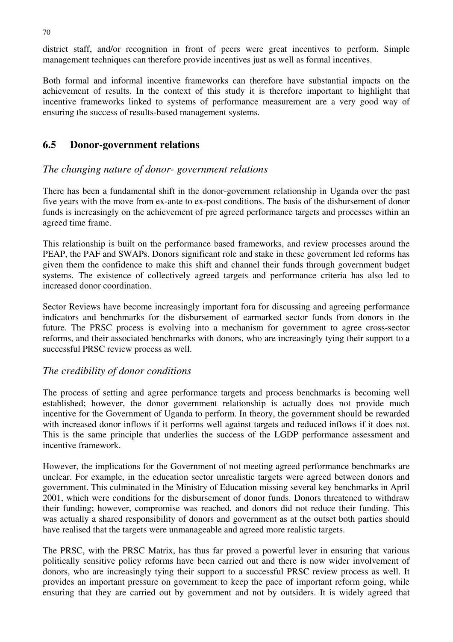district staff, and/or recognition in front of peers were great incentives to perform. Simple management techniques can therefore provide incentives just as well as formal incentives.

Both formal and informal incentive frameworks can therefore have substantial impacts on the achievement of results. In the context of this study it is therefore important to highlight that incentive frameworks linked to systems of performance measurement are a very good way of ensuring the success of results-based management systems.

#### **6.5 Donor-government relations**

#### *The changing nature of donor- government relations*

There has been a fundamental shift in the donor-government relationship in Uganda over the past five years with the move from ex-ante to ex-post conditions. The basis of the disbursement of donor funds is increasingly on the achievement of pre agreed performance targets and processes within an agreed time frame.

This relationship is built on the performance based frameworks, and review processes around the PEAP, the PAF and SWAPs. Donors significant role and stake in these government led reforms has given them the confidence to make this shift and channel their funds through government budget systems. The existence of collectively agreed targets and performance criteria has also led to increased donor coordination.

Sector Reviews have become increasingly important fora for discussing and agreeing performance indicators and benchmarks for the disbursement of earmarked sector funds from donors in the future. The PRSC process is evolving into a mechanism for government to agree cross-sector reforms, and their associated benchmarks with donors, who are increasingly tying their support to a successful PRSC review process as well.

# *The credibility of donor conditions*

The process of setting and agree performance targets and process benchmarks is becoming well established; however, the donor government relationship is actually does not provide much incentive for the Government of Uganda to perform. In theory, the government should be rewarded with increased donor inflows if it performs well against targets and reduced inflows if it does not. This is the same principle that underlies the success of the LGDP performance assessment and incentive framework.

However, the implications for the Government of not meeting agreed performance benchmarks are unclear. For example, in the education sector unrealistic targets were agreed between donors and government. This culminated in the Ministry of Education missing several key benchmarks in April 2001, which were conditions for the disbursement of donor funds. Donors threatened to withdraw their funding; however, compromise was reached, and donors did not reduce their funding. This was actually a shared responsibility of donors and government as at the outset both parties should have realised that the targets were unmanageable and agreed more realistic targets.

The PRSC, with the PRSC Matrix, has thus far proved a powerful lever in ensuring that various politically sensitive policy reforms have been carried out and there is now wider involvement of donors, who are increasingly tying their support to a successful PRSC review process as well. It provides an important pressure on government to keep the pace of important reform going, while ensuring that they are carried out by government and not by outsiders. It is widely agreed that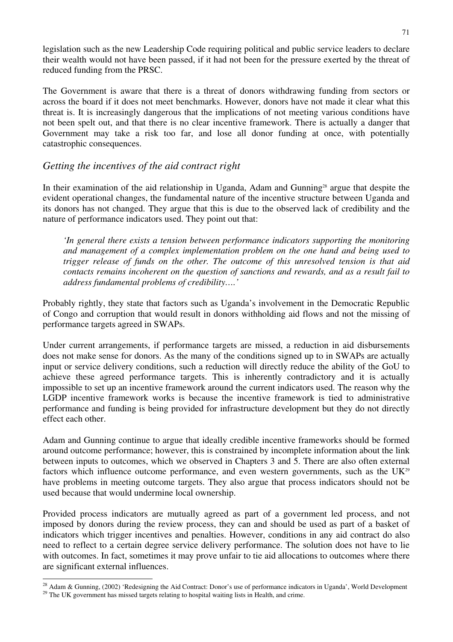legislation such as the new Leadership Code requiring political and public service leaders to declare their wealth would not have been passed, if it had not been for the pressure exerted by the threat of reduced funding from the PRSC.

The Government is aware that there is a threat of donors withdrawing funding from sectors or across the board if it does not meet benchmarks. However, donors have not made it clear what this threat is. It is increasingly dangerous that the implications of not meeting various conditions have not been spelt out, and that there is no clear incentive framework. There is actually a danger that Government may take a risk too far, and lose all donor funding at once, with potentially catastrophic consequences.

# *Getting the incentives of the aid contract right*

In their examination of the aid relationship in Uganda, Adam and Gunning<sup>28</sup> argue that despite the evident operational changes, the fundamental nature of the incentive structure between Uganda and its donors has not changed. They argue that this is due to the observed lack of credibility and the nature of performance indicators used. They point out that:

*'In general there exists a tension between performance indicators supporting the monitoring and management of a complex implementation problem on the one hand and being used to trigger release of funds on the other. The outcome of this unresolved tension is that aid contacts remains incoherent on the question of sanctions and rewards, and as a result fail to address fundamental problems of credibility….'* 

Probably rightly, they state that factors such as Uganda's involvement in the Democratic Republic of Congo and corruption that would result in donors withholding aid flows and not the missing of performance targets agreed in SWAPs.

Under current arrangements, if performance targets are missed, a reduction in aid disbursements does not make sense for donors. As the many of the conditions signed up to in SWAPs are actually input or service delivery conditions, such a reduction will directly reduce the ability of the GoU to achieve these agreed performance targets. This is inherently contradictory and it is actually impossible to set up an incentive framework around the current indicators used. The reason why the LGDP incentive framework works is because the incentive framework is tied to administrative performance and funding is being provided for infrastructure development but they do not directly effect each other.

Adam and Gunning continue to argue that ideally credible incentive frameworks should be formed around outcome performance; however, this is constrained by incomplete information about the link between inputs to outcomes, which we observed in Chapters 3 and 5. There are also often external factors which influence outcome performance, and even western governments, such as the  $UK^{29}$ have problems in meeting outcome targets. They also argue that process indicators should not be used because that would undermine local ownership.

Provided process indicators are mutually agreed as part of a government led process, and not imposed by donors during the review process, they can and should be used as part of a basket of indicators which trigger incentives and penalties. However, conditions in any aid contract do also need to reflect to a certain degree service delivery performance. The solution does not have to lie with outcomes. In fact, sometimes it may prove unfair to tie aid allocations to outcomes where there are significant external influences.

<sup>&</sup>lt;sup>28</sup> Adam & Gunning, (2002) 'Redesigning the Aid Contract: Donor's use of performance indicators in Uganda', World Development <sup>29</sup> The UK government has missed targets relating to hospital waiting lists in Health, and crime.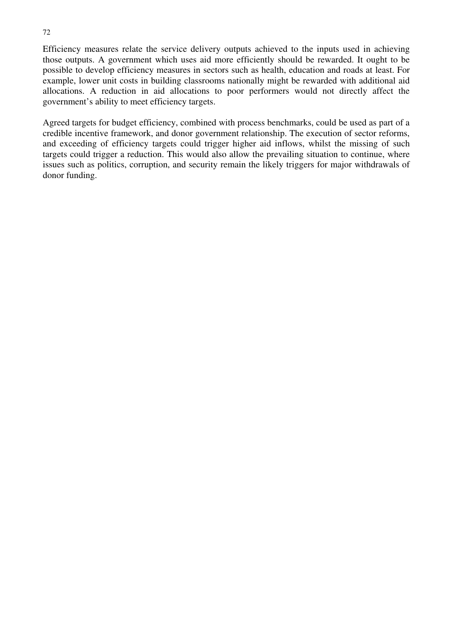Efficiency measures relate the service delivery outputs achieved to the inputs used in achieving those outputs. A government which uses aid more efficiently should be rewarded. It ought to be possible to develop efficiency measures in sectors such as health, education and roads at least. For example, lower unit costs in building classrooms nationally might be rewarded with additional aid allocations. A reduction in aid allocations to poor performers would not directly affect the government's ability to meet efficiency targets.

Agreed targets for budget efficiency, combined with process benchmarks, could be used as part of a credible incentive framework, and donor government relationship. The execution of sector reforms, and exceeding of efficiency targets could trigger higher aid inflows, whilst the missing of such targets could trigger a reduction. This would also allow the prevailing situation to continue, where issues such as politics, corruption, and security remain the likely triggers for major withdrawals of donor funding.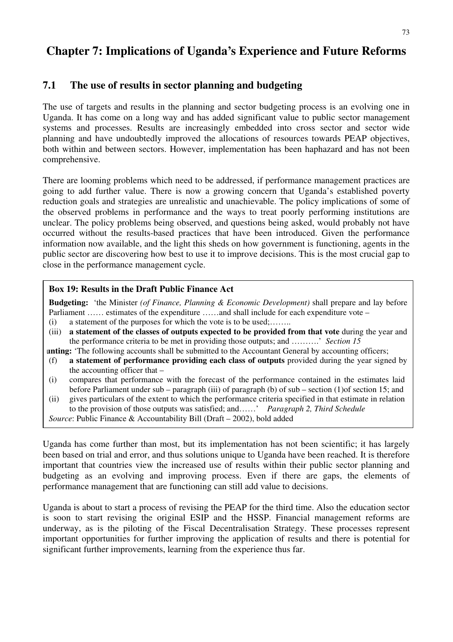# **Chapter 7: Implications of Uganda's Experience and Future Reforms**

# **7.1 The use of results in sector planning and budgeting**

The use of targets and results in the planning and sector budgeting process is an evolving one in Uganda. It has come on a long way and has added significant value to public sector management systems and processes. Results are increasingly embedded into cross sector and sector wide planning and have undoubtedly improved the allocations of resources towards PEAP objectives, both within and between sectors. However, implementation has been haphazard and has not been comprehensive.

There are looming problems which need to be addressed, if performance management practices are going to add further value. There is now a growing concern that Uganda's established poverty reduction goals and strategies are unrealistic and unachievable. The policy implications of some of the observed problems in performance and the ways to treat poorly performing institutions are unclear. The policy problems being observed, and questions being asked, would probably not have occurred without the results-based practices that have been introduced. Given the performance information now available, and the light this sheds on how government is functioning, agents in the public sector are discovering how best to use it to improve decisions. This is the most crucial gap to close in the performance management cycle.

#### **Box 19: Results in the Draft Public Finance Act**

**Budgeting:** 'the Minister *(of Finance, Planning & Economic Development)* shall prepare and lay before Parliament …… estimates of the expenditure ……and shall include for each expenditure vote –

- (i) a statement of the purposes for which the vote is to be used;........
- (iii) **a statement of the classes of outputs expected to be provided from that vote** during the year and the performance criteria to be met in providing those outputs; and ……….' *Section 15*
- **unting:** 'The following accounts shall be submitted to the Accountant General by accounting officers;
- (f) **a statement of performance providing each class of outputs** provided during the year signed by the accounting officer that –
- (i) compares that performance with the forecast of the performance contained in the estimates laid before Parliament under sub – paragraph (iii) of paragraph (b) of sub – section (1)of section 15; and
- (ii) gives particulars of the extent to which the performance criteria specified in that estimate in relation to the provision of those outputs was satisfied; and……' *Paragraph 2, Third Schedule Source*: Public Finance & Accountability Bill (Draft – 2002), bold added

Uganda has come further than most, but its implementation has not been scientific; it has largely been based on trial and error, and thus solutions unique to Uganda have been reached. It is therefore important that countries view the increased use of results within their public sector planning and budgeting as an evolving and improving process. Even if there are gaps, the elements of performance management that are functioning can still add value to decisions.

Uganda is about to start a process of revising the PEAP for the third time. Also the education sector is soon to start revising the original ESIP and the HSSP. Financial management reforms are underway, as is the piloting of the Fiscal Decentralisation Strategy. These processes represent important opportunities for further improving the application of results and there is potential for significant further improvements, learning from the experience thus far.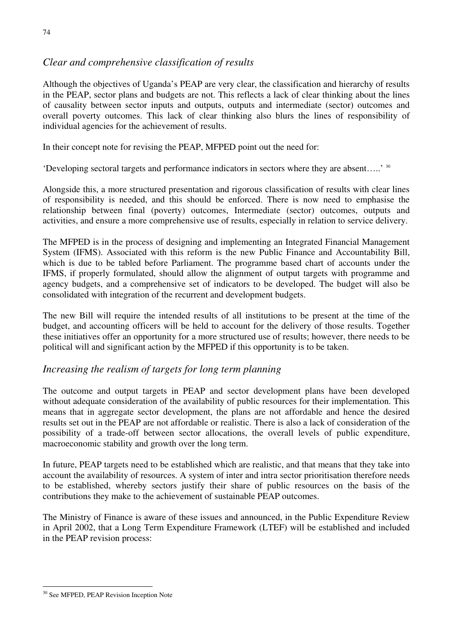# *Clear and comprehensive classification of results*

Although the objectives of Uganda's PEAP are very clear, the classification and hierarchy of results in the PEAP, sector plans and budgets are not. This reflects a lack of clear thinking about the lines of causality between sector inputs and outputs, outputs and intermediate (sector) outcomes and overall poverty outcomes. This lack of clear thinking also blurs the lines of responsibility of individual agencies for the achievement of results.

In their concept note for revising the PEAP, MFPED point out the need for:

'Developing sectoral targets and performance indicators in sectors where they are absent…..' 30

Alongside this, a more structured presentation and rigorous classification of results with clear lines of responsibility is needed, and this should be enforced. There is now need to emphasise the relationship between final (poverty) outcomes, Intermediate (sector) outcomes, outputs and activities, and ensure a more comprehensive use of results, especially in relation to service delivery.

The MFPED is in the process of designing and implementing an Integrated Financial Management System (IFMS). Associated with this reform is the new Public Finance and Accountability Bill, which is due to be tabled before Parliament. The programme based chart of accounts under the IFMS, if properly formulated, should allow the alignment of output targets with programme and agency budgets, and a comprehensive set of indicators to be developed. The budget will also be consolidated with integration of the recurrent and development budgets.

The new Bill will require the intended results of all institutions to be present at the time of the budget, and accounting officers will be held to account for the delivery of those results. Together these initiatives offer an opportunity for a more structured use of results; however, there needs to be political will and significant action by the MFPED if this opportunity is to be taken.

# *Increasing the realism of targets for long term planning*

The outcome and output targets in PEAP and sector development plans have been developed without adequate consideration of the availability of public resources for their implementation. This means that in aggregate sector development, the plans are not affordable and hence the desired results set out in the PEAP are not affordable or realistic. There is also a lack of consideration of the possibility of a trade-off between sector allocations, the overall levels of public expenditure, macroeconomic stability and growth over the long term.

In future, PEAP targets need to be established which are realistic, and that means that they take into account the availability of resources. A system of inter and intra sector prioritisation therefore needs to be established, whereby sectors justify their share of public resources on the basis of the contributions they make to the achievement of sustainable PEAP outcomes.

The Ministry of Finance is aware of these issues and announced, in the Public Expenditure Review in April 2002, that a Long Term Expenditure Framework (LTEF) will be established and included in the PEAP revision process:

<sup>30</sup> See MFPED, PEAP Revision Inception Note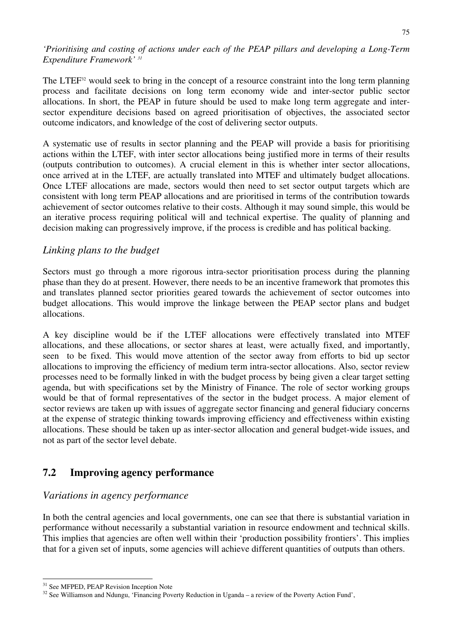*'Prioritising and costing of actions under each of the PEAP pillars and developing a Long-Term Expenditure Framework' 31*

The LTEF<sup>32</sup> would seek to bring in the concept of a resource constraint into the long term planning process and facilitate decisions on long term economy wide and inter-sector public sector allocations. In short, the PEAP in future should be used to make long term aggregate and intersector expenditure decisions based on agreed prioritisation of objectives, the associated sector outcome indicators, and knowledge of the cost of delivering sector outputs.

A systematic use of results in sector planning and the PEAP will provide a basis for prioritising actions within the LTEF, with inter sector allocations being justified more in terms of their results (outputs contribution to outcomes). A crucial element in this is whether inter sector allocations, once arrived at in the LTEF, are actually translated into MTEF and ultimately budget allocations. Once LTEF allocations are made, sectors would then need to set sector output targets which are consistent with long term PEAP allocations and are prioritised in terms of the contribution towards achievement of sector outcomes relative to their costs. Although it may sound simple, this would be an iterative process requiring political will and technical expertise. The quality of planning and decision making can progressively improve, if the process is credible and has political backing.

#### *Linking plans to the budget*

Sectors must go through a more rigorous intra-sector prioritisation process during the planning phase than they do at present. However, there needs to be an incentive framework that promotes this and translates planned sector priorities geared towards the achievement of sector outcomes into budget allocations. This would improve the linkage between the PEAP sector plans and budget allocations.

A key discipline would be if the LTEF allocations were effectively translated into MTEF allocations, and these allocations, or sector shares at least, were actually fixed, and importantly, seen to be fixed. This would move attention of the sector away from efforts to bid up sector allocations to improving the efficiency of medium term intra-sector allocations. Also, sector review processes need to be formally linked in with the budget process by being given a clear target setting agenda, but with specifications set by the Ministry of Finance. The role of sector working groups would be that of formal representatives of the sector in the budget process. A major element of sector reviews are taken up with issues of aggregate sector financing and general fiduciary concerns at the expense of strategic thinking towards improving efficiency and effectiveness within existing allocations. These should be taken up as inter-sector allocation and general budget-wide issues, and not as part of the sector level debate.

# **7.2 Improving agency performance**

#### *Variations in agency performance*

In both the central agencies and local governments, one can see that there is substantial variation in performance without necessarily a substantial variation in resource endowment and technical skills. This implies that agencies are often well within their 'production possibility frontiers'. This implies that for a given set of inputs, some agencies will achieve different quantities of outputs than others.

<sup>&</sup>lt;sup>31</sup> See MFPED, PEAP Revision Inception Note

<sup>&</sup>lt;sup>32</sup> See Williamson and Ndungu, 'Financing Poverty Reduction in Uganda – a review of the Poverty Action Fund',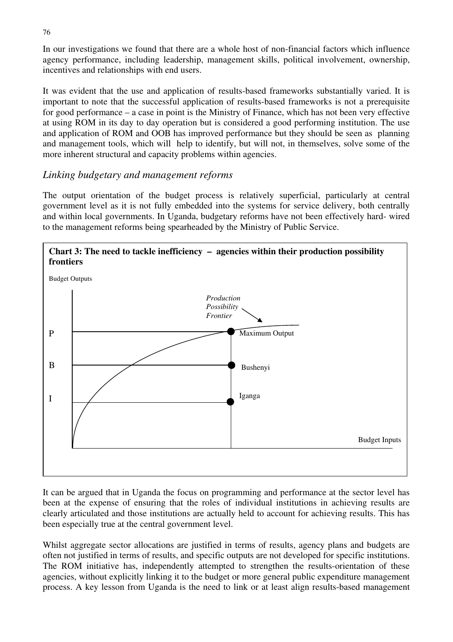In our investigations we found that there are a whole host of non-financial factors which influence agency performance, including leadership, management skills, political involvement, ownership, incentives and relationships with end users.

It was evident that the use and application of results-based frameworks substantially varied. It is important to note that the successful application of results-based frameworks is not a prerequisite for good performance – a case in point is the Ministry of Finance, which has not been very effective at using ROM in its day to day operation but is considered a good performing institution. The use and application of ROM and OOB has improved performance but they should be seen as planning and management tools, which will help to identify, but will not, in themselves, solve some of the more inherent structural and capacity problems within agencies.

# *Linking budgetary and management reforms*

The output orientation of the budget process is relatively superficial, particularly at central government level as it is not fully embedded into the systems for service delivery, both centrally and within local governments. In Uganda, budgetary reforms have not been effectively hard- wired to the management reforms being spearheaded by the Ministry of Public Service.



It can be argued that in Uganda the focus on programming and performance at the sector level has been at the expense of ensuring that the roles of individual institutions in achieving results are clearly articulated and those institutions are actually held to account for achieving results. This has been especially true at the central government level.

Whilst aggregate sector allocations are justified in terms of results, agency plans and budgets are often not justified in terms of results, and specific outputs are not developed for specific institutions. The ROM initiative has, independently attempted to strengthen the results-orientation of these agencies, without explicitly linking it to the budget or more general public expenditure management process. A key lesson from Uganda is the need to link or at least align results-based management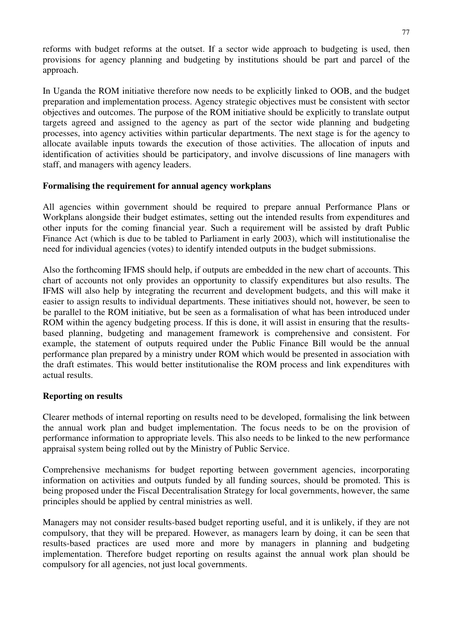reforms with budget reforms at the outset. If a sector wide approach to budgeting is used, then provisions for agency planning and budgeting by institutions should be part and parcel of the approach.

In Uganda the ROM initiative therefore now needs to be explicitly linked to OOB, and the budget preparation and implementation process. Agency strategic objectives must be consistent with sector objectives and outcomes. The purpose of the ROM initiative should be explicitly to translate output targets agreed and assigned to the agency as part of the sector wide planning and budgeting processes, into agency activities within particular departments. The next stage is for the agency to allocate available inputs towards the execution of those activities. The allocation of inputs and identification of activities should be participatory, and involve discussions of line managers with staff, and managers with agency leaders.

#### **Formalising the requirement for annual agency workplans**

All agencies within government should be required to prepare annual Performance Plans or Workplans alongside their budget estimates, setting out the intended results from expenditures and other inputs for the coming financial year. Such a requirement will be assisted by draft Public Finance Act (which is due to be tabled to Parliament in early 2003), which will institutionalise the need for individual agencies (votes) to identify intended outputs in the budget submissions.

Also the forthcoming IFMS should help, if outputs are embedded in the new chart of accounts. This chart of accounts not only provides an opportunity to classify expenditures but also results. The IFMS will also help by integrating the recurrent and development budgets, and this will make it easier to assign results to individual departments. These initiatives should not, however, be seen to be parallel to the ROM initiative, but be seen as a formalisation of what has been introduced under ROM within the agency budgeting process. If this is done, it will assist in ensuring that the resultsbased planning, budgeting and management framework is comprehensive and consistent. For example, the statement of outputs required under the Public Finance Bill would be the annual performance plan prepared by a ministry under ROM which would be presented in association with the draft estimates. This would better institutionalise the ROM process and link expenditures with actual results.

#### **Reporting on results**

Clearer methods of internal reporting on results need to be developed, formalising the link between the annual work plan and budget implementation. The focus needs to be on the provision of performance information to appropriate levels. This also needs to be linked to the new performance appraisal system being rolled out by the Ministry of Public Service.

Comprehensive mechanisms for budget reporting between government agencies, incorporating information on activities and outputs funded by all funding sources, should be promoted. This is being proposed under the Fiscal Decentralisation Strategy for local governments, however, the same principles should be applied by central ministries as well.

Managers may not consider results-based budget reporting useful, and it is unlikely, if they are not compulsory, that they will be prepared. However, as managers learn by doing, it can be seen that results-based practices are used more and more by managers in planning and budgeting implementation. Therefore budget reporting on results against the annual work plan should be compulsory for all agencies, not just local governments.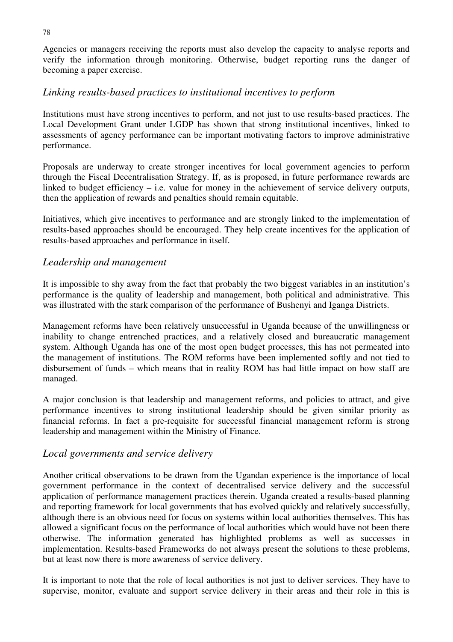Agencies or managers receiving the reports must also develop the capacity to analyse reports and verify the information through monitoring. Otherwise, budget reporting runs the danger of becoming a paper exercise.

#### *Linking results-based practices to institutional incentives to perform*

Institutions must have strong incentives to perform, and not just to use results-based practices. The Local Development Grant under LGDP has shown that strong institutional incentives, linked to assessments of agency performance can be important motivating factors to improve administrative performance.

Proposals are underway to create stronger incentives for local government agencies to perform through the Fiscal Decentralisation Strategy. If, as is proposed, in future performance rewards are linked to budget efficiency – i.e. value for money in the achievement of service delivery outputs, then the application of rewards and penalties should remain equitable.

Initiatives, which give incentives to performance and are strongly linked to the implementation of results-based approaches should be encouraged. They help create incentives for the application of results-based approaches and performance in itself.

# *Leadership and management*

It is impossible to shy away from the fact that probably the two biggest variables in an institution's performance is the quality of leadership and management, both political and administrative. This was illustrated with the stark comparison of the performance of Bushenyi and Iganga Districts.

Management reforms have been relatively unsuccessful in Uganda because of the unwillingness or inability to change entrenched practices, and a relatively closed and bureaucratic management system. Although Uganda has one of the most open budget processes, this has not permeated into the management of institutions. The ROM reforms have been implemented softly and not tied to disbursement of funds – which means that in reality ROM has had little impact on how staff are managed.

A major conclusion is that leadership and management reforms, and policies to attract, and give performance incentives to strong institutional leadership should be given similar priority as financial reforms. In fact a pre-requisite for successful financial management reform is strong leadership and management within the Ministry of Finance.

#### *Local governments and service delivery*

Another critical observations to be drawn from the Ugandan experience is the importance of local government performance in the context of decentralised service delivery and the successful application of performance management practices therein. Uganda created a results-based planning and reporting framework for local governments that has evolved quickly and relatively successfully, although there is an obvious need for focus on systems within local authorities themselves. This has allowed a significant focus on the performance of local authorities which would have not been there otherwise. The information generated has highlighted problems as well as successes in implementation. Results-based Frameworks do not always present the solutions to these problems, but at least now there is more awareness of service delivery.

It is important to note that the role of local authorities is not just to deliver services. They have to supervise, monitor, evaluate and support service delivery in their areas and their role in this is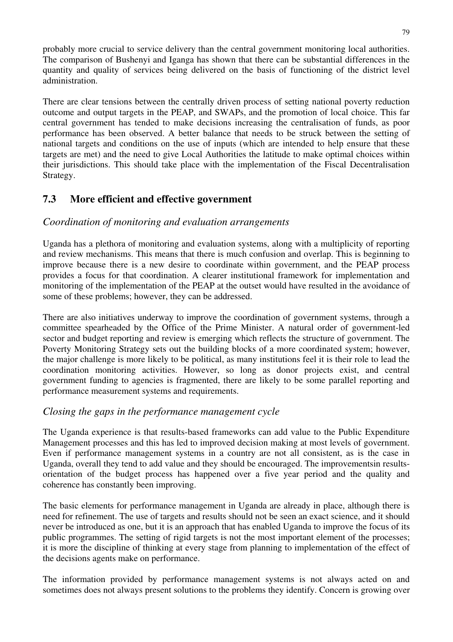probably more crucial to service delivery than the central government monitoring local authorities. The comparison of Bushenyi and Iganga has shown that there can be substantial differences in the quantity and quality of services being delivered on the basis of functioning of the district level administration.

There are clear tensions between the centrally driven process of setting national poverty reduction outcome and output targets in the PEAP, and SWAPs, and the promotion of local choice. This far central government has tended to make decisions increasing the centralisation of funds, as poor performance has been observed. A better balance that needs to be struck between the setting of national targets and conditions on the use of inputs (which are intended to help ensure that these targets are met) and the need to give Local Authorities the latitude to make optimal choices within their jurisdictions. This should take place with the implementation of the Fiscal Decentralisation Strategy.

# **7.3 More efficient and effective government**

# *Coordination of monitoring and evaluation arrangements*

Uganda has a plethora of monitoring and evaluation systems, along with a multiplicity of reporting and review mechanisms. This means that there is much confusion and overlap. This is beginning to improve because there is a new desire to coordinate within government, and the PEAP process provides a focus for that coordination. A clearer institutional framework for implementation and monitoring of the implementation of the PEAP at the outset would have resulted in the avoidance of some of these problems; however, they can be addressed.

There are also initiatives underway to improve the coordination of government systems, through a committee spearheaded by the Office of the Prime Minister. A natural order of government-led sector and budget reporting and review is emerging which reflects the structure of government. The Poverty Monitoring Strategy sets out the building blocks of a more coordinated system; however, the major challenge is more likely to be political, as many institutions feel it is their role to lead the coordination monitoring activities. However, so long as donor projects exist, and central government funding to agencies is fragmented, there are likely to be some parallel reporting and performance measurement systems and requirements.

# *Closing the gaps in the performance management cycle*

The Uganda experience is that results-based frameworks can add value to the Public Expenditure Management processes and this has led to improved decision making at most levels of government. Even if performance management systems in a country are not all consistent, as is the case in Uganda, overall they tend to add value and they should be encouraged. The improvementsin resultsorientation of the budget process has happened over a five year period and the quality and coherence has constantly been improving.

The basic elements for performance management in Uganda are already in place, although there is need for refinement. The use of targets and results should not be seen an exact science, and it should never be introduced as one, but it is an approach that has enabled Uganda to improve the focus of its public programmes. The setting of rigid targets is not the most important element of the processes; it is more the discipline of thinking at every stage from planning to implementation of the effect of the decisions agents make on performance.

The information provided by performance management systems is not always acted on and sometimes does not always present solutions to the problems they identify. Concern is growing over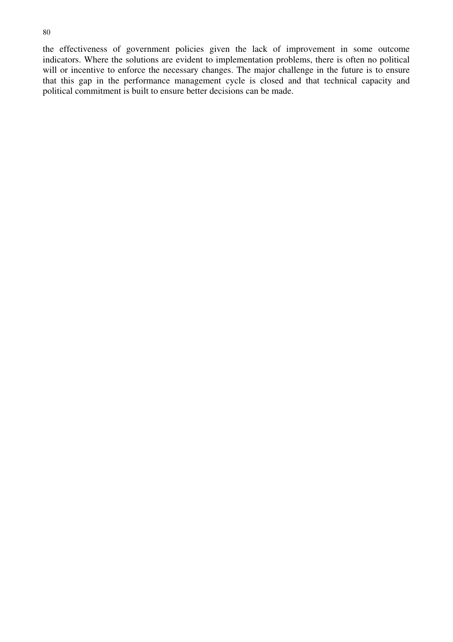the effectiveness of government policies given the lack of improvement in some outcome indicators. Where the solutions are evident to implementation problems, there is often no political will or incentive to enforce the necessary changes. The major challenge in the future is to ensure that this gap in the performance management cycle is closed and that technical capacity and political commitment is built to ensure better decisions can be made.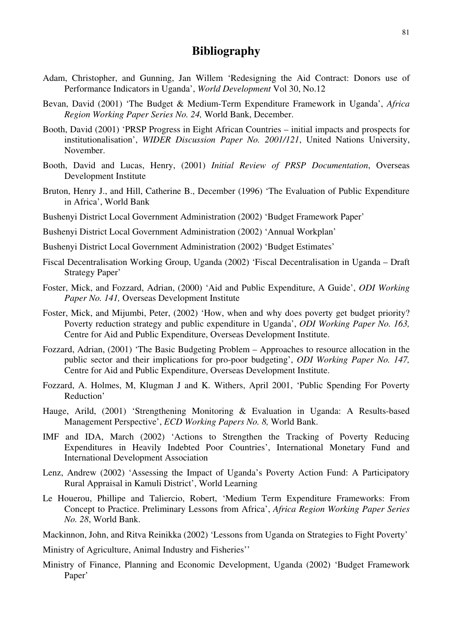# **Bibliography**

- Adam, Christopher, and Gunning, Jan Willem 'Redesigning the Aid Contract: Donors use of Performance Indicators in Uganda', *World Development* Vol 30, No.12
- Bevan, David (2001) 'The Budget & Medium-Term Expenditure Framework in Uganda', *Africa Region Working Paper Series No. 24,* World Bank, December.
- Booth, David (2001) 'PRSP Progress in Eight African Countries initial impacts and prospects for institutionalisation', *WIDER Discussion Paper No. 2001/121*, United Nations University, November.
- Booth, David and Lucas, Henry, (2001) *Initial Review of PRSP Documentation*, Overseas Development Institute
- Bruton, Henry J., and Hill, Catherine B., December (1996) 'The Evaluation of Public Expenditure in Africa', World Bank
- Bushenyi District Local Government Administration (2002) 'Budget Framework Paper'
- Bushenyi District Local Government Administration (2002) 'Annual Workplan'
- Bushenyi District Local Government Administration (2002) 'Budget Estimates'
- Fiscal Decentralisation Working Group, Uganda (2002) 'Fiscal Decentralisation in Uganda Draft Strategy Paper'
- Foster, Mick, and Fozzard, Adrian, (2000) 'Aid and Public Expenditure, A Guide', *ODI Working Paper No. 141,* Overseas Development Institute
- Foster, Mick, and Mijumbi, Peter, (2002) 'How, when and why does poverty get budget priority? Poverty reduction strategy and public expenditure in Uganda', *ODI Working Paper No. 163,*  Centre for Aid and Public Expenditure, Overseas Development Institute.
- Fozzard, Adrian, (2001) 'The Basic Budgeting Problem Approaches to resource allocation in the public sector and their implications for pro-poor budgeting', *ODI Working Paper No. 147,*  Centre for Aid and Public Expenditure, Overseas Development Institute.
- Fozzard, A. Holmes, M, Klugman J and K. Withers, April 2001, 'Public Spending For Poverty Reduction'
- Hauge, Arild, (2001) 'Strengthening Monitoring & Evaluation in Uganda: A Results-based Management Perspective', *ECD Working Papers No. 8,* World Bank.
- IMF and IDA, March (2002) 'Actions to Strengthen the Tracking of Poverty Reducing Expenditures in Heavily Indebted Poor Countries', International Monetary Fund and International Development Association
- Lenz, Andrew (2002) 'Assessing the Impact of Uganda's Poverty Action Fund: A Participatory Rural Appraisal in Kamuli District', World Learning
- Le Houerou, Phillipe and Taliercio, Robert, 'Medium Term Expenditure Frameworks: From Concept to Practice. Preliminary Lessons from Africa', *Africa Region Working Paper Series No. 28*, World Bank.
- Mackinnon, John, and Ritva Reinikka (2002) 'Lessons from Uganda on Strategies to Fight Poverty'
- Ministry of Agriculture, Animal Industry and Fisheries''
- Ministry of Finance, Planning and Economic Development, Uganda (2002) 'Budget Framework Paper'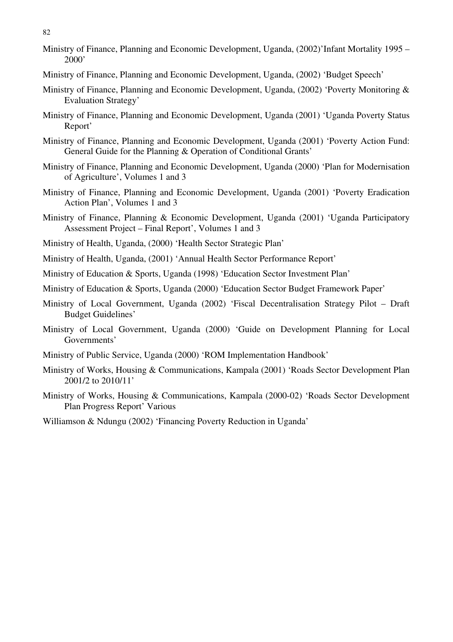82

- Ministry of Finance, Planning and Economic Development, Uganda, (2002)'Infant Mortality 1995 2000'
- Ministry of Finance, Planning and Economic Development, Uganda, (2002) 'Budget Speech'
- Ministry of Finance, Planning and Economic Development, Uganda, (2002) 'Poverty Monitoring & Evaluation Strategy'
- Ministry of Finance, Planning and Economic Development, Uganda (2001) 'Uganda Poverty Status Report'
- Ministry of Finance, Planning and Economic Development, Uganda (2001) 'Poverty Action Fund: General Guide for the Planning & Operation of Conditional Grants'
- Ministry of Finance, Planning and Economic Development, Uganda (2000) 'Plan for Modernisation of Agriculture', Volumes 1 and 3
- Ministry of Finance, Planning and Economic Development, Uganda (2001) 'Poverty Eradication Action Plan', Volumes 1 and 3
- Ministry of Finance, Planning & Economic Development, Uganda (2001) 'Uganda Participatory Assessment Project – Final Report', Volumes 1 and 3
- Ministry of Health, Uganda, (2000) 'Health Sector Strategic Plan'
- Ministry of Health, Uganda, (2001) 'Annual Health Sector Performance Report'
- Ministry of Education & Sports, Uganda (1998) 'Education Sector Investment Plan'
- Ministry of Education & Sports, Uganda (2000) 'Education Sector Budget Framework Paper'
- Ministry of Local Government, Uganda (2002) 'Fiscal Decentralisation Strategy Pilot Draft Budget Guidelines'
- Ministry of Local Government, Uganda (2000) 'Guide on Development Planning for Local Governments'
- Ministry of Public Service, Uganda (2000) 'ROM Implementation Handbook'
- Ministry of Works, Housing & Communications, Kampala (2001) 'Roads Sector Development Plan 2001/2 to 2010/11'
- Ministry of Works, Housing & Communications, Kampala (2000-02) 'Roads Sector Development Plan Progress Report' Various

Williamson & Ndungu (2002) 'Financing Poverty Reduction in Uganda'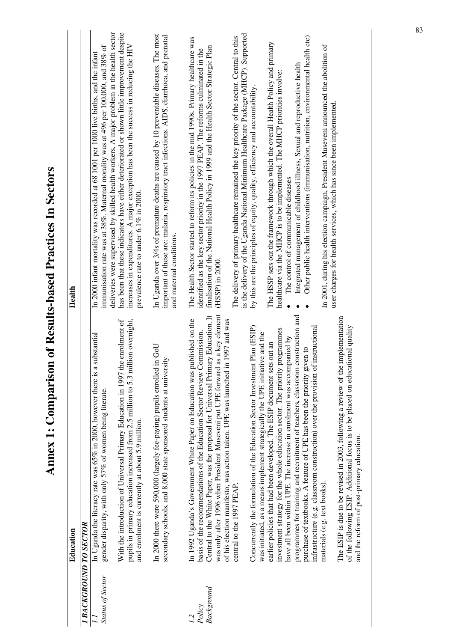| <b>I BACKGROUND TO SECTOR</b><br>Status of Sector | In Uganda the literacy rate was 65% in 2000, however there is a substantial<br>gender disparity, with only 57% of women being literate.                                                                                                                                                                                                                                                                            |                                                                                                                                                                                                                                                                                                                              |
|---------------------------------------------------|--------------------------------------------------------------------------------------------------------------------------------------------------------------------------------------------------------------------------------------------------------------------------------------------------------------------------------------------------------------------------------------------------------------------|------------------------------------------------------------------------------------------------------------------------------------------------------------------------------------------------------------------------------------------------------------------------------------------------------------------------------|
|                                                   |                                                                                                                                                                                                                                                                                                                                                                                                                    |                                                                                                                                                                                                                                                                                                                              |
|                                                   |                                                                                                                                                                                                                                                                                                                                                                                                                    | immunisation rate was at 38%. Maternal morality was at 496 per 100,000, and 38% of<br>In 2000 infant mortality was recorded at 68 1001 per 1000 live births, and the infant                                                                                                                                                  |
|                                                   | pupils in primary education increased from 2.5 million to 5.3 million overnight,<br>the enrolment of<br>With the introduction of Universal Primary Education in 1997<br>and enrolment is currently at about 5.9 million.                                                                                                                                                                                           | deliveries were supervised by skilled health workers. A major problem in the health sector<br>has been that these indicators have either deteriorated or shown little improvement despite<br>increases in expenditures. A major exception has been the success in reducing the HIV<br>prevalence rate to under 6.1% in 2000. |
|                                                   | UoD ui<br>secondary schools, and 8,000 state sponsored students at university.<br>In 2000 there were 590,000 (largely fee-paying) pupils enrolled                                                                                                                                                                                                                                                                  | In Uganda over 3/4s of premature deaths are caused by 10 preventable diseases. The most<br>important of these are: malaria, respiratory tract infections. AIDS, diarrhoea, and prenatal<br>and maternal conditions.                                                                                                          |
| Background<br>Policy                              | was only after 1996 when President Museveni put UPE forward as a key element<br>Central to the White Paper, was the proposal for Universal Primary Education. It<br>published on the<br>in 1997 and was<br>Commission.<br>of his election manifesto, was action taken. UPE was launched<br>basis of the recommendations of the Education Sector Review<br>In 1992 Uganda's Government White Paper on Education was | The Health Sector started to reform its policies in the mid 1990s. Primary healthcare was<br>finalisation of the National Health Policy in 1999 and the Health Sector Strategic Plan<br>identified as the key sector priority in the 1997 PEAP. The reforms culminated in the<br>$(HSSP)$ in 2000.                           |
|                                                   | Concurrently the formulation of the Education Sector Investment Plan (ESIP)<br>was initiated, as a means implement strategically the UPE initiative and the<br>central to the 1997 PEAP.                                                                                                                                                                                                                           | is the delivery of the Uganda National Minimum Healthcare Package (MHCP). Supported<br>The delivery of primary healthcare remained the key priority of the sector. Central to this<br>by this are the principles of equity, quality, efficiency and accountability.                                                          |
|                                                   | investment strategy for the whole education sector. The priority programmes<br>have all been within UPE. The increase in enrolment was accompanied by<br>earlier policies that had been developed. The ESIP document sets out an                                                                                                                                                                                   | The HSSP sets out the framework through which the overall Health Policy and primary<br>healthcare via the MHCP is to be implemented. The MHCP priorities involve:<br>The control of communicable diseases                                                                                                                    |
|                                                   | programmes for training and recruitment of teachers, classroom construction and<br>infrastructure (e.g. classroom construction) over the provision of instructional<br>purchase of textbooks. A feature of UPE has been the priority given to                                                                                                                                                                      | Other public health interventions (immunisation, nutrition, environmental health etc)<br>Integrated management of childhood illness, Sexual and reproductive health                                                                                                                                                          |
|                                                   | The ESIP is due to be revised in 2003, following a review of the implementation<br>of the following ESIP. Additional focus is to be placed on educational quality<br>materials (e.g. text books).                                                                                                                                                                                                                  | In 2001, during his election campaign, President Museveni announced the abolition of<br>user charges for health services, which has since been implemented.                                                                                                                                                                  |
|                                                   | and the reform of post-primary education.                                                                                                                                                                                                                                                                                                                                                                          |                                                                                                                                                                                                                                                                                                                              |

# **Annex 1: Comparison of Results-based Practices In Sectors**   $\mathcal{L}$  $\overline{I}$ J.  $\ddot{ }$ ב<br>ק Ė  $\overline{\mathbf{14}}$  $\mathbf{r}$  $\frac{1}{1}$ Ĥ  $\ddot{\phantom{0}}$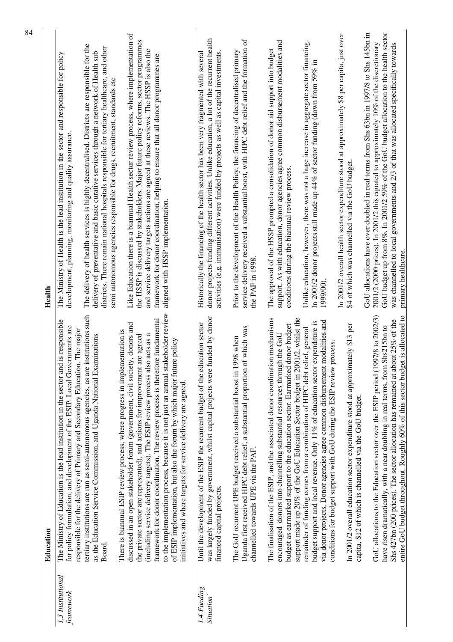|                                | Education                                                                                                                                                                                                                                                                                                                                                                                                                                                                                                                                                                                                                                                                                                                                                                                                                                                                                                                                                                                                                                                                 | Health                                                                                                                                                                                                                                                                                                                                                                                                                                                                                                                                                                                                                                                                                                                                                                                                                                                                                                                        |
|--------------------------------|---------------------------------------------------------------------------------------------------------------------------------------------------------------------------------------------------------------------------------------------------------------------------------------------------------------------------------------------------------------------------------------------------------------------------------------------------------------------------------------------------------------------------------------------------------------------------------------------------------------------------------------------------------------------------------------------------------------------------------------------------------------------------------------------------------------------------------------------------------------------------------------------------------------------------------------------------------------------------------------------------------------------------------------------------------------------------|-------------------------------------------------------------------------------------------------------------------------------------------------------------------------------------------------------------------------------------------------------------------------------------------------------------------------------------------------------------------------------------------------------------------------------------------------------------------------------------------------------------------------------------------------------------------------------------------------------------------------------------------------------------------------------------------------------------------------------------------------------------------------------------------------------------------------------------------------------------------------------------------------------------------------------|
| 1.3 Institutional<br>framework | to the implementation process, because it is not just an annual stakeholder review<br>tertiary institutions are run as semi-autonomous agencies, as are institutions such<br>framework for donor coordination. The review process is therefore fundamental<br>The Ministry of Education is the lead institution in the sector and is responsible<br>discussed in an open stakeholder forum (government, civil society, donors and<br>for policy formulation, and development of the ESIP. Local Governments are<br>responsible for the delivery of Primary and Secondary Education. The major<br>There is biannual ESIP review process, where progress in implementation is<br>(including service delivery targets). The ESIP review process also acts as a<br>as the Education Service Commission, and Uganda National Examinations<br>the private sector are represented), and actions for improvement are agreed<br>of ESIP implementation, but also the forum by which major future policy<br>initiatives and where targets for service delivery are agreed.<br>Board | Like Education there is a biannual Health sector review process, where implementation of<br>the HSSP is discussed by stakeholders. Major future policy reforms, sector programmes<br>The delivery of health services is highly decentralised. Districts are responsible for the<br>districts. There remain national hospitals responsible for tertiary healthcare, and other<br>delivery of preventative and basic curative services through a network of Health sub-<br>and service delivery targets actions are agreed at these reviews. The HSSP is also the<br>The Ministry of Health is the lead institution in the sector and responsible for policy<br>framework for donor coordination, helping to ensure that all donor programmes are<br>semi autonomous agencies responsible for drugs, recruitment, standards etc<br>development, planning, monitoring and quality assurance.<br>aligned with HSSP implementation |
|                                |                                                                                                                                                                                                                                                                                                                                                                                                                                                                                                                                                                                                                                                                                                                                                                                                                                                                                                                                                                                                                                                                           |                                                                                                                                                                                                                                                                                                                                                                                                                                                                                                                                                                                                                                                                                                                                                                                                                                                                                                                               |
| 1.4 Funding<br>Situation       | funded by donor<br>Until the development of the ESIP the recurrent budget of the education sector<br>was largely funded by government, whilst capital projects were<br>financed capital projects.                                                                                                                                                                                                                                                                                                                                                                                                                                                                                                                                                                                                                                                                                                                                                                                                                                                                         | donor projects funding different activities. Unlike education, a lot of the recurrent health<br>activities (e.g. immunisation) were funded by projects as well as capital investments<br>Historically the financing of the health sector has been very fragmented with several                                                                                                                                                                                                                                                                                                                                                                                                                                                                                                                                                                                                                                                |
|                                | of which was<br>1998 when<br>Uganda first received HIPC debt relief, a substantial proportion<br>The GoU recurrent UPE budget received a substantial boost in<br>channelled towards UPE via the PAF.                                                                                                                                                                                                                                                                                                                                                                                                                                                                                                                                                                                                                                                                                                                                                                                                                                                                      | service delivery received a substantial boost, with HIPC debt relief and the formation of<br>Prior to the development of the Health Policy, the financing of decentralised primary<br>the PAF in 1998                                                                                                                                                                                                                                                                                                                                                                                                                                                                                                                                                                                                                                                                                                                         |
|                                | support made up 20% of the GoU Education Sector budget in 2001/2, whilst the<br>The finalisation of the ESIP, and the associated donor coordination mechanisms<br>budget as earmarked support to the education sector. Earmarked donor budget<br>encouraged donors into channelling substantial resources through the GoU                                                                                                                                                                                                                                                                                                                                                                                                                                                                                                                                                                                                                                                                                                                                                 | support. As with education, donor agencies agree common disbursement modalities and<br>The approval of the HSSP prompted a consolidation of donor aid support into budget<br>conditions during the biannual review process.                                                                                                                                                                                                                                                                                                                                                                                                                                                                                                                                                                                                                                                                                                   |
|                                | via donor projects. Donor agencies agree common disbursement modalities and<br>budget support and local revenue. Only 11% of education sector expenditure is<br>remainder of funding comes from a combination of HIPC debt relief, general<br>conditions for budget support with GoU during the ESIP review process.                                                                                                                                                                                                                                                                                                                                                                                                                                                                                                                                                                                                                                                                                                                                                      | Unlike education, however, there was not a huge increase in aggregate sector financing.<br>In 2001/2 donor projects still made up $44\%$ of sector funding (down from 59% in<br>1999/00                                                                                                                                                                                                                                                                                                                                                                                                                                                                                                                                                                                                                                                                                                                                       |
|                                | In 2001/2 overall education sector expenditure stood at approximately \$13 per<br>capita, \$12 of which is channelled via the GoU budget.                                                                                                                                                                                                                                                                                                                                                                                                                                                                                                                                                                                                                                                                                                                                                                                                                                                                                                                                 | In 2001/2 overall health sector expenditure stood at approximately \$8 per capita, just over<br>\$4 of which was channelled via the GoU budget.                                                                                                                                                                                                                                                                                                                                                                                                                                                                                                                                                                                                                                                                                                                                                                               |
|                                | entire GoU budget throughout. Roughly 60% of this sector budget is allocated to<br>GoU allocations to the Education sector over the ESIP period (1997/8 to 2002/3)<br>Shs 427bn (200 prices). The sector allocation has remained at about 25% of the<br>have risen dramatically, with a near doubling in real terms, from Shs215bn to                                                                                                                                                                                                                                                                                                                                                                                                                                                                                                                                                                                                                                                                                                                                     | GoU budget up from 8%. In 2001/2 59% of the GoU budget allocation to the health sector<br>GoU allocations have over doubled in real terms from Shs 63bn in 1997/8 to Shs 145bn in<br>2001/2 (2000 prices). In 2001/2 this equated to approximately 10% of the discretionary<br>was channelled to local governments and 2/3 of that was allocated specifically towards<br>primary healthcare                                                                                                                                                                                                                                                                                                                                                                                                                                                                                                                                   |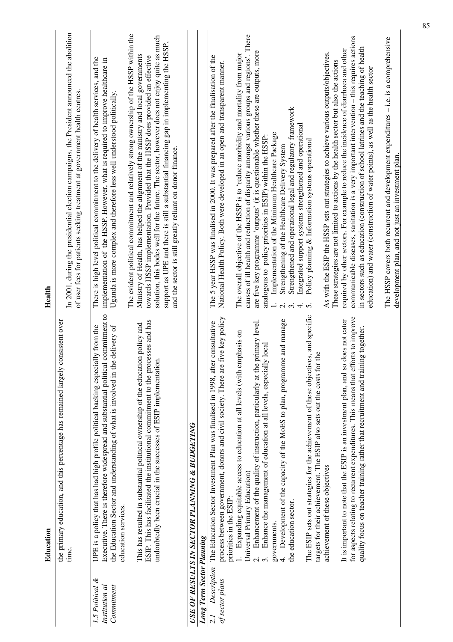|                                                    | Education                                                                                                                                                                                                                                                                       | Health                                                                                                                                                                                                                                                                                                                                                                                                                     |
|----------------------------------------------------|---------------------------------------------------------------------------------------------------------------------------------------------------------------------------------------------------------------------------------------------------------------------------------|----------------------------------------------------------------------------------------------------------------------------------------------------------------------------------------------------------------------------------------------------------------------------------------------------------------------------------------------------------------------------------------------------------------------------|
|                                                    | consistent over<br>the primary education, and this percentage has remained largely<br>time.                                                                                                                                                                                     | In 2001, during the presidential election campaigns, the President announced the abolition<br>of user fees for patients seeking treatment at government health centres.                                                                                                                                                                                                                                                    |
| 1.5 Political $\&$<br>Institution al<br>Commitment | Executive. There is therefore widespread and substantial political commitment to<br>UPE is a policy that has had high profile political backing especially from the<br>e delivery of<br>the Education Sector and understanding of what is involved in th<br>education services. | The evident political commitment and relatively strong ownership of the HSSP within the<br>There is high level political commitment to the delivery of health services, and the<br>implementation of the HSSP. However, what is required to improve healthcare in<br>Uganda is more complex and therefore less well understood politically.                                                                                |
|                                                    | ESIP. This has facilitated the institutional commitment to the processes and has<br>This has resulted in substantial political ownership of the education policy and<br>undoubtedly been crucial in the successes of ESIP implementation.                                       | solution, this bodes well for the future. The sector, however does not enjoy quite as much<br>support as UPE and there is still a substantial financing gap in implementing the HSSP,<br>Ministry of Health, has helped the alignment of the ministry and local governments<br>towards HSSP implementation. Provided that the HSSP does provided an effective<br>and the sector is still greatly reliant on donor finance. |
| <b>Long Term Sector Planning</b>                   | USE OF RESULTS IN SECTOR PLANNING & BUDGETING                                                                                                                                                                                                                                   |                                                                                                                                                                                                                                                                                                                                                                                                                            |
| Description<br>of sector plans<br>$\overline{2}$   | process between government, donors and civil society. There are five key policy<br>The Education Sector Investment Plan was finalised in 1998, after consultative<br>priorities in the ESIP:                                                                                    | The 5 year HSSP was finalised in 2000. It was prepared after the finalisation of the<br>National Health Policy. Both were developed in an open and transparent manner.                                                                                                                                                                                                                                                     |
|                                                    | Enhancement of the quality of instruction, particularly at the primary level.<br>Expanding equitable access to education at all levels (with emphasis on<br>Enhance the management of education at all levels, especially local<br>Universal Primary Education)                 | causes of ill health and reduction of disparity amongst various groups and regions'. There<br>are five key programme 'outputs' (it is questionable whether these are outputs, more<br>The overall objective of the HSSP is to 'reduce morbidity and mortality from major<br>Implementation of the Minimum Healthcare Package<br>analogous to policy priorities in ESIP) within the HSSP:                                   |
|                                                    | Development of the capacity of the MoES to plan, programme and manage<br>the education sector.<br>governments.<br>4.                                                                                                                                                            | Strengthened and operational legal and regulatory framework<br>Integrated support systems strengthened and operational<br>Strengthening of the Healthcare Delivery System<br>4.<br>$\dot{\mathcal{E}}$<br>$\dot{\sim}$                                                                                                                                                                                                     |
|                                                    | The ESIP sets out strategies for the achievement of these objectives, and specific<br>targets for their achievement. The ESIP also sets out the costs for the<br>achievement of these objectives                                                                                | As with the ESIP the HSSP sets out strategies to achieve various outputs/objectives.<br>These strategies are not limited to actions by the health sector but also the actions<br>Policy planning & Information systems operational<br>$\overline{5}$                                                                                                                                                                       |
|                                                    | for aspects relating to recurrent expenditures. This means that efforts to improve<br>It is important to note that the ESIP is an investment plan, and so does not cater<br>quality focus on teacher training rather that recruitment and training together.                    | communicable diseases, sanitation is a very important intervention $-$ this requires actions<br>in sectors such as education (construction of school latrines and the teaching of health<br>required by other sectors. For example to reduce the incidence of diarrhoea and other<br>education) and water (construction of water points), as well as the health sector                                                     |
|                                                    |                                                                                                                                                                                                                                                                                 | The HSSP covers both recurrent and development expenditures - i.e. is a comprehensive<br>development plan, and not just an investment plan                                                                                                                                                                                                                                                                                 |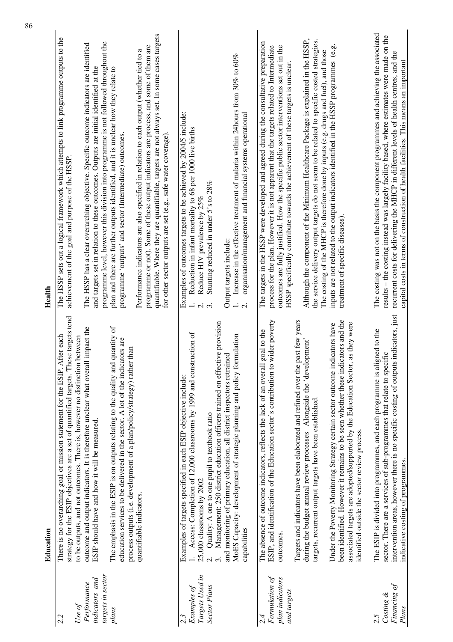|                                                                           | Education                                                                                                                                                                                                                                                                                                                                      | Health                                                                                                                                                                                                                                                                                                                                                                                                                   |
|---------------------------------------------------------------------------|------------------------------------------------------------------------------------------------------------------------------------------------------------------------------------------------------------------------------------------------------------------------------------------------------------------------------------------------|--------------------------------------------------------------------------------------------------------------------------------------------------------------------------------------------------------------------------------------------------------------------------------------------------------------------------------------------------------------------------------------------------------------------------|
| Use of<br>2.2                                                             | strategy for the ESIP objectives are a set of quantified targets. These targets tend<br>There is no overarching goal or mission statement for the ESIP. After each<br>to be outputs, and not outcomes. There is, however no distinction between                                                                                                | The HSSP sets out a logical framework which attempts to link programme outputs to the<br>achievement of the goal and purpose of the HSSP.                                                                                                                                                                                                                                                                                |
| targets in sector<br><i>indicators</i> and<br>Performance<br>plans        | outcome and output indicators. It is therefore unclear what overall impact the<br>The emphasis in the ESIP is on outputs relating to the quality and quantity of<br>education services to be delivered in the sector. A lot of the indicators are<br>ESIP should have and how it will be measured.                                             | programme level, however this division into programme is not followed throughout the<br>The HSSP has a clear overarching objective. Specific outcome indicators are identified<br>and targets set in relation to these outcomes. Outputs are initial identified at the<br>plan and there are further outputs identified, and it is unclear how they relate to<br>programme 'outputs' and sector (Intermediate) outcomes. |
|                                                                           | process outputs (i.e. development of a plan/policy/strategy) rather than<br>quantifiable indicators.                                                                                                                                                                                                                                           | quantifiable. Where they are quantifiable, targets are not always set. In some cases targets<br>programme or not). Some of these output indicators are process, and some of them are<br>ß<br>Performance indicators are also specified in relation to each output (whether tied to<br>for other sector outputs are set (e.g safe water coverage).                                                                        |
| Targets Used in<br>Examples of<br><b>Sector Plans</b><br>$2.\overline{3}$ | Management: 250 district education officers trained on effective provision<br>Access: Completion of 12,000 classrooms by 1999 and construction of<br>Examples of targets specified in each ESIP objective include:<br>Quality: A one to one pupil to textbook ratio<br>25,000 classrooms by 2002<br>$\overline{a}$<br>$\overline{\mathcal{N}}$ | Examples of outcomes targets to be achieved by 2004/5 include:<br>Reduction in infant mortality to 68 per 1000 live births<br>Stunting reduced in under 5's to 28%<br>Reduce HIV prevalence by 25%<br>$\ddot{ }$<br>$\ddot{\Omega}$                                                                                                                                                                                      |
|                                                                           | MoES Capacity: development of strategic planning and policy formulation<br>and monitoring of primary education, all district inspectors retrained<br>capabilities                                                                                                                                                                              | Increase in the effective treatment of malaria within 24 hours from 30% to 60%<br>organisation/management and financial systems operational<br>Output targets include:<br>$\overline{\mathcal{C}}$                                                                                                                                                                                                                       |
| Formulation of<br>plan indicators<br>and targets<br>2.4                   | wider poverty<br>goal to the<br>The absence of outcome indicators, reflects the lack of an overall<br>ESIP, and identification of the Education sector's contribution to<br>outcomes.                                                                                                                                                          | The targets in the HSSP were developed and agreed during the consultative preparation<br>outcomes are fully justified. How the specific public sector interventions set out in the<br>process for the plan. However it is not apparent that the targets related to Intermediate<br>HSSP specifically contribute towards the achievement of these targets is unclear.                                                     |
|                                                                           | past few years<br>during the budget annual review processes Alongside the 'development'<br>Targets and indicators have been elaborated and refined over the<br>targets, recurrent output targets have been established.                                                                                                                        | Although the component of the Minimum Healthcare Package is explained in the HSSP,<br>the service delivery output targets do not seem to be related to specific costed strategies.<br>The costing of the MHCP is therefore done by inputs (e.g. drugs and fuel), and those                                                                                                                                               |
|                                                                           | been identified. However it remains to be seen whether these indicators and the<br>Under the Poverty Monitoring Strategy certain sector outcome indicators have<br>associated targets are adopted/supported by the Education Sector, as they were<br>identified outside the sector review process.                                             | inputs are not related to the output indicators identified in the HSSP programmes (e.g.<br>treatment of specific diseases).                                                                                                                                                                                                                                                                                              |
| Financing of<br>Costing &<br>Plans<br>2.5                                 | intervention areas, however there is no specific costing of outputs indicators, just<br>igned to the<br>sector. There are a services of sub-programmes that relate to specific<br>The ESIP is divided into programmes, and each programme is al<br>indicative costing of programmes.                                                           | The costing was not on the basis the component programmes and achieving the associated<br>results - the costing instead was largely facility based, where estimates were made on the<br>recurrent costs for delivering the MHCP in different levels of health centres, and the<br>capital costs in terms of construction of health facilities. This means an important                                                   |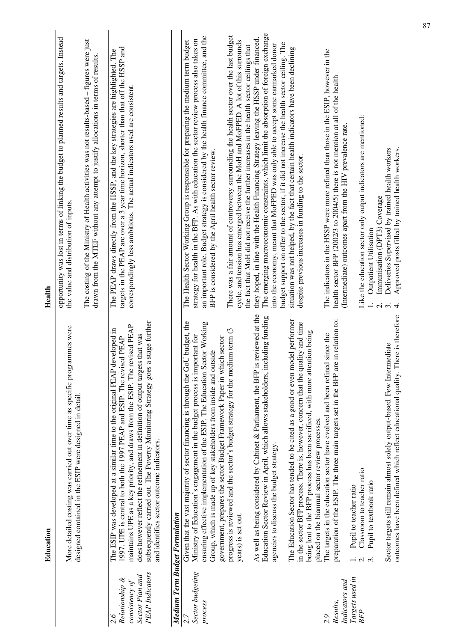|                                                                                      | Education                                                                                                                                                                                                                                                                                                                                                                                              | Health                                                                                                                                                                                                                                                     |
|--------------------------------------------------------------------------------------|--------------------------------------------------------------------------------------------------------------------------------------------------------------------------------------------------------------------------------------------------------------------------------------------------------------------------------------------------------------------------------------------------------|------------------------------------------------------------------------------------------------------------------------------------------------------------------------------------------------------------------------------------------------------------|
|                                                                                      | More detailed costing was carried out over time as specific programmes were<br>designed contained in the ESIP were designed in detail                                                                                                                                                                                                                                                                  | opportunity was lost in terms of linking the budget to planned results and targets. Instead<br>the value and distribution of inputs.                                                                                                                       |
|                                                                                      |                                                                                                                                                                                                                                                                                                                                                                                                        | The costing of the Ministry of Health activities was not results-based - figures were just<br>drawn from the MTEF without any attempt to justify allocations in terms of results.                                                                          |
| <b>PEAP</b> Indicators<br>Sector Plan and<br>Relationship &<br>consistency of<br>2.6 | a stage further<br>maintains UPE as a key priority, and draws from the ESIP. The revised PEAP<br>The ESIP was developed at a similar time to the original PEAP developed in<br>does however reflect the refinement in definition of output targets that was<br>1997. UPE is central to both the 1997 PEAP and ESIP. The revised PEAP<br>subsequently carried out. The Poverty Monitoring Strategy goes | targets in the PEAP are over a 3 year time horizon, shorter than that off the HSSP and<br>The PEAP draws directly from the HSSP, and the key strategies are highlighted. The<br>correspondingly less ambitious. The actual indicators used are consistent. |
|                                                                                      | and identifies sector outcome indicators.                                                                                                                                                                                                                                                                                                                                                              |                                                                                                                                                                                                                                                            |
| Medium Term Budget Formulation                                                       |                                                                                                                                                                                                                                                                                                                                                                                                        |                                                                                                                                                                                                                                                            |
| 2.7                                                                                  | Given that the vast majority of sector financing is through the GoU budget, the                                                                                                                                                                                                                                                                                                                        | The Health Sector Working Group is responsible for preparing the medium term budget                                                                                                                                                                        |
| Sector budgeting<br>process                                                          | ensuring effective implementation of the ESIP. The Education Sector Working<br>Ministry of Education's engagement in the budget process is important for                                                                                                                                                                                                                                               | an important role. Budget strategy is considered by the health finance committee, and the<br>strategy for health in the BFP. As with education the sector review process also takes on                                                                     |
|                                                                                      | government, prepares the sector Budget Framework Paper in which sector<br>Group, which is made up of key stakeholders from inside and outside                                                                                                                                                                                                                                                          | BFP is considered by the April health sector review.                                                                                                                                                                                                       |
|                                                                                      | progress is reviewed and the sector's budget strategy for the medium term (3                                                                                                                                                                                                                                                                                                                           | There was a fair amount of controversy surrounding the health sector over the last budget                                                                                                                                                                  |
|                                                                                      | years) is set out.                                                                                                                                                                                                                                                                                                                                                                                     | cycle, and tension has emerged between the MoH and MoFPED. A lot of this surrounds<br>the fact that MoH did not receive the further increases in the health sector ceilings that                                                                           |
|                                                                                      | As well as being considered by Cabinet & Parliament, the BFP is reviewed at the                                                                                                                                                                                                                                                                                                                        | they hoped, in line with the Health Financing Strategy leaving the HSSP under-financed.                                                                                                                                                                    |
|                                                                                      | Education Sector Review in April, which allows stakeholders, including funding<br>agencies to discuss the budget strategy.                                                                                                                                                                                                                                                                             | The emerging macroeconomic constraints, which limit the absorption of foreign exchange<br>into the economy, meant that MoFPED was only able to accept some earmarked donor                                                                                 |
|                                                                                      |                                                                                                                                                                                                                                                                                                                                                                                                        | budget support on offer to the sector, if it did not increase the health sector ceiling. The                                                                                                                                                               |
|                                                                                      | The Education Sector has tended to be cited as a good or even model performer                                                                                                                                                                                                                                                                                                                          | situation was not helped, by the fact that certain health indicators have been declining                                                                                                                                                                   |
|                                                                                      | in the sector BFP process. There is, however, concern that the quality and time<br>being lent to the BFP process has been sacrificed, with more attention being                                                                                                                                                                                                                                        | despite previous increases in funding to the sector.                                                                                                                                                                                                       |
|                                                                                      | placed on the biannual sector review processes.                                                                                                                                                                                                                                                                                                                                                        |                                                                                                                                                                                                                                                            |
| Results,<br>2.9                                                                      | preparation of the ESIP. The three main targets set in the BFP are in relation to:<br>The targets in the education sector have evolved and been refined since the                                                                                                                                                                                                                                      | The indicators in the HSSP were more refined than those in the ESIP, however in the<br>health sector BFP (2002/3 to 2004/5) there is not mention at all of the health                                                                                      |
| Indicators and                                                                       |                                                                                                                                                                                                                                                                                                                                                                                                        | (Intermediate) outcomes apart from the HIV prevalence rate                                                                                                                                                                                                 |
| Targets used in                                                                      | Pupil to teacher ratio                                                                                                                                                                                                                                                                                                                                                                                 |                                                                                                                                                                                                                                                            |
| <b>BFP</b>                                                                           | Classroom to teacher ratio<br>$\frac{1}{2}$ $\alpha$                                                                                                                                                                                                                                                                                                                                                   | Like the education sector only output indicators are mentioned:                                                                                                                                                                                            |
|                                                                                      | Pupil to textbook ratio<br>$\dot{\mathfrak{c}}$                                                                                                                                                                                                                                                                                                                                                        | Outpatient Utilisation                                                                                                                                                                                                                                     |
|                                                                                      |                                                                                                                                                                                                                                                                                                                                                                                                        | Immunisation (DPT3) Coverage<br>$\dot{\circ}$                                                                                                                                                                                                              |
|                                                                                      | here is therefore<br>Sector targets still remain almost solely output-based. Few Intermediate<br>outcomes have been defined which reflect educational quality. TI                                                                                                                                                                                                                                      | Deliveries Supervised by trained health workers<br>Approved posts filled by trained health workers.<br>$\overline{4}$                                                                                                                                      |
|                                                                                      |                                                                                                                                                                                                                                                                                                                                                                                                        |                                                                                                                                                                                                                                                            |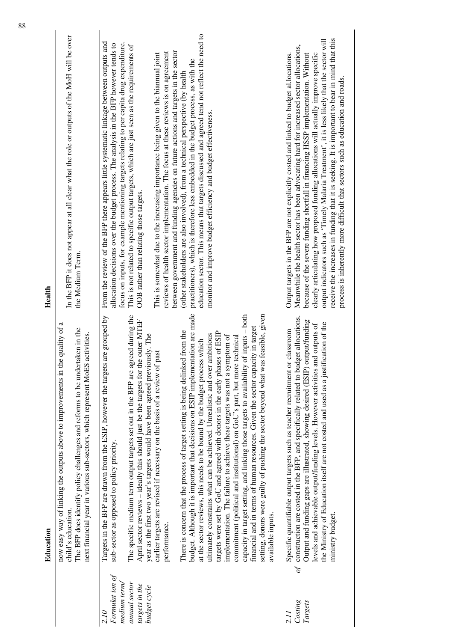|                                                                                           | Education                                                                                                                                                                                                                                                                                                                                                                                                                                                                                                                                                                                                                                                                                                                                                                                                                                                                                                                                                                                                                                                                                                                                                                                                                                                                                                                                       | Health                                                                                                                                                                                                                                                                                                                                                                                                                                                                                                                                                                                                                                                                                                                                                                                                                                                                                                                                                                                                                                 |
|-------------------------------------------------------------------------------------------|-------------------------------------------------------------------------------------------------------------------------------------------------------------------------------------------------------------------------------------------------------------------------------------------------------------------------------------------------------------------------------------------------------------------------------------------------------------------------------------------------------------------------------------------------------------------------------------------------------------------------------------------------------------------------------------------------------------------------------------------------------------------------------------------------------------------------------------------------------------------------------------------------------------------------------------------------------------------------------------------------------------------------------------------------------------------------------------------------------------------------------------------------------------------------------------------------------------------------------------------------------------------------------------------------------------------------------------------------|----------------------------------------------------------------------------------------------------------------------------------------------------------------------------------------------------------------------------------------------------------------------------------------------------------------------------------------------------------------------------------------------------------------------------------------------------------------------------------------------------------------------------------------------------------------------------------------------------------------------------------------------------------------------------------------------------------------------------------------------------------------------------------------------------------------------------------------------------------------------------------------------------------------------------------------------------------------------------------------------------------------------------------------|
|                                                                                           | now easy way of linking the outputs above to improvements in the quality of a<br>The BFP does identify policy challenges and reforms to be undertaken in the<br>next financial year in various sub-sectors, which represent MoES activities.<br>child's education.                                                                                                                                                                                                                                                                                                                                                                                                                                                                                                                                                                                                                                                                                                                                                                                                                                                                                                                                                                                                                                                                              | In the BFP it does not appear at all clear what the role or outputs of the MoH will be over<br>the Medium Term.                                                                                                                                                                                                                                                                                                                                                                                                                                                                                                                                                                                                                                                                                                                                                                                                                                                                                                                        |
| Formulat ion of<br>annual sector<br>medium term<br>targets in the<br>budget cycle<br>2.10 | budget. Although it is important that decisions on ESIP implementation are made<br>setting, donors were guilty of pushing the sector beyond what was feasible, given<br>capacity in target setting, and linking those targets to availability of inputs - both<br>The specific medium term output targets set out in the BFP are agreed during the<br>Targets in the BFP are drawn from the ESIP, however the targets are grouped by<br>April sector reviews - ideally this should just be the targets for the outer MTEF<br>financial and in terms of human resources. Given the sector capacity in target<br>There is concern that the process of target setting is being delinked from the<br>targets were set by GoU and agreed with donors in the early phases of ESIP<br>ultimately constrains what can be achieved. Unrealistic and over ambitious<br>year as the first two year's targets would have been agreed previously. The<br>implementation. The failure to achieve these targets was not a symptom of<br>commitment (political and institutional) on GoU's part, but more technical<br>at the sector reviews, this needs to be bound by the budget process which<br>earlier targets are revised if necessary on the basis of a review of past<br>sub-sector as opposed to policy priority.<br>available inputs.<br>performance. | education sector. This means that targets discussed and agreed tend not reflect the need to<br>From the review of the BFP there appears little systematic linkage between outputs and<br>allocation decisions over the budget process. The analysis in the BFP however tends to<br>focus on inputs, for example mentioning targets relating to per capita drug expenditure.<br>This is not related to specific output targets, which are just seen as the requirements of<br>between government and funding agencies on future actions and targets in the sector<br>reviews of health sector implementation. The focus at these reviews is on agreement<br>This is somewhat due to the increasing importance being given to the biannual joint<br>practitioners), which is therefore less embedded in the budget process, as with the<br>(other stakeholders are also involved), from a technical perspective (by health<br>monitor and improve budget efficiency and budget effectiveness.<br>OOB rather than relating those targets. |
| of<br>Costing<br>Targets<br>2.II                                                          | construction are costed in the BFP, and specifically related to budget allocations.<br>Output and funding gaps are illustrated, showing desired (ESIP) output/funding<br>the Ministry of Education itself are not costed and used as a justification of the<br>and outputs of<br>or classroom<br>Specific quantifiable output targets such as teacher recruitment<br>levels and achievable output/funding levels. However activities<br>ministry budget.                                                                                                                                                                                                                                                                                                                                                                                                                                                                                                                                                                                                                                                                                                                                                                                                                                                                                        | receive the increases in funding that it is seeking. It is important to bear in mind that this<br>output indicators such as 'Timely Malaria Treatment', it is less likely that the sector will<br>Meanwhile the health sector has been advocating hard for increased sector allocations,<br>clearly articulating how proposed funding allocations will actually improve specific<br>Output targets in the BFP are not explicitly costed and linked to budget al.locations.<br>because of the severe funding shortfall in financing HSSP implementation. Without<br>process is inherently more difficult that sectors such as education and roads.                                                                                                                                                                                                                                                                                                                                                                                      |
|                                                                                           |                                                                                                                                                                                                                                                                                                                                                                                                                                                                                                                                                                                                                                                                                                                                                                                                                                                                                                                                                                                                                                                                                                                                                                                                                                                                                                                                                 |                                                                                                                                                                                                                                                                                                                                                                                                                                                                                                                                                                                                                                                                                                                                                                                                                                                                                                                                                                                                                                        |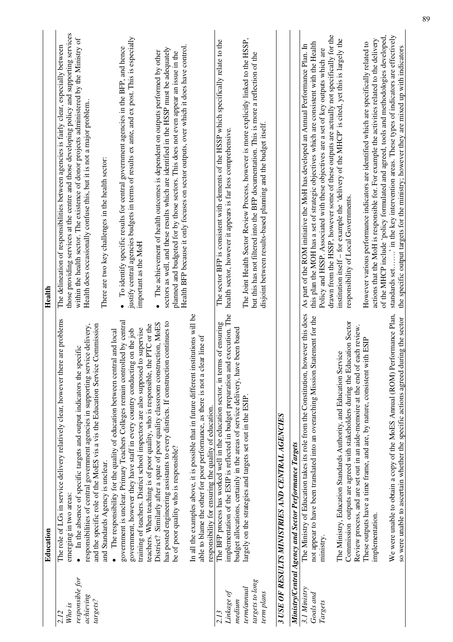|                 | Education                                                                               | Health                                                                                        |
|-----------------|-----------------------------------------------------------------------------------------|-----------------------------------------------------------------------------------------------|
| 2.12            | The role of LGs in service delivery relatively clear, however there are problems        | The delineation of responsibilities between agencies is fairly clear, especially between      |
| Who is          | emerging in two areas:                                                                  | those providing services at the centre and those developing policy and supporting services    |
| responsible for | In the absence of specific targets and output indicators the specific<br>$\bullet$      | within the health sector. The existence of donor projects administered by the Ministry of     |
| achieving       | responsibilities of central government agencies in supporting service delivery,         | Health does occasionally confuse this, but it is not a major problem.                         |
| targets?        | and the specific role of the MoES vis a vis the Education Service Commission            |                                                                                               |
|                 | and Standards Agency is unclear.                                                        | There are two key challenges in the health sector:                                            |
|                 | The responsibility for the quality of education between central and local               |                                                                                               |
|                 | government is unclear. Primary Teachers Colleges remain controlled by central           | • To identify specific results for central government agencies in the BFP, and hence          |
|                 | government, however they have staff in every country conducting on the job              | justify central agencies budgets in terms of results ex ante, and ex post. This is especially |
|                 | training of teachers. District school inspectors are also supposed to supervise         | important as the MoH                                                                          |
|                 | teachers. When teaching is of poor quality, who is responsible, the PTC or the          |                                                                                               |
|                 | District? Similarly after a spate of poor quality classroom construction, MoES          | • The achievement of health outcomes is dependent on outputs performed by other               |
|                 | has posted engineering assistants to every districts. If construction continues to      | sectors as well, and these results which are identified in the HSSP must be adequately        |
|                 | be of poor quality who is responsible?                                                  | planned and budgeted for by those sectors. This does not even appear an issue in the          |
|                 |                                                                                         | Health BFP because it only focuses on sector outputs, over which it does have control.        |
|                 | In all the examples above, it is possible that in future different institutions will be |                                                                                               |
|                 | able to blame the other for poor performance, as there is not a clear line of           |                                                                                               |
|                 | responsibility for ensuring the quality of education.                                   |                                                                                               |
| 2.13            | The BFP process has worked well in the education sector, in terms of ensuring           | The sector BFP is consistent with elements of the HSSP which specifically relate to the       |
| Linkage of      | implementation of the ESIP is reflected in budget preparation and execution. The        | health sector, however it appears is far less comprehensive.                                  |
| medium          | budget allocations, certainly in the areas of service delivery, have been based         |                                                                                               |
| term/annual     | largely on the strategies and targets set out in the ESIP.                              | The Joint Health Sector Review Process, however is more explicitly linked to the HSSP,        |
| targets to long |                                                                                         | but this has not filtered into the BFP documentation. This is more a reflection of the        |
|                 |                                                                                         |                                                                                               |
| term plans      |                                                                                         | disjoint between results-based planning and the budget itself.                                |
|                 | 3 USE OF RESULTS MINISTRIES AND CENTRAL AGENCIES                                        |                                                                                               |
|                 | Ministry/Central Agency and Sector Performance Targets                                  |                                                                                               |
| 3.1 Ministry    | however this does<br>The Ministry of Education takes its role from the Constitution,    | As part of the ROM initiative the MoH has developed an Annual Performance Plan. In            |
| Goals and       | Statement for the<br>not appear to have been translated into an overarching Mission     | this plan the MOH has a set of strategic objectives which are consistent with the Health      |
|                 |                                                                                         | Policy and HSSP. Associated with these objectives are a set of key outputs which are          |
| Targets         | mmstry                                                                                  | drawn from the HSSP, however some of these outputs are actually not specifically for the      |
|                 | The Ministry, Education Standards Authority, and Education Service                      | institution itself - for example the 'delivery of the MHCP' is cited, yet this is largely the |
|                 | Commission outputs are agreed with stakeholders during the Education Sector             | responsibility of Local Governments.                                                          |
|                 | Review process, and are set out in an aide-memoire at the end of each review.           |                                                                                               |
|                 | with ESIP<br>These outputs have a time frame, and are, by nature, consistent            | However various performance indicators are identified which are specifically related to       |
|                 | implementation.                                                                         | actions that the MoH is responsible for. For example the activities related to the delivery   |
|                 |                                                                                         | of the MHCP include 'policy formulated and agreed, tools and methodologies developed,         |
|                 | We were unable to obtain a copy of the MoES Annual (ROM) Performance Plan,              | standards set' in the key intervention areas. These types of indicators are effectively       |
|                 | so were unable to ascertain whether the specific actions agreed during the sector       | the specific output targets for the ministry; however they are mixed up with indicators       |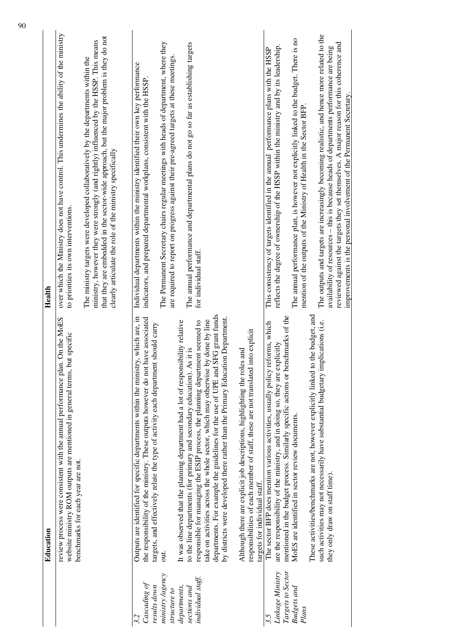|                                                                         | Education                                                                                                                                                                                                                                                                                                                                                                                                                                                                                               | Health                                                                                                                                                                                                                                                                                                                                                                                                                         |
|-------------------------------------------------------------------------|---------------------------------------------------------------------------------------------------------------------------------------------------------------------------------------------------------------------------------------------------------------------------------------------------------------------------------------------------------------------------------------------------------------------------------------------------------------------------------------------------------|--------------------------------------------------------------------------------------------------------------------------------------------------------------------------------------------------------------------------------------------------------------------------------------------------------------------------------------------------------------------------------------------------------------------------------|
|                                                                         | review process were consistent with the annual performance plan. On the MoES<br>out specific<br>website ministry ROM outputs are mentioned in general terms, I<br>benchmarks for each year are not.                                                                                                                                                                                                                                                                                                     | over which the Ministry does not have control. This undermines the ability of the ministry<br>to priorities its own interventions.                                                                                                                                                                                                                                                                                             |
|                                                                         |                                                                                                                                                                                                                                                                                                                                                                                                                                                                                                         | that they are embedded in the sector-wide approach, but the major problem is they do not<br>ministry, however they were strongly (and rightly) influenced by the HSSP. This means<br>The ministry targets were developed collaboratively by the departments within the<br>clearly articulate the role of the ministry specifically                                                                                             |
| ministry /agency<br>Cascading of<br>results down<br>structure to<br>3.2 | Outputs are identified for specific departments within the ministry, which are, in<br>the responsibility of the ministry. These outputs however do not have associated<br>targets, and effectively relate the type of activity each department should carry<br>out.                                                                                                                                                                                                                                     | The Permanent Secretary chairs regular meetings with heads of department, where they<br>are required to report on progress against their pre-agreed targets at these meetings.<br>Individual departments within the ministry identified their own key performance<br>indicators, and prepared departmental workplans, consistent with the HSSP                                                                                 |
| individual staff.<br>departments,<br>sections and                       | SFG grant funds<br>by districts were developed there rather than the Primary Education Department.<br>take on activities across the whole sector, which may otherwise by done by line<br>responsible for managing the ESIP process, the planning department seemed to<br>It was observed that the planning department had a lot of responsibility relative<br>to the line departments (for primary and secondary education). As it is<br>departments. For example the guidelines for the use of UPE and | The annual performance and departmental plans do not go so far as establishing targets<br>for individual staff.                                                                                                                                                                                                                                                                                                                |
|                                                                         | into explicit<br>Although there are explicit job descriptions, highlighting the roles and<br>responsibilities of each member of staff, these are not translated<br>targets for individual staff.                                                                                                                                                                                                                                                                                                        |                                                                                                                                                                                                                                                                                                                                                                                                                                |
| Linkage Ministry<br>Targets to Sector<br>Budgets and<br>3.5             | mentioned in the budget process. Similarly specific actions or benchmarks of the<br>The sector BFP does mention various activities, usually policy reforms, which<br>are the responsibility of the ministry, and in doing so, they are explicitly<br>MoES are identified in sector review documents.                                                                                                                                                                                                    | The annual performance plan, is however not explicitly linked to the budget. There is no<br>reflects the degree of ownership of the HSSP within the ministry and by its leadership<br>This consistency of targets identified in the annual performance plans with the HSSP                                                                                                                                                     |
| Plans                                                                   | These activities/benchmarks are not, however explicitly linked to the budget, and<br>such activities may not necessarily have substantial budgetary implications (i.e.<br>they only draw on staff time).                                                                                                                                                                                                                                                                                                | The outputs and targets are increasingly becoming realistic, and hence more related to the<br>reviewed against the targets they set themselves. A major reason for this coherence and<br>availability of resources - this is because heads of departments performance are being<br>improvements is the personal involvement of the Permanent Secretary.<br>mention of the outputs of the Ministry of Health in the Sector BFP. |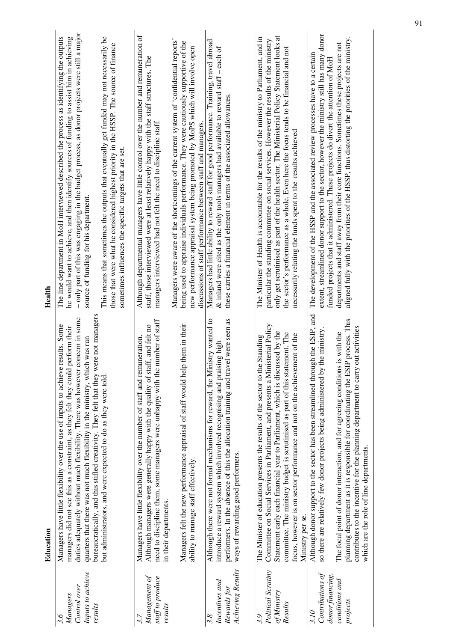|                                                                            | Education                                                                                                                                                                                                                                                                                                                                                                                                                                                                            | Health                                                                                                                                                                                                                                                                                                                                                                                                                                                             |
|----------------------------------------------------------------------------|--------------------------------------------------------------------------------------------------------------------------------------------------------------------------------------------------------------------------------------------------------------------------------------------------------------------------------------------------------------------------------------------------------------------------------------------------------------------------------------|--------------------------------------------------------------------------------------------------------------------------------------------------------------------------------------------------------------------------------------------------------------------------------------------------------------------------------------------------------------------------------------------------------------------------------------------------------------------|
| Inputs to achieve<br>Control over<br>Managers<br>results<br>3.6            | bureaucratically, and this stifled creativity. They felt that they were not managers<br>concern in some<br>results. Some<br>managers did not see this as a constraint, as they felt they could perform their<br>quarters that there was not much flexibility in the ministry, which was run<br>Managers have little flexibility over the use of inputs to achieve<br>duties adequately without much flexibility. There was however                                                   | - only part of this was engaging in the budget process, as donor projects were still a major<br>The line department in MoH interviewed described the process as identifying the outputs<br>he would want to achieve, and then identify sources of funding to assist him in achieving<br>source of funding for his department.                                                                                                                                      |
|                                                                            | but administrators, and were expected to do as they were told.                                                                                                                                                                                                                                                                                                                                                                                                                       | This means that sometimes the outputs that eventually get funded may not necessarily be<br>those that were what he considered highest priority in the HSSP. The source of finance<br>sometimes influences the specific targets that are set.                                                                                                                                                                                                                       |
| Management of<br>staff to produce                                          | need to discipline them, some managers were unhappy with the number of staff<br>Although managers were generally happy with the quality of staff, and felt no<br>Managers have little flexibility over the number of staff and remuneration.                                                                                                                                                                                                                                         | Although departmental managers have little control over the number and remuneration of<br>staff, those interviewed were at least relatively happy with the staff structures. The<br>managers interviewed had not felt the need to discipline staff.                                                                                                                                                                                                                |
| results                                                                    | Managers felt the new performance appraisal of staff would help them in their<br>ability to manage staff effectively.<br>in their departments.                                                                                                                                                                                                                                                                                                                                       | Managers were aware of the shortcomings of the current system of 'confidential reports'<br>being used to appraise individuals performance. They were cautiously supportive of the<br>new performance appraisal system being promoted by MoPS which will involve open<br>discussions of staff performance between staff and managers.                                                                                                                               |
| <b>Achieving Results</b><br>Incentives and<br>Rewards for<br>3.8           | performers. In the absence of this the allocation training and travel were seen as<br>Although there were not formal mechanisms for reward, the Ministry wanted to<br>introduce a reward system which involved recognising and praising high<br>ways of rewarding good performers.                                                                                                                                                                                                   | Managers had little ability to reward staff for good performance. Training, travel abroad<br>$\&$ inland were cited as the only tools managers had available to reward staff – each of<br>these carries a financial element in terms of the associated allowances.                                                                                                                                                                                                 |
| Political Scrutiny<br>of Ministry<br>Results<br>3.9                        | Committee on Social Services in Parliament, and presents a Ministerial Policy<br>Statement early each financial year to Parliament, which is discussed by the<br>committee. The ministry budget is scrutinised as part of this statement. The<br>focus, however is on sector performance and not on the achievement of the<br>The Minister of education presents the results of the sector to the Standing<br>Ministry per se.                                                       | $\vec{a}$<br>The Minister of Health is accountable for the results of the ministry to Parliament, and in<br>particular the standing committee on social services. However the results of the ministry<br>only get scrutinised as part of the health sector. The Ministerial Policy Statement looks<br>the sector's performance as a whole. Even here the focus tends to be financial and not<br>necessarily relating the funds spent to the results achieved       |
| Contributions of<br>donor financing,<br>conditions and<br>projects<br>3.10 | igh the ESIP, and<br>P process. This<br>out activities<br>the ministry.<br>The focal point of donor interaction, and for agreeing conditions is with the<br>Although donor support to the sector has been streamlined throu<br>so there are relatively few donor projects being administered by<br>planning department as it is responsible for coordinating the ESI<br>contributes to the incentive for the planning department to carry<br>which are the role of line departments. | extent, streamlined donor support to the sector, however the ministry still has many donor<br>aligned fully with the priorities of the HSSP, thus distorting the priorities of the ministry.<br>departments and staff away from their core functions. Sometimes these projects are not<br>The development of the HSSP and the associated review processes have to a certain<br>funded projects that it administered. These projects do divert the attention of MoH |
|                                                                            |                                                                                                                                                                                                                                                                                                                                                                                                                                                                                      |                                                                                                                                                                                                                                                                                                                                                                                                                                                                    |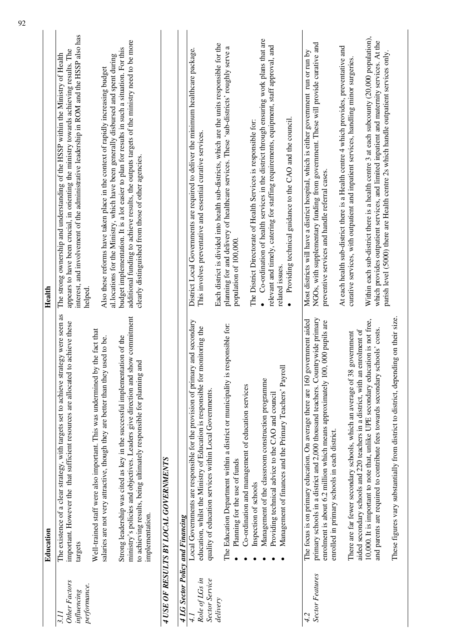|                                                             | Education                                                                                                                                                                                                                                                                                                                                               | Health                                                                                                                                                                                                                                                                                                                                                              |
|-------------------------------------------------------------|---------------------------------------------------------------------------------------------------------------------------------------------------------------------------------------------------------------------------------------------------------------------------------------------------------------------------------------------------------|---------------------------------------------------------------------------------------------------------------------------------------------------------------------------------------------------------------------------------------------------------------------------------------------------------------------------------------------------------------------|
| <b>Other Factors</b><br>performance.<br>influencing<br>3.11 | The existence of a clear strategy, with targets set to achieve strategy were seen as<br>to achieve these<br>Well-trained staff were also important. This was undermined by the fact that<br>salaries are not very attractive, though they are better than they used to be.<br>important. However the that sufficient resources are allocated<br>targets | interest, and involvement of the administrative leadership in ROM and the HSSP also has<br>appears to have been crucial, in orienting the ministry towards achieving results. The<br>The strong ownership and understanding of the HSSP within the Ministry of Health<br>Also these reforms have taken place in the context of rapidly increasing budget<br>helped. |
|                                                             | ministry's policies and objectives. Leaders give direction and show commitment<br>Strong leadership was cited as key in the successful implementation of the<br>and<br>to achieving results, being ultimately responsible for planning<br>implementation.                                                                                               | additional funding to achieve results, the outputs targets of the ministry need to be more<br>budget implementation. It is a lot easier to plan for results in such a situation. For this<br>al.locations for the Ministry, which have been generally disbursed and spent during<br>clearly distinguished from those of other agencies.                             |
|                                                             | 4 USE OF RESULTS BY LOCAL GOVERNMENTS                                                                                                                                                                                                                                                                                                                   |                                                                                                                                                                                                                                                                                                                                                                     |
| 4 LG Sector Policy and Financing                            |                                                                                                                                                                                                                                                                                                                                                         |                                                                                                                                                                                                                                                                                                                                                                     |
| Role of LGs in<br>Sector Service                            | Local Governments are responsible for the provision of primary and secondary<br>monitoring the<br>education, whilst the Ministry of Education is responsible for<br>quality of education services within Local Governments                                                                                                                              | District Local Governments are required to deliver the minimum healthcare package.<br>This involves preventative and essential curative services.                                                                                                                                                                                                                   |
| delivery                                                    | The Education Department within a district or municipality is responsible for:<br>Co-ordination and management of education services<br>Planning for the use of funds                                                                                                                                                                                   | Each district is divided into health sub-districts, which are the units responsible for the<br>planning for and delivery of healthcare services. These 'sub-districts' roughly serve a<br>population of 100,000.                                                                                                                                                    |
|                                                             | Management of the classroom construction programme<br>Providing technical advice to the CAO and council<br>Inspection of schools                                                                                                                                                                                                                        | Co-ordination of health services in the district through ensuring work plans that are<br>relevant and timely, catering for staffing requirements, equipment, staff approval, and<br>The District Directorate of Health Services is responsible for:<br>$\bullet$                                                                                                    |
|                                                             | Management of finances and the Primary Teachers' Payroll                                                                                                                                                                                                                                                                                                | Providing technical guidance to the CAO and the council.<br>related issues.<br>$\bullet$                                                                                                                                                                                                                                                                            |
| <b>Sector Features</b><br>42                                | primary schools in a district and 2,000 thousand teachers. Countrywide primary<br>The focus is on primary education. On average there are 160 government aided<br>enrolment is about 6.2 million which means approximately 100, 000 pupils are<br>enrolled in primary schools in each district.                                                         | NGOs, with supplementary funding from government. These will provide curative and<br>Most districts will have a district hospital, which is either government run or run by<br>preventive services and handle referral cases.                                                                                                                                       |
|                                                             | enrolment of<br>There are far fewer secondary schools, which an average of 38 government<br>aided secondary schools and 220 teachers in a district, with an                                                                                                                                                                                             | At each health sub-district there is a Health centre 4 which provides, preventative and<br>curative services, with outpatient and inpatient services, handling minor surgeries.                                                                                                                                                                                     |
|                                                             | 10,000. It is important to note that, unlike UPE secondary education is not free,<br>schools' costs.<br>and parents are required to contribute fees towards secondary                                                                                                                                                                                   | Within each sub-district there is a health centre 3 at each subcounty (20,000 population),<br>which provides outpatient services, and limited inpatient and maternity services. At the<br>parish level (5000) there are Health centre 2s which handle outpatient services only.                                                                                     |
|                                                             | These figures vary substantially from district to district, depending on their size.                                                                                                                                                                                                                                                                    |                                                                                                                                                                                                                                                                                                                                                                     |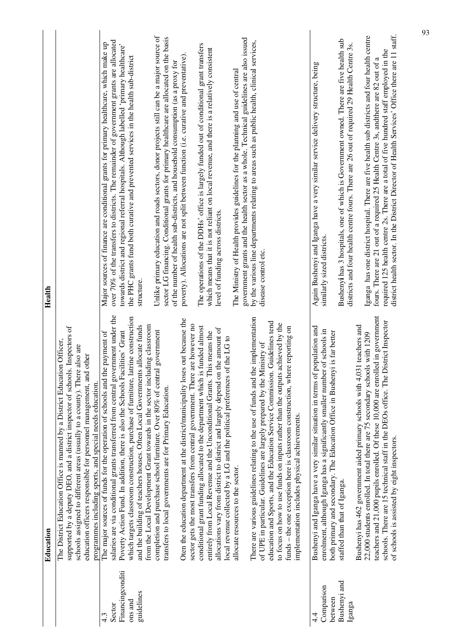|                                                            | Education                                                                                                                                                                                                                                                                                                                                                                                                                                                                                             | Health                                                                                                                                                                                                                                                                                                                                                                            |
|------------------------------------------------------------|-------------------------------------------------------------------------------------------------------------------------------------------------------------------------------------------------------------------------------------------------------------------------------------------------------------------------------------------------------------------------------------------------------------------------------------------------------------------------------------------------------|-----------------------------------------------------------------------------------------------------------------------------------------------------------------------------------------------------------------------------------------------------------------------------------------------------------------------------------------------------------------------------------|
|                                                            | supported by a deputy DEO, and a district inspector of schools. Inspectors of<br>The District Education Office is manned by a District Education Officer,<br>also are<br>other<br>schools assigned to different areas (usually to a county). There<br>education officers responsible for personnel management, and<br>programmes including sports, and special needs education.                                                                                                                       |                                                                                                                                                                                                                                                                                                                                                                                   |
| Financingconditi<br>guidelines<br>ons and<br>Sector<br>4.3 | salaries are via conditional grants transferred from central government under the<br>which targets classroom construction, purchase of furniture, latrine construction<br>from the Local Development Grant towards in the sector including classroom<br>allocate funds<br>Poverty Action Fund. In addition, there is also the Schools Facilities' Grant<br>The major sources of funds for the operation of schools and the payment of<br>and the building of teachers houses. Often Local Governments | over 70% of the transfers to districts. The remainder of government grants are allocated<br>Major sources of finance are conditional grants for primary healthcare, which make up<br>towards district and regional referral hospitals. Although labelled 'primary healthcare'<br>the PHC grants fund both curative and prevented services in the health sub-district<br>structure |
|                                                            | Oten the education department at the district/municipality loses out because the<br>sector gets the most transfers from central government. There are however no<br>government<br>completion and purchase school furniture. Over 80% of central<br>transfers to local governments are for Primary Education.                                                                                                                                                                                          | Unlike primary education and roads sectors, donor projects still can be a major source of<br>sector LG financing. Conditional grants for primary healthcare are allocated on the basis<br>poverty). Allocations are not split between function (i.e. curative and preventative)<br>of the number of health sub-districts, and household consumption (as a proxy for               |
|                                                            | conditional grant funding allocated to the department which is funded almost<br>allocations vary from district to district and largely depend on the amount of<br>entirely from Local Revenue and the Unconditional Grants. This means the<br>local revenue collected by a LG and the political preferences of the LG to                                                                                                                                                                              | The operations of the DDHs' office is largely funded out of conditional grant transfers<br>which means that it is not reliant on local revenue, and there is a relatively consistent<br>level of funding across districts.                                                                                                                                                        |
|                                                            | There are various guidelines relating to the use of funds and the implementation<br>education and Sports, and the Education Service Commission. Guidelines tend<br>to focus on how to use funds on inputs rather than the outputs achieved by the<br>funds - the one exception here is classroom construction, where reporting on<br>of UPE in particular. Guidelines are largely prepared by the Ministry of<br>implementation includes physical achievements.<br>allocate resources to the sector.  | government grants and the health sector as a whole. Technical guidelines are also issued<br>by the various line departments relating to areas such as public health, clinical services,<br>The Ministry of Health provides guidelines for the planning and use of central<br>disease control etc.                                                                                 |
| Bushenyi and<br>Comparison<br>between<br>Iganga<br>4.      | population and<br>enrolment, although Iganga has a significantly smaller number of schools in<br>both primary and secondary. The Education Office in Bushenyi is far better<br>Bushenyi and Iganga have a very similar situation in terms of j<br>staffed than that of Iganga.                                                                                                                                                                                                                        | Bushenyi has 3 hospitals, one of which is Government owned. There are five health sub<br>districts and four health centre fours. There are 26 out of required 29 Health Centre<br>Again Bushenyi and Iganga have a very similar service delivery structure, being<br>similarly sized districts.                                                                                   |
|                                                            | teachers and 21,000 pupils enrolled. Of these 10,000 are enrolled in government<br>schools. There are 15 technical staff in the DEOs office. The District Inspector<br>Bushenyi has 462 government aided primary schools with 4,031 teachers and<br>22,000 students enrolled. In total there are 75 secondary schools with 1209<br>of schools is assisted by eight inspectors.                                                                                                                        | district health sector. In the District Director of Health Services' Office there are 11 staff.<br>Iganga has one district hospital. There are five health sub districts and four health centre<br>required 125 health centre 2s. There are a total of five hundred staff employed in the<br>fours. There are 21 out of a required 25 Health Centre 3s, andthere are 82 out of a  |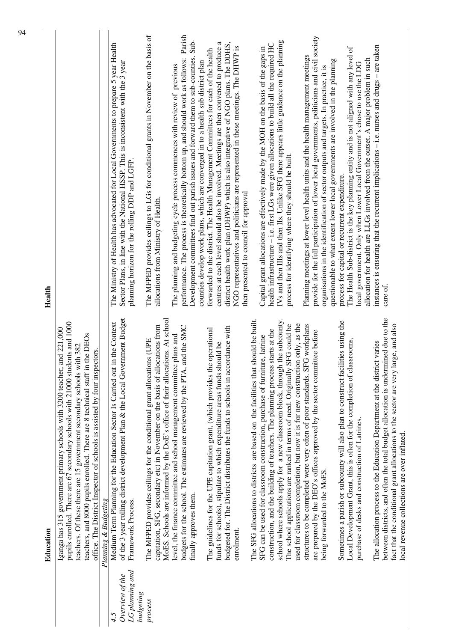| of the 3 year rolling district development Plan & the Local Government Budget<br>MoES. Schools are informed by the DoE's office of their allocations. At school<br>school where schools apply for a new classroom block, through the subcounty.<br>The SFG allocations to districts are based on the facilities that should be built.<br>Sometimes a parish or subcounty will also plan to construct facilities using the<br>Medium Term Planning for the Education Sector Is Carried out in the Context<br>pupils enrolled. There are 67 secondary schools with 21000 students and 1000<br>used for classroom completion, but now it is for new construction only, as the<br>The school applications are ranked in terms of need. Originally SFG could be<br>structures to be completed were very often of poor standards. SFG workplans<br>capitation, SFG, secondary etc) in November on the basis of allocations from<br>budgets for the school. The estimates are reviewed by the PTA, and the SMC<br>budgeted for. The District distributes the funds to schools in accordance with<br>Iganga has 315 government primary schools with 3200 teacher, and 221,000<br>The guidelines for the UPE capitation grant, (which provides the operational<br>construction, and the building of teachers. The planning process starts at the<br>are prepared by the DEO's offices approved by the sector committee before<br>level, the finance committee and school management committee plans and<br>teachers, and 8000 pupils enrolled. There are 8 technical staff in the DEOs<br>SFG can be used for classroom construction, purchase of furniture, latrine<br>Local Development Grant, this is often for the completion of classrooms,<br>The MFPED provides ceilings for the conditional grant allocations (UPE<br>The allocation process to the Education Department at the district varies<br>funds for schools), stipulate to which expenditure areas funds should be<br>teachers. Of these there are 15 government secondary schools with 382<br>office. The District Inspector of schools is assisted by four inspectors.<br>purchase of desks and construction of Latrines.<br>being forwarded to the MoES.<br>finally approves them.<br>Planning & Budgeting<br>Framework Process.<br>enrolment.<br>LG planning and<br>Overview of the<br><b>budgeting</b><br>process<br>4.5 | Health                                                                                                                                                                                                                                                                                                                                 |
|---------------------------------------------------------------------------------------------------------------------------------------------------------------------------------------------------------------------------------------------------------------------------------------------------------------------------------------------------------------------------------------------------------------------------------------------------------------------------------------------------------------------------------------------------------------------------------------------------------------------------------------------------------------------------------------------------------------------------------------------------------------------------------------------------------------------------------------------------------------------------------------------------------------------------------------------------------------------------------------------------------------------------------------------------------------------------------------------------------------------------------------------------------------------------------------------------------------------------------------------------------------------------------------------------------------------------------------------------------------------------------------------------------------------------------------------------------------------------------------------------------------------------------------------------------------------------------------------------------------------------------------------------------------------------------------------------------------------------------------------------------------------------------------------------------------------------------------------------------------------------------------------------------------------------------------------------------------------------------------------------------------------------------------------------------------------------------------------------------------------------------------------------------------------------------------------------------------------------------------------------------------------------------------------------------------------------------------------------------------------------------------|----------------------------------------------------------------------------------------------------------------------------------------------------------------------------------------------------------------------------------------------------------------------------------------------------------------------------------------|
|                                                                                                                                                                                                                                                                                                                                                                                                                                                                                                                                                                                                                                                                                                                                                                                                                                                                                                                                                                                                                                                                                                                                                                                                                                                                                                                                                                                                                                                                                                                                                                                                                                                                                                                                                                                                                                                                                                                                                                                                                                                                                                                                                                                                                                                                                                                                                                                       |                                                                                                                                                                                                                                                                                                                                        |
|                                                                                                                                                                                                                                                                                                                                                                                                                                                                                                                                                                                                                                                                                                                                                                                                                                                                                                                                                                                                                                                                                                                                                                                                                                                                                                                                                                                                                                                                                                                                                                                                                                                                                                                                                                                                                                                                                                                                                                                                                                                                                                                                                                                                                                                                                                                                                                                       |                                                                                                                                                                                                                                                                                                                                        |
|                                                                                                                                                                                                                                                                                                                                                                                                                                                                                                                                                                                                                                                                                                                                                                                                                                                                                                                                                                                                                                                                                                                                                                                                                                                                                                                                                                                                                                                                                                                                                                                                                                                                                                                                                                                                                                                                                                                                                                                                                                                                                                                                                                                                                                                                                                                                                                                       | The Ministry of Health has advocated for Local Governments to prepare 5 year Health<br>Sector Plans, in line with the National HSSP. This is inconsistent with the 3 year<br>planning horizon for the rolling DDP and LGFP.                                                                                                            |
|                                                                                                                                                                                                                                                                                                                                                                                                                                                                                                                                                                                                                                                                                                                                                                                                                                                                                                                                                                                                                                                                                                                                                                                                                                                                                                                                                                                                                                                                                                                                                                                                                                                                                                                                                                                                                                                                                                                                                                                                                                                                                                                                                                                                                                                                                                                                                                                       | The MFPED provides ceilings to LGs for conditional grants in November on the basis of<br>allocations from Ministry of Health.                                                                                                                                                                                                          |
|                                                                                                                                                                                                                                                                                                                                                                                                                                                                                                                                                                                                                                                                                                                                                                                                                                                                                                                                                                                                                                                                                                                                                                                                                                                                                                                                                                                                                                                                                                                                                                                                                                                                                                                                                                                                                                                                                                                                                                                                                                                                                                                                                                                                                                                                                                                                                                                       | The planning and budgeting cycle process commences with review of previous                                                                                                                                                                                                                                                             |
|                                                                                                                                                                                                                                                                                                                                                                                                                                                                                                                                                                                                                                                                                                                                                                                                                                                                                                                                                                                                                                                                                                                                                                                                                                                                                                                                                                                                                                                                                                                                                                                                                                                                                                                                                                                                                                                                                                                                                                                                                                                                                                                                                                                                                                                                                                                                                                                       | Parish<br>Sub-<br>performance. The process is theoretically bottom up, and should work as follows:<br>Development committees find out parish issues and forward them to sub-counties.                                                                                                                                                  |
|                                                                                                                                                                                                                                                                                                                                                                                                                                                                                                                                                                                                                                                                                                                                                                                                                                                                                                                                                                                                                                                                                                                                                                                                                                                                                                                                                                                                                                                                                                                                                                                                                                                                                                                                                                                                                                                                                                                                                                                                                                                                                                                                                                                                                                                                                                                                                                                       | forwarded to the district. The Health Management Committees for each of the health<br>counties develop work plans, which are converged in to a health sub district plan                                                                                                                                                                |
|                                                                                                                                                                                                                                                                                                                                                                                                                                                                                                                                                                                                                                                                                                                                                                                                                                                                                                                                                                                                                                                                                                                                                                                                                                                                                                                                                                                                                                                                                                                                                                                                                                                                                                                                                                                                                                                                                                                                                                                                                                                                                                                                                                                                                                                                                                                                                                                       | district health work plan (DHWP) which is also integrative of NGO plans. The DDHS,<br>centres at each level should also be involved. Meetings are then convened to produce a<br>NGO representatives and politicians are represented in these meetings. The DHWP is<br>then presented to council for approval                           |
|                                                                                                                                                                                                                                                                                                                                                                                                                                                                                                                                                                                                                                                                                                                                                                                                                                                                                                                                                                                                                                                                                                                                                                                                                                                                                                                                                                                                                                                                                                                                                                                                                                                                                                                                                                                                                                                                                                                                                                                                                                                                                                                                                                                                                                                                                                                                                                                       |                                                                                                                                                                                                                                                                                                                                        |
|                                                                                                                                                                                                                                                                                                                                                                                                                                                                                                                                                                                                                                                                                                                                                                                                                                                                                                                                                                                                                                                                                                                                                                                                                                                                                                                                                                                                                                                                                                                                                                                                                                                                                                                                                                                                                                                                                                                                                                                                                                                                                                                                                                                                                                                                                                                                                                                       | IVs and then IIIs and then IIs. Unlike SFG there appears little guidance on the planning<br>health infrastructure - i.e. first LGs were given allocations to build all the required HC<br>Capital grant allocations are effectively made by the MOH on the basis of the gaps in<br>process for identifying where they should be built. |
|                                                                                                                                                                                                                                                                                                                                                                                                                                                                                                                                                                                                                                                                                                                                                                                                                                                                                                                                                                                                                                                                                                                                                                                                                                                                                                                                                                                                                                                                                                                                                                                                                                                                                                                                                                                                                                                                                                                                                                                                                                                                                                                                                                                                                                                                                                                                                                                       | Planning meetings at lower level health units and the health management meetings                                                                                                                                                                                                                                                       |
|                                                                                                                                                                                                                                                                                                                                                                                                                                                                                                                                                                                                                                                                                                                                                                                                                                                                                                                                                                                                                                                                                                                                                                                                                                                                                                                                                                                                                                                                                                                                                                                                                                                                                                                                                                                                                                                                                                                                                                                                                                                                                                                                                                                                                                                                                                                                                                                       | provide for the full participation of lower local governments, politicians and civil society<br>organisations in the identification of sector outputs and targets. In practice, it is                                                                                                                                                  |
|                                                                                                                                                                                                                                                                                                                                                                                                                                                                                                                                                                                                                                                                                                                                                                                                                                                                                                                                                                                                                                                                                                                                                                                                                                                                                                                                                                                                                                                                                                                                                                                                                                                                                                                                                                                                                                                                                                                                                                                                                                                                                                                                                                                                                                                                                                                                                                                       | questionable to what extent lower local governments are involved in the planning<br>process for capital or recurrent expenditure.                                                                                                                                                                                                      |
|                                                                                                                                                                                                                                                                                                                                                                                                                                                                                                                                                                                                                                                                                                                                                                                                                                                                                                                                                                                                                                                                                                                                                                                                                                                                                                                                                                                                                                                                                                                                                                                                                                                                                                                                                                                                                                                                                                                                                                                                                                                                                                                                                                                                                                                                                                                                                                                       | The Health Sub-district is the key planning entity and is not aligned with any level of<br>allocation for health are LLGs involved from the outset. A major problem in such<br>local government. Only when Lower Local Government's chose to use the LDG                                                                               |
|                                                                                                                                                                                                                                                                                                                                                                                                                                                                                                                                                                                                                                                                                                                                                                                                                                                                                                                                                                                                                                                                                                                                                                                                                                                                                                                                                                                                                                                                                                                                                                                                                                                                                                                                                                                                                                                                                                                                                                                                                                                                                                                                                                                                                                                                                                                                                                                       | instances is ensuring that the recurrent implications - i.e. nurses and drugs - are taken                                                                                                                                                                                                                                              |
| between districts, and often the total budget allocation is undermined due to the<br>fact that the conditional grant allocations to the sector are very large, and also<br>local revenue collections are over inflated.                                                                                                                                                                                                                                                                                                                                                                                                                                                                                                                                                                                                                                                                                                                                                                                                                                                                                                                                                                                                                                                                                                                                                                                                                                                                                                                                                                                                                                                                                                                                                                                                                                                                                                                                                                                                                                                                                                                                                                                                                                                                                                                                                               | care of.                                                                                                                                                                                                                                                                                                                               |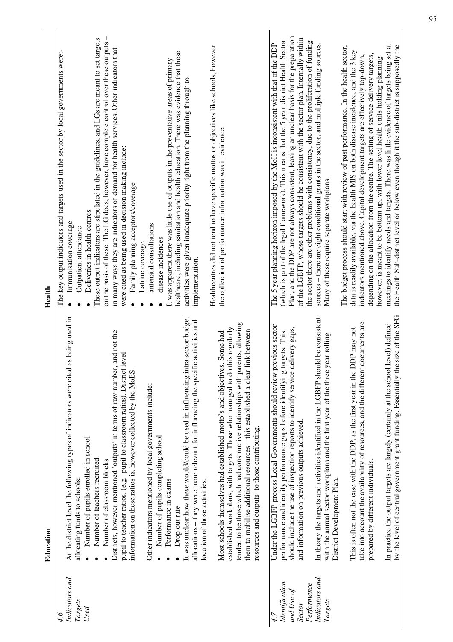|                                                                                           | Education                                                                                                                                                                                                                                                                                                                                                                                                                                                                                                                                                                                                                                                                                                                                                                                                         | Health                                                                                                                                                                                                                                                                                                                                                                                                                                                                                                                                                                                                                                                                                                                                                                                                                                                                                                                         |
|-------------------------------------------------------------------------------------------|-------------------------------------------------------------------------------------------------------------------------------------------------------------------------------------------------------------------------------------------------------------------------------------------------------------------------------------------------------------------------------------------------------------------------------------------------------------------------------------------------------------------------------------------------------------------------------------------------------------------------------------------------------------------------------------------------------------------------------------------------------------------------------------------------------------------|--------------------------------------------------------------------------------------------------------------------------------------------------------------------------------------------------------------------------------------------------------------------------------------------------------------------------------------------------------------------------------------------------------------------------------------------------------------------------------------------------------------------------------------------------------------------------------------------------------------------------------------------------------------------------------------------------------------------------------------------------------------------------------------------------------------------------------------------------------------------------------------------------------------------------------|
| Indicators and<br>Targets<br>Used<br>4.6                                                  | as being used in<br>It was unclear how these would/could be used in influencing intra sector budget<br>allocations - they were more relevant for influencing the specific activities and<br>, and not the<br>pupil to teacher ratios, (e.g., pupil to classroom ratios). District level<br>At the district level the following types of indicators were cited<br>Districts, however mentioned 'outputs' in terms of raw number<br>information on these ratios is, however collected by the MoES.<br>Other indicators mentioned by local governments include:<br>Number of pupils completing school<br>Number of pupils enrolled in school<br>Number of teachers recruited<br>Number of classroom blocks<br>allocating funds to schools:<br>Performance in exams<br>location of those activities.<br>Drop out rate | $\overline{1}$<br>These output indicators are stipulated in the guidelines, and LGs are meant to set targets<br>on the basis of these. The LG does, however, have complete control over these outputs<br>in many ways they are indicators of demand for health services. Other indicators that<br>The key output indicators and targets used in the sector by local governments were:-<br>healthcare, including sanitation and health education. There was evidence that these<br>It was apparent there was little use of outputs in the preventative areas of primary<br>activities were given inadequate priority right from the planning through to<br>were cited as being used in decision making include:<br>Family planning acceptors/coverage<br>Deliveries in health centres<br>Immunisation coverage<br>antenatal consultations<br>Outpatient attendance<br>disease incidences<br>Latrine coverage<br>implementation. |
|                                                                                           | tended to be those which had constructive relationships with parents, allowing<br>established workplans, with targets. Those who managed to do this regularly<br>them to mobilise additional resources – this established a clear link between<br>s. Some had<br>Most schools themselves had established motto's and objective<br>resources and outputs to those contributing.                                                                                                                                                                                                                                                                                                                                                                                                                                    | Healthcentres did not tend to have specific mottos or objectives like schools, however<br>the collection of performance information was in evidence.                                                                                                                                                                                                                                                                                                                                                                                                                                                                                                                                                                                                                                                                                                                                                                           |
| Indicators and<br>Identification<br>Performance<br>and Use of<br>Targets<br><b>Sector</b> | In theory the targets and activities identified in the LGBFP should be consistent<br>Under the LGBFP process Local Governments should review previous sector<br>should include the use of inspection reports to identify service delivery gaps,<br>targets. This<br>with the annual sector workplans and the first year of the three year rolling<br>performance and identify performance gaps before identifying<br>and information on previous outputs achieved.<br>District Development Plan.                                                                                                                                                                                                                                                                                                                  | Plan, and the DDP are not always consistent, leaving an unclear basis for the preparation<br>of the LGBFP, whose targets should be consistent with the sector plan. Internally within<br>(which is part of the legal framework). This means that the 5 year district Health Sector<br>the sector there are other problems with consistency, due to the proliferation of funding<br>sources - there are eight conditional grants in the sector, and multiple funding sources.<br>The 5 year planning horizon imposed by the MoH is inconsistent with that of the DDP<br>Many of these require separate workplans.                                                                                                                                                                                                                                                                                                               |
|                                                                                           | by the level of central government grant funding. Essentially the size of the SFG<br>documents are<br>level) defined<br>DDP may not<br>take into account the availability of resources, and the different<br>In practice the output targets are largely (certainly at the school<br>This is often not the case with the DDP, as the first year in the<br>prepared by different individuals.                                                                                                                                                                                                                                                                                                                                                                                                                       | meetings to identify needs and targets. There was little evidence of targets being set at<br>the Health Sub-district level or below even though it the sub-district is supposedly the<br>The budget process should start with review of past performance. In the health sector,<br>data is readily available, via the health MIS on both disease incidence, and the 3 key<br>depending on the allocation from the centre. The setting of service delivery targets,<br>indicators mentioned above. Capital development targets are effectively top-down,<br>however, is meant to be bottom up, with lower level health units holding planning                                                                                                                                                                                                                                                                                   |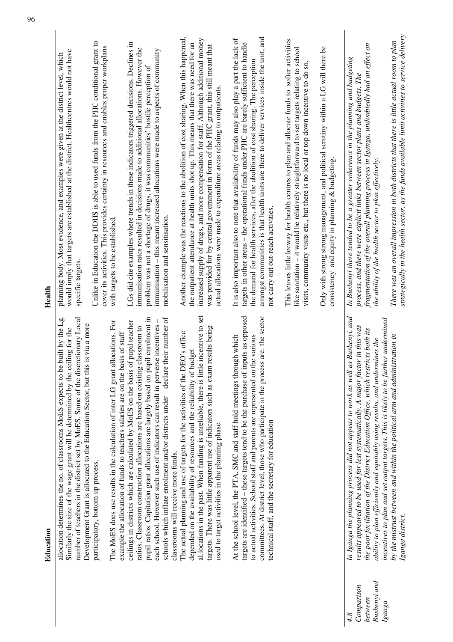|                                              | Education                                                                                                                                                                                                                                                                                                                                                                                                                                                                          | Health                                                                                                                                                                                                                                                                                                                                                                                                                                               |
|----------------------------------------------|------------------------------------------------------------------------------------------------------------------------------------------------------------------------------------------------------------------------------------------------------------------------------------------------------------------------------------------------------------------------------------------------------------------------------------------------------------------------------------|------------------------------------------------------------------------------------------------------------------------------------------------------------------------------------------------------------------------------------------------------------------------------------------------------------------------------------------------------------------------------------------------------------------------------------------------------|
|                                              | allocation determines the no. of classrooms MoES expects to be built by the Lg.<br>number of teachers in the district set by MoES. Some of the discretionary Local<br>Development Grant is allocated to the Education Sector, but this is via a more<br>Similarly the size of the wage grant will be determined by the ceiling for the                                                                                                                                             | would imply that targets are established at the district. Healthcentres would not have<br>planning body. Most evidence, and examples were given at the district level, which<br>specific targets.                                                                                                                                                                                                                                                    |
|                                              | allocations. For<br>example the allocation of funds to teachers salaries are on the basis of staff<br>The MoES does use results in the calculation of inter LG grant<br>participatory, bottom up process.                                                                                                                                                                                                                                                                          | Unlike in Education the DDHS is able to used funds from the PHC conditional grant to<br>cover its activities. This provides certainty in resources and enables proper workplans<br>with targets to be established.                                                                                                                                                                                                                                   |
|                                              | pupil ratios. Capitation grant allocations are largely based on pupil enrolment in<br>schools which inflate enrolment and/or districts under $-\frac{1}{2}$ declare their number of<br>each school. However such use of indicators can result in perverse incentives -<br>ceilings in districts which are calculated by MoES on the basis of pupil teacher<br>ratios. Classroom construction allocations are based on existing classroom to<br>classrooms will receive more funds. | LGs did cite examples where trends in these indicators triggered decisions. Declines in<br>immunisation rates resulted in decisions made to additional allocations. However the<br>immunisation – this meant increased allocations were made to aspects of community<br>problem was not a shortage of drugs, it was communities' hostile perception of<br>mobilisation and sensitisation.                                                            |
|                                              | al.locations in the past. When funding is unreliable, there is little incentive to set<br>targets. There was little apparent use of indicators such as exam results being<br>The actual planning and use of targets for the activities of the DEO's office<br>budget<br>depended on the availability of resources and the reliability of<br>used to target activities in the planning phase.                                                                                       | Another example was the reactions to the abolition of cost sharing. When this happened,<br>increased supply of drugs, and more compensation for staff. Although additional money<br>the outpatient attendance at health units shot up. This means that there was need for an<br>was provided for by central government in form of the PHC grant, this still meant that<br>actual allocations were made to expenditure areas relating to outpatients. |
|                                              | targets are identified - these targets tend to be the purchase of inputs as opposed<br>committees. At district level, those who participate in the process are: the sector<br>At the school level, the PTA, SMC and staff hold meetings through which<br>to actual activities. School staff and parents are represented on the various<br>technical staff, and the secretary for education                                                                                         | amongst communities is that health units are there to deliver services inside the unit, and<br>It is also important also to note that availability of funds may also play a part the lack of<br>targets in other areas - the operational funds under PHC are barely sufficient to handle<br>the demand for health services, after the abolition of cost sharing. The perception<br>not carry out out-reach activities.                               |
|                                              |                                                                                                                                                                                                                                                                                                                                                                                                                                                                                    | This leaves little leeway for health centres to plan and allocate funds to softer activities<br>like sanitation - it would be relatively straightforward to set targets relating to school<br>visits, community visits etc., but there is no local or top down incentive to do so                                                                                                                                                                    |
|                                              |                                                                                                                                                                                                                                                                                                                                                                                                                                                                                    | Only with strong strong management, and political scrutiny within a LG will there be<br>consistency and equity in planning $\&$ budgeting.                                                                                                                                                                                                                                                                                                           |
| Bushenyi and<br>Comparison<br>between<br>4.8 | In Iganga the planning process did not appear to work as well as Bushenyi, and<br>incentives to plan and set output targets. This is likely to be further undermined<br>results appeared to be used far lest systematically. A major factor in this was<br>the poor facilitation of the District Education Office, which restricts both its<br>ability to plan efficiently and equitably using results, and undermines the                                                         | fragmentation of the overall planning process in Iganga, undoubtedly had an effect on<br>In Bushenyi there tended to be a greater coherence in the planning and budgeting<br>process, and there were explicit links between sector plans and budgets. The<br>the ability of the health sector to plan effectively.                                                                                                                                   |
| $I$ ganga                                    | by the mistrust between and within the political arm and administration in<br>Iganga district.                                                                                                                                                                                                                                                                                                                                                                                     | strategically in the health sector, as the funds available limit activities to service delivery<br>There was an overall impression in both districts that there is little actual room to plan                                                                                                                                                                                                                                                        |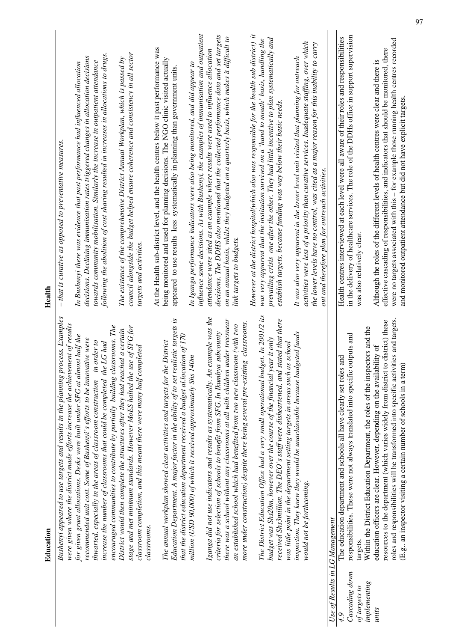|                                 | Education                                                                                                                                                            | Health                                                                                                        |
|---------------------------------|----------------------------------------------------------------------------------------------------------------------------------------------------------------------|---------------------------------------------------------------------------------------------------------------|
|                                 | ocess. Examples<br>were given where the district made efforts increase the achievement of results<br>Bushenyi appeared to use targets and results in the planning pr | $-$ that is curative as opposed to preventative measures.                                                     |
|                                 | for given grant allocations. Desks were built under SFG at almost half the                                                                                           | In Bushenyi there was evidence that past performance had influenced allocation                                |
|                                 | recommended unit cost. Some of Bushenyi's efforts to be innovative were                                                                                              | decisions. Declining immunisation rates triggered changes in allocation decisions                             |
|                                 | thwarted, especially in the areas of classroom construction – in order to                                                                                            | towards community mobilisation. Similarly the increase in outpatient attendance                               |
|                                 | increase the number of classrooms that could be completed the LG had                                                                                                 | following the abolition of cost sharing resulted in increases in allocations to drugs.                        |
|                                 | encouraged communities to contribute by partially building classrooms. The                                                                                           |                                                                                                               |
|                                 | District would then complete the structures after they had reached a certain                                                                                         | The existence of the comprehensive District Annual Workplan, which is passed by                               |
|                                 | stage and met minimum standards. However MoES halted the use of SFG for<br>classroom completion, and this meant there were many half completed                       | council alongside the budget helped ensure coherence and consistency in all sector<br>targets and activities. |
|                                 | classrooms.                                                                                                                                                          |                                                                                                               |
|                                 |                                                                                                                                                                      | At the Health sub-district level, and the health centres below it past performance was                        |
|                                 | The annual workplan showed clear activities and targets for the District                                                                                             | being monitored and used for planning decisions. The NGO clinic visited actually                              |
|                                 | Education Department. A major factor in the ability of to set realistic targets is                                                                                   | appeared to use results less systematically in planning than government units                                 |
|                                 | that the district education department received a budget al.location of 170                                                                                          |                                                                                                               |
|                                 | million (USD 90,000) of which it received approximately Shs 140m                                                                                                     | In Iganga performance indicators were also being monitored, and did appear to                                 |
|                                 |                                                                                                                                                                      | influence some decisions. As with Bushenyi, the examples of immunisation and outpatient                       |
|                                 | Iganga did not use indicators and results as systematically. An example was the                                                                                      | attendance were sited as an example where results were used to influence allocation                           |
|                                 | criteria for selection of schools to benefit from SFG. In Ikumbya subcounty                                                                                          | decisions. The DDHS also mentioned that the collected performance data and set targets                        |
|                                 | there was a school without any classrooms at all with children under treesnear                                                                                       | on an annual basis, whilst they budgeted on a quarterly basis, which makes it difficult to                    |
|                                 | an established school which had benefited from two new classroom (with two                                                                                           | link targets to budgets.                                                                                      |
|                                 | more under construction) despite there being several pre-existing classrooms.                                                                                        |                                                                                                               |
|                                 |                                                                                                                                                                      | However at the district hospital(which also was responsible for the health sub district) it                   |
|                                 | The District Education Office had a very small operational budget. In 2001/2 its                                                                                     | was very apparent that the institution survived on a 'hand to mouth' basis, handling the                      |
|                                 | budget was Shs20m, however over the course of the financial year it only                                                                                             | prevailing crisis one after the other. They had little incentive to plan systematically and                   |
|                                 | stated that there<br>received Shs3million. The DEO's staff were disheartened, and                                                                                    | establish targets, because funding was way below their basic needs.                                           |
|                                 | was little point in the department setting targets in areas such as school                                                                                           |                                                                                                               |
|                                 | lgeted funds<br>inspection. They knew they would be unachievable because bua                                                                                         | It was also very apparent in the lower level unit visited that planning for outreach                          |
|                                 | would not be forthcoming.                                                                                                                                            | activities were less of a priority than curative services. Inadequate staffing, over which                    |
|                                 |                                                                                                                                                                      | the lower levels have no control, was cited as a major reason for this inability to carry                     |
|                                 |                                                                                                                                                                      | out and therefore plan for outreach activities.                                                               |
| Use of Results in LG Management |                                                                                                                                                                      |                                                                                                               |
| 49                              | and<br>The education department and schools all have clearly set roles                                                                                               | Health centres interviewed at each level were all aware of their roles and responsibilities                   |
| Cascading down                  | responsibilities. These were not always translated into specific outputs and                                                                                         | in the delivery of healthcare services. The role of the DDHs office in support supervision                    |
| of targets to                   | targets.                                                                                                                                                             | was also relatively clear.                                                                                    |
| implementing                    | Within the District Education Department, the roles of the inspectors and the                                                                                        |                                                                                                               |
| unis                            | education officers are clear. However, depending on the availability of                                                                                              | Although the roles of the different levels of health centres were clear and there is                          |
|                                 | resources to the department (which varies widely from district to district) these                                                                                    | effective cascading of responsibilities, and indicators that should be monitored, there                       |
|                                 | roles and responsibilities will be transformed into specific activities and targets.                                                                                 | were no targets associated with this - for example those running health centres recorded                      |
|                                 | (E.g., an inspector visiting a certain number of schools in a term)                                                                                                  | and monitored outpatient attendance but did not have explicit targets.                                        |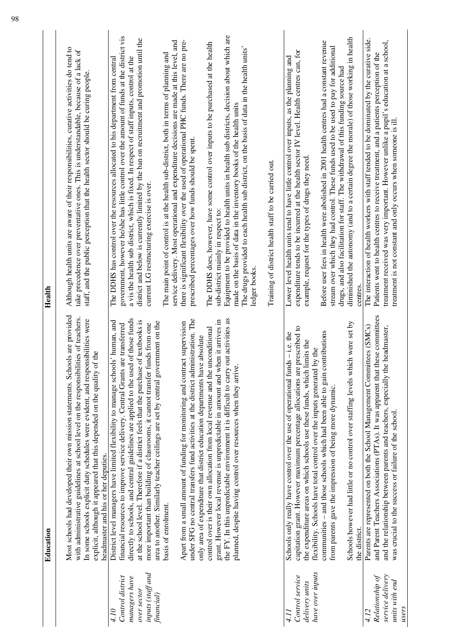|                                                                                             | Education                                                                                                                                                                                                                                                                                                                                                                                                                                                                                                            | Health                                                                                                                                                                                                                                                                                                                                                                                                                 |
|---------------------------------------------------------------------------------------------|----------------------------------------------------------------------------------------------------------------------------------------------------------------------------------------------------------------------------------------------------------------------------------------------------------------------------------------------------------------------------------------------------------------------------------------------------------------------------------------------------------------------|------------------------------------------------------------------------------------------------------------------------------------------------------------------------------------------------------------------------------------------------------------------------------------------------------------------------------------------------------------------------------------------------------------------------|
|                                                                                             | Most schools had developed their own mission statements. Schools are provided<br>with administrative guidelines at school level on the responsibilities of teachers.<br>In some schools explicit duty schedules were evident, and responsibilities were<br>of the<br>explicit, although it appeared that this depended on the quality<br>headmaster and his or her deputies.                                                                                                                                         | Although health units are aware of their responsibilities, curative activities do tend to<br>take precedence over preventative ones. This is understandable, because of a lack of<br>staff, and the public perception that the health sector should be curing people.                                                                                                                                                  |
| inputs (staff and<br>Control district<br>managers have<br>over sector<br>financial)<br>4.10 | directly to schools, and central guidelines are applied to the used of those funds<br>District level managers have limited flexibility to manage schools' human, and<br>at the school level. Therefore if a district feels that the purchase of textbooks is<br>area to another. Similarly teacher ceilings are set by central government on the<br>more important than building of classrooms, it cannot transfer funds from one<br>financial resources to improve service delivery. Central Grants are transferred | government, however he/she has little control over the amount of funds at the district vis<br>district and below is currently limited by the ban on recruitment and promotion until the<br>a vis the health sub district, which is fixed. In respect of staff inputs, control at the<br>The DDHS has control over the resources allocated to his department from central<br>current LG restructuring exercise is over. |
|                                                                                             | under SFG no central transfers fund activities at the district administration. The<br>Apart from a small amount of funding for monitoring and contract supervision<br>only area of expenditure that district education departments have absolute<br>basis of enrolment.                                                                                                                                                                                                                                              | service delivery. Most operational and expenditure decisions are made at this level, and<br>there is significant flexibility over the used of operational PHC funds. There are no pre-<br>The main point of control is at the health sub-district, both in terms of planning and<br>prescribed percentages over how funds should be spent.                                                                             |
|                                                                                             | the FY. In this unpredictable environment it is difficult to carry out activities as<br>grant. However local revenue is unpredictable in amount and when it arrives in<br>control over is their own allocation from local revenue and the unconditional<br>planned, despite having control over resources when they arriv                                                                                                                                                                                            | Equipment to be provided to health units in health sub districts, decision about which are<br>The DDHS does, however, have some control over inputs to be purchased at the health<br>The drugs provided to each health sub district, on the basis of data in the health units'<br>made on the basis of data in the inventory books of the health units<br>sub-district mainly in respect to:<br>ledger books.          |
|                                                                                             |                                                                                                                                                                                                                                                                                                                                                                                                                                                                                                                      | Training of district health staff to be carried out.                                                                                                                                                                                                                                                                                                                                                                   |
| have over inputs<br>Control service<br>delivery units<br>111                                | capitation grant. However maximum percentage allocations are prescribed to<br>Schools only really have control over the use of operational funds – i.e. the<br>the expenditure areas on which schools use these funds, which limits the<br>by the<br>flexibility. Schools have total control over the inputs generated                                                                                                                                                                                               | expenditure tends to be incurred at the health sector IV level. Health centres can, for<br>Lower level health units tend to have little control over inputs, as the planning and<br>example, request for the types of drugs they need.                                                                                                                                                                                 |
|                                                                                             | communities - and those schools which had been able to gain contributions<br>from parents gave the impression of being more dynamic.                                                                                                                                                                                                                                                                                                                                                                                 | Before user fees in health were abolished in 2001 health centres had a constant revenue<br>stream over which they had control. These funds used to be used to pay for additional<br>drugs, and also facilitation for staff. The withdrawal of this funding source had                                                                                                                                                  |
|                                                                                             | Schools however had little or no control over staffing levels which were set by<br>the district.                                                                                                                                                                                                                                                                                                                                                                                                                     | diminished the autonomy (and to a certain degree the morale) of those working in health<br>centres                                                                                                                                                                                                                                                                                                                     |
| service delivery<br>Relationship of<br>4.12                                                 | these committees<br>Parents are represented on both the School Management Committees (SMCs)<br>e headmaster,<br>and Parent Teachers Associations (PTAs). It was apparent that<br>and the relationship between parents and teachers, especially th                                                                                                                                                                                                                                                                    | The interaction of health workers with staff tended to be dominated by the curative side.<br>treatment received was very important. However unlike a pupil's education at a school,<br>Patients went to health centres to receive treatment, and a patients perception of the                                                                                                                                          |
| units with end<br>users                                                                     | was crucial to the success or failure of the school.                                                                                                                                                                                                                                                                                                                                                                                                                                                                 | treatment is not constant and only occurs when someone is ill                                                                                                                                                                                                                                                                                                                                                          |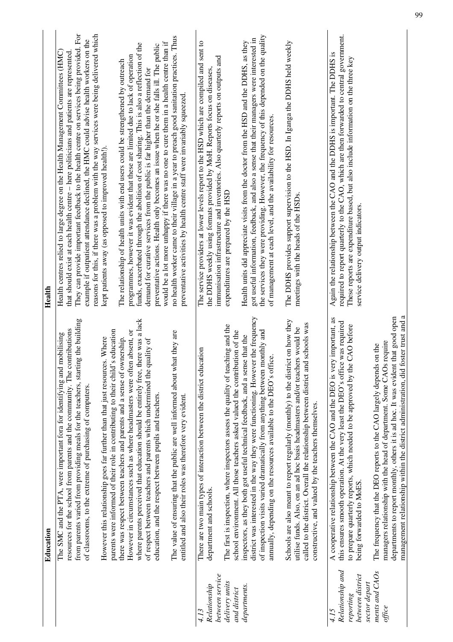|                                                           | Education                                                                                                                                                                                                                                                                                                               | Health                                                                                                                                                                                                                                                                                                                                                                                                                                                       |
|-----------------------------------------------------------|-------------------------------------------------------------------------------------------------------------------------------------------------------------------------------------------------------------------------------------------------------------------------------------------------------------------------|--------------------------------------------------------------------------------------------------------------------------------------------------------------------------------------------------------------------------------------------------------------------------------------------------------------------------------------------------------------------------------------------------------------------------------------------------------------|
|                                                           | ig the building<br>resources for the school from parents and the community. The contributions<br>The SMC and the PTA, were important fora for identifying and mobilising<br>from parents varied from providing meals for the teachers, starting<br>of classrooms, to the extreme of purchasing of computers.            | They can provide important feedback to the health centre on services being provided. For<br>reasons for this, if there was a problem with the way services were being delivered which<br>example if outpatient attendance declined, the HMC could advise health workers on the<br>Health centres relied to large degree on the Health Management Committees (HMC)<br>that should exist at each health centre - here politicians and patients are represented |
|                                                           | parents were informed of their role in contributing to their child's education<br>However this relationship goes far further than that just resources. Where                                                                                                                                                            | kept patients away (as opposed to improved health!).                                                                                                                                                                                                                                                                                                                                                                                                         |
|                                                           | However in circumstances such as where headmasters were often absent, or<br>there was respect between teachers and parents and a sense of ownership.                                                                                                                                                                    | programmes, however it was evident that these are limited due to lack of operation<br>The relationship of health units with end users could be strengthened by outreach                                                                                                                                                                                                                                                                                      |
|                                                           | where parents perceived that education should be entirely free, there was a lack<br>of respect between teachers and parents which undermined the quality of                                                                                                                                                             | funds, exacerbated through the abolition of cost sharing. This is also a reflection of the<br>demand for curative services from the public is far higher than the demand for                                                                                                                                                                                                                                                                                 |
|                                                           | education, and the respect between pupils and teachers.                                                                                                                                                                                                                                                                 | would be a lot more unhappy if there was no one to cure them in a health centre than if<br>preventative actions. Health only becomes an issue when he or she falls ill. The public                                                                                                                                                                                                                                                                           |
|                                                           | at they are<br>The value of ensuring that the public are well informed about wh<br>entitled and also their roles was therefore very evident.                                                                                                                                                                            | no health worker came to their village in a year to preach good sanitation practices. Thus<br>preventative activities by health centre staff were invariably squeezed                                                                                                                                                                                                                                                                                        |
| between service<br>Relationship<br>4.13                   | ation<br>There are two main types of interaction between the district educ<br>department and schools.                                                                                                                                                                                                                   | The service providers at lower levels report to the HSD which are compiled and sent to<br>immunisation infrastructure and inventories. Also quarterly reports on outputs and<br>the DDHS weekly using formats provided by MoH. Reports focus on diseases,                                                                                                                                                                                                    |
| delivery units<br>and district                            | The first is inspection, where inspectors assess the quality of teaching and the<br>school environment. All those teachers asked valued the contribution of the                                                                                                                                                         | expenditures are prepared by the HSD                                                                                                                                                                                                                                                                                                                                                                                                                         |
| departments.                                              | district was interested in the way they were functioning. However the frequency<br>of inspection visits varied dramatically from anything between monthly and<br>inspectors, as they both got useful technical feedback, and a sense that the<br>annually, depending on the resources available to the DEO's office.    | the services they were providing. However, the frequency of this depended on the quality<br>got useful information, feedback, and also a sense that their managers were interested in<br>Health units did appreciate visits from the doctor from the HSD and the DDHS, as they<br>of management at each level, and the availability for resources.                                                                                                           |
|                                                           | Schools are also meant to report regularly (monthly) to the district on how they<br>called to the district. Overall the relationship between district and schools was<br>utilise funds. Also, on an ad hoc basis headmasters and/or teachers would be<br>constructive, and valued by the teachers themselves.           | The DDHS provides support supervision to the HSD. In Iganga the DDHS held weekly<br>meetings with the heads of the HSDs.                                                                                                                                                                                                                                                                                                                                     |
| Relationship and<br>between district<br>reporting<br>4.15 | A cooperative relationship between the CAO and the DEO is very important, as<br>this ensures smooth operation. At the very least the DEO's office was required<br>CAO before<br>to prepare quarterly reports, which needed to be approved by the<br>being forwarded to MoES.                                            | required to report quarterly to the CAO, which are then forwarded to central government.<br>Again the relationship between the CAO and the DDHS is important. The DDHS is<br>These reports are expenditure based, but also include information on the three key<br>service delivery output indicators.                                                                                                                                                       |
| ments and CAOs<br>sector depart<br>office                 | management relationship within the district administration, did foster trust and a<br>departments to report monthly, others it is ad hoc. It was evident that good open<br>managers relationship with the head of department. Some CAOs require<br>The frequency that the DEO reports to the CAO largely depends on the |                                                                                                                                                                                                                                                                                                                                                                                                                                                              |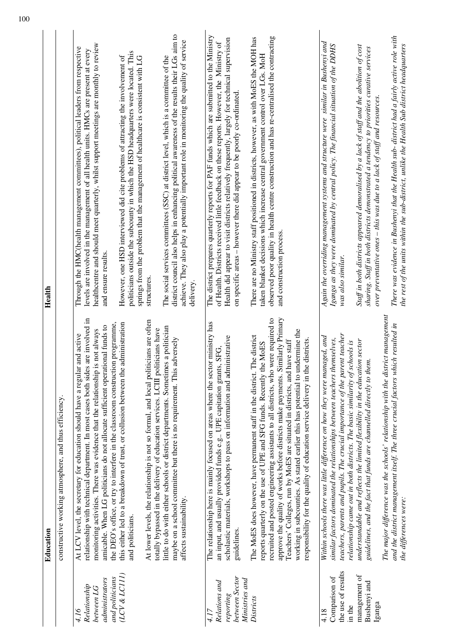|                                                                                          | Education                                                                                                                                                                                                                                                                                                                                                                                                                                                                                                                                                                      | Health                                                                                                                                                                                                                                                                                                                                                                                                                                                                                                                                                |
|------------------------------------------------------------------------------------------|--------------------------------------------------------------------------------------------------------------------------------------------------------------------------------------------------------------------------------------------------------------------------------------------------------------------------------------------------------------------------------------------------------------------------------------------------------------------------------------------------------------------------------------------------------------------------------|-------------------------------------------------------------------------------------------------------------------------------------------------------------------------------------------------------------------------------------------------------------------------------------------------------------------------------------------------------------------------------------------------------------------------------------------------------------------------------------------------------------------------------------------------------|
|                                                                                          | constructive working atmosphere, and thus efficiency.                                                                                                                                                                                                                                                                                                                                                                                                                                                                                                                          |                                                                                                                                                                                                                                                                                                                                                                                                                                                                                                                                                       |
| (LCV & LCIII)<br>and politicians<br>administrators<br>Relationship<br>between LG<br>4.16 | relationship with technical department. In most cases both sides are involved in<br>the DEO's office, or try to interfere in the classroom construction programme,<br>administration<br>amicable. When LG politicians do not allocate sufficient operational funds to<br>monitoring activities. There was evidence that the relationship is not always<br>At LCV level, the secretary for education should have a regular and active<br>this either led to a breakdown of trust, or collusion between the<br>and politicians.                                                  | healthcentre and should meet quarterly, whilst support meetings are monthly to review<br>Through the HMC(health management committees), political leaders from respective<br>levels are involved in the management of all health units. HMCs are present at every<br>politicians outside the subcounty in which the HSD headquarters were located. This<br>However, one HSD interviewed did cite problems of attracting the involvement of<br>springs from the problem that the management of healthcare is consistent with LG<br>and ensure results. |
|                                                                                          | At lower levels, the relationship is not so formal, and local politicians are often<br>little to do with either schools or district departments. Sometimes a politician<br>totally bypassed in the delivery of education services. LCIII politicians have<br>adversely<br>maybe on a school committee but there is no requirement. This<br>affects sustainability.                                                                                                                                                                                                             | district council also helps in enhancing political awareness of the results their LGs aim to<br>achieve. They also play a potentially important role in monitoring the quality of service<br>The social services committees (SSC) at district level, which is a committee of the<br>structures.<br>delivery.                                                                                                                                                                                                                                          |
| between Sector<br>Ministries and<br>Relations and<br>reporting<br>4.17                   | The relationship here is mainly focused on areas where the sector ministry has<br>scholastic materials, workshops to pass on information and administrative<br>an input, and usually provided funds e.g UPE capitation grants, SFG,<br>guidelines.                                                                                                                                                                                                                                                                                                                             | The district prepares quarterly reports for PAF funds which are submitted to the Ministry<br>Health did appear to visit districts relatively frequently, largely for technical supervision<br>of Health. Districts received little feedback on these reports. However, the Ministry of<br>on specific areas - however there did appear to be poorly co-ordinated.                                                                                                                                                                                     |
| Districts                                                                                | approve the quality of works before districts make payments. Similarly Primary<br>recruited and posted engineering assistants to all districts, who were required to<br>working in subcounties. As stated earlier this has potential to undermine the<br>The MoES does however, have permanent staff in the district. The district<br>responsibility for the quality of education service delivery in the districts.<br>have staff<br>reports quarterly on the use of UPE and SFG funds. Recently the MoES<br>Teachers' Colleges, run by MoES are situated in districts, and I | observed poor quality in health centre construction and has re-centralised the contracting<br>There are no Ministry staff positioned in districts, however, as with MoES the MOH has<br>taken blanket decisions which increase central government control over LGs. MoH<br>and construction process.                                                                                                                                                                                                                                                  |
| the use of results<br>Comparison of<br>in the<br>4.18                                    | teachers, parents and pupils. The crucial importance of the parent teacher<br>Within schools there was little difference on how they were managed, and<br>similar factors dominated the relationships between teachers themselves,<br>relationship came out in both districts. The basic similarity of schools is                                                                                                                                                                                                                                                              | Again the overriding management systems and structure were similar in Bushenyi and<br>Iganga as they were dominated by central policy. The financial situation of the DDHS<br>was also similar.                                                                                                                                                                                                                                                                                                                                                       |
| management of<br>Bushenyi and<br>Iganga                                                  | understandable and reflects the limited flexibility in the education sector<br>guidelines, and the fact that funds are channelled directly to them.                                                                                                                                                                                                                                                                                                                                                                                                                            | Staff in both districts appeared demoralised by a lack of staff and the abolition of cost<br>sharing. Staff in both districts demonstrated a tendency to priorities curative services<br>over preventative ones – this was due to a lack of staff and resources.                                                                                                                                                                                                                                                                                      |
|                                                                                          | The major difference was the schools' relationship with the district management<br>and the district management itself. The three crucial factors which resulted in<br>the differences were:                                                                                                                                                                                                                                                                                                                                                                                    | There was evidence in Bushenyi that the Health sub-district had a fairly active role with<br>the rest of the units within the sub-district, unlike the Health Sub district headquarters                                                                                                                                                                                                                                                                                                                                                               |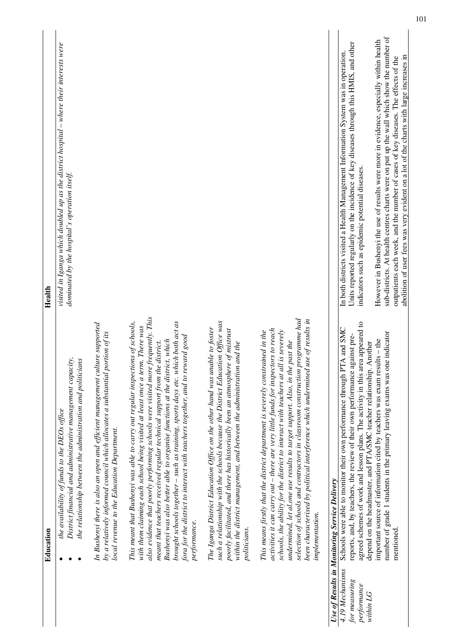|                                                              | Education                                                                                                                                                                                                                                                                                                                                                                                                                                                                                                                                                                                       | Health                                                                                                                                                                                                                                                                                                                                                             |
|--------------------------------------------------------------|-------------------------------------------------------------------------------------------------------------------------------------------------------------------------------------------------------------------------------------------------------------------------------------------------------------------------------------------------------------------------------------------------------------------------------------------------------------------------------------------------------------------------------------------------------------------------------------------------|--------------------------------------------------------------------------------------------------------------------------------------------------------------------------------------------------------------------------------------------------------------------------------------------------------------------------------------------------------------------|
|                                                              | District financial and administrative management capacity,<br>the relationship between the administration and politicians<br>the availability of funds to the DEOs office                                                                                                                                                                                                                                                                                                                                                                                                                       | visited in Iganga which doubled up as the district hospital – where their interests were<br>dominated by the hospital's operation itself.                                                                                                                                                                                                                          |
|                                                              | In Bushenyi there is also an open and efficient management culture supported<br>by a relatively informed council which allocates a substantial portion of its<br>local revenue to the Education Department.                                                                                                                                                                                                                                                                                                                                                                                     |                                                                                                                                                                                                                                                                                                                                                                    |
|                                                              | also evidence that poorly performing schools were visited more frequently. This<br>brought schools together - such as training, sports days etc. which both act as<br>This meant that Bushenyi was able to carry out regular inspections of schools,<br>with them claiming each school being visited at least once a term. There was<br>fora for the district to interact with teachers together, and to reward good<br>Bushenyi was also better able to organise functions at the district, which<br>meant that teachers received regular technical support from the district.<br>performance. |                                                                                                                                                                                                                                                                                                                                                                    |
|                                                              | such a relationship with the schools because the District Education Office was<br>The Iganga District Education Office on the other hand was unable to foster<br>poorly facilitated, and there has historically been an atmosphere of mistrust<br>within the district management, and between the administration and the<br>politicians.                                                                                                                                                                                                                                                        |                                                                                                                                                                                                                                                                                                                                                                    |
|                                                              | selection of schools and contractors in classroom construction programme had<br>been characterised by political interference which undermined use of results in<br>activities it can carry out - there are very little funds for inspectors to reach<br>schools, the ability for the district to interact with teachers at all is severely<br>This means firstly that the district department is severely constrained in the<br>undermined, let al.one use results to target support. Also, in the past the<br>implementation.                                                                  |                                                                                                                                                                                                                                                                                                                                                                    |
|                                                              | Use of Results in Monitoring Service Delivery                                                                                                                                                                                                                                                                                                                                                                                                                                                                                                                                                   |                                                                                                                                                                                                                                                                                                                                                                    |
| 4.19 Mechanisms<br>for measuring<br>performance<br>within LG | agreed schemes of work and lesson plans. The activity in this area appeared to<br>Schools were able to monitor their own performance through PTA and SMC<br>reports, and, by teachers, the review of their own performance against pre-<br>depend on the headmaster, and PTA/SMC teacher relationship. Another                                                                                                                                                                                                                                                                                  | Units reported regularly on the incidence of key diseases through this HMIS, and other<br>In both districts visited a Health Management Information System was in operation.<br>indicators such as epidemic potential diseases.                                                                                                                                    |
|                                                              | number of grade 1 students in the primary leaving exams was one indicator<br>important source of information cited by teachers was exam results - the<br>mentioned                                                                                                                                                                                                                                                                                                                                                                                                                              | sub-districts. At health centres charts were on put up the wall which show the number of<br>However in Bushenyi the use of results were more in evidence, especially within health<br>abolition of user fees was very evident on a lot of the charts with large increases in<br>outpatients each week, and the number of cases of key diseases. The effects of the |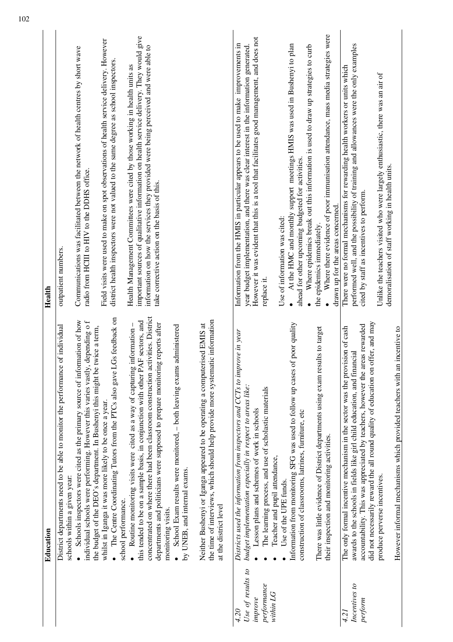|                                                                  | Education                                                                                                                                                                                                                                                                                                                                                                                                                                                           | Health                                                                                                                                                                                                                                                                                                         |
|------------------------------------------------------------------|---------------------------------------------------------------------------------------------------------------------------------------------------------------------------------------------------------------------------------------------------------------------------------------------------------------------------------------------------------------------------------------------------------------------------------------------------------------------|----------------------------------------------------------------------------------------------------------------------------------------------------------------------------------------------------------------------------------------------------------------------------------------------------------------|
|                                                                  | of individual<br>District departments need to be able to monitor the performance<br>schools within a given year:                                                                                                                                                                                                                                                                                                                                                    | outpatient numbers.                                                                                                                                                                                                                                                                                            |
|                                                                  | Schools inspectors were cited as the primary source of information of how<br>, depending o f<br>twice a term,<br>individual schools were performing. However this varies vastly,<br>the budget of the DEO's department. In Bushenyi this might be                                                                                                                                                                                                                   | Communications was facilitated between the network of health centres by short wave<br>radio from HCIII to HIV to the DDHS office.                                                                                                                                                                              |
|                                                                  | Gs feedback on<br>• The Centre Coordinating Tutors from the PTCs also gave L<br>whilst in Iganga it was more likely to be once a year.<br>school performance.                                                                                                                                                                                                                                                                                                       | Field visits were used to make on spot observations of health service delivery. However<br>district health inspectors were not valued to the same degree as school inspectors.                                                                                                                                 |
|                                                                  | concentrated on where there had been classroom construction activities. District<br>this tended to be on a sample basis, in conjunction with other PAF sectors, and<br>g reports after<br>Routine monitoring visits were cited as a way of capturing information -<br>School Exam results were monitored, - both leaving exams administered<br>departments and politicians were supposed to prepare monitorin<br>by UNEB, and internal exams.<br>monitoring visits. | important sources of qualitative information on health service delivery. They would give<br>information on how the services they provided were being perceived and were able to<br>Health Management Committees were cited by those working in health units as<br>take corrective action on the basis of this. |
|                                                                  | the time of interviews, which should help provide more systematic information<br>Neither Bushenyi or Iganga appeared to be operating a computerised EMIS at<br>at the district level                                                                                                                                                                                                                                                                                |                                                                                                                                                                                                                                                                                                                |
| Use of results to<br>performance<br>within LG<br>improve<br>4.20 | Districts used the information from inspectors and CCTs to improve in year<br>budget implementation especially in respect to areas like:<br>The learning process, and use of scholastic materials<br>Lesson plans and schemes of work in schools<br>Teacher and pupil attendance,                                                                                                                                                                                   | However it was evident that this is a tool that facilitates good management, and does not<br>Information from the HMIS in particular appears to be used to make improvements in<br>year budget implementation, and there was clear interest in the information generated.<br>replace it.                       |
|                                                                  | Information from monitoring SFG was used to follow up cases of poor quality<br>construction of classrooms, latrines, furniture, etc<br>Use of the UPE funds.                                                                                                                                                                                                                                                                                                        | At the HMC and monthly support meetings HMIS was used in Bushenyi to plan<br>Where epidemics break out this information is used to draw up strategies to curb<br>ahead for other upcoming budgeted for activities<br>Use of information was cited:                                                             |
|                                                                  | There was little evidence of District departments using exam results to target<br>their inspection and monitoring activities.                                                                                                                                                                                                                                                                                                                                       | Where there evidence of poor immunisation attendance, mass media strategies were<br>drawn up for the areas concerned.<br>the epidemics immediately.                                                                                                                                                            |
| Incentives to<br>perform<br>4.21                                 | offer, and may<br>accountability. This was appreciated by teachers, however the areas rewarded<br>The only formal incentive mechanism in the sector was the provision of cash<br>awards to the schools in fields like girl child education, and financial<br>did not necessarily reward the all round quality of education on                                                                                                                                       | performed well, and the possibility of training and allowances were the only examples<br>There were no formal mechanisms for rewarding health workers or units which<br>cited by staff as incentives to perform.                                                                                               |
|                                                                  | However informal mechanisms which provided teachers with an incentive to<br>produce perverse incentives.                                                                                                                                                                                                                                                                                                                                                            | Unlike the teachers visited who were largely enthusiastic, there was an air of<br>demoralisation of staff working in health units.                                                                                                                                                                             |
|                                                                  |                                                                                                                                                                                                                                                                                                                                                                                                                                                                     |                                                                                                                                                                                                                                                                                                                |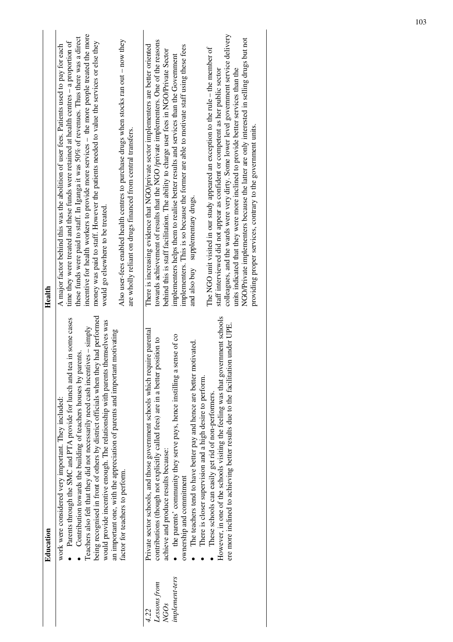|                                                            | Education                                                                                                                                                                                                                                                                                                                                                                                                                                                                                                                                                                                                                                                                       | Health                                                                                                                                                                                                                                                                                                                                                                                                                                                                                                                                                                                                                                                                                                                                                                                                                                                                                                                                                                                                                |
|------------------------------------------------------------|---------------------------------------------------------------------------------------------------------------------------------------------------------------------------------------------------------------------------------------------------------------------------------------------------------------------------------------------------------------------------------------------------------------------------------------------------------------------------------------------------------------------------------------------------------------------------------------------------------------------------------------------------------------------------------|-----------------------------------------------------------------------------------------------------------------------------------------------------------------------------------------------------------------------------------------------------------------------------------------------------------------------------------------------------------------------------------------------------------------------------------------------------------------------------------------------------------------------------------------------------------------------------------------------------------------------------------------------------------------------------------------------------------------------------------------------------------------------------------------------------------------------------------------------------------------------------------------------------------------------------------------------------------------------------------------------------------------------|
|                                                            | being recognised in front of others by district officials when they had performed<br>Parents through the SMC and PTA provide for lunch and tea in some cases<br>would provide incentive enough. The relationship with parents themselves was<br>Teachers also felt that they did not necessarily need cash incentives $-\sinh[y]$<br>an important one, with the appreciation of parents and important motivating<br>Contribution towards the building of teachers houses by parents<br>work were considered very important. They included:<br>factor for teachers to perform.                                                                                                   | incentive for health workers to provide more services – the more people treated the more<br>these funds were paid to staff. In Iganga it was 50% of revenues. Thus there was a direct<br>Also user-fees enabled health centres to purchase drugs when stocks ran out - now they<br>money was paid to staff. However the patients needed to value the services or else they<br>time they were treated and these funds were retained at health centres - a proportion of<br>A major factor behind this was the abolition of user fees. Patients used to pay for each<br>are wholly reliant on drugs financed from central transfers.<br>would go elsewhere to be treated.                                                                                                                                                                                                                                                                                                                                               |
| implement-ters<br>Lessons from<br>NGO <sub>S</sub><br>4.22 | However, in one of the schools visiting the feeling was that government schools<br>ere more inclined to achieving better results due to the facilitation under UPE.<br>Private sector schools, and those government schools which require parental<br>sense of co<br>contributions (though not explicitly called fees) are in a better position to<br>The teachers tend to have better pay and hence are better motivated.<br>the parents' community they serve pays, hence instilling a<br>There is closer supervision and a high desire to perform.<br>These schools can easily get rid of non-performers<br>achieve and produce results because:<br>ownership and commitment | colleagues, and the wards were very dirty. Some lower level government service delivery<br>NGO/Private implementers because the latter are only interested in selling drugs but not<br>towards achievement of results that the NGO /private implementers. One of the reasons<br>There is increasing evidence that NGO/private sector implementers are better oriented<br>implementers. This is so because the former are able to motivate staff using these fees<br>The NGO unit visited in our study appeared an exception to the rule – the member of<br>behind this is staff facilitation. The ability to charge user fees in NGO/Private Sector<br>implementers helps them to realise better results and services than the Government<br>units indicated that they were more inclined to provide better services than the<br>staff interviewed did not appear as confident or competent as her public sector<br>providing proper services, contrary to the government units.<br>and also buy supplementary drugs. |
|                                                            |                                                                                                                                                                                                                                                                                                                                                                                                                                                                                                                                                                                                                                                                                 |                                                                                                                                                                                                                                                                                                                                                                                                                                                                                                                                                                                                                                                                                                                                                                                                                                                                                                                                                                                                                       |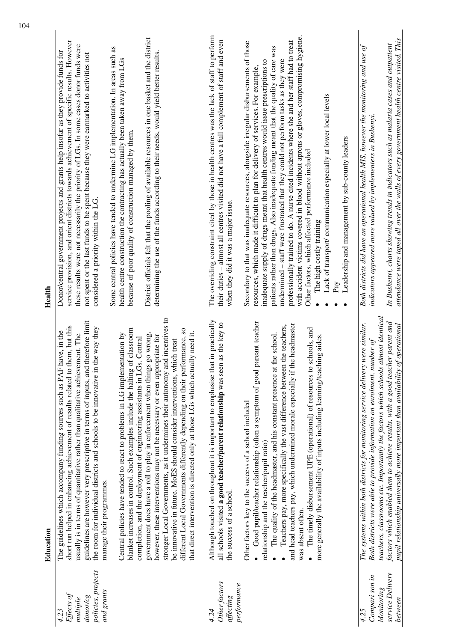|                                                                                | Education                                                                                                                                                                                                                                                                                                                                                                                                                                                                                                                                                                                                                                                                                                                                                                                                                                                                                                                                                                                                                                                                                                                                                                           | Health                                                                                                                                                                                                                                                                                                                                                                                                                                                                                                                                                                                                                                                                                                                                                                                                                                                                                                                                                                                                                                                                                       |
|--------------------------------------------------------------------------------|-------------------------------------------------------------------------------------------------------------------------------------------------------------------------------------------------------------------------------------------------------------------------------------------------------------------------------------------------------------------------------------------------------------------------------------------------------------------------------------------------------------------------------------------------------------------------------------------------------------------------------------------------------------------------------------------------------------------------------------------------------------------------------------------------------------------------------------------------------------------------------------------------------------------------------------------------------------------------------------------------------------------------------------------------------------------------------------------------------------------------------------------------------------------------------------|----------------------------------------------------------------------------------------------------------------------------------------------------------------------------------------------------------------------------------------------------------------------------------------------------------------------------------------------------------------------------------------------------------------------------------------------------------------------------------------------------------------------------------------------------------------------------------------------------------------------------------------------------------------------------------------------------------------------------------------------------------------------------------------------------------------------------------------------------------------------------------------------------------------------------------------------------------------------------------------------------------------------------------------------------------------------------------------------|
| policies, projects<br>and grants<br>Effects of<br>donor/cg<br>multiple<br>4.23 | stronger Local Governments, as it undermines their autonomy and incentives to<br>therefore limit<br>short run helped in enhancing achievement of results related to them, but this<br>the way they<br>blanket increases in control. Such examples include the halting of classroom<br>different Local Governments differently depending on their performance, so<br>have, in the<br>that direct intervention is directed only at those LGs which actually need it.<br>government does have a roll to play in enforcement when things go wrong,<br>Central policies have tended to react to problems in LG implementation by<br>usually is in terms of quantitative rather than qualitative achievement. The<br>however, these interventions may not be necessary or even appropriate for<br>completion, and the deployment of engineering assistants in LGs. Central<br>be innovative in future. MoES should consider interventions, which treat<br>The guidelines which accompany funding sources such as PAF<br>guidelines are however very prescriptive in terms of inputs, and<br>the room for individual districts and schools to be innovative in<br>manage their programmes. | District officials felt that the pooling of available resources in one basket and the district<br>service provision, and orient districts towards achievement of specific results. However<br>these results were not necessarily the priority of LGs. In some cases donor funds were<br>Some central policies have tended to undermine LG implementation. In areas such as<br>Donor/central government projects and grants help insofar as they provide funds for<br>determining the use of the funds according to their needs, would yield better results<br>not spent or the last funds to be spent because they were earmarked to activities not<br>health centre construction the contracting has actually been taken away from LGs<br>because of poor quality of construction managed by them.<br>considered a priority within the LG.                                                                                                                                                                                                                                                  |
| Other factors<br>performance<br>affecting<br>4.24                              | Although touched on throughout it is important to emphasise that in practically<br>Good pupil/teacher relationship (often a symptom of good pareant teacher<br>all schools visited a good teacher/parent relationship was seen as the key to<br>and head teachers pay, which undermined morale especially if the headmaster<br>Teachers pay, more specifically the vast difference between the teachers,<br>schools, and<br>the school.<br>more generally the availability of inputs including learning/teaching aides.<br>The quality of the headmaster, and his constant presence at<br>The timely disbursement UPE (operational) of resources to<br>Other factors key to the success of a school included<br>relationship and the teacher/pupil ratio)<br>the success of a school.<br>was absent often.                                                                                                                                                                                                                                                                                                                                                                          | The overriding constraint cited by those in health centres was the lack of staff to perform<br>with accident victims covered in blood without aprons or gloves, compromising hygiene.<br>their duties - almost all centres visited did not have a full complement of staff and even<br>professionally trained to do. A nurse cited incidents where she and her staff had to treat<br>Secondary to that was inadequate resources, alongside irregular disbursements of those<br>patients rather than drugs. Also inadequate funding meant that the quality of care was<br>undermined - staff were frustrated that they could not perform tasks as they were<br>inadequate supply of drugs meant that health centres would issue prescriptions to<br>resources, which made it difficult to plan for delivery of services. For example,<br>Lack of transport/ communication especially at lower local levels<br>Leadership and management by sub-county leaders<br>Other factors, which affected performance included<br>when they did it was a major issue.<br>The high costly training<br>Pay |
| service Delivery<br>Compari son in<br>Monitoring<br>between<br>4.25            | teachers, classrooms etc. Importantly the factors which schools almost identical<br>factors which enabled them to achieve results, with a good teacher parent and<br>The systems within both districts for monitoring service delivery were similar.<br>$of$ operational<br>Both districts were able to provide information on enrolment, number of<br>pupil relationship universally more important than availability                                                                                                                                                                                                                                                                                                                                                                                                                                                                                                                                                                                                                                                                                                                                                              | attendance were taped all over the walls of every government health centre visited. This<br>In Bushenyi, charts showing trends in indicators such as malaria cases and outpatient<br>Both districts did have an operational health MIS, however the monitoring and use of<br>indicators appeared more valued by implementers in Bushenyi.                                                                                                                                                                                                                                                                                                                                                                                                                                                                                                                                                                                                                                                                                                                                                    |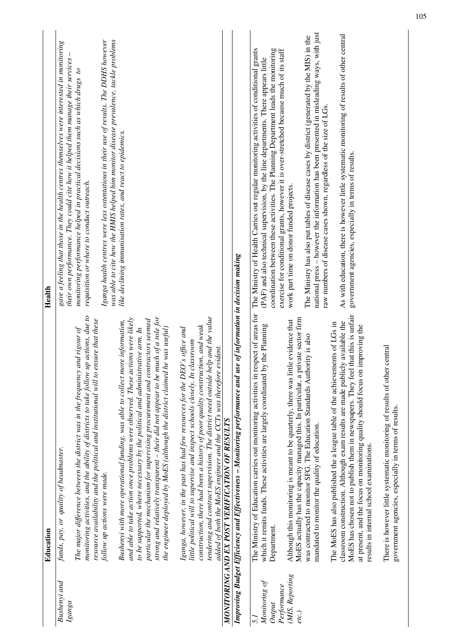|                          | Education                                                                                                                                                                                                                                                    | Health                                                                                                                                                                         |
|--------------------------|--------------------------------------------------------------------------------------------------------------------------------------------------------------------------------------------------------------------------------------------------------------|--------------------------------------------------------------------------------------------------------------------------------------------------------------------------------|
| Bushenyi and<br>Igang    | funds, pay, or quality of headmaster.                                                                                                                                                                                                                        | gave a feeling that those in the health centres themselves were interested in monitoring<br>their own performance. They could cite how it helped them manage their services    |
|                          | monitoring activities, and the ability of districts to take follow up actions, due to<br>resource availability and the political and institutional will to ensure that these<br>The major difference between the district was in the frequency and rigour of | monitoring performance helped in practical decisions such as which drugs to<br>requisition or where to conduct outreach.                                                       |
|                          | follow up actions were made.                                                                                                                                                                                                                                 | Iganga health centres were less ostentatious in their use of results. The DDHS however<br>was able to cite how the HMIS helped him monitor disease prevalence, tackle problems |
|                          | and able to take action once problems were observed. These actions were likely<br>Bushenyi with more operational funding, was able to collect more information,<br>to be supported, where necessary by the political and administrative arm. In              | like declining immunisation rates, and react to epidemics.                                                                                                                     |
|                          | strong and relatively transparent – their did not appear to be much of a role for<br>particular the mechanism for supervising procurement and contractors seemed<br>the engineer deployed by MoES (although the district claimed he was useful)              |                                                                                                                                                                                |
|                          |                                                                                                                                                                                                                                                              |                                                                                                                                                                                |
|                          | Iganga, however, in the past has had few resources for the DEO's office and<br>little political will to supervise and inspect schools closely. In classroom                                                                                                  |                                                                                                                                                                                |
|                          | tendering and contract supervision. The district need outside help and the value<br>construction, there had been a history of poor quality construction, and weak                                                                                            |                                                                                                                                                                                |
|                          | added of both the MoES engineer and the CCTs was therefore evident.                                                                                                                                                                                          |                                                                                                                                                                                |
|                          | MONITORING AND EX POST VERIFICATION OF RESULTS                                                                                                                                                                                                               |                                                                                                                                                                                |
|                          | Improving Budget Efficiency and Effectiveness – Monitoring performance and use of information in decision making                                                                                                                                             |                                                                                                                                                                                |
| 5.1                      | The Ministry of Education carries out monitoring activities in respect of areas for                                                                                                                                                                          | The Ministry of Health Carries out regular monitoring activities of conditional grants                                                                                         |
| Monitoring of<br>Output  | which it remits funds. These activities are largely coordinated by the Planning<br>Department.                                                                                                                                                               | coordination between these activities. The Planning Department leads the monitoring<br>(PAF) and also technical supervision, by the line departments. There appears little     |
| Performance              |                                                                                                                                                                                                                                                              | exercise for conditional grants, however it is over-stretched because much of its staff                                                                                        |
| (MIS, Reporting<br>etc.) | MoES actually has the capacity managed this. In particular, a private sector firm<br>e evidence that<br>Although this monitoring is meant to be quarterly, there was littl                                                                                   | work part time on donor funded projects.                                                                                                                                       |
|                          | was contracted to monitor SFG. The Education Standards Authority is also                                                                                                                                                                                     | The Ministry has also put tables of disease cases by district (generated by the MIS) in the                                                                                    |
|                          | mandated to monitor the quality of education.                                                                                                                                                                                                                | national press - however the information has been presented in misleading ways, with just<br>raw numbers of disease cases shown, regardless of the size of LGs.                |
|                          | The MoES has also published the a league table of the achievements of LGs in                                                                                                                                                                                 |                                                                                                                                                                                |
|                          | that this is unfair<br>classroom construction. Although exam results are made publicly available the<br>MoES has chosen not to publish them in newspapers. They feel                                                                                         | As with education, there is however little systematic monitoring of results of other central<br>government agencies, especially in terms of results.                           |
|                          | at present, and the focus on monitoring quality should focus on improving the<br>results in internal school examinations.                                                                                                                                    |                                                                                                                                                                                |
|                          | central<br>There is however little systematic monitoring of results of other<br>government agencies, especially in terms of results.                                                                                                                         |                                                                                                                                                                                |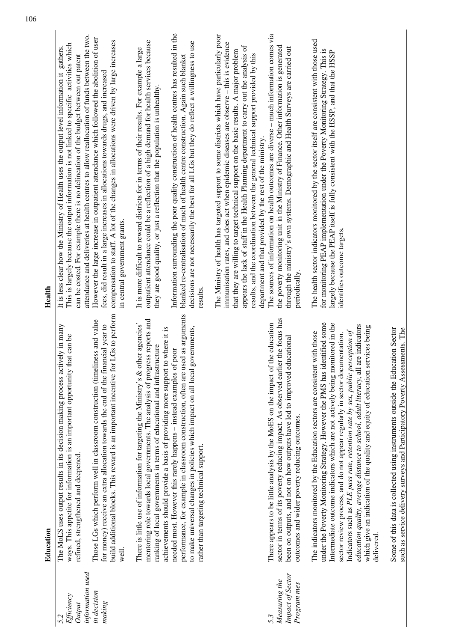|                                                         | Education                                                                                                                                                                                                                                                                                                                                                                                                                                                                                                                                                                                           | Health                                                                                                                                                                                                                                                                                                                                                                                                                                                                                                                           |
|---------------------------------------------------------|-----------------------------------------------------------------------------------------------------------------------------------------------------------------------------------------------------------------------------------------------------------------------------------------------------------------------------------------------------------------------------------------------------------------------------------------------------------------------------------------------------------------------------------------------------------------------------------------------------|----------------------------------------------------------------------------------------------------------------------------------------------------------------------------------------------------------------------------------------------------------------------------------------------------------------------------------------------------------------------------------------------------------------------------------------------------------------------------------------------------------------------------------|
| information used<br>Efficiency<br>Output<br>5.2         | The MoES uses output results in its decision making process actively in many<br>that can be<br>ways. This appetite for information is an important opportunity<br>refined, strengthened and deepened.                                                                                                                                                                                                                                                                                                                                                                                               | attendance and deliveries at health centres to allow reallocation of funds between the two.<br>This is largely because the output information is not linked to specific activities which<br>It is less clear how the Ministry of Health uses the output level information it gathers.<br>can be costed. For example there is no delineation of the budget between out patent                                                                                                                                                     |
| in decision<br>making                                   | build additional blocks. This reward is an important incentive for LGs to perform<br>Those LGs which perform well in classroom construction (timeliness and value<br>for money) receive an extra allocation towards the end of the financial year to<br>well.                                                                                                                                                                                                                                                                                                                                       | However the large increase in outpatient attendance which followed the abolition of user<br>fees, did result in a large increases in allocations towards drugs, and increased<br>compensation to staff. A lot of the changes in allocations were driven by large increases<br>in central government grants                                                                                                                                                                                                                       |
|                                                         | mentoring role towards local governments. The analysis of progress reports and<br>There is little use of information for targeting the Ministry's & other agencies'<br>achievements should provide a basis of providing more support to where it is<br>ranking of local governments in terms of educational and infrastructure                                                                                                                                                                                                                                                                      | outpatient attendance could be a reflection of a high demand for health services because<br>It is more difficult to reward districts for in terms of their results. For example a large<br>they are good quality, or just a reflection that the population is unhealthy.                                                                                                                                                                                                                                                         |
|                                                         | performance, for example in classroom construction, often are used as arguments<br>governments,<br>needed most. However this rarely happens - instead examples of poor<br>to make universal changes in policies which impact on all local<br>rather than targeting technical support.                                                                                                                                                                                                                                                                                                               | Information surrounding the poor quality construction of health centres has resulted in the<br>decisions are not necessarily the best for all LGs but they do reflect a willingness to use<br>blanked re-centralisation of much of health centre construction. Again such blanket<br>results.                                                                                                                                                                                                                                    |
|                                                         |                                                                                                                                                                                                                                                                                                                                                                                                                                                                                                                                                                                                     | The Ministry of health has targeted support to some districts which have particularly poor<br>immunisation rates, and does act when epidemic diseases are observe - this is evidence<br>appears the lack of staff in the Health Planning department to carry out the analysis of<br>that they are willing to target technical support on the basic results. A major problem<br>results, and the coordination between the general technical support provided by this<br>department and that provided by the rest of the ministry. |
| Impact of Sector<br>Measuring the<br>Program mes<br>5.3 | sector in terms of its poverty reducing impact. As observed earlier the focus has<br>There appears to be little analysis by the MoES on the impact of the education<br>been on outputs, and not on how outputs have led to improved educational<br>outcomes and wider poverty reducing outcomes.                                                                                                                                                                                                                                                                                                    | The sources of information on health outcomes are diverse $-$ much information comes via<br>the poverty monitoring unit in the Ministry of Finance. Other information is generated<br>through the ministry's own systems. Demographic and Health Surveys are carried out<br>periodically.                                                                                                                                                                                                                                        |
|                                                         | under the Poverty Monitoring Strategy. However the PMS has identified some<br>Intermediate outcome indicators which are not actively being monitored in the<br>1 are indicators<br>which give an indication of the quality and equity of education services being<br>Indicators such as PLE pass rate, retention rate by sex, public perception of<br>The indicators monitored by the Education sectors are consistent with those<br>sector review process, and do not appear regularly in sector documentation.<br>education quality, average distance to school, adult literacy, al<br>delivered. | The health sector indicators monitored by the sector itself are consistent with those used<br>for monitoring PEAP implementation under the Poverty Monitoring Strategy. This is<br>largely because the PEAP itself is fully consistent with the HSSP, and that the HSSP<br>identifies outcome targets                                                                                                                                                                                                                            |
|                                                         | Some of this data is collected using instruments outside the Education Sector<br>such as service delivery surveys and Participatory Poverty Assessments. The                                                                                                                                                                                                                                                                                                                                                                                                                                        |                                                                                                                                                                                                                                                                                                                                                                                                                                                                                                                                  |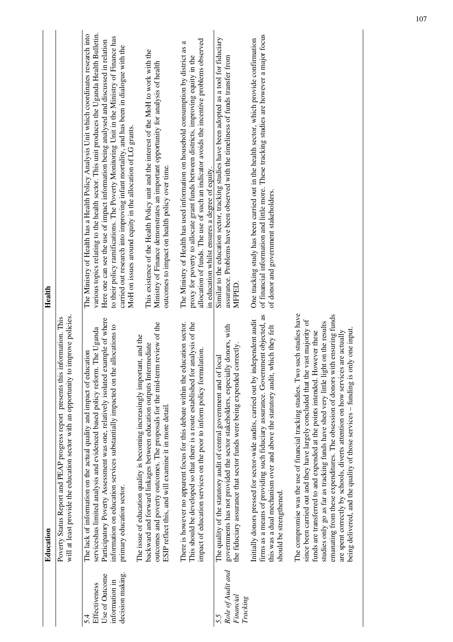|                                                                                                  | Education                                                                                                                                                                                                                                                                                                                                                                                                                                                                                                                                                                                           | Health                                                                                                                                                                                                                                                                                                                                                                                                                                                                                                                                     |
|--------------------------------------------------------------------------------------------------|-----------------------------------------------------------------------------------------------------------------------------------------------------------------------------------------------------------------------------------------------------------------------------------------------------------------------------------------------------------------------------------------------------------------------------------------------------------------------------------------------------------------------------------------------------------------------------------------------------|--------------------------------------------------------------------------------------------------------------------------------------------------------------------------------------------------------------------------------------------------------------------------------------------------------------------------------------------------------------------------------------------------------------------------------------------------------------------------------------------------------------------------------------------|
|                                                                                                  | will at least provide the education sector with an opportunity to improve policies.<br>Poverty Status Report and PEAP progress report presents this information. This                                                                                                                                                                                                                                                                                                                                                                                                                               |                                                                                                                                                                                                                                                                                                                                                                                                                                                                                                                                            |
| decision making.<br>Use of Outcome<br>information in<br><b>Effectiveness</b><br>$\overline{5.4}$ | Participatory Poverty Assessment was one, relatively isolated example of where<br>information on education services substantially impacted on the allocations to<br>serviceshas limited analysis and evidenced based policy reform. The Uganda<br>The lack of information on the actual quality and impact of education<br>primary education sector.                                                                                                                                                                                                                                                | various topics relating to the health sector. This unit produces the Uganda Health Bulletin.<br>The Ministry of Health has a Health Policy Analysis Unit which coordinates research into<br>to their policy ramifications. The Poverty Monitoring Unit in the Ministry of Finance has<br>Here one can see the use of impact information being analysed and discussed in relation<br>carried out research into improving infant mortality, and has been in dialogue with the<br>MoH on issues around equity in the allocation of LG grants. |
|                                                                                                  | review of the<br>The issue of education quality is becoming increasingly important, and the<br>backward and forward linkages between education outputs Intermediate<br>outcomes and poverty outcomes. The proposals for the mid-term<br>ESIP reflect this, and will examine it in more detail.                                                                                                                                                                                                                                                                                                      | This existence of the Health Policy unit and the interest of the MoH to work with the<br>Ministry of Finance demonstrates an important opportunity for analysis of health<br>outcomes to impact on health policy over time.                                                                                                                                                                                                                                                                                                                |
|                                                                                                  | There is however no apparent focus for this debate within the education sector.<br>This should be developed so that there is a route established for analysis of the<br>impact of education services on the poor to inform policy formulation.                                                                                                                                                                                                                                                                                                                                                      | allocation of funds. The use of such an indicator avoids the incentive problems observed<br>The Ministry of Health has used information on household consumption by district as a<br>proxy for poverty to allocate grant funds between districts, improving equity in the<br>in education whilst ensures a degree of equity.                                                                                                                                                                                                               |
| Role of Audit and<br>Financial<br><b>Tracking</b><br>5.5                                         | governments has not provided the sector stakeholders, especially donors, with<br>the fiduciary assurance that sector funds were being expended correctly.<br>The quality of the statutory audit of central government and of local                                                                                                                                                                                                                                                                                                                                                                  | Similar to the education sector, tracking studies have been adopted as a tool for fiduciary<br>assurance. Problems have been observed with the timeliness of funds transfer from<br>MFPED                                                                                                                                                                                                                                                                                                                                                  |
|                                                                                                  | firms as a means of providing such fiduciary assurance. Government objected, as<br>Initially donors pressed for sector-wide audits, carried out by independent audit<br>this was a dual mechanism over and above the statutory audit, which they felt<br>should be strengthened.                                                                                                                                                                                                                                                                                                                    | of financial information and little more. These tracking studies are however a major focus<br>One tracking study has been carried out in the health sector, which provide confirmation<br>of donor and government stakeholders.                                                                                                                                                                                                                                                                                                            |
|                                                                                                  | The compromise was the use of financial tracking studies. Two such studies have<br>emanating from these expenditures. The obsession of donors with ensuring funds<br>since been carried out and they have largely concluded that the vast majority of<br>on the results<br>being delivered, and the quality of those services - funding is only one input.<br>funds are transferred to and expended at the points intended. However these<br>are spent correctly by schools, diverts attention on how services are actually<br>studies only go as far as tracking funds have shed very little light |                                                                                                                                                                                                                                                                                                                                                                                                                                                                                                                                            |
|                                                                                                  |                                                                                                                                                                                                                                                                                                                                                                                                                                                                                                                                                                                                     |                                                                                                                                                                                                                                                                                                                                                                                                                                                                                                                                            |